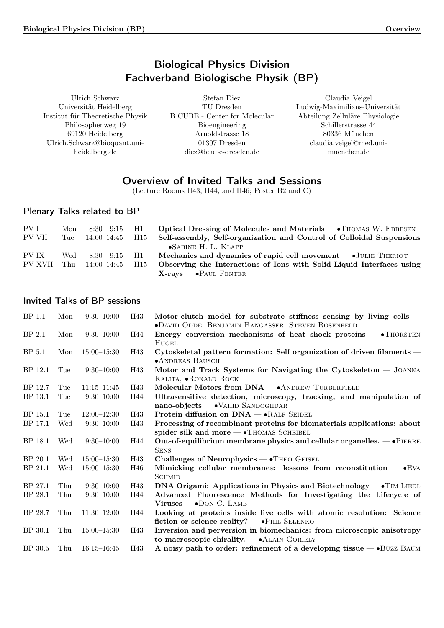# Biological Physics Division Fachverband Biologische Physik (BP)

<span id="page-0-0"></span>Ulrich Schwarz Universität Heidelberg Institut für Theoretische Physik Philosophenweg 19 69120 Heidelberg Ulrich.Schwarz@bioquant.uniheidelberg.de

Stefan Diez TU Dresden B CUBE - Center for Molecular Bioengineering Arnoldstrasse 18 01307 Dresden diez@bcube-dresden.de

Claudia Veigel Ludwig-Maximilians-Universität Abteilung Zelluläre Physiologie Schillerstrasse 44 80336 München claudia.veigel@med.unimuenchen.de

# Overview of Invited Talks and Sessions

(Lecture Rooms H43, H44, and H46; Poster B2 and C)

# Plenary Talks related to BP

| PV I    | Mon  | $8:30-9:15$ H1   |     | Optical Dressing of Molecules and Materials — • THOMAS W. EBBESEN         |
|---------|------|------------------|-----|---------------------------------------------------------------------------|
| PV VII  | Tue: | 14:00–14:45      | H15 | Self-assembly, Self-organization and Control of Colloidal Suspensions     |
|         |      |                  |     | $ \bullet$ Sabine H. L. Klapp                                             |
| PV IX   | Wed  | $8:30 - 9:15$ H1 |     | Mechanics and dynamics of rapid cell movement $\rightarrow$ JULIE THERIOT |
| PV XVII | Thu  | - 14:00–14:45    | H15 | Observing the Interactions of Ions with Solid-Liquid Interfaces using     |
|         |      |                  |     | $X-rays$ – $\bullet$ Paul Fenter                                          |

# Invited Talks of BP sessions

| BP 1.1            | Mon | $9:30-10:00$    | H43 | Motor-clutch model for substrate stiffness sensing by living cells $-$                                                        |
|-------------------|-----|-----------------|-----|-------------------------------------------------------------------------------------------------------------------------------|
| BP <sub>2.1</sub> | Mon | $9:30-10:00$    | H44 | • DAVID ODDE, BENJAMIN BANGASSER, STEVEN ROSENFELD<br>Energy conversion mechanisms of heat shock proteins $ \bullet$ THORSTEN |
|                   |     |                 |     | HUGEL                                                                                                                         |
| BP 5.1            | Mon | $15:00 - 15:30$ | H43 | Cytoskeletal pattern formation: Self organization of driven filaments –                                                       |
|                   |     |                 |     | <b>•ANDREAS BAUSCH</b>                                                                                                        |
| BP 12.1           | Tue | $9:30-10:00$    | H43 | Motor and Track Systems for Navigating the Cytoskeleton — JOANNA                                                              |
|                   |     |                 |     | KALITA, <b>•RONALD</b> ROCK                                                                                                   |
| BP 12.7           | Tue | $11:15 - 11:45$ | H43 | Molecular Motors from DNA - ANDREW TURBERFIELD                                                                                |
| <b>BP</b> 13.1    | Tue | $9:30-10:00$    | H44 | Ultrasensitive detection, microscopy, tracking, and manipulation of                                                           |
|                   |     |                 |     | nano-objects - VAHID SANDOGHDAR                                                                                               |
| BP 15.1           | Tue | $12:00 - 12:30$ | H43 | Protein diffusion on $DNA - \cdot R$ ALF SEIDEL                                                                               |
| BP 17.1           | Wed | $9:30-10:00$    | H43 | Processing of recombinant proteins for biomaterials applications: about                                                       |
|                   |     |                 |     | spider silk and more - THOMAS SCHEIBEL                                                                                        |
| BP 18.1           | Wed | $9:30-10:00$    | H44 | Out-of-equilibrium membrane physics and cellular organelles. $-\bullet$ PIERRE                                                |
|                   |     |                 |     | <b>SENS</b>                                                                                                                   |
| BP 20.1           | Wed | $15:00 - 15:30$ | H43 | Challenges of Neurophysics $- \cdot$ Theo Geisel                                                                              |
| BP 21.1           | Wed | $15:00 - 15:30$ | H46 | Mimicking cellular membranes: lessons from reconstitution $ \bullet$ EVA                                                      |
|                   |     |                 |     | <b>SCHMID</b>                                                                                                                 |
| BP 27.1           | Thu | $9:30-10:00$    | H43 | DNA Origami: Applications in Physics and Biotechnology $ \bullet$ T <sub>IM</sub> LIEDL                                       |
| BP 28.1           | Thu | $9:30-10:00$    | H44 | Advanced Fluorescence Methods for Investigating the Lifecycle of                                                              |
|                   |     |                 |     | $Viruses - o$ DON C. LAMB                                                                                                     |
| BP 28.7           | Thu | $11:30-12:00$   | H44 | Looking at proteins inside live cells with atomic resolution: Science                                                         |
|                   |     |                 |     | fiction or science reality? $\rightarrow$ $\bullet$ PHIL SELENKO                                                              |
| BP 30.1           | Thu | $15:00 - 15:30$ | H43 | Inversion and perversion in biomechanics: from microscopic anisotropy                                                         |
|                   |     |                 |     | to macroscopic chirality. $ \bullet$ ALAIN GORIELY                                                                            |
| BP 30.5           | Thu | $16:15 - 16:45$ | H43 | A noisy path to order: refinement of a developing tissue — • BUZZ BAUM                                                        |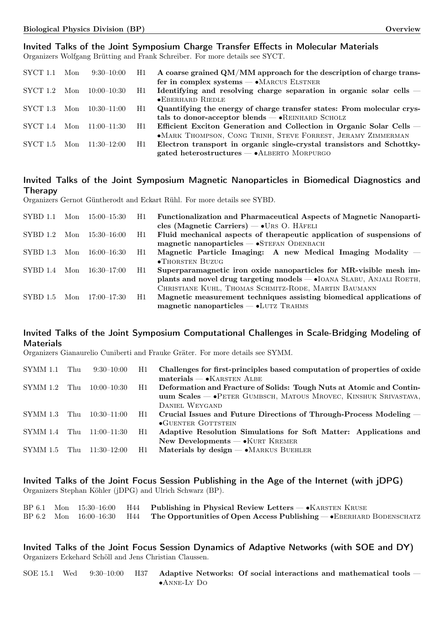# Invited Talks of the Joint Symposium Charge Transfer Effects in Molecular Materials

Organizers Wolfgang Brütting and Frank Schreiber. For more details see SYCT.

| SYCT 1.1 Mon |     | $9:30 - 10:00$  | H1 | A coarse grained QM/MM approach for the description of charge trans-   |
|--------------|-----|-----------------|----|------------------------------------------------------------------------|
|              |     |                 |    | fer in complex systems $- \cdot$ MARCUS ELSTNER                        |
| SYCT 1.2     | Mon | $10:00 - 10:30$ | H1 | Identifying and resolving charge separation in organic solar cells $-$ |
|              |     |                 |    | • EBERHARD RIEDLE                                                      |
| SYCT 1.3     | Mon | $10:30 - 11:00$ | H1 | Quantifying the energy of charge transfer states: From molecular crys- |
|              |     |                 |    | tals to donor-acceptor blends $-$ • REINHARD SCHOLZ                    |
| SYCT 1.4     | Mon | $11:00 - 11:30$ | H1 | Efficient Exciton Generation and Collection in Organic Solar Cells —   |
|              |     |                 |    | ·MARK THOMPSON, CONG TRINH, STEVE FORREST, JERAMY ZIMMERMAN            |
| SYCT 1.5     | Mon | $11:30-12:00$   | H1 | Electron transport in organic single-crystal transistors and Schottky- |
|              |     |                 |    | gated heterostructures $-$ • ALBERTO MORPURGO                          |

# Invited Talks of the Joint Symposium Magnetic Nanoparticles in Biomedical Diagnostics and Therapy

Organizers Gernot Güntherodt and Eckart Rühl. For more details see SYBD.

| SYBD 1.1        | Mon | $15:00 - 15:30$ | H1 | <b>Functionalization and Pharmaceutical Aspects of Magnetic Nanoparti-</b><br>cles (Magnetic Carriers) $-$ • URS O. HÄFELI                                                |
|-----------------|-----|-----------------|----|---------------------------------------------------------------------------------------------------------------------------------------------------------------------------|
| SYBD 1.2        | Mon | 15:30–16:00     | H1 | Fluid mechanical aspects of the rapeutic application of suspensions of<br>$magnetic$ nanoparticles $-$ • STEFAN ODENBACH                                                  |
| SYBD 1.3        | Mon | $16:00 - 16:30$ | H1 | Magnetic Particle Imaging: A new Medical Imaging Modality –<br>•THORSTEN BUZUG                                                                                            |
| SYBD 1.4        | Mon | 16:30–17:00     | H1 | Superparamagnetic iron oxide nanoparticles for MR-visible mesh im-<br>plants and novel drug targeting models — • IOANA SLABU, ANJALI ROETH,                               |
| <b>SYBD</b> 1.5 | Mon | 17:00–17:30     | H1 | CHRISTIANE KUHL, THOMAS SCHMITZ-RODE, MARTIN BAUMANN<br>Magnetic measurement techniques assisting biomedical applications of<br>$magnetic$ nanoparticles $-$ •LUTZ TRAHMS |

# Invited Talks of the Joint Symposium Computational Challenges in Scale-Bridging Modeling of **Materials**

Organizers Gianaurelio Cuniberti and Frauke Gräter. For more details see SYMM.

| SYMM 1.1 | Thu   | $9:30-10:00$    | H1 | Challenges for first-principles based computation of properties of oxide |
|----------|-------|-----------------|----|--------------------------------------------------------------------------|
|          |       |                 |    | $\text{materials} \longrightarrow \text{KARSTEN ALBE}$                   |
| SYMM 1.2 | Thu   | $10:00 - 10:30$ | H1 | Deformation and Fracture of Solids: Tough Nuts at Atomic and Contin-     |
|          |       |                 |    | uum Scales – • PETER GUMBSCH, MATOUS MROVEC, KINSHUK SRIVASTAVA,         |
|          |       |                 |    | DANIEL WEYGAND                                                           |
| SYMM 1.3 | - Thu | $10:30-11:00$   | H1 | Crucial Issues and Future Directions of Through-Process Modeling —       |
|          |       |                 |    | <b>•GUENTER GOTTSTEIN</b>                                                |
| SYMM 1.4 | Thu   | $11:00 - 11:30$ | H1 | Adaptive Resolution Simulations for Soft Matter: Applications and        |
|          |       |                 |    | New Developments $-$ • KURT KREMER                                       |
| SYMM 1.5 | Thu   | $11:30-12:00$   | H1 | Materials by design $- \cdot$ MARKUS BUEHLER                             |
|          |       |                 |    |                                                                          |

Invited Talks of the Joint Focus Session Publishing in the Age of the Internet (with jDPG) Organizers Stephan Köhler (jDPG) and Ulrich Schwarz (BP).

|  |  | BP 6.1 Mon $15:30-16:00$ H44 Publishing in Physical Review Letters $-$ • KARSTEN KRUSE            |
|--|--|---------------------------------------------------------------------------------------------------|
|  |  | BP 6.2 Mon $16:00-16:30$ H44 The Opportunities of Open Access Publishing $-$ EBERHARD BODENSCHATZ |

Invited Talks of the Joint Focus Session Dynamics of Adaptive Networks (with SOE and DY) Organizers Eckehard Schöll and Jens Christian Claussen.

SOE 15.1 Wed 9:30–10:00 H37 [Adaptive Networks: Of social interactions and mathematical tools](#page-4-0) — ∙Anne-Ly Do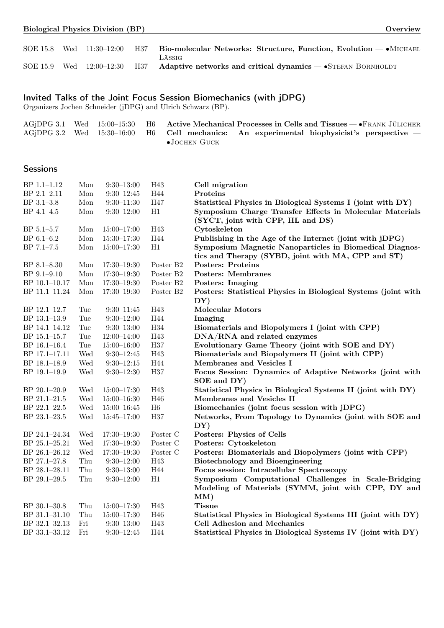| <b>Biological Physics Division (BP)</b> | <b>Overview</b> |
|-----------------------------------------|-----------------|
|-----------------------------------------|-----------------|

|  |  | SOE 15.8 Wed 11:30-12:00 H37 Bio-molecular Networks: Structure, Function, Evolution - MICHAEL         |
|--|--|-------------------------------------------------------------------------------------------------------|
|  |  | LÄSSIG                                                                                                |
|  |  | SOE 15.9 Wed $12:00-12:30$ H37 Adaptive networks and critical dynamics $\rightarrow$ STEFAN BORNHOLDT |

# Invited Talks of the Joint Focus Session Biomechanics (with jDPG)

Organizers Jochen Schneider (jDPG) and Ulrich Schwarz (BP).

|  |  | $\rm AGjDPG$ 3.1 Wed 15:00–15:30 H6 Active Mechanical Processes in Cells and Tissues $\rightarrow$ FRANK JÜLICHER |
|--|--|-------------------------------------------------------------------------------------------------------------------|
|  |  | $\rm AGjDPG$ 3.2 Wed 15:30-16:00 H6 Cell mechanics: An experimental biophysicist's perspective –                  |
|  |  | $\bullet$ JOCHEN GUCK                                                                                             |

# **Sessions**

| $BP$ 1.1-1.12 | Mon         | $9:30 - 13:00$      | H43                   | Cell migration                                                                                                |
|---------------|-------------|---------------------|-----------------------|---------------------------------------------------------------------------------------------------------------|
| BP 2.1-2.11   | Mon         | $9:30 - 12:45$      | H44                   | Proteins                                                                                                      |
| BP 3.1-3.8    | Mon         | $9:30 - 11:30$      | H47                   | Statistical Physics in Biological Systems I (joint with DY)                                                   |
| BP 4.1-4.5    | Mon         | $9:30 - 12:00$      | H1                    | Symposium Charge Transfer Effects in Molecular Materials<br>(SYCT, joint with CPP, HL and DS)                 |
| BP 5.1-5.7    | Mon         | $15:00 - 17:00$     | H43                   | Cytoskeleton                                                                                                  |
| BP 6.1-6.2    | Mon         | $15:30 - 17:30$     | H44                   | Publishing in the Age of the Internet (joint with jDPG)                                                       |
| BP 7.1-7.5    | Mon         | $15:00 - 17:30$     | H1                    | Symposium Magnetic Nanoparticles in Biomedical Diagnos-<br>tics and Therapy (SYBD, joint with MA, CPP and ST) |
| BP 8.1-8.30   | Mon         | $17:30 - 19:30$     | Poster B2             | <b>Posters: Proteins</b>                                                                                      |
| BP 9.1-9.10   | Mon         | $17:30 - 19:30$     | Poster B2             | <b>Posters: Membranes</b>                                                                                     |
| BP 10.1-10.17 | Mon         | $17:30 - 19:30$     | Poster B2             | <b>Posters: Imaging</b>                                                                                       |
| BP 11.1-11.24 | Mon         | $17:30 - 19:30$     | Poster B <sub>2</sub> | Posters: Statistical Physics in Biological Systems (joint with                                                |
|               |             |                     |                       | DY)                                                                                                           |
| BP 12.1-12.7  | Tue         | $9:30 - 11:45$      | H43                   | <b>Molecular Motors</b>                                                                                       |
| BP 13.1-13.9  | Tue         | $9:30 - 12:00$      | H44                   | Imaging                                                                                                       |
| BP 14.1-14.12 | Tue         | $9:30 - 13:00$      | H34                   | Biomaterials and Biopolymers I (joint with CPP)                                                               |
| BP 15.1-15.7  | Tue         | $12:00 - 14:00$     | H43                   | DNA/RNA and related enzymes                                                                                   |
| BP 16.1-16.4  | Tue         | $15:00 - 16:00$     | $_{\rm H37}$          | Evolutionary Game Theory (joint with SOE and DY)                                                              |
| BP 17.1-17.11 | Wed         | $9:30-12:45$        | H43                   | Biomaterials and Biopolymers II (joint with CPP)                                                              |
| BP 18.1-18.9  | Wed         | $9:30 - 12:15$      | H44                   | Membranes and Vesicles I                                                                                      |
| BP 19.1-19.9  | Wed         | $9:30 - 12:30$      | H37                   | Focus Session: Dynamics of Adaptive Networks (joint with                                                      |
|               |             |                     |                       | SOE and DY)                                                                                                   |
| BP 20.1-20.9  | Wed         | $15:00 - 17:30$     | H43                   | Statistical Physics in Biological Systems II (joint with DY)                                                  |
| BP 21.1-21.5  | Wed         | $15:00 - 16:30$     | H46                   | Membranes and Vesicles II                                                                                     |
| BP 22.1-22.5  | Wed         | $15:00 - 16:45$     | H6                    | Biomechanics (joint focus session with jDPG)                                                                  |
| BP 23.1-23.5  | Wed         | $15:45 - 17:00$     | H37                   | Networks, From Topology to Dynamics (joint with SOE and                                                       |
|               |             |                     |                       | DY)                                                                                                           |
| BP 24.1-24.34 | Wed         | $17{:}30–19{:}30\,$ | Poster C              | Posters: Physics of Cells                                                                                     |
| BP 25.1-25.21 | Wed         | $17:30 - 19:30$     | Poster C              | Posters: Cytoskeleton                                                                                         |
| BP 26.1-26.12 | Wed         | $17:30 - 19:30$     | Poster C              | Posters: Biomaterials and Biopolymers (joint with CPP)                                                        |
| BP 27.1-27.8  | Thu         | $9:30 - 12:00$      | H43                   | <b>Biotechnology and Bioengineering</b>                                                                       |
| BP 28.1-28.11 | Thu         | $9:30 - 13:00$      | H44                   | Focus session: Intracellular Spectroscopy                                                                     |
| BP 29.1-29.5  | ${\rm Thu}$ | $9:30 - 12:00$      | H1                    | Symposium Computational Challenges in Scale-Bridging                                                          |
|               |             |                     |                       | Modeling of Materials (SYMM, joint with CPP, DY and                                                           |
|               |             |                     |                       | MM)                                                                                                           |
| BP 30.1-30.8  | Thu         | $15:00 - 17:30$     | H43                   | <b>Tissue</b>                                                                                                 |
| BP 31.1-31.10 | Thu         | $15:00 - 17:30$     | H46                   | Statistical Physics in Biological Systems III (joint with DY)                                                 |
| BP 32.1-32.13 | Fri         | $9:30 - 13:00$      | H43                   | Cell Adhesion and Mechanics                                                                                   |
| BP 33.1-33.12 | Fri         | $9:30-12:45$        | H44                   | Statistical Physics in Biological Systems IV (joint with DY)                                                  |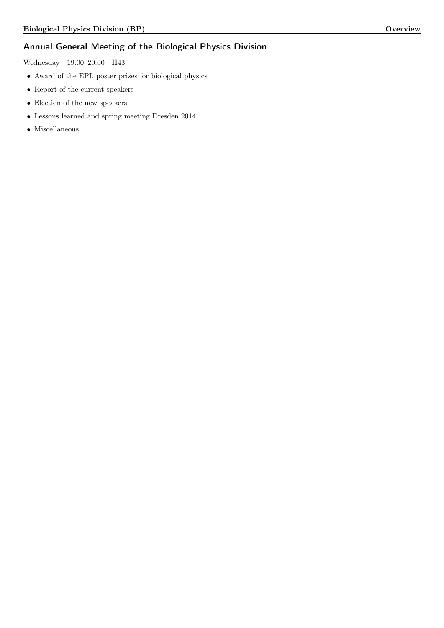# Annual General Meeting of the Biological Physics Division

Wednesday 19:00–20:00 H43

- ∙ Award of the EPL poster prizes for biological physics
- ∙ Report of the current speakers
- ∙ Election of the new speakers
- ∙ Lessons learned and spring meeting Dresden 2014
- ∙ Miscellaneous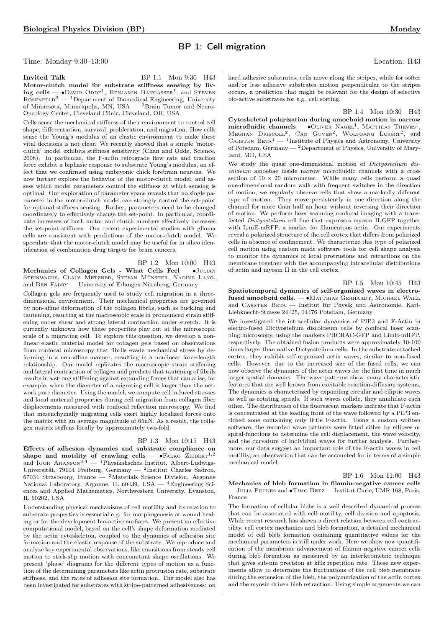# BP 1: Cell migration

Time: Monday 9:30–13:00 Location: H43

<span id="page-4-0"></span>hard adhesive substrates, cells move along the stripes, while for softer and/or less adhesive substrates motion perpendicular to the stripes occurs, a prediction that might be relevant for the design of selective bio-active substrates for e.g. cell sorting.

<span id="page-4-4"></span>BP 1.4 Mon 10:30 H43

Cytoskeletal polarization during amoeboid motion in narrow microfluidic channels —  $\bullet$ OLIVER NAGEL<sup>1</sup>, MATTHIAS THEVES<sup>1</sup>, MEGHAN DRISCOLL<sup>2</sup>, CAN GUVEN<sup>2</sup>, WOLFGANG LOSERT<sup>2</sup>, and CARSTEN  $BETA<sup>1</sup>$  — <sup>1</sup>Institute of Physics and Astronomy, University of Potsdam, Germany  $-2$ Department of Physics, University of Maryland, MD, USA

We study the quasi one-dimensional motion of Dictyostelium discoideum amoebae inside narrow microfluidic channels with a cross section of 10 x 20 micrometer. While many cells perform a quasi one-dimensional random walk with frequent switches in the direction of motion, we regularly observe cells that show a markedly different type of motion. They move persistently in one direction along the channel for more than half an hour without reversing their direction of motion. We perform laser scanning confocal imaging with a transfected Dictyostelium cell line that expresses myosin II-GFP together with LimE-mRFP, a marker for filamentous actin. Our experiments reveal a polarized structure of the cell cortex that differs from polarized cells in absence of confinement. We characterize this type of polarized cell motion using custom made software tools for cell shape analysis to monitor the dynamics of local protrusions and retractions on the membrane together with the accompanying intracellular distributions of actin and myosin II in the cell cortex.

<span id="page-4-1"></span>BP 1.5 Mon 10:45 H43

<span id="page-4-2"></span>Spatiotemporal dynamics of self-organized waves in electrofused amoeboid cells. — • MATTHIAS GERHARDT, MICHAEL WALZ, and Carsten Beta — Institut für Physik und Astronomie, Karl-Liebknecht-Strasse 24/25, 14476 Potsdam, Germany

We investigated the intracellular dynamics of PIP3 and F-Actin in electro-fused Dictyostelium discoideum cells by confocal laser scanning microscopy, using the markers PHCRAC-GFP and LimE-mRFP, respectively. The obtained fusion products were approximately 10-100 times larger than native Dictyostelium cells. In the substrate-attached cortex, they exhibit self-organized actin waves, similar to non-fused cells. However, due to the increased size of the fused cells, we can now observe the dynamics of the actin waves for the first time in much larger spatial domains. The wave patterns show many characteristic features that are well known from excitable reaction-diffusion systems. The dynamics is characterized by expanding circular and elliptic waves as well as rotating spirals. If such waves collide, they annihilate each other. The distribution of the fluorescent markers indicate that F-actin is concentrated at the leading front of the wave followed by a PIP3 enriched zone containing only little F-actin. Using a custom written software, the recorded wave patterns were fitted either by ellipses or spiral-functions to determine the cell displacement, the wave velocity, and the curvature of individual waves for further analysis. Furthermore, our data suggest an important role of the F-actin waves in cell motility, an observation that can be accounted for in terms of a simple mechanical model.

BP 1.6 Mon 11:00 H43

<span id="page-4-3"></span>Mechanics of bleb formation in filamin-negative cancer cells — Julia Peukes and ∙Timo Betz — Institut Curie, UMR 168, Paris, France

The formation of cellular blebs is a well described dynamical process that can be associated with cell motility, cell division and apoptosis. While recent research has shown a direct relation between cell contractility, cell cortex mechanics and bleb formation, a detailed mechanical model of cell bleb formation containing quantitative values for the mechanical parameters is still under work. Here we show new quantification of the membrane advancement of filamin negative cancer cells during bleb formation as measured by an interferometric technique that gives sub-nm precision at kHz repetition rate. These new experiments allow to determine the fluctuations of the cell bleb membrane during the extension of the bleb, the polymerization of the actin cortex and the myosin driven bleb retraction. Using simple arguments we can

**Invited Talk** BP 1.1 Mon 9:30 H43 Motor-clutch model for substrate stiffness sensing by liv $ing$  cells —  $\bullet$ David Odde<sup>1</sup>, Benjamin Bangasser<sup>1</sup>, and Steven  $R$ OSENFELD<sup>2</sup> — <sup>1</sup>Department of Biomedical Engineering, University of Minnesota, Minneapolis, MN, USA — <sup>2</sup>Brain Tumor and Neuro-Oncology Center, Cleveland Clinic, Cleveland, OH, USA

Cells sense the mechanical stiffness of their environment to control cell shape, differentiation, survival, proliferation, and migration. How cells sense the Young's modulus of an elastic environment to make these vital decisions is not clear. We recently showed that a simple 'motorclutch' model exhibits stiffness sensitivity (Chan and Odde, Science, 2008). In particular, the F-actin retrograde flow rate and traction force exhibit a biphasic response to substrate Young's modulus, an effect that we confirmed using embryonic chick forebrain neurons. We now further explore the behavior of the motor-clutch model, and assess which model parameters control the stiffness at which sensing is optimal. Our exploration of parameter space reveals that no single parameter in the motor-clutch model can strongly control the set-point for optimal stiffness sensing. Rather, parameters need to be changed coordinately to effectively change the set-point. In particular, coordinate increases of both motor and clutch numbers effectively increases the set-point stiffness. Our recent experimental studies with glioma cells are consistent with predictions of the motor-clutch model. We speculate that the motor-clutch model may be useful for in silico identification of combination drug targets for brain cancers.

BP 1.2 Mon 10:00 H43

Mechanics of Collagen Gels - What Cells Feel — ∙Julian Steinwachs, Claus Metzner, Stefan Münster, Nadine Lang, and Ben Fabry — University of Erlangen-Nürnberg, Germany

Collagen gels are frequently used to study cell migration in a threedimensional environment. Their mechanical properties are governed by non-affine deformation of the collagen fibrils, such as buckling and tautening, resulting at the macroscopic scale in pronounced strain stiffening under shear and strong lateral contraction under stretch. It is currently unknown how these properties play out at the microscopic scale of a migrating cell. To explore this question, we develop a nonlinear elastic material model for collagen gels based on observations from confocal microscopy that fibrils evade mechanical stress by deforming in a non-affine manner, resulting in a nonlinear force-length relationship. Our model replicates the macroscopic strain stiffening and lateral contraction of collagen and predicts that tautening of fibrils results in a strong stiffening against expanding forces that can arise, for example, when the diameter of a migrating cell is larger than the network pore diameter. Using the model, we compute cell induced stresses and local material properties during cell migration from collagen fiber displacements measured with confocal reflection microscopy. We find that mesenchymally migrating cells exert highly localized forces onto the matrix with an average magnitude of 65nN. As a result, the collagen matrix stiffens locally by approximately two-fold.

### BP 1.3 Mon 10:15 H43

Effects of adhesion dynamics and substrate compliance on shape and motility of crawling cells —  $\bullet$ FALKO ZIEBERT<sup>1,2</sup> and IGOR ARANSON<sup>3,4</sup>  $-$  <sup>1</sup>Physikalisches Institut, Albert-Ludwigs-Universität, 79104 Freiburg, Germany — <sup>2</sup>Institut Charles Sadron, 67034 Strasbourg, France — <sup>3</sup>Materials Science Division, Argonne National Laboratory, Argonne, IL 60439, USA — <sup>4</sup>Engineering Sciences and Applied Mathematics, Northwestern University, Evanston, IL 60202, USA

Understanding physical mechanisms of cell motility and its relation to substrate properties is essential e.g. for morphogenesis or wound healing or for the development bio-active surfaces. We present an effective computational model, based on the cell's shape deformation mediated by the actin cytoskeleton, coupled to the dynamics of adhesion site formation and the elastic response of the substrate. We reproduce and analyze key experimental observations, like transitions from steady cell motion to stick-slip motion with concomitant shape oscillations. We present 'phase' diagrams for the different types of motion as a function of the determining parameters like actin protrusion rate, substrate stiffness, and the rates of adhesion site formation. The model also has been investigated for substrates with stripe-patterned adhesiveness: on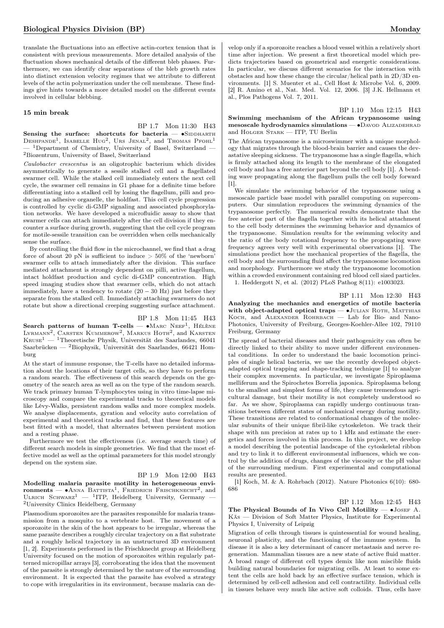translate the fluctuations into an effective actin-cortex tension that is consistent with previous measurements. More detailed analysis of the fluctuation shows mechanical details of the different bleb phases. Furthermore, we can identify clear separations of the bleb growth rates into distinct extension velocity regimes that we attribute to different levels of the actin polymerization under the cell membrane. These findings give hints towards a more detailed model on the different events involved in cellular blebbing.

### 15 min break

# BP 1.7 Mon 11:30 H43

Sensing the surface: shortcuts for bacteria —  $\bullet$ SIDDHARTH DESHPANDE<sup>1</sup>, ISABELLE HUG<sup>2</sup>, URS JENAL<sup>2</sup>, and Thomas Pfohl<sup>1</sup> <sup>1</sup>Department of Chemistry, University of Basel, Switzerland -<sup>2</sup>Biozentrum, University of Basel, Switzerland

Caulobacter crescentus is an oligotrophic bacterium which divides asymmetrically to generate a sessile stalked cell and a flagellated swarmer cell. While the stalked cell immediately enters the next cell cycle, the swarmer cell remains in G1 phase for a definite time before differentiating into a stalked cell by losing the flagellum, pilli and producing an adhesive organelle, the holdfast. This cell cycle progression is controlled by cyclic di-GMP signaling and associated phosphorylation networks. We have developed a microfluidic assay to show that swarmer cells can attach immediately after the cell division if they encounter a surface during growth, suggesting that the cell cycle program for motile-sessile transition can be overridden when cells mechanically sense the surface.

By controlling the fluid flow in the microchannel, we find that a drag force of about 20 pN is sufficient to induce  $> 50\%$  of the 'newborn' swarmer cells to attach immediately after the division. This surface mediated attachment is strongly dependent on pilli, active flagellum, intact holdfast production and cyclic di-GMP concentration. High speed imaging studies show that swarmer cells, which do not attach immediately, have a tendency to rotate  $(20 - 30 \text{ Hz})$  just before they separate from the stalked cell. Immediately attaching swarmers do not rotate but show a directional creeping suggesting surface attachment.

### BP 1.8 Mon 11:45 H43

Search patterns of human T-cells —  $\bullet$ MARC NEEF<sup>1</sup>, HÉLÈNE LYRMANN<sup>2</sup>, CARSTEN KUMMEROW<sup>2</sup>, MARKUS HOTH<sup>2</sup>, and KARSTEN  $K_{\text{RUSE}}^{1}$  — <sup>1</sup>Theoretische Physik, Universität des Saarlandes, 66041 Saarbrücken —  $^{2}$ Biophysik, Universität des Saarlandes, 66421 Homburg

At the start of immune response, the T-cells have no detailed information about the locations of their target cells, so they have to perform a random search. The effectiveness of this search depends on the geometry of the search area as well as on the type of the random search. We track primary human T-lymphocytes using in vitro time-lapse microscopy and compare the experimental tracks to theoretical models like Lévy-Walks, persistent random walks and more complex models. We analyse displacements, gyration and velocity auto correlation of experimental and theoretical tracks and find, that these features are best fitted with a model, that alternates between persistent motion and a resting phase.

Furthermore we test the effectiveness (i.e. average search time) of different search models in simple geometries. We find that the most effective model as well as the optimal parameters for this model strongly depend on the system size.

### BP 1.9 Mon 12:00 H43

Modelling malaria parasite motility in heterogeneous environments —  $\bullet$ Anna Battista<sup>1</sup>, Friedrich Frischknecht<sup>2</sup>, and ULRICH SCHWARZ<sup>1</sup> — <sup>1</sup>ITP, Heidelberg University, Germany — <sup>2</sup>University Clinics Heidelberg, Germany

Plasmodium sporozoites are the parasites responsible for malaria transmission from a mosquito to a vertebrate host. The movement of a sporozoite in the skin of the host appears to be irregular, whereas the same parasite describes a roughly circular trajectory on a flat substrate and a roughly helical trajectory in an unstructured 3D environment [1, 2]. Experiments performed in the Frischknecht group at Heidelberg University focused on the motion of sporozoites within regularly patterned micropillar arrays [3], corroborating the idea that the movement of the parasite is strongly determined by the nature of the surrounding environment. It is expected that the parasite has evolved a strategy to cope with irregularities in its environment, because malaria can de-

velop only if a sporozoite reaches a blood vessel within a relatively short time after injection. We present a first theoretical model which predicts trajectories based on geometrical and energetic considerations. In particular, we discuss different scenarios for the interaction with obstacles and how these change the circular/helical path in 2D/3D environments. [1] S. Muenter et al., Cell Host & Microbe Vol. 6, 2009. [2] R. Amino et al., Nat. Med. Vol. 12, 2006. [3] J.K. Hellmann et al., Plos Pathogens Vol. 7, 2011.

BP 1.10 Mon 12:15 H43 Swimming mechanism of the African trypanosome using mesoscale hydrodynamics simulations — • DAVOD ALIZADEHRAD and Holger Stark — ITP, TU Berlin

<span id="page-5-0"></span>The African trypanosome is a microswimmer with a unique morphology that migrates through the blood-brain barrier and causes the devastative sleeping sickness. The trypanosome has a single flagella, which is firmly attached along its length to the membrane of the elongated cell body and has a free anterior part beyond the cell body [1]. A bending wave propagating along the flagellum pulls the cell body forward [1].

We simulate the swimming behavior of the trypanosome using a mesoscale particle base model with parallel computing on supercomputers. Our simulation reproduces the swimming dynamics of the trypanosome perfectly. The numerical results demonstrate that the free anterior part of the flagella together with its helical attachment to the cell body determines the swimming behavior and dynamics of the trypanosome. Simulation results for the swimming velocity and the ratio of the body rotational frequency to the propogating wave frequency agrees very well with experimental observations [1]. The simulations predict how the mechanical properties of the flagella, the cell body and the surrounding fluid affect the trypanosome locomotion and morphology. Furthermore we study the trypanosome locomotion within a crowded environment containing red blood cell sized particles.

1. Heddergott N, et al. (2012) PLoS Pathog 8(11): e1003023.

### BP 1.11 Mon 12:30 H43

Analyzing the mechanics and energetics of motile bacteria with object-adapted optical traps — •JULIAN ROTH, MATTHIAS Koch, and Alexander Rohrbach — Lab for Bio- and Nano-Photonics, University of Freiburg, Georges-Koehler-Allee 102, 79110 Freiburg, Germany

<span id="page-5-2"></span>The spread of bacterial diseases and their pathogenicity can often be directly linked to their ability to move under different environmental conditions. In order to understand the basic locomotion principles of single helical bacteria, we use the recently developed objectadapted optical trapping and shape-tracking technique [1] to analyze their complex movements. In particular, we investigate Spiroplasma melliferum and the Spirochetes Borrelia japonica. Spiroplasma belong to the smallest and simplest forms of life, they cause tremendous agricultural damage, but their motility is not completely understood so far. As we show, Spiroplasma can rapidly undergo continuous transitions between different states of mechanical energy during motility. These transitions are related to conformational changes of the molecular subunits of their unique fibril-like cytoskeleton. We track their shape with nm precision at rates up to 1 kHz and estimate the energetics and forces involved in this process. In this project, we develop a model describing the potential landscape of the cytoskeletal ribbon and try to link it to different environmental influences, which we control by the addition of drugs, changes of the viscosity or the pH value of the surrounding medium. First experimental and computational results are presented.

<span id="page-5-1"></span>[1] Koch, M. & A. Rohrbach (2012). Nature Photonics 6(10): 680- 686

BP 1.12 Mon 12:45 H43

The Physical Bounds of In Vivo Cell Motility — •JOSEF A. Käs — Division of Soft Matter Physics, Institute for Experimental Physics I, University of Leipzig

Migration of cells through tissues is quintessential for wound healing, neuronal plasticity, and the functioning of the immune system. In disease it is also a key determinant of cancer metastasis and nerve regeneration. Mammalian tissues are a new state of active fluid matter. A broad range of different cell types demix like non miscible fluids building natural boundaries for migrating cells. At least to some extent the cells are hold back by an effective surface tension, which is determined by cell-cell adhesion and cell contractility. Individual cells in tissues behave very much like active soft colloids. Thus, cells have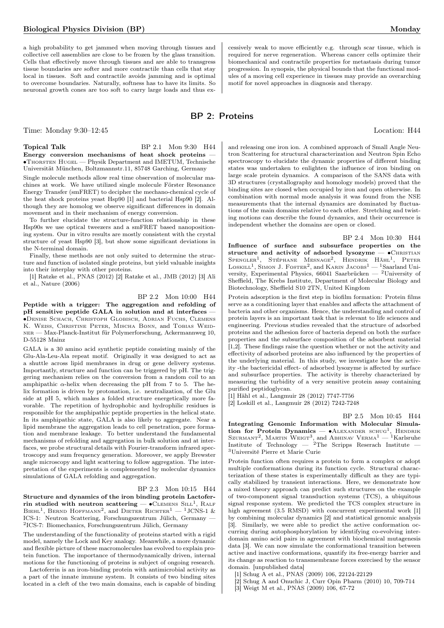a high probability to get jammed when moving through tissues and collective cell assemblies are close to be frozen by the glass transition. Cells that effectively move through tissues and are able to transgress tissue boundaries are softer and more contractile than cells that stay local in tissues. Soft and contractile avoids jamming and is optimal to overcome boundaries. Naturally, softness has to have its limits. So neuronal growth cones are too soft to carry large loads and thus ex-

Time: Monday 9:30–12:45 Location: H44

Topical Talk BP 2.1 Mon 9:30 H44 Energy conversion mechanisms of heat shock proteins — ∙Thorsten Hugel — Physik Department and IMETUM, Technische Universität München, Boltzmannstr.11, 85748 Garching, Germany

Single molecule methods allow real time observation of molecular machines at work. We have utilized single molecule Förster Resonance Energy Transfer (smFRET) to decipher the mechano-chemical cycle of the heat shock proteins yeast Hsp90 [1] and bacterial Hsp90 [2]. Although they are homolog we observe significant differences in domain movement and in their mechanism of energy conversion.

To further elucidate the structure-function relationship in these Hsp90s we use optical tweezers and a smFRET based nanopositioning system. Our in vitro results are mostly consistent with the crystal structure of yeast Hsp90 [3], but show some significant deviations in the N-terminal domain.

Finally, these methods are not only suited to determine the structure and function of isolated single proteins, but yield valuable insights into their interplay with other proteins.

[1] Ratzke et al., PNAS (2012) [2] Ratzke et al., JMB (2012) [3] Ali et al., Nature (2006)

BP 2.2 Mon 10:00 H44

Peptide with a trigger: The aggregation and refolding of pH sensitive peptide GALA in solution and at interfaces -∙Denise Schach, Christoph Globisch, Adrian Fuchs, Clemens K. WEISS, CHRISTINE PETER, MISCHA BONN, and TOBIAS WEIDner — Max-Planck-Institut für Polymerforschung, Ackermannweg 10, D-55128 Mainz

GALA is a 30 amino acid synthetic peptide consisting mainly of the Glu-Ala-Leu-Ala repeat motif. Originally it was designed to act as a shuttle across lipid membranes in drug or gene delivery systems. Importantly, structure and function can be triggered by pH. The triggering mechanism relies on the conversion from a random coil to an amphipathic  $\alpha$ -helix when decreasing the pH from 7 to 5. The helix formation is driven by protonation, i.e. neutralization, of the Glu side at pH 5, which makes a folded structure energetically more favorable. The repetition of hydrophobic and hydrophilic residues is responsible for the amphipathic peptide properties in the helical state. In its amphipathic state, GALA is also likely to aggregate. Near a lipid membrane the aggregation leads to cell penetration, pore formation and membrane leakage. To better understand the fundamental mechanisms of refolding and aggregation in bulk solution and at interfaces, we probe structural details with Fourier-transform infrared spectroscopy and sum frequency generation. Moreover, we apply Brewster angle microscopy and light scattering to follow aggregation. The interpretation of the experiments is complemented by molecular dynamics simulations of GALA refolding and aggregation.

### BP 2.3 Mon 10:15 H44

Structure and dynamics of the iron binding protein Lactoferrin studied with neutron scattering  $-$  • CLEMENS SILL<sup>1</sup>, RALF BIEHL<sup>1</sup>, BERND HOFFMANN<sup>2</sup>, and DIETER RICHTER<sup>1</sup> - <sup>1</sup>JCNS-1 & ICS-1: Neutron Scattering, Forschungszentrum Jülich, Germany 2 ICS-7: Biomechanics, Forschungszentrum Jülich, Germany

The understanding of the functionality of proteins started with a rigid model, namely the Lock and Key analogy. Meanwhile, a more dynamic and flexible picture of these macromolecules has evolved to explain protein function. The importance of thermodynamically driven, internal motions for the functioning of proteins is subject of ongoing research.

Lactoferrin is an iron-binding protein with antimicrobial activity as a part of the innate immune system. It consists of two binding sites located in a cleft of the two main domains, each is capable of binding

cessively weak to move efficiently e.g. through scar tissue, which is required for nerve regeneration. Whereas cancer cells optimize their biomechanical and contractile properties for metastasis during tumor progression. In synopsis, the physical bounds that the functional modules of a moving cell experience in tissues may provide an overarching motif for novel approaches in diagnosis and therapy.

# BP 2: Proteins

and releasing one iron ion. A combined approach of Small Angle Neutron Scattering for structural characterization and Neutron Spin Echo spectroscopy to elucidate the dynamic properties of different binding states was undertaken to enlighten the influence of iron binding on large scale protein dynamics. A comparison of the SANS data with 3D structures (crystallography and homology models) proved that the binding sites are closed when occupied by iron and open otherwise. In combination with normal mode analysis it was found from the NSE measurements that the internal dynamics are dominated by fluctuations of the main domains relative to each other. Stretching and twisting motions can describe the found dynamics, and their occurrence is independent whether the domains are open or closed.

BP 2.4 Mon 10:30 H44 Influence of surface and subsurface properties on the structure and activity of adsorbed lysozyme — •CHRISTIAN SPENGLER<sup>1</sup>, STÉPHANE MESNAGE<sup>2</sup>, HENDRIK HÄHL<sup>1</sup>, PETER LOSKILL<sup>1</sup>, SIMON J. FOSTER<sup>2</sup>, and KARIN JACOBS<sup>1</sup> — <sup>1</sup>Saarland University, Experimental Physics, 66041 Saarbrücken — <sup>2</sup>University of Sheffield, The Krebs Institute, Department of Molecular Biology and Biotechnology, Sheffield S10 2TN, United Kingdom

Protein adsorption is the first step in biofilm formation: Protein films serve as a conditioning layer that enables and affects the attachment of bacteria and other organisms. Hence, the understanding and control of protein layers is an important task that is relevant to life sciences and engineering. Previous studies revealed that the structure of adsorbed proteins and the adhesion force of bacteria depend on both the surface properties and the subsurface composition of the adsorbent material [1,2]. These findings raise the question whether or not the activity and effectivity of adsorbed proteins are also influenced by the properties of the underlying material. In this study, we investigate how the activity -the bactericidal effect- of adsorbed lysozyme is affected by surface and subsurface properties. The activity is thereby characterized by measuring the turbidity of a very sensitive protein assay containing purified peptidoglycan.

[1] Hähl et al., Langmuir 28 (2012) 7747-7756

[2] Loskill et al., Langmuir 28 (2012) 7242-7248

BP 2.5 Mon 10:45 H44

Integrating Genomic Information with Molecular Simulation for Protein Dynamics — • ALEXANDER SCHUG<sup>1</sup> , Hendrik SZURMANT<sup>2</sup>, MARTIN WEIGT<sup>3</sup>, and ABHINAV VERMA<sup>1</sup> — <sup>1</sup>Karlsruhe Institute of Technology —  ${}^{2}$ The Scripps Reserach Institute — <sup>3</sup>Université Pierre et Marie Curie

Protein function often requires a protein to form a complex or adopt multiple conformations during its function cycle. Structural characterization of these states is experimentally difficult as they are typically stabilized by transient interactions. Here, we demonstrate how a mixed theory approach can predict such structures on the example of two-component signal transduction systems (TCS), a ubiquitous signal response system. We predicted the TCS complex structure in high agreement (3.5 RMSD) with concurrent experimental work [1] by combining molecular dynamics [2] and statistical genomic analysis [3]. Similarly, we were able to predict the active conformation occurring during autophosphorylation by identifying co-evolving interdomain amino acid pairs in agreement with biochemical mutagenesis data [3]. We can now simulate the conformational transition between active and inactive conformations, quantify its free-energy barrier and its change as reaction to transmembrane forces exercised by the sensor domain. [unpublished data]

[1] Schug A et al., PNAS (2009) 106, 22124-22129

- [2] Schug A and Onuchic J, Curr Opin Pharm (2010) 10, 709-714
- [3] Weigt M et al., PNAS (2009) 106, 67-72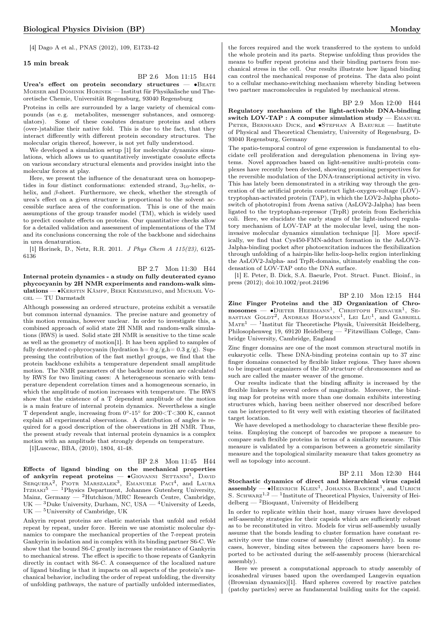[4] Dago A et al., PNAS (2012), 109, E1733-42

### 15 min break

BP 2.6 Mon 11:15 H44

Urea's effect on protein secondary structures — • BEATE Moeser and Dominik Horinek — Institut für Physikalische und Theoretische Chemie, Universität Regensburg, 93040 Regensburg

Proteins in cells are surrounded by a large variety of chemical compounds (as e. g. metabolites, messenger substances, and osmoregulators). Some of these cosolutes denature proteins and others (over-)stabilize their native fold. This is due to the fact, that they interact differently with different protein secondary structures. The molecular origin thereof, however, is not yet fully understood.

We developed a simulation setup [1] for molecular dynamics simulations, which allows us to quantitatively investigate cosolute effects on various secondary structural elements and provides insight into the molecular forces at play.

Here, we present the influence of the denaturant urea on homopeptides in four distinct conformations: extended strand,  $3_{10}$ -helix,  $\alpha$ helix, and  $\beta$ -sheet. Furthermore, we check, whether the strength of urea's effect on a given structure is proportional to the solvent accessible surface area of the conformation. This is one of the main assumptions of the group transfer model (TM), which is widely used to predict cosolute effects on proteins. Our quantitative checks allow for a detailed validation and assessment of implementations of the TM and its conclusions concerning the role of the backbone and sidechains in urea denaturation.

[1] Horinek, D., Netz, R.R. 2011. J Phys Chem A 115(23), 6125- 6136

BP 2.7 Mon 11:30 H44 Internal protein dynamics - a study on fully deuterated cyano phycocyanin by 2H NMR experiments and random-walk simulations — ∙Kerstin Kämpf, Beke Kremmling, and Michael Vogel — TU Darmstadt

Although possessing an ordered structure, proteins exhibit a versatile but common internal dynamics. The precise nature and geometry of this motion remains, however unclear. In order to investigate this, a combined approach of solid state 2H NMR and random-walk simulations (RWS) is used. Solid state 2H NMR is sensitive to the time scale as well as the geometry of motion[1]. It has been applied to samples of fully deuterated c-phycocyanin (hydration h=  $0 g/g, h= 0.3 g/g$ ). Suppressing the contribution of the fast methyl groups, we find that the protein backbone exhibits a temperature dependent small amplitude motion. The NMR parameters of the backbone motion are calculated by RWS for two limiting cases: A heterogeneous scenario with temperature dependent correlation times and a homogeneous scenario, in which the amplitude of motion increases with temperature. The RWS show that the existence of a T dependent amplitude of the motion is a main feature of internal protein dynamics. Nevertheless a single T dependent angle, increasing from 0∘-15<sup>∘</sup> for 200<T<300 K, cannot explain all experimental observations. A distribution of angles is required for a good description of the observations in 2H NMR. Thus, the present study reveals that internal protein dynamics is a complex motion with an amplitude that strongly depends on temperature.

[1]Lusceac, BBA, (2010), 1804, 41-48.

### BP 2.8 Mon 11:45 H44

Effects of ligand binding on the mechanical properties of ankyrin repeat proteins —  $\bullet$ GIOVANNI SETTANNI<sup>1</sup>, DAVID SERQUERA<sup>2</sup>, PIOTR MARSZALEK<sup>3</sup>, EMANUELE PACI<sup>4</sup>, and LAURA ITZHAKI<sup>5</sup> — <sup>1</sup>Physics Department, Johannes Gutenberg University, Mainz, Germany — <sup>2</sup>Hutchison/MRC Research Centre, Cambridge,  $UK - 3$ Duke University, Durham, NC, USA  $- 4$ University of Leeds, UK — <sup>5</sup>University of Cambridge, UK

Ankyrin repeat proteins are elastic materials that unfold and refold repeat by repeat, under force. Herein we use atomistic molecular dynamics to compare the mechanical properties of the 7-repeat protein Gankyrin in isolation and in complex with its binding partner S6-C. We show that the bound S6-C greatly increases the resistance of Gankyrin to mechanical stress. The effect is specific to those repeats of Gankyrin directly in contact with S6-C. A consequence of the localized nature of ligand binding is that it impacts on all aspects of the protein's mechanical behavior, including the order of repeat unfolding, the diversity of unfolding pathways, the nature of partially unfolded intermediates,

the forces required and the work transferred to the system to unfold the whole protein and its parts. Stepwise unfolding thus provides the means to buffer repeat proteins and their binding partners from mechanical stress in the cell. Our results illustrate how ligand binding can control the mechanical response of proteins. The data also point to a cellular mechano-switching mechanism whereby binding between two partner macromolecules is regulated by mechanical stress.

### BP 2.9 Mon 12:00 H44

Regulatory mechanism of the light-activable DNA-binding switch LOV-TAP : A computer simulation study - EMANUEL Peter, Bernhard Dick, and ∙Stephan A Baeurle — Institute of Physical and Theoretical Chemistry, University of Regensburg, D-93040 Regensburg, Germany

The spatio-temporal control of gene expression is fundamental to elucidate cell proliferation and deregulation phenomena in living systems. Novel approaches based on light-sensitive multi-protein complexes have recently been devised, showing promising perspectives for the reversible modulation of the DNA-transcriptional activity in vivo. This has lately been demonstrated in a striking way through the generation of the artificial protein construct light-oxygen-voltage (LOV) tryptophan-activated protein (TAP), in which the LOV2-Jalpha photoswitch of phototropin1 from Avena sativa (AsLOV2-Jalpha) has been ligated to the tryptophan-repressor (TrpR) protein from Escherichia coli. Here, we elucidate the early stages of the light-induced regulatory mechanism of LOV-TAP at the molecular level, using the noninvasive molecular dynamics simulation technique [1]. More specifically, we find that Cys450-FMN-adduct formation in the AsLOV2- Jalpha-binding pocket after photoexcitation induces the flexibilization through unfolding of a hairpin-like helix-loop-helix region interlinking the AsLOV2-Jalpha- and TrpR-domains, ultimately enabling the condensation of LOV-TAP onto the DNA surface.

[1] E. Peter, B. Dick, S.A. Baeurle, Prot. Struct. Funct. Bioinf., in press (2012); doi:10.1002/prot.24196

### BP 2.10 Mon 12:15 H44

Zinc Finger Proteins and the 3D Organization of Chro $m$ osomes — •Dieter Heermann<sup>1</sup>, Christoph Feinauer<sup>1</sup>, Se-BASTIAN GOLDT<sup>2</sup>, ANDREAS HOFMANN<sup>1</sup>, LEI LIU<sup>1</sup>, and GABRIELL  $MATE<sup>1</sup>$  — <sup>1</sup>Institut für Theoretische Physik, Universität Heidelberg, Philosophenweg 19, 69120 Heidelberg — <sup>2</sup>Fitzwilliam College, Cambridge University, Cambridge, England

Zinc finger domains are one of the most common structural motifs in eukaryotic cells. These DNA-binding proteins contain up to 37 zinc finger domains connected by flexible linker regions. They have shown to be important organizers of the 3D structure of chromosomes and as such are called the master weaver of the genome.

Our results indicate that the binding affinity is increased by the flexible linkers by several orders of magnitude. Moreover, the binding map for proteins with more than one domain exhibits interesting structures which, having been neither observed nor described before can be interpreted to fit very well with existing theories of facilitated target location.

We have developed a methodology to characterize these flexible proteins. Employing the concept of barcodes we propose a measure to compare such flexible proteins in terms of a similarity measure. This measure is validated by a comparison between a geometric similarity measure and the topological similarity measure that takes geometry as well as topology into account.

BP 2.11 Mon 12:30 H44

Stochastic dynamics of direct and hierarchical virus capsid  $\textbf{assembly} \longrightarrow \bullet \text{Hennrich}$  KLEIN<sup>1</sup>, JOHANNA BASCHEK<sup>1</sup>, and ULRICH S. SCHWARZ<sup>1,2</sup>  $-$ <sup>1</sup>Institute of Theoretical Physics, University of Heidelberg — <sup>2</sup>Bioquant, University of Heidelberg

In order to replicate within their host, many viruses have developed self-assembly strategies for their capsids which are sufficiently robust as to be reconstituted in vitro. Models for virus self-assembly usually assume that the bonds leading to cluster formation have constant reactivity over the time course of assembly (direct assembly). In some cases, however, binding sites between the capsomers have been reported to be activated during the self-assembly process (hierarchical assembly).

Here we present a computational approach to study assembly of icosahedral viruses based upon the overdamped Langevin equation (Brownian dynamics)[1]. Hard spheres covered by reactive patches (patchy particles) serve as fundamental building units for the capsid.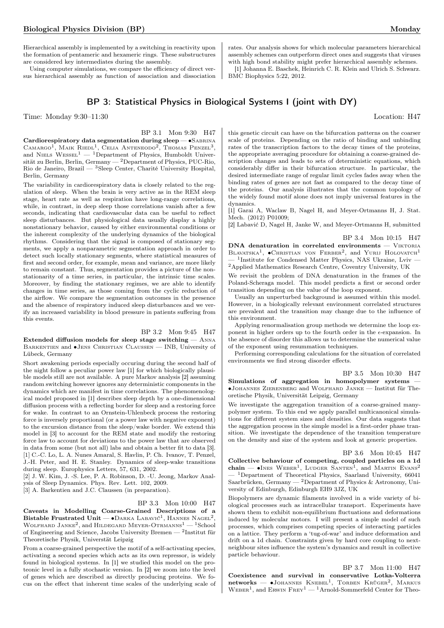Hierarchical assembly is implemented by a switching in reactivity upon the formation of pentameric and hexameric rings. These substructures are considered key intermediates during the assembly.

Using computer simulations, we compare the efficiency of direct versus hierarchical assembly as function of association and dissociation

# BP 3: Statistical Physics in Biological Systems I (joint with DY)

BMC Biophysics 5:22, 2012.

Time: Monday 9:30–11:30 Location: H47

BP 3.1 Mon 9:30 H47

Cardiorespiratory data segmentation during sleep — •SABRINA CAMARGO<sup>1</sup>, MAIK RIEDL<sup>1</sup>, CELIA ANTENEODO<sup>2</sup>, THOMAS PENZEL<sup>3</sup>, and NIELS WESSEL<sup>1</sup> — <sup>1</sup>Department of Physics, Humboldt Universität zu Berlin, Berlin, Germany — <sup>2</sup>Department of Physics, PUC-Rio, Rio de Janeiro, Brazil — <sup>3</sup>Sleep Center, Charité University Hospital, Berlin, Germany

The variability in cardiorespiratory data is closely related to the regulation of sleep. When the brain is very active as in the REM sleep stage, heart rate as well as respiration have long-range correlations, while, in contrast, in deep sleep those correlations vanish after a few seconds, indicating that cardiovascular data can be useful to reflect sleep disturbances. But physiological data usually display a highly nonstationary behavior, caused by either environmental conditions or the inherent complexity of the underlying dynamics of the biological rhythms. Considering that the signal is composed of stationary segments, we apply a nonparametric segmentation approach in order to detect such locally stationary segments, where statistical measures of first and second order, for example, mean and variance, are more likely to remain constant. Thus, segmentation provides a picture of the nonstationarity of a time series, in particular, the intrinsic time scales. Moreover, by finding the stationary regimes, we are able to identify changes in time series, as those coming from the cyclic reduction of the airflow. We compare the segmentation outcomes in the presence and the absence of respiratory induced sleep disturbances and we verify an increased variability in blood pressure in patients suffering from this events.

### BP 3.2 Mon 9:45 H47

Extended diffusion models for sleep stage switching — Anna Barkentien and ∙Jens Christian Claussen — INB, University of Lübeck, Germany

Short awakening periods especially occuring during the second half of the night follow a peculiar power law [1] for which biologically plausible models still are not available. A pure Markov analysis [2] assuming random switching however ignores any deterministic components in the dynamics which are manifest in time correlations. The phenomenological model proposed in [1] describes sleep depth by a one-dimensional diffusion process with a reflecting border for sleep and a restoring force for wake. In contrast to an Ornstein-Uhlenbeck process the restoring force is inversely proportional (or a power law with negative exponent) to the excursion distance from the sleep/wake border. We extend this model in [3] to account for the REM state and modify the restoring force law to account for deviations to the power law that are observed in data from some (but not all) labs and obtain a better fit to data [3]. [1] C.-C. Lo, L. A. Nunes Amaral, S. Havlin, P. Ch. Ivanov, T. Penzel, J.-H. Peter, and H. E. Stanley. Dynamics of sleep-wake transitions during sleep. Europhysics Letters, 57, 631, 2002.

[2] J. W. Kim, J. -S. Lee, P. A. Robinson, D. -U. Jeong, Markov Analysis of Sleep Dynamics. Phys. Rev. Lett. 102, 2009. [3] A. Barkentien and J.C. Claussen (in preparation).

### BP 3.3 Mon 10:00 H47

Caveats in Modelling Coarse-Grained Descriptions of a Bistable Frustrated Unit —  $\bullet$ Darka Labavić<sup>1</sup>, Hannes Nagel<sup>2</sup>, WOLFHARD  $\rm JANE^{2},$  and  $\rm HILDEGARD~MEYER-OTRAMANS^{1}-1School$ of Engineering and Science, Jacobs University Bremen —  $^2$ Institut für Theoretische Physik, Universtät Leipzig

From a coarse-grained perspective the motif of a self-activating species, activating a second species which acts as its own repressor, is widely found in biological systems. In [1] we studied this model on the proteonic level in a fully stochastic version. In [2] we zoom into the level of genes which are described as directly producing proteins. We focus on the effect that inherent time scales of the underlying scale of

this genetic circuit can have on the bifurcation patterns on the coarser scale of proteins. Depending on the ratio of binding and unbinding rates of the transcription factors to the decay times of the proteins, the appropriate averaging procedure for obtaining a coarse-grained description changes and leads to sets of deterministic equations, which considerably differ in their bifurcation structure. In particular, the desired intermediate range of regular limit cycles fades away when the binding rates of genes are not fast as compared to the decay time of the proteins. Our analysis illustrates that the common topology of the widely found motif alone does not imply universal features in the dynamics.

rates. Our analysis shows for which molecular parameters hierarchical assembly schemes can outperform direct ones and suggests that viruses with high bond stability might prefer hierarchical assembly schemes. [1] Johanna E. Baschek, Heinrich C. R. Klein and Ulrich S. Schwarz.

[1] Garai A, Waclaw B, Nagel H, and Meyer-Ortmanns H, J. Stat. Mech. (2012) P01009;

[2] Labavić D, Nagel H, Janke W, and Meyer-Ortmanns H, submitted

### BP 3.4 Mon 10:15 H47

 $DNA$  denaturation in correlated environments  $-$  VIKTORIA BLAVATSKA<sup>1</sup>,  $\bullet$ CHRISTIAN VON FERBER<sup>2</sup>, and YURIJ HOLOVATCH<sup>1</sup>  $-$  <sup>1</sup>Institute for Condensed Matter Physics, NAS Ukraine, Lviv  ${\rm ^2}$  Applied Mathematics Research Centre, Coventry University, UK

We revisit the problem of DNA denaturation in the frames of the Poland-Scheraga model. This model predicts a first or second order transition depending on the value of the loop exponent.

Usually an unperturbed background is assumed within this model. However, in a biologically relevant environment correlated structures are prevalent and the transition may change due to the influence of this environment.

Applying renormalisation group methods we determine the loop exponent in higher orders up to the fourth order in the  $\epsilon$ -expansion. In the absence of disorder this allows us to determine the numerical value of the exponent using resummation techniques.

Performing corresponding calculations for the situation of correlated environments we find strong disorder effects.

### BP 3.5 Mon 10:30 H47

Simulations of aggregation in homopolymer systems — ∙Johannes Zierenberg and Wolfhard Janke — Institut für Theoretische Physik, Universität Leipzig, Germany

We investigate the aggregation transition of a coarse-grained manypolymer system. To this end we apply parallel multicanonical simulations for different system sizes and densities. Our data suggests that the aggregation process in the simple model is a first-order phase transition. We investigate the dependence of the transition temperature on the density and size of the system and look at generic properties.

### BP 3.6 Mon 10:45 H47

Collective behaviour of competing, coupled particles on a 1d chain —  $\bullet$ Ines Weber<sup>1</sup>, Ludger Santen<sup>1</sup>, and Martin Evans<sup>2</sup> <sup>- 1</sup>Department of Theoretical Physics, Saarland University, 66041 Saarbrücken, Germany — <sup>2</sup>Department of Physics & Astronomy, University of Edinburgh, Edinburgh EH9 3JZ, UK

Biopolymers are dynamic filaments involved in a wide variety of biological processes such as intracellular transport. Experiments have shown them to exhibit non-equilibrium fluctuations and deformations induced by molecular motors. I will present a simple model of such processes, which comprises competing species of interacting particles on a lattice. They perform a 'tug-of-war' and induce deformation and drift on a 1d chain. Constraints given by hard core coupling to nextneighbour sites influence the system's dynamics and result in collective particle behaviour.

### BP 3.7 Mon 11:00 H47

Coexistence and survival in conservative Lotka-Volterra  $networks$   $\longrightarrow$  JOHANNES KNEBEL<sup>1</sup>, TORBEN KRÜGER<sup>2</sup>, MARKUS WEBER<sup>1</sup>, and ERWIN FREY<sup>1</sup> — <sup>1</sup>Arnold-Sommerfeld Center for Theo-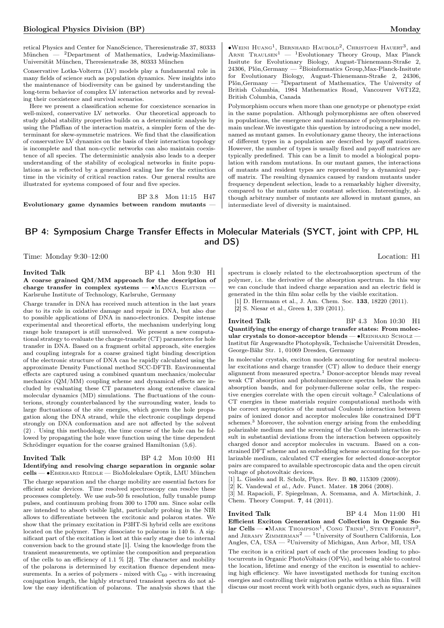retical Physics and Center for NanoScience, Theresienstraße 37, 80333 München — <sup>2</sup>Department of Mathematics, Ludwig-Maximilians-Universität München, Theresienstraße 38, 80333 München

Conservative Lotka-Volterra (LV) models play a fundamental role in many fields of science such as population dynamics. New insights into the maintenance of biodiversity can be gained by understanding the long-term behavior of complex LV interaction networks and by revealing their coexistence and survival scenarios.

Here we present a classification scheme for coexistence scenarios in well-mixed, conservative LV networks. Our theoretical approach to study global stability properties builds on a deterministic analysis by using the Pfaffian of the interaction matrix, a simpler form of the determinant for skew-symmetric matrices. We find that the classification of conservative LV dynamics on the basis of their interaction topology is incomplete and that non-cyclic networks can also maintain coexistence of all species. The deterministic analysis also leads to a deeper understanding of the stability of ecological networks in finite populations as is reflected by a generalized scaling law for the extinction time in the vicinity of critical reaction rates. Our general results are illustrated for systems composed of four and five species.

BP 3.8 Mon 11:15 H47

Evolutionary game dynamics between random mutants —

 $\bullet$ Weini Huang<sup>1</sup>, Bernhard Haubold<sup>2</sup>, Christoph Hauert<sup>3</sup>, and ARNE  $\text{Tr}\text{AULSEN}^1$  — <sup>1</sup>Evolutionary Theory Group, Max Planck Insitute for Evolutionary Biology, August-Thienemann-Straße 2, 24306, Plön, Germany  $^{2}$ Bioinformatics Group, Max-Planck-Insitute for Evolutionary Biology, August-Thienemann-Straße 2, 24306, Plön,Germany — <sup>3</sup>Department of Mathematics, The University of British Columbia, 1984 Mathematics Road, Vancouver V6T1Z2, British Columbia, Canada

Polymorphism occurs when more than one genotype or phenotype exist in the same population. Although polymorphisms are often observed in populations, the emergence and maintenance of polymorphsims remain unclear.We investigate this question by introducing a new model, named as mutant games. In evolutionary game theory, the interactions of different types in a population are described by payoff matrices. However, the number of types is usually fixed and payoff matrices are typically predefined. This can be a limit to model a biological population with random mutations. In our mutant games, the interactions of mutants and resident types are represented by a dynamical payoff matrix. The resulting dynamics caused by random mutants under frequency dependent selection, leads to a remarkably higher diversity, compared to the mutants under constant selection. Interestingly, although arbitrary number of mutants are allowed in mutant games, an intermediate level of diversity is maintained.

# BP 4: Symposium Charge Transfer Effects in Molecular Materials (SYCT, joint with CPP, HL and DS)

Time: Monday 9:30–12:00 Location: H1

Invited Talk BP 4.1 Mon 9:30 H1 A coarse grained QM/MM approach for the description of charge transfer in complex systems —  $\bullet$ Marcus Elstner — Karlsruhe Institute of Technology, Karlsruhe, Germany

Charge transfer in DNA has received much attention in the last years due to its role in oxidative damage and repair in DNA, but also due to possible applications of DNA in nano-electronics. Despite intense experimental and theoretical efforts, the mechanism underlying long range hole transport is still unresolved. We present a new computational strategy to evaluate the charge-transfer (CT) parameters for hole transfer in DNA. Based on a fragment orbital approach, site energies and coupling integrals for a coarse grained tight binding description of the electronic structure of DNA can be rapidly calculated using the approximate Density Functional method SCC-DFTB. Environmental effects are captured using a combined quantum mechanics/molecular mechanics (QM/MM) coupling scheme and dynamical effects are included by evaluating these CT parameters along extensive classical molecular dynamics (MD) simulations. The fluctuations of the counterions, strongly counterbalanced by the surrounding water, leads to large fluctuations of the site energies, which govern the hole propagation along the DNA strand, while the electronic couplings depend strongly on DNA conformation and are not affected by the solvent (2) . Using this methodology, the time course of the hole can be followed by propagating the hole wave function using the time dependent Schrödinger equation for the coarse grained Hamiltonian (5,6).

# Invited Talk BP 4.2 Mon 10:00 H1

Identifying and resolving charge separation in organic solar

cells — ∙Eberhard Riedle — BioMolekulare Optik, LMU München The charge separation and the charge mobility are essential factors for efficient solar devices. Time resolved spectroscopy can resolve these processes completely. We use sub-50 fs resolution, fully tunable pump pulses, and continuum probing from 300 to 1700 nm. Since solar cells are intended to absorb visible light, particularly probing in the NIR allows to differentiate between the excitonic and polaron states. We show that the primary excitation in P3HT-Si hybrid cells are excitons located on the polymer. They dissociate to polarons in 140 fs. A significant part of the excitation is lost at this early stage due to internal conversion back to the ground state [1]. Using the knowledge from the transient measurements, we optimize the composition and preparation of the cells to an efficiency of 1.1  $\%$  [2]. The character and mobility of the polarons is determined by excitation fluence dependent measurements. In a series of polymers - mixed with  $C_{60}$  - with increasing conjugation length, the highly structured transient spectra do not allow the easy identification of polarons. The analysis shows that the

spectrum is closely related to the electroabsorption spectrum of the polymer, i.e. the derivative of the absorption spectrum. In this way we can conclude that indeed charge separation and an electric field is generated in the thin film solar cells by the visible excitation.

[1] D. Herrmann et al., J. Am. Chem. Soc. 133, 18220 (2011).

[2] S. Niesar et al., Green 1, 339 (2011).

Invited Talk BP 4.3 Mon 10:30 H1 Quantifying the energy of charge transfer states: From molecular crystals to donor-acceptor blends — ∙Reinhard Scholz — Institut für Angewandte Photophysik, Technische Universität Dresden, George-Bähr Str. 1, 01069 Dresden, Germany

In molecular crystals, exciton models accounting for neutral molecular excitations and charge transfer (CT) allow to deduce their energy alignment from measured spectra.<sup>1</sup> Donor-acceptor blends may reveal weak CT absorption and photoluminescence spectra below the main absorption bands, and for polymer-fullerene solar cells, the respective energies correlate with the open circuit voltage.<sup>2</sup> Calculations of CT energies in these materials require computational methods with the correct asymptotics of the mutual Coulomb interaction between pairs of ionized donor and acceptor molecules like constrained DFT schemes.<sup>3</sup> Moreover, the solvation energy arising from the embedding polarizable medium and the screening of the Coulomb interaction result in substantial deviations from the interaction between oppositely charged donor and acceptor molecules in vacuum. Based on a constrained DFT scheme and an embedding scheme accounting for the polarizable medium, calculated CT energies for selected donor-acceptor pairs are compared to available spectroscopic data and the open circuit voltage of photovoltaic devices.

[1] L. Gisslén and R. Scholz, Phys. Rev. B 80, 115309 (2009).

 $[2]$  K. Vandewal et al., Adv. Funct. Mater.  $18$  2064 (2008).

[3] M. Rapacioli, F. Spiegelman, A. Scemama, and A. Mirtschink, J. Chem. Theory Comput. 7, 44 (2011).

Invited Talk BP 4.4 Mon 11:00 H1 Efficient Exciton Generation and Collection in Organic Solar Cells —  $\bullet$ MARK THOMPSON<sup>1</sup>, CONG TRINH<sup>1</sup>, STEVE FORREST<sup>2</sup>, and JERAMY ZIMMERMAN<sup>2</sup> — <sup>1</sup>University of Southern California, Los Angles, CA, USA — <sup>2</sup>University of Michigan, Ann Arbor, MI, USA The exciton is a critical part of each of the processes leading to photocurrents in Organic PhotoVoltaics (OPVs), and being able to control

the location, lifetime and energy of the exciton is essential to achieving high efficiency. We have investigated methods for tuning exciton energies and controlling their migration paths within a thin film. I will discuss our most recent work with both organic dyes, such as squaraines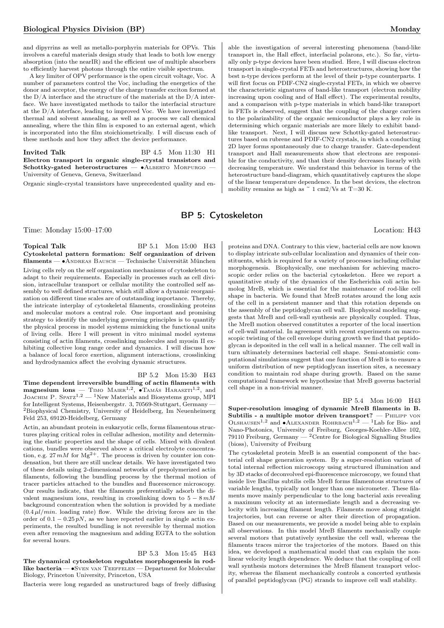and dipyrrins as well as metallo-porphyrin materials for OPVs. This involves a careful materials design study that leads to both low energy absorption (into the nearIR) and the efficient use of multiple absorbers to efficiently harvest photons through the entire visible spectrum.

A key limiter of OPV performance is the open circuit voltage, Voc. A number of parameters control the Voc, including the energetics of the donor and acceptor, the energy of the charge transfer exciton formed at the  $D/A$  interface and the structure of the materials at the  $D/A$  interface. We have investigated methods to tailor the interfacial structure at the D/A interface, leading to improved Voc. We have investigated thermal and solvent annealing, as well as a process we call chemical annealing, where the thin film is exposed to an external agent, which is incorporated into the film stoichiometrically. I will discuss each of these methods and how they affect the device performance.

Invited Talk BP 4.5 Mon 11:30 H1 Electron transport in organic single-crystal transistors and Schottky-gated heterostructures — • ALBERTO MORPURGO University of Geneva, Geneva, Switzerland

Organic single-crystal transistors have unprecedented quality and en-

able the investigation of several interesting phenomena (band-like transport in, the Hall effect, interfacial polarons, etc.). So far, virtually only p-type devices have been studied. Here, I will discuss electron transport in single-crystal FETs and heterostructures, showing how the best n-type devices perform at the level of their p-type counterparts. I will first focus on PDIF-CN2 single-crystal FETs, in which we observe the characteristic signatures of band-like transport (electron mobility increasing upon cooling and of Hall effect). The experimental results, and a comparison with p-type materials in which band-like transport in FETs is observed, suggest that the coupling of the charge carriers to the polarizability of the organic semiconductor plays a key role in determining which organic materials are more likely to exhibit bandlike transport. Next, I will discuss new Schottky-gated heterostructures based on rubrene and PDIF-CN2 crystals, in which a conducting 2D layer forms spontaneously due to charge transfer. Gate-dependent transport and Hall measurements show that electrons are responsible for the conductivity, and that their density decreases linearly with decreasing temperature. We understand this behavior in terms of the heterostructure band-diagram, which quantitatively captures the slope of the linear temperature dependence. In the best devices, the electron mobility remains as high as  $\degree$  1 cm2/Vs at T=30 K.

# BP 5: Cytoskeleton

Time: Monday 15:00–17:00 Location: H43

Topical Talk BP 5.1 Mon 15:00 H43 Cytoskeletal pattern formation: Self organization of driven filaments — ∙Andreas Bausch — Technische Universität München Living cells rely on the self organization mechanisms of cytoskeleton to adapt to their requirements. Especially in processes such as cell division, intracellular transport or cellular motility the controlled self assembly to well defined structures, which still allow a dynamic reorganization on different time scales are of outstanding importance. Thereby, the intricate interplay of cytoskeletal filaments, crosslinking proteins and molecular motors a central role. One important and promising strategy to identify the underlying governing principles is to quantify the physical process in model systems mimicking the functional units of living cells. Here I will present in vitro minimal model systems consisting of actin filaments, crosslinking molecules and myosin II exhibiting collective long range order and dynamics. I will discuss how a balance of local force exertion, alignment interactions, crosslinking and hydrodynamics affect the evolving dynamic structures.

BP 5.2 Mon 15:30 H43 Time dependent irreversible bundling of actin filaments with **magnesium ions** — Timo Maier<sup>1,2</sup>,  $\bullet$  Tamás Haraszti<sup>1,2</sup>, and Joachim P. Spatz<sup>1,2</sup> — <sup>1</sup>New Materials and Biosystems group, MPI for Intelligent Systems, Heisenbergstr. 3, 70569-Stuttgart, Germany — <sup>2</sup>Biophysical Chemistry, University of Heidelberg, Im Neuenheimerg Feld 253, 69120-Heidelberg, Germany

Actin, an abundant protein in eukaryotic cells, forms filamentous structures playing critical roles in cellular adhesion, motility and determining the elastic properties and the shape of cells. Mixed with divalent cations, bundles were observed above a critical electrolyte concentration, e.g.  $27 \, mM$  for  $Mg^{2+}$ . The process is driven by counter ion condensation, but there are still unclear details. We have investigated two of these details using 2-dimensional networks of prepolymerized actin filaments, following the bundling process by the thermal motion of tracer particles attached to the bundles and fluorescence microscopy. Our results indicate, that the filaments preferentially adsorb the divalent magnesium ions, resulting in crosslinking down to  $5 - 8mM$ background concentration when the solution is provided by a mediate  $(0.4 \,\mu l/min.$  loading rate) flow. While the driving forces are in the order of  $0.1 - 0.25 pN$ , as we have reported earlier in single actin experiments, the resulted bundling is not reversible by thermal motion even after removing the magnesium and adding EGTA to the solution for several hours.

BP 5.3 Mon 15:45 H43 The dynamical cytoskeleton regulates morphogenesis in rodlike bacteria — ∙Sven van Teeffelen — Department for Molecular Biology, Princeton University, Princeton, USA

Bacteria were long regarded as unstructured bags of freely diffusing

proteins and DNA. Contrary to this view, bacterial cells are now known to display intricate sub-cellular localization and dynamics of their constituents, which is required for a variety of processes including cellular morphogenesis. Biophysically, one mechanism for achieving macroscopic order relies on the bacterial cytoskeleton. Here we report a quantitative study of the dynamics of the Escherichia coli actin homolog MreB, which is essential for the maintenance of rod-like cell shape in bacteria. We found that MreB rotates around the long axis of the cell in a persistent manner and that this rotation depends on the assembly of the peptidoglycan cell wall. Biophysical modeling suggests that MreB and cell-wall synthesis are physically coupled. Thus, the MreB motion observed constitutes a reporter of the local insertion of cell-wall material. In agreement with recent experiments on macroscopic twisting of the cell envelope during growth we find that peptidoglycan is deposited in the cell wall in a helical manner. The cell wall in turn ultimately determines bacterial cell shape. Semi-atomistic computational simulations suggest that one function of MreB is to ensure a uniform distribution of new peptidoglycan insertion sites, a necessary condition to maintain rod shape during growth. Based on the same computational framework we hypothesize that MreB governs bacterial cell shape in a non-trivial manner.

BP 5.4 Mon 16:00 H43

Super-resolution imaging of dynamic MreB filaments in B. Subtilis - a multiple motor driven transport?  $-$  PHILIPP VON OLSHAUSEN<sup>1,2</sup> and •ALEXANDER ROHRBACH<sup>1,2</sup> — <sup>1</sup>Lab for Bio- and Nano-Photonics, University of Freiburg, Georges-Koehler-Allee 102, 79110 Freiburg, Germany  $-$  <sup>2</sup> Centre for Biological Signalling Studies (bioss), University of Freiburg

The cytoskeletal protein MreB is an essential component of the bacterial cell shape generation system. By a super-resolution variant of total internal reflection microscopy using structured illumination and by 3D stacks of deconvolved epi-fluorescence microscopy, we found that inside live Bacillus subtilis cells MreB forms filamentous structures of variable lengths, typically not longer than one micrometer. These filaments move mainly perpendicular to the long bacterial axis revealing a maximum velocity at an intermediate length and a decreasing velocity with increasing filament length. Filaments move along straight trajectories, but can reverse or alter their direction of propagation. Based on our measurements, we provide a model being able to explain all observations. In this model MreB filaments mechanically couple several motors that putatively synthesize the cell wall, whereas the filaments traces mirror the trajectories of the motors. Based on this idea, we developed a mathematical model that can explain the nonlinear velocity length dependence. We deduce that the coupling of cell wall synthesis motors determines the MreB filament transport velocity, whereas the filament mechanically controls a concerted synthesis of parallel peptidoglycan (PG) strands to improve cell wall stability.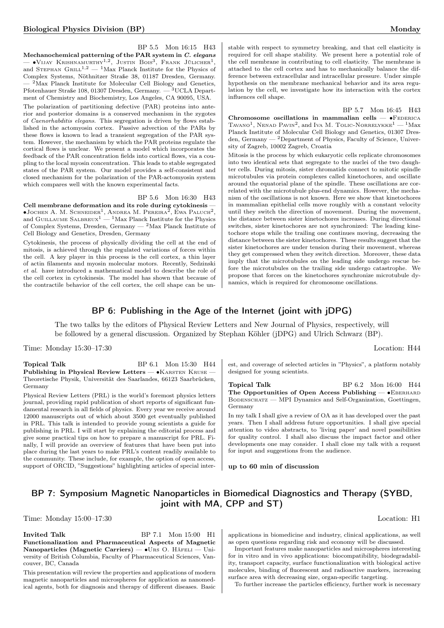BP 5.5 Mon 16:15 H43

Mechanochemical patterning of the PAR system in  $C$ . elegans — • Vijay Krishnamurthy<sup>1,2</sup>, Justin Bois<sup>3</sup>, Frank Jülicher<sup>1</sup>, and STEPHAN GRILL<sup>1,2</sup> — <sup>1</sup>Max Planck Institute for the Physics of Complex Systems, Nöthnitzer Straße 38, 01187 Dresden, Germany. <sup>2</sup>Max Planck Institute for Molecular Cell Biology and Genetics, Pfotenhauer Straße 108, 01307 Dresden, Germany. — <sup>3</sup>UCLA Department of Chemistry and Biochemistry, Los Angeles, CA 90095, USA.

The polarization of partitioning defective (PAR) proteins into anterior and posterior domains is a conserved mechanism in the zygotes of Caenorhabditis elegans. This segregation is driven by flows established in the actomyosin cortex. Passive advection of the PARs by these flows is known to lead a transient segregation of the PAR system. However, the mechanism by which the PAR proteins regulate the cortical flows is unclear. We present a model which incorporates the feedback of the PAR concentration fields into cortical flows, via a coupling to the local myosin concentration. This leads to stable segregated states of the PAR system. Our model provides a self-consistent and closed mechanism for the polarization of the PAR-actomyosin system which compares well with the known experimental facts.

### BP 5.6 Mon 16:30 H43

Cell membrane deformation and its role during cytokinesis —  $\bullet$ Jochen A. M. Schneider<sup>1</sup>, Andrea M. Pereira<sup>2</sup>, Ewa Paluch<sup>2</sup>, and GUILLAUME SALBREUX<sup>1</sup> — <sup>1</sup>Max Planck Institute for the Physics of Complex Systems, Dresden, Germany — <sup>2</sup>Max Planck Institute of Cell Biology and Genetics, Dresden, Germany

Cytokinesis, the process of physically dividing the cell at the end of mitosis, is achieved through the regulated variations of forces within the cell. A key player in this process is the cell cortex, a thin layer of actin filaments and myosin molecular motors. Recently, Sedzinski et al. have introduced a mathematical model to describe the role of the cell cortex in cytokinesis. The model has shown that because of the contractile behavior of the cell cortex, the cell shape can be unstable with respect to symmetry breaking, and that cell elasticity is required for cell shape stability. We present here a potential role of the cell membrane in contributing to cell elasticity. The membrane is attached to the cell cortex and has to mechanically balance the difference between extracellular and intracellular pressure. Under simple hypothesis on the membrane mechanical behavior and its area regulation by the cell, we investigate how its interaction with the cortex influences cell shape.

BP 5.7 Mon 16:45 H43

Chromosome oscillations in mammalian cells — •FEDERICA TAVANO<sup>1</sup>, NENAD PAVIN<sup>2</sup>, and IVA M. TOLIC-NORRELYKKE<sup>1</sup> — <sup>1</sup>Max Planck Institute of Molecular Cell Biology and Genetics, 01307 Dresden, Germany — <sup>2</sup>Department of Physics, Faculty of Science, University of Zagreb, 10002 Zagreb, Croatia

Mitosis is the process by which eukaryotic cells replicate chromosomes into two identical sets that segregate to the nuclei of the two daughter cells. During mitosis, sister chromatids connect to mitotic spindle microtubules via protein complexes called kinetochores, and oscillate around the equatorial plane of the spindle. These oscillations are correlated with the microtubule plus-end dynamics. However, the mechanism of the oscillations is not known. Here we show that kinetochores in mammalian epithelial cells move roughly with a constant velocity until they switch the direction of movement. During the movement, the distance between sister kinetochores increases. During directional switches, sister kinetochores are not synchronized: The leading kinetochore stops while the trailing one continues moving, decreasing the distance between the sister kinetochores. These results suggest that the sister kinetochores are under tension during their movement, whereas they get compressed when they switch direction. Moreover, these data imply that the microtubules on the leading side undergo rescue before the microtubules on the trailing side undergo catastrophe. We propose that forces on the kinetochores synchronize microtubule dynamics, which is required for chromosome oscillations.

# BP 6: Publishing in the Age of the Internet (joint with jDPG)

The two talks by the editors of Physical Review Letters and New Journal of Physics, respectively, will be followed by a general discussion. Organized by Stephan Köhler (jDPG) and Ulrich Schwarz (BP).

Time: Monday 15:30–17:30 Location: H44

Topical Talk BP 6.1 Mon 15:30 H44 Publishing in Physical Review Letters — •KARSTEN KRUSE — Theoretische Physik, Universität des Saarlandes, 66123 Saarbrücken, Germany

Physical Review Letters (PRL) is the world's foremost physics letters journal, providing rapid publication of short reports of significant fundamental research in all fields of physics. Every year we receive around 12000 manuscripts out of which about 3500 get eventually published in PRL. This talk is intended to provide young scientists a guide for publishing in PRL. I will start by explaining the editorial process and give some practical tips on how to prepare a manuscript for PRL. Finally, I will provide an overview of features that have been put into place during the last years to make PRL's content readily available to the community. These include, for example, the option of open access, support of ORCID, "Suggestions" highlighting articles of special interest, and coverage of selected articles in "Physics", a platform notably designed for young scientists.

Topical Talk BP 6.2 Mon 16:00 H44 The Opportunities of Open Access Publishing — •EBERHARD BODENSCHATZ — MPI Dynamics and Self-Organization, Goettingen, Germany

In my talk I shall give a review of OA as it has developed over the past years. Then I shall address future opportunities. I shall give special attention to video abstracts, to 'living paper' and novel possibilities for quality control. I shall also discuss the impact factor and other developments one may consider. I shall close my talk with a request for input and suggestions from the audience.

up to 60 min of discussion

# BP 7: Symposium Magnetic Nanoparticles in Biomedical Diagnostics and Therapy (SYBD, joint with MA, CPP and ST)

Time: Monday 15:00–17:30 Location: H1

Invited Talk BP 7.1 Mon 15:00 H1 Functionalization and Pharmaceutical Aspects of Magnetic Nanoparticles (Magnetic Carriers) — •URS O. HÄFELI — University of British Columbia, Faculty of Pharmaceutical Sciences, Vancouver, BC, Canada

This presentation will review the properties and applications of modern magnetic nanoparticles and microspheres for application as nanomedical agents, both for diagnosis and therapy of different diseases. Basic

applications in biomedicine and industry, clinical applications, as well as open questions regarding risk and economy will be discussed.

Important features make nanoparticles and microspheres interesting for in vitro and in vivo applications: biocompatibility, biodegradability, transport capacity, surface functionalization with biological active molecules, binding of fluorescent and radioactive markers, increasing surface area with decreasing size, organ-specific targeting.

To further increase the particles efficiency, further work is necessary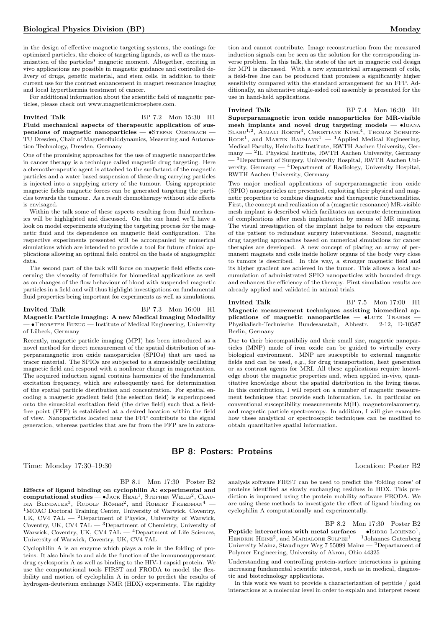in the design of effective magnetic targeting systems, the coatings for optimized particles, the choice of targeting ligands, as well as the maximization of the particles\* magnetic moment. Altogether, exciting in vivo applications are possible in magnetic guidance and controlled delivery of drugs, genetic material, and stem cells, in addition to their current use for the contrast enhancement in magnet resonance imaging and local hyperthermia treatment of cancer.

For additional information about the scientific field of magnetic particles, please check out www.magneticmicrosphere.com.

### Invited Talk BP 7.2 Mon 15:30 H1 Fluid mechanical aspects of therapeutic application of suspensions of magnetic nanoparticles — •STEFAN ODENBACH — TU Dresden, Chair of Magnetofluiddynamics, Measuring and Automation Technology, Dresden, Germany

One of the promising approaches for the use of magnetic nanoparticles in cancer therapy is a technique called magnetic drug targeting. Here a chemotherapeutic agent is attached to the surfactant of the magnetic particles and a water based suspension of these drug carrying particles is injected into a supplying artery of the tumour. Using appropriate magnetic fields magnetic forces can be generated targeting the particles towards the tumour. As a result chemotherapy without side effects is envisaged.

Within the talk some of these aspects resulting from fluid mechanics will be highlighted and discussed. On the one hand we'll have a look on model experiments studying the targeting process for the magnetic fluid and its dependence on magnetic field configuration. The respective experiments presented will be accompanied by numerical simulations which are intended to provide a tool for future clinical applications allowing an optimal field control on the basis of angiographic data.

The second part of the talk will focus on magnetic field effects concerning the viscosity of ferrofluids for biomedical applications as well as on changes of the flow behaviour of blood with suspended magnetic particles in a field and will thus highlight investigations on fundamental fluid properties being important for experiments as well as simulations.

### Invited Talk BP 7.3 Mon 16:00 H1 Magnetic Particle Imaging: A new Medical Imaging Modality — ∙Thorsten Buzug — Institute of Medical Engineering, University of Lübeck, Germany

Recently, magnetic particle imaging (MPI) has been introduced as a novel method for direct measurement of the spatial distribution of superparamagnetic iron oxide nanoparticles (SPIOs) that are used as tracer material. The SPIOs are subjected to a sinusoidally oscillating magnetic field and respond with a nonlinear change in magnetization. The acquired induction signal contains harmonics of the fundamental excitation frequency, which are subsequently used for determination of the spatial particle distribution and concentration. For spatial encoding a magnetic gradient field (the selection field) is superimposed onto the sinusoidal excitation field (the drive field) such that a fieldfree point (FFP) is established at a desired location within the field of view. Nanoparticles located near the FFP contribute to the signal generation, whereas particles that are far from the FFP are in satura-

# BP 8: Posters: Proteins

Time: Monday 17:30–19:30 Location: Poster B2

### BP 8.1 Mon 17:30 Poster B2

Effects of ligand binding on cyclophilin A: experimental and  $\textbf{computational studies} \boldsymbol{-}\bullet \textbf{J}_\text{ACK} \ \text{Heal}^1, \ \text{STEPHEN} \ \text{WELLS}^2, \ \text{CAL} \boldsymbol{-}$ DIA BLINDAUER<sup>3</sup>, RUDOLF RÖMER<sup>2</sup>, and ROBERT FREEDMAN<sup>4</sup> – <sup>1</sup>MOAC Doctoral Training Center, University of Warwick, Coventry, UK, CV4 7AL — <sup>2</sup>Department of Physics, University of Warwick, Coventry, UK, CV4 7AL  $-$  3Department of Chemistry, University of Warwick, Coventry, UK, CV4 7 $AL - 4$ Department of Life Sciences, University of Warwick, Coventry, UK, CV4 7AL

Cyclophilin A is an enzyme which plays a role in the folding of proteins. It also binds to and aids the function of the immunosuppressant drug cyclosporin A as well as binding to the HIV-1 capsid protein. We use the computational tools FIRST and FRODA to model the flexibility and motion of cyclophilin A in order to predict the results of hydrogen-deuterium exchange NMR (HDX) experiments. The rigidity

tion and cannot contribute. Image reconstruction from the measured induction signals can be seen as the solution for the corresponding inverse problem. In this talk, the state of the art in magnetic coil design for MPI is discussed. With a new symmetrical arrangement of coils, a field-free line can be produced that promises a significantly higher sensitivity compared with the standard arrangement for an FFP. Additionally, an alternative single-sided coil assembly is presented for the use in hand-held applications.

### Invited Talk BP 7.4 Mon 16:30 H1

Superparamagnetic iron oxide nanoparticles for MR-visible mesh implants and novel drug targeting models — ∙Ioana SLABU<sup>1,2</sup>, ANJALI ROETH<sup>3</sup>, CHRISTIANE KUHL<sup>4</sup>, THOMAS SCHMITZ-RODE<sup>1</sup>, and MARTIN BAUMANN<sup>1</sup> — <sup>1</sup>Applied Medical Engineering, Medical Faculty, Helmholtz Institute, RWTH Aachen University, Germany — <sup>2</sup> II. Physical Institute, RWTH Aachen University, Germany — <sup>3</sup>Department of Surgery, University Hospital, RWTH Aachen University, Germany — <sup>4</sup>Department of Radiology, University Hospital, RWTH Aachen University, Germany

Two major medical applications of superparamagnetic iron oxide (SPIO) nanoparticles are presented, exploiting their physical and magnetic properties to combine diagnostic and therapeutic functionalities. First, the concept and realization of a (magnetic resonance) MR-visible mesh implant is described which facilitates an accurate determination of complications after mesh implantation by means of MR imaging. The visual investigation of the implant helps to reduce the exposure of the patient to redundant surgery interventions. Second, magnetic drug targeting approaches based on numerical simulations for cancer therapies are developed. A new concept of placing an array of permanent magnets and coils inside hollow organs of the body very close to tumors is described. In this way, a stronger magnetic field and its higher gradient are achieved in the tumor. This allows a local accumulation of administrated SPIO nanoparticles with bounded drugs and enhances the efficiency of the therapy. First simulation results are already applied and validated in animal trials.

Invited Talk BP 7.5 Mon 17:00 H1 Magnetic measurement techniques assisting biomedical applications of magnetic nanoparticles —  $\bullet$ LUTZ TRAHMS Physikalisch-Technische Bundesanstalt, Abbestr. 2-12, D-10587 Berlin, Germany

Due to their biocompatibiliy and their small size, magnetic nanoparticles (MNP) made of iron oxide can be guided to virtually every biological environment. MNP are susceptible to external magnetic fields and can be used, e.g., for drug transportation, heat generation or as contrast agents for MRI. All these applications require knowledge about the magnetic properties and, when applied in-vivo, quantitative knowledge about the spatial distribution in the living tissue. In this contribution, I will report on a number of magnetic measurement techniques that provide such information, i.e. in particular on conventional susceptibility measurements M(H), magnetorelaxometry, and magnetic particle spectroscopy. In addition, I will give examples how these analytical or spectroscopic techniques can be modified to obtain quantitative spatial information.

analysis software FIRST can be used to predict the 'folding cores' of proteins identified as slowly exchanging residues in HDX. This prediction is improved using the protein mobility software FRODA. We are using these methods to investigate the effect of ligand binding on cyclophilin A computationally and experimentally.

BP 8.2 Mon 17:30 Poster B2 Peptide interactions with metal surfaces — •IsIDRO LORENZO<sup>1</sup>, HENDRIK HEINZ<sup>2</sup>, and MARIALORE SULPIZI<sup>1</sup>  $-$ <sup>1</sup> Johannes Gutenberg University Mainz, Staudinger Weg 7 55099 Mainz — <sup>2</sup>Departament of Polymer Engineering, University of Akron, Ohio 44325

Understanding and controlling protein-surface interactions is gaining increasing fundamental scientific interest, such as in medical, diagnostic and biotechnology applications.

In this work we want to provide a characterization of peptide / gold interactions at a molecular level in order to explain and interpret recent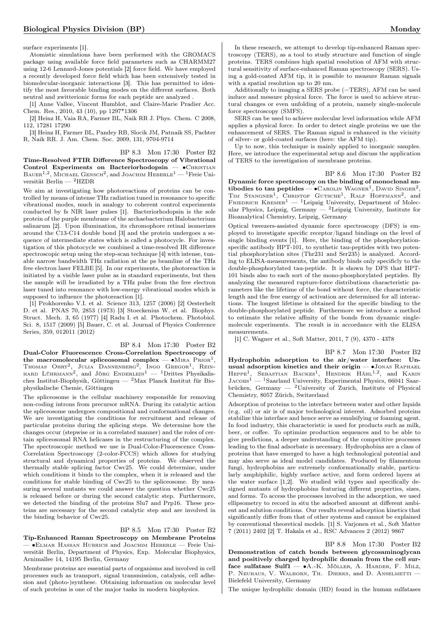surface experiments [1].

Atomistic simulations have been performed with the GROMACS package using available force field parameters such as CHARMM27 using 12-6 Lennard-Jones potentials [2] force field. We have employed a recently developed force field which has been extensively tested in biomolecular-inorganic interactions [3]. This has permitted to identify the most favorable binding modes on the different surfaces. Both neutral and zwitterionic forms for each peptide are analyzed .

[1] Anne Vallee, Vincent Humblot, and Claire-Marie Pradier Acc. Chem. Res., 2010, 43 (10), pp 1297\*1306

[2] Heinz H, Vaia RA, Farmer BL, Naik RR J. Phys. Chem. C 2008, 112, 17281 17290

[3] Heinz H, Farmer BL, Pandey RB, Slocik JM, Patnaik SS, Pachter R, Naik RR. J. Am. Chem. Soc. 2009, 131, 9704-9714

BP 8.3 Mon 17:30 Poster B2 Time-Resolved FTIR Difference Spectroscopy of Vibrational Control Experiments on Bacteriorhodopsin — • CHRISTIAN  $\text{Bauer}^{1,2}$ , Michael Gensch<sup>2</sup>, and Joachim Heberle<sup>1</sup> — <sup>1</sup>Freie Universität Berlin — <sup>2</sup>HZDR

We aim at investigating how photoreactions of proteins can be controlled by means of intense THz radiation tuned in resonance to specific vibrational modes, much in analogy to coherent control experiments conducted by fs NIR laser pulses [1]. Bacteriorhodopsin is the sole protein of the purple membrane of the archaebacterium Halobacterium salinarum [2]. Upon illumination, its chromophore retinal isomerizes around the C13-C14 double bond [3] and the protein undergoes a sequence of intermediate states which is called a photocycle. For investigation of this photocycle we combined a time-resolved IR difference spectroscopic setup using the step-scan technique [4] with intense, tunable narrow bandwidth THz radiation at the ps beamline of the THz free electron laser FELBE [5]. In our experiments, the photoreaction is initiated by a visible laser pulse as in standard experiments, but then the sample will be irradiated by a THz pulse from the free electron laser tuned into resonance with low-energy vibrational modes which is supposed to influence the photoreaction [1].

[1] Prokhorenko V.I. et al. Science 313, 1257 (2006) [2] Oesterhelt D. et al. PNAS 70, 2853 (1973) [3] Stoeckenius W. et al. Biophys. Struct. Mech. 3, 65 (1977) [4] Radu I. et al. Photochem. Photobiol. Sci. 8, 1517 (2009) [5] Bauer, C. et al. Journal of Physics Conference Series, 359, 012011 (2012)

BP 8.4 Mon 17:30 Poster B2 Dual-Color Fluorescence Cross-Correlation Spectroscopy of the macromolecular spliceosomal complex —  $\bullet$ MIRA  $\text{Prion}^1$ , Thomas Ohrt<sup>2</sup>, Julia Dannenberg<sup>2</sup>, Ingo Gregor<sup>1</sup>, Rein-<br>hard Lührmann<sup>2</sup>, and Jörg Enderlein<sup>1</sup> — <sup>1</sup>Drittes Physikalisches Institut-Biophysik, Göttingen —  ${}^{2}$ Max Planck Institut für Biophysikalische Chemie, Göttingen

The spliceosome is the cellular machinery responsible for removing non-coding introns from precursor mRNA. During its catalytic action the spliceosome undergoes compositional and conformational changes. We are investigating the conditions for recruitment and release of particular proteins during the splicing steps. We determine how the changes occur (stepwise or in a correlated manner) and the roles of certain spliceosomal RNA helicases in the restructuring of the complex. The spectroscopic method we use is Dual-Color-Fluorescence Cross-Correlation Spectroscopy (2-color-FCCS) which allows for studying structural and dynamical properties of proteins. We observed the thermally stable splicing factor Cwc25. We could determine, under which conditions it binds to the complex, when it is released and the conditions for stable binding of Cwc25 to the spliceosome. By measuring several mutants we could answer the question whether Cwc25 is released before or during the second catalytic step. Furthermore, we detected the binding of the proteins Slu7 and Prp16. These proteins are necessary for the second catalytic step and are involved in the binding behavior of Cwc25.

### BP 8.5 Mon 17:30 Poster B2

Tip-Enhanced Raman Spectroscopy on Membrane Proteins — ∙Elmar Hassan Hubrich and Joachim Heberle — Freie Universität Berlin, Department of Physics, Exp. Molecular Biophysics, Arnimallee 14, 14195 Berlin, Germany

Membrane proteins are essential parts of organisms and involved in cell processes such as transport, signal transmission, catalysis, cell adhesion and (photo-)synthese. Obtaining information on molecular level of such proteins is one of the major tasks in modern biophysics.

In these research, we attempt to develop tip-enhanced Raman spectroscopy (TERS), as a tool to study structure and function of single proteins. TERS combines high spatial resolution of AFM with structural sensitivity of surface-enhanced Raman spectroscopy (SERS). Using a gold-coated AFM tip, it is possible to measure Raman signals with a spatial resolution up to 20 nm.

Additionally to imaging a SERS probe (=TERS), AFM can be used induce and messure physical force. The force is used to achieve structural changes or even unfolding of a protein, namely single-molecule force spectroscopy (SMFS).

SERS can be used to achieve molecular level information while AFM applies a physical force. In order to detect single proteins we use the enhancement of SERS. The Raman signal is enhanced in the vicinity of silver- or gold-coated surfaces (here: the AFM tip).

Up to now, this technique is mainly applied to inorganic samples. Here, we introduce the experimental setup and discuss the application of TERS to the investigation of membrane proteins.

BP 8.6 Mon 17:30 Poster B2 Dynamic force spectroscopy on the binding of monoclonal antibodies to tau peptides —  $\bullet$  Carolin Wagner<sup>1</sup>, David Singer<sup>2</sup>, TIM STANGNER<sup>1</sup>, CHRISTOF GUTSCHE<sup>1</sup>, RALF HOFFMANN<sup>2</sup>, and FRIEDRICH KREMER<sup>1</sup> — <sup>1</sup>Leipzig University, Department of Molecular Physics, Leipzig, Germany  $-$  <sup>2</sup>Leipzig University, Institute for Bioanalytical Chemistry, Leipzig, Germany

Optical tweezers-assisted dynamic force spectroscopy (DFS) is employed to investigate specific receptor/ligand bindings on the level of single binding events [1]. Here, the binding of the phosphorylationspecific antibody HPT-101, to synthetic tau-peptides with two potential phosphorylation sites (Thr231 and Ser235) is analyzed. According to ELISA-measurements, the antibody binds only specificly to the double-phosphorylated tau-peptide. It is shown by DFS that HPT-101 binds also to each sort of the mono-phosphorylated peptides. By analyzing the measured rupture-force distributions characteristic parameters like the lifetime of the bond without force, the characteristic length and the free energy of activation are determined for all interactions. The longest lifetime is obtained for the specific binding to the double-phosphorylated peptide. Furthermore we introduce a method to estimate the relative affinity of the bonds from dynamic singlemolecule experiments. The result is in accordance with the ELISA measurements.

[1] C. Wagner et al., Soft Matter, 2011, 7 (9), 4370 - 4378

BP 8.7 Mon 17:30 Poster B2 Hydrophobin adsorption to the air/water interface: Unusual adsorption kinetics and their origin — ∙Jonas Raphael HEPPE<sup>1</sup>, SEBASTIAN BACKES<sup>1</sup>, HENDRIK HÄHL<sup>1,2</sup>, and KARIN  $JACOBs<sup>1</sup>$  — <sup>1</sup>Saarland University, Experimental Physics, 66041 Saarbrücken, Germany — <sup>2</sup>University of Zurich, Institute of Physical Chemistry, 8057 Zürich, Switzerland

Adsorption of proteins to the interface between water and other liquids (e.g. oil) or air is of major technological interest. Adsorbed proteins stabilize this interface and hence serve as emulsifying or foaming agent. In food industry, this characteristic is used for products such as milk, beer, or coffee. To optimize production sequences and to be able to give predictions, a deeper understanding of the competitive processes leading to the final adsorbate is necessary. Hydrophobins are a class of proteins that have emerged to have a high technological potential and may also serve as ideal model candidates. Produced by filamentous fungi, hydrophobins are extremely conformationally stable, particularly amphiphilic, highly surface active, and form ordered layers at the water surface [1,2]. We studied wild types and specifically designed mutants of hydrophobins featuring different properties, sizes, and forms. To access the processes involved in the adsorption, we used ellipsometry to record in situ the adsorbed amount at different ambient and solution conditions. Our results reveal adsorption kinetics that significantly differ from that of other systems and cannot be explained by conventional theoretical models. [1] S. Varjonen et al., Soft Matter 7 (2011) 2402 [2] T. Hakala et al., RSC Advances 2 (2012) 9867

BP 8.8 Mon 17:30 Poster B2 Demonstration of catch bonds between glycosaminoglycan and positively charged hydrophilic domain from the cell surface sulfatase Sulf1 — ∙A.-K. Möller, A. Harder, F. Milz, P. NEUHAUS, V. WALHORN, TH. DIERKS, and D. ANSELMETTI -Bielefeld University, Germany

The unique hydrophilic domain (HD) found in the human sulfatases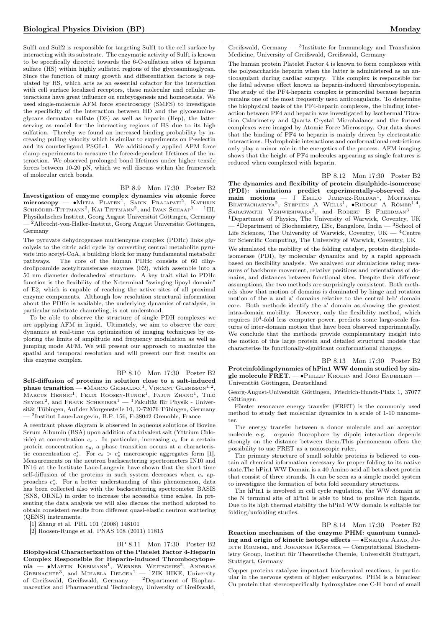Sulf1 and Sulf2 is responsible for targeting Sulf1 to the cell surface by interacting with its substrate. The enzymatic activity of Sulf1 is known to be specifically directed towards the 6-O-sulfation sites of heparan sulfate (HS) within highly sulfated regions of the glycosaminoglycan. Since the function of many growth and differentiation factors is regulated by HS, which acts as an essential cofactor for the interaction with cell surface localized receptors, these molecular and cellular interactions have great influence on embryogenesis and homeostasis. We used single-molecule AFM force spectroscopy (SMFS) to investigate the specificity of the interaction between HD and the glycosaminoglycans dermatan sulfate (DS) as well as heparin (Hep), the latter serving as model for the interacting regions of HS due to its high sulfation. Thereby we found an increased binding probability by increasing pulling velocity which is similar to experiments on P-selectin and its counterligand PSGL-1. We additionally applied AFM force clamp experiments to measure the force-dependent lifetimes of the interaction. We observed prolonged bond lifetimes under higher tensile forces between 10-20 pN, which we will discuss within the framework of molecular catch bonds.

BP 8.9 Mon 17:30 Poster B2

Investigation of enzyme complex dynamics via atomic force microscopy — •Mitja Platen<sup>1</sup>, Sabin Prajapati<sup>2</sup>, Kathrin Schröder-Tittmann<sup>2</sup>, Kai Tittmann<sup>2</sup>, and Iwan Schaap<sup>1</sup> — <sup>1</sup>III. Physikalisches Institut, Georg August Universität Göttingen, Germany — <sup>2</sup>Albrecht-von-Haller-Institut, Georg August Universität Göttingen, Germany

The pyruvate dehydrogenase multienzyme complex (PDHc) links glycolysis to the citric acid cycle by converting central metabolite pyruvate into acetyl-CoA, a building block for many fundamental metabolic pathways. The core of the human PDHc consists of 60 dihydrolipoamide acetyltransferase enzymes (E2), which assemble into a 50 nm diameter dodecahedral structure. A key trait vital to PDHc function is the flexibility of the N-terminal "swinging lipoyl domain" of E2, which is capable of reaching the active sites of all proximal enzyme components. Although low resolution structural information about the PDHc is available, the underlying dynamics of catalysis, in particular substrate channeling, is not understood.

To be able to observe the structure of single PDH complexes we are applying AFM in liquid. Ultimately, we aim to observe the core dynamics at real-time via optimization of imaging techniques by exploring the limits of amplitude and frequency modulation as well as jumping mode AFM. We will present our approach to maximize the spatial and temporal resolution and will present our first results on this enzyme complex.

### BP 8.10 Mon 17:30 Poster B2

Self-diffusion of proteins in solution close to a salt-induced phase transition —  $\bullet$  MARCO GRIMALDO.<sup>1</sup>, VINCENT GLENISSON<sup>1,2</sup>, Marcus Hennig<sup>1</sup>, Felix Roosen-Runge<sup>1</sup>, Fajun Zhang<sup>1</sup>, Tilo  $\textsc{SevDEL}^2$ , and Frank Schreiber $^1$  — <sup>1</sup>Fakultät für Physik - Universität Tübingen, Auf der Morgenstelle 10, D-72076 Tübingen, Germany — <sup>2</sup> Institut Laue-Langevin, B.P. 156, F-38042 Grenoble, France

A reentrant phase diagram is observed in aqueous solutions of Bovine Serum Albumin (BSA) upon addition of a trivalent salt (Yttrium Chloride) at concentration  $c_s$ . In particular, increasing  $c_s$  for a certain protein concentration  $c_p$ , a phase transition occurs at a characteristic concentration  $c_s^*$ . For  $c_s > c_s^*$  macroscopic aggregates form [1]. Measurements on the neutron backscattering spectrometers IN10 and IN16 at the Institute Laue-Langevin have shown that the short time self-diffusion of the proteins in such system decreases when  $c_s$  approaches  $c_s^*$ . For a better understanding of this phenomenon, data has been collected also with the backscattering spectrometer BASIS (SNS, ORNL) in order to increase the accessible time scales. In presenting the data analysis we will also discuss the method adopted to obtain consistent results from different quasi-elastic neutron scattering (QENS) instruments.

[1] Zhang et al. PRL 101 (2008) 148101

[2] Roosen-Runge et al. PNAS 108 (2011) 11815

BP 8.11 Mon 17:30 Poster B2 Biophysical Characterization of the Platelet Factor 4-Heparin Complex Responsible for Heparin-induced Thrombocytopenia — •Мактіn Kreimann<sup>1</sup>, Werner Weitschies<sup>2</sup>, Andreas<br>Greinacher<sup>3</sup>, and Мінаеlа Delcea<sup>1</sup> — <sup>1</sup>ZIK HIKE, University of Greifswald, Greifswald, Germany  $-$  <sup>2</sup>Department of Biopharmaceutics and Pharmaceutical Technology, University of Greifswald,

Greifswald, Germany  $-$  <sup>3</sup>Institute for Immunology and Transfusion Medicine, University of Greifswald, Greifswald, Germany

The human protein Platelet Factor 4 is known to form complexes with the polysaccharide heparin when the latter is administered as an anticoagulant during cardiac surgery. This complex is responsible for the fatal adverse effect known as heparin-induced thrombocytopenia. The study of the PF4-heparin complex is primordial because heparin remains one of the most frequently used anticoagulants. To determine the biophysical basis of the PF4-heparin complexes, the binding interaction between PF4 and heparin was investigated by Isothermal Titration Calorimetry and Quartz Crystal Microbalance and the formed complexes were imaged by Atomic Force Microscopy. Our data shows that the binding of PF4 to heparin is mainly driven by electrostatic interactions. Hydrophobic interactions and conformational restrictions only play a minor role in the energetics of the process. AFM imaging shows that the height of PF4 molecules appearing as single features is reduced when complexed with heparin.

BP 8.12 Mon 17:30 Poster B2 The dynamics and flexibility of protein disulphide-isomerase (PDI): simulations predict experimentally-observed do- $\text{main}$  motions  $-$  J EMILIO JIMENEZ-ROLDAN<sup>1</sup>, MOITRAYEE BHATTACHARYYA<sup>2</sup>, STEPHEN A WELLS<sup>1</sup>,  $\bullet$ RUDOLF A RÖMER<sup>1,4</sup>, SARASWATHI VISHWESHWARA<sup>2</sup>, and ROBERT B FREEDMAN<sup>3</sup> – <sup>1</sup>Department of Physics, The University of Warwick, Coventry, UK  $^{12}$ Department of Biochemistry, IISc, Bangalore, India  $-$  3School of Life Sciences, The University of Warwick, Coventry, UK  $-$  <sup>4</sup>Centre for Scientific Computing, The University of Warwick, Coventry, UK

We simulated the mobility of the folding catalyst, protein disulphideisomerase (PDI), by molecular dynamics and by a rapid approach based on flexibility analysis. We analysed our simulations using measures of backbone movement, relative positions and orientations of domains, and distances between functional sites. Despite their different assumptions, the two methods are surprisingly consistent. Both methods show that motion of domains is dominated by hinge and rotation motion of the a and a' domains relative to the central b-b' domain core. Both methods identify the a' domain as showing the greatest intra-domain mobility. However, only the flexibility method, which requires  $10^4$ -fold less computer power, predicts some large-scale features of inter-domain motion that have been observed experimentally. We conclude that the methods provide complementary insight into the motion of this large protein and detailed structural models that characterise its functionally-significant conformational changes.

BP 8.13 Mon 17:30 Poster B2 Proteinfoldingdynamics of hPin1 WW domain studied by single molecule FRET. — • PHILLIP KROEHN and JÖRG ENDERLEIN -Universität Göttingen, Deutschland

Georg-August-Universität Göttingen, Friedrich-Hundt-Platz 1, 37077 Göttingen

Förster resonance energy transfer (FRET) is the commonly used method to study fast molecular dynamics in a scale of 1-10 nanometer.

The energy transfer between a donor molecule and an acceptor molecule e.g. organic fluorophore by dipole interaction depends strongly on the distance between them.This phenomenon offers the possibility to use FRET as a nonoscopic ruler.

The primary structure of small soluble proteins is believed to contain all chemical information necessary for proper folding to its native state.The hPin1 WW Domain is a 40 Amino acid all beta sheet protein that consist of three strands. It can be seen as a simple model system to investigate the formation of beta fold secondary structures.

The hPin1 is involved in cell cycle regulation, the WW domain at the N terminal site of hPin1 is able to bind to proline rich ligands. Due to its high thermal stability the hPin1 WW domain is suitable for folding/unfolding studies.

BP 8.14 Mon 17:30 Poster B2 Reaction mechanism of the enzyme PHM: quantum tunneling and origin of kinetic isotope effects — ∙Enrique Abad, Ju-DITH ROMMEL, and JOHANNES KÄSTNER — Computational Biochemistry Group, Institut für Theoretische Chemie, Universität Stuttgart, Stuttgart, Germany

Copper proteins catalyze important biochemical reactions, in particular in the nervous system of higher eukaryotes. PHM is a binuclear Cu protein that stereospecifically hydroxylates one C-H bond of small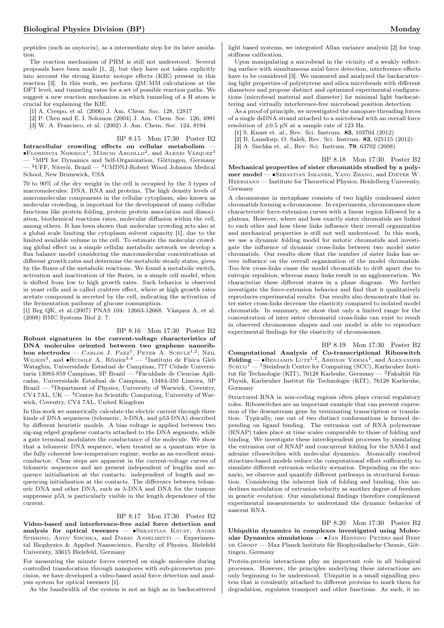peptides (such as oxytocin), as a intermediate step for its later amidation.

The reaction mechanism of PHM is still not understood. Several proposals have been made [1, 2], but they have not taken explicitly into account the strong kinetic isotope effects (KIE) present in this reaction [3]. In this work, we perform QM/MM calculations at the DFT level, and tunneling rates for a set of possible reaction paths. We suggest a new reaction mechanism in which tunneling of a H atom is crucial for explaining the KIE.

[1] A. Crespo, et al. (2006) J. Am. Chem. Soc. 128, 12817

[2] P. Chen and E. I. Solomon (2004) J. Am. Chem. Soc. 126, 4991

[3] W. A. Francisco, et al. (2002) J. Am. Chem. Soc. 124, 8194

BP 8.15 Mon 17:30 Poster B2

Intracellular crowding effects on cellular metabolism —  $\bullet$ Florencia Noriega<sup>1</sup>, Márcio Argollo<sup>2</sup>, and Alexei Vázquez<sup>3</sup> <sup>1</sup>MPI for Dynamics and Self-Organization, Göttingen, Germany  $2$ UFF, Niterói, Brazil —  $3$ UMDNJ-Robert Wood Johnson Medical School, New Brunswick, USA

70 to 90% of the dry weight in the cell is occupied by the 3 types of macromolecules: DNA, RNA and proteins. The high density levels of macromolecular components in the cellular cytoplasm, also known as molecular crowding, is important for the development of many cellular functions like protein folding, protein protein association and dissociation, biochemical reactions rates, molecular diffusion within the cell, among others. It has been shown that molecular crowding acts also at a global scale limiting the cytoplasm solvent capacity [1], due to the limited available volume in the cell. To estimate the molecular crowding global effect on a simple cellular metabolic network we develop a flux balance model considering the macromolecular concentrations at different growth rates and determine the metabolic steady states, given by the fluxes of the metabolic reactions. We found a metabolic switch, activation and inactivation of the fluxes, in a simple cell model, when is shifted from low to high growth rates. Such behavior is observed in yeast cells and is called crabtree effect, where at high growth rates acetate compound is secreted by the cell, indicating the activation of the fermentation pathway of glucose consumption.

[1] Beg QK, et al.(2007) PNAS 104: 12663-12668. Vázquez A, et al. (2008) BMC Systems Biol 2: 7.

BP 8.16 Mon 17:30 Poster B2 Robust signatures in the current-voltage characteristics of DNA molecules oriented between two graphene nanoribbon electrodes — CARLOS J. PAEZ<sup>1</sup>, PETER A. SCHULZ<sup>1,2</sup>, NEIL<br>WILSON<sup>3</sup>, and •RUDOLF A. RÖMER<sup>3,4</sup> — <sup>1</sup>Instituto de Fisica Gleb Wataghin, Universidade Estadual de Campinas, 777 Cidade Universitaria 13083-859 Campinas, SP Brazil — <sup>2</sup>Faculdade de Ciencias Aplicadas, Universidade Estadual de Campinas, 13484-350 Limeira, SP  $Brazil - <sup>3</sup>Department of Physics, University of Warwick, Cover,$  $CV4$  7AL, UK  $-$  <sup>4</sup>Centre for Scientific Computing, University of Warwick, Coventry, CV4 7AL, United Kingdom

In this work we numerically calculate the electric current through three kinds of DNA sequences (telomeric,  $\lambda$ -DNA, and p53-DNA) described by different heuristic models. A bias voltage is applied between two zig-zag edged graphene contacts attached to the DNA segments, while a gate terminal modulates the conductance of the molecule. We show that a telomeric DNA sequence, when treated as a quantum wire in the fully coherent low-temperature regime, works as an excellent semiconductor. Clear steps are apparent in the current-voltage curves of telomeric sequences and are present independent of lengths and sequence initialisation at the contacts. independent of length and sequencing initialisation at the contacts. The difference between telomeric DNA and other DNA, such as  $\lambda$ -DNA and DNA for the tumour suppressor p53, is particularly visible in the length dependence of the current.

### BP 8.17 Mon 17:30 Poster B2

Video-based and interference-free axial force detection and analysis for optical tweezers —  $•$ SEBASTIAN KNUST, ANDRE SPIERING, ANDY SISCHKA, and DARIO ANSELMETTI - Experimental Biophysics & Applied Nanoscience, Faculty of Physics, Bielefeld University, 33615 Bielefeld, Germany

For measuring the minute forces exerted on single molecules during controlled translocation through nanopores with sub-piconewton precision, we have developed a video-based axial force detection and analysis system for optical tweezers [1].

As the bandwidth of the system is not as high as in backscattered

light based systems, we integrated Allan variance analysis [2] for trap stiffness calibration.

Upon manipulating a microbead in the vicinity of a weakly reflecting surface with simultaneous axial force detection, interference effects have to be considered [3]. We measured and analyzed the backscattering light properties of polystyrene and silica microbeads with different diameters and propose distinct and optimized experimental configurations (microbead material and diameter) for minimal light backscattering and virtually interference-free microbead position detection.

As a proof of principle, we investigated the nanopore threading forces of a single dsDNA strand attached to a microbead with an overall force resolution of  $\pm 0.5$  pN at a sample rate of 123 Hz.

[1] S. Knust et. al., Rev. Sci. Instrum. 83, 103704 (2012)

[2] B. Lansdorp, O. Saleh, Rev. Sci. Instrum. 83, 025115 (2012)

[3] A. Sischka et. al., Rev. Sci. Instrum. 79, 63702 (2008)

BP 8.18 Mon 17:30 Poster B2

Mechanical properties of sister chromatids studied by a polymer model — ∙Sebastian Isbaner, Yang Zhang, and Dieter W. Heermann — Institute for Theoretical Physics, Heidelberg University, Germany

A chromosome in metaphase consists of two highly condensed sister chromatids forming a chromosome. In experiments, chromosomes show characteristic force-extension curves with a linear region followed by a plateau. However, where and how exactly sister chromatids are linked to each other and how these links influence their overall organization and mechanical properties is still not well understood. In this work, we use a dynamic folding model for mitotic chromatids and investigate the influence of dynamic cross-links between two model sister chromatids. Our results show that the number of sister links has severe influence on the overall organization of the model chromatids. Too few cross-links cause the model chromatids to drift apart due to entropic repulsion, whereas many links result in an agglomeration. We characterize these different states in a phase diagram. We further investigate the force-extension behavior and find that it qualitatively reproduces experimental results. Our results also demonstrate that inter sister cross-links decrease the elasticity compared to isolated model chromatids. In summary, we show that only a limited range for the concentration of inter sister chromatid cross-links can exist to result in observed chromosome shapes and our model is able to reproduce experimental findings for the elasticity of chromosomes.

BP 8.19 Mon 17:30 Poster B2 Computational Analysis of Co-transcriptional Riboswitch Folding —  $\bullet$ BENJAMIN LUTZ<sup>1,2</sup>, ABHINAV VERMA<sup>1</sup>, and ALEXANDER  $S$ CHUG<sup>1</sup> — <sup>1</sup>Steinbuch Centre for Computing (SCC), Karlsruher Institut für Technologie (KIT), 76128 Karlsuhe, Germany — <sup>2</sup>Fakultät für Physik, Karlsruher Institut für Technologie (KIT), 76128 Karlsruhe, Germany

Structured RNA in non-coding regions often plays crucial regulatory roles. Riboswitches are an important example that can prevent expression of the downstream gene by terminating transcription or translation. Typically, one out of two distinct conformations is formed depending on ligand binding. The extrusion out of RNA polymerase (RNAP) takes place at time scales comparable to those of folding and binding. We investigate these interdependent processes by simulating the extrusion out of RNAP and concurrent folding for the SAM-I and adenine riboswitches with molecular dynamics. Atomically resolved structure-based models reduce the computational effort sufficiently to simulate different extrusion velocity scenarios. Depending on the scenario, we observe and quantify different pathways in structural formation. Considering the inherent link of folding and binding, this underlines modulation of extrusion velocity as another degree of freedom in genetic evolution. Our simulational findings therefore complement experimental measurements to understand the dynamic behavior of nascent RNA.

<span id="page-15-0"></span>BP 8.20 Mon 17:30 Poster B2 Ubiquitin dynamics in complexes investigated using Molecular Dynamics simulations — •JAN HENNING PETERS and BERT DE GROOT — Max Planck lnstitute für Biophysikalische Chemie, Göttingen, Germany

Protein-protein interactions play an important role in all biological processes. However, the principles underlying these interactions are only beginning to be understood. Ubiquitin is a small signalling protein that is covalently attached to different proteins to mark them for degradation, regulates transport and other functions. As such, it in-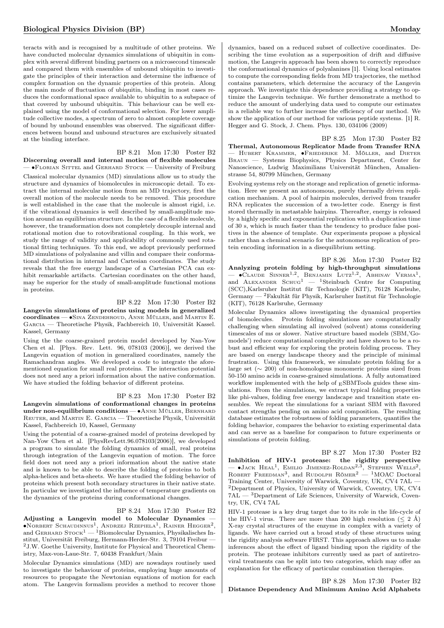teracts with and is recognised by a multitude of other proteins. We have conducted molecular dynamics simulations of ubiquitin in complex with several different binding partners on a microsecond timescale and compared them with ensembles of unbound ubiquitin to investigate the principles of their interaction and determine the influence of complex formation on the dynamic properties of this protein. Along the main mode of fluctuation of ubiquitin, binding in most cases reduces the conformational space available to ubiquitin to a subspace of that covered by unbound ubiquitin. This behaviour can be well explained using the model of conformational selection. For lower amplitude collective modes, a spectrum of zero to almost complete coverage of bound by unbound ensembles was observed. The significant differences between bound and unbound structures are exclusively situated at the binding interface.

BP 8.21 Mon 17:30 Poster B2 Discerning overall and internal motion of flexible molecules — ∙Florian Sittel and Gerhard Stock — University of Freiburg Classical molecular dynamics (MD) simulations allow us to study the structure and dynamics of biomolecules in microscopic detail. To extract the internal molecular motion from an MD trajectory, first the overall motion of the molecule needs to be removed. This procedure is well established in the case that the molecule is almost rigid, i.e. if the vibrational dynamics is well described by small-amplitude motion around an equilibrium structure. In the case of a flexible molecule, however, the transformation does not completely decouple internal and rotational motion due to rotovibrational coupling. In this work, we study the range of validity and applicability of commonly used rotational fitting techniques. To this end, we adopt previously performed MD simulations of polyalanine and villin and compare their conformational distribution in internal and Cartesian coordinates. The study reveals that the free energy landscape of a Cartesian PCA can exhibit remarkable artifacts. Cartesian coordinates on the other hand, may be superior for the study of small-amplitude functional motions in proteins.

### BP 8.22 Mon 17:30 Poster B2

Langevin simulations of proteins using models in generalized coordinates — ∙Sina Zendehroud, Anne Müller, and Martin E. Garcia — Theoretische Physik, Fachbereich 10, Universität Kassel. Kassel, Germany

Using the the coarse-grained protein model developed by Nan-Yow Chen et al. [Phys. Rev. Lett. 96, 078103 (2006)], we derived the Langevin equation of motion in generalized coordinates, namely the Ramachandran angles. We developed a code to integrate the aforementioned equation for small real proteins. The interaction potential does not need any a priori information about the native conformation. We have studied the folding behavior of different proteins.

### BP 8.23 Mon 17:30 Poster B2

Langevin simulations of conformational changes in proteins under non-equilibrium conditions — •ANNE MÜLLER, BERNHARD REUTER, and MARTIN E. GARCIA — Theoretische Physik, Universität Kassel, Fachbereich 10, Kassel, Germany

Using the potential of a coarse-grained model of proteins developed by Nan-Yow Chen et al. [PhysRevLett.96.078103(2006)], we developed a program to simulate the folding dynamics of small, real proteins through integration of the Langevin equation of motion. The force field does not need any a priori information about the native state and is known to be able to describe the folding of proteins to both alpha-helices and beta-sheets. We have studied the folding behavior of proteins which present both secondary structures in their native state. In particular we investigated the influence of temperature gradients on the dynamics of the proteins during conformational changes.

### BP 8.24 Mon 17:30 Poster B2

Adjusting a Langevin model to Molecular Dynamics — ∙Norbert Schaudinnus<sup>1</sup> , Andrzej Rzepiela<sup>1</sup> , Rainer Hegger<sup>2</sup> , and GERHARD  $STOCK<sup>1</sup> - 1$ Biomolecular Dynamics, Physikalisches Institut, Universität Freiburg, Hermann-Herder-Str. 3, 79104 Freibur — <sup>2</sup>J.W. Goethe University, Institute for Physical and Theoretical Chemistry, Max-von-Laue-Str. 7, 60438 Frankfurt/Main

Molecular Dynamics simulations (MD) are nowadays routinely used to investigate the behaviour of proteins, employing huge amounts of resources to propagate the Newtonian equations of motion for each atom. The Langevin formalism provides a method to recover those

dynamics, based on a reduced subset of collective coordinates. Describing the time evolution as a superposition of drift and diffusive motion, the Langevin approach has been shown to correctly reproduce the conformational dynamics of polyalanines [1]. Using local estimates to compute the corresponding fields from MD trajectories, the method contains parameters, which determine the accuracy of the Langevin approach. We investigate this dependence providing a strategy to optimize the Langevin technique. We further demonstrate a method to reduce the amount of underlying data used to compute our estimates in a reliable way to further increase the efficiency of our method. We show the application of our method for various peptide systems. [1] R. Hegger and G. Stock, J. Chem. Phys. 130, 034106 (2009)

BP 8.25 Mon 17:30 Poster B2 Thermal, Autonomous Replicator Made from Transfer RNA — Hubert Krammer, ∙Friederike M. Möller, and Dieter Braun — Systems Biophysics, Physics Department, Center for Nanoscience, Ludwig Maximilians Universität München, Amalienstrasse 54, 80799 München, Germany

Evolving systems rely on the storage and replication of genetic information. Here we present an autonomous, purely thermally driven replication mechanism. A pool of hairpin molecules, derived from transfer RNA replicates the succession of a two-letter code. Energy is first stored thermally in metastable hairpins. Thereafter, energy is released by a highly specific and exponential replication with a duplication time of 30 s, which is much faster than the tendency to produce false positives in the absence of template. Our experiments propose a physical rather than a chemical scenario for the autonomous replication of protein encoding information in a disequilibrium setting.

BP 8.26 Mon 17:30 Poster B2 Analyzing protein folding by high-throughput simulations  $-$  •CLAUDE SINNER<sup>1,2</sup>, BENJAMIN LUTZ<sup>1,2</sup>, ABHINAV VERMA<sup>1</sup>, and ALEXANDER  $SCHuG<sup>1</sup>$  — <sup>1</sup>Steinbuch Centre for Computing (SCC),Karlsruher Institut für Technologie (KIT), 76128 Karlsuhe, Germany — <sup>2</sup>Fakultät für Physik, Karlsruher Institut für Technologie (KIT), 76128 Karlsruhe, Germany

Molecular Dynamics allows investigating the dynamical properties of biomolecules. Protein folding simulations are computationally challenging when simulating all involved (solvent) atoms considering timescales of ms or slower. Native structure based models (SBM,'Gomodels') reduce computational complexity and have shown to be a robust and efficient way for exploring the protein folding process. They are based on energy landscape theory and the principle of minimal frustration. Using this framework, we simulate protein folding for a large set (∼ 200) of non-homologous monomeric proteins sized from 50-150 amino acids in coarse-grained simulations. A fully automatized workflow implemented with the help of  $E_{\rm E}$ SBMTools guides these simulations. From the simulations, we extract typical folding properties like phi-values, folding free energy landscape and transition state ensembles. We repeat the simulations for a variant SBM with flavored contact strengths pending on amino acid composition. The resulting database estimates the robustness of folding parameters, quantifies the folding behavior, compares the behavior to existing experimental data and can serve as a baseline for comparison to future experiments or simulations of protein folding.

BP 8.27 Mon 17:30 Poster B2 Inhibition of HIV-1 protease: the rigidity perspective  $-$  •Jack Heal<sup>1</sup>, Emilio Jimenez-Roldan<sup>2,3</sup>, Stephen Wells<sup>2</sup>, ROBERT FREEDMAN<sup>3</sup>, and RUDOLPH RÖMER<sup>2</sup> - <sup>1</sup>MOAC Doctoral Training Center, University of Warwick, Coventry, UK, CV4 7AL — <sup>2</sup>Department of Physics, University of Warwick, Coventry, UK, CV4  $7AL - 3$ Department of Life Sciences, University of Warwick, Coventry, UK, CV4 7AL

HIV-1 protease is a key drug target due to its role in the life-cycle of the HIV-1 virus. There are more than 200 high resolution  $(< 2 \text{ Å})$ X-ray crystal structures of the enzyme in complex with a variety of ligands. We have carried out a broad study of these structures using the rigidity analysis software FIRST. This approach allows us to make inferences about the effect of ligand binding upon the rigidity of the protein. The protease inhibitors currently used as part of antiretroviral treatments can be split into two categories, which may offer an explanation for the efficacy of particular combination therapies.

### BP 8.28 Mon 17:30 Poster B2 Distance Dependency And Minimum Amino Acid Alphabets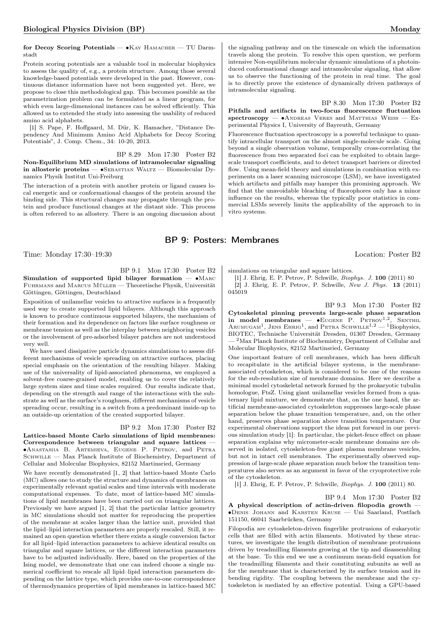for Decoy Scoring Potentials — ∙Kay Hamacher — TU Darmstadt

Protein scoring potentials are a valuable tool in molecular biophysics to assess the quality of, e.g., a protein structure. Among those several knowledge-based potentials were developed in the past. However, continuous distance information have not been suggested yet. Here, we propose to close this methodological gap. This becomes possible as the parametrization problem can be formulated as a linear program, for which even large-dimensional instances can be solved efficiently. This allowed us to extended the study into assessing the usability of reduced amino acid alphabets.

[1] S. Pape, F. Hoffgaard, M. Dür, K. Hamacher, "Distance Dependency And Minimum Amino Acid Alphabets for Decoy Scoring Potentials", J. Comp. Chem., 34: 10-20, 2013.

BP 8.29 Mon 17:30 Poster B2 Non-Equilibrium MD simulations of intramolecular signaling in allosteric proteins — ∙Sebastian Waltz — Biomolecular Dynamics Physik Institut Uni-Freiburg

The interaction of a protein with another protein or ligand causes local energetic and or conformational changes of the protein around the binding side. This structural changes may propagate through the protein and produce functional changes at the distant side. This process is often referred to as allostery. There is an ongoing discussion about the signaling pathway and on the timescale on which the information travels along the protein. To resolve this open question, we perform intensive Non-equilibrium molecular dynamic simulations of a photoinduced conformational change and intramolecular signaling, that allow us to observe the functioning of the protein in real time. The goal is to directly prove the existence of dynamically driven pathways of intramolecular signaling.

BP 8.30 Mon 17:30 Poster B2 Pitfalls and artifacts in two-focus fluorescence fluctuation spectroscopy — •ANDREAS VERES and MATTHIAS WEISS — Experimental Physics I, University of Bayreuth, Germany

Fluorescence fluctuation spectroscopy is a powerful technique to quantify intracellular transport on the almost single-molecule scale. Going beyond a single observation volume, temporally cross-correlating the fluorescence from two separated foci can be exploited to obtain largescale transport coefficients, and to detect transport barriers or directed flow. Using mean-field theory and simulations in combination with experiments on a laser scanning microscope (LSM), we have investigated which artifacts and pitfalls may hamper this promising approach. We find that the unavoidable bleaching of fluorophores only has a minor influence on the results, whereas the typically poor statistics in commercial LSMs severely limits the applicability of the approach to in vitro systems.

# BP 9: Posters: Membranes

Time: Monday 17:30–19:30 Location: Poster B2

BP 9.1 Mon 17:30 Poster B2 Simulation of supported lipid bilayer formation —  $\bullet$ MARC Fuhrmans and Marcus Müller — Theoretische Physik, Universität

Göttingen, Göttingen, Deutschland Exposition of unilamellar vesicles to attractive surfaces is a frequently used way to create supported lipid bilayers. Although this approach is known to produce continuous supported bilayers, the mechanism of their formation and its dependence on factors like surface roughness or membrane tension as well as the interplay between neighboring vesicles or the involvement of pre-adsorbed bilayer patches are not understood

very well. We have used dissipative particle dynamics simulations to assess different mechanisms of vesicle spreading on attractive surfaces, placing special emphasis on the orientation of the resulting bilayer. Making use of the universality of lipid-associated phenomena, we employed a solvent-free coarse-grained model, enabling us to cover the relatively large system sizes and time scales required. Our results indicate that, depending on the strength and range of the interactions with the substrate as well as the surface's roughness, different mechanisms of vesicle spreading occur, resulting in a switch from a predominant inside-up to an outside-up orientation of the created supported bilayer.

BP 9.2 Mon 17:30 Poster B2

Lattice-based Monte Carlo simulations of lipid membranes: Correspondence between triangular and square lattices — ∙Anastasiia B. Artemieva, Eugene P. Petrov, and Petra SCHWILLE — Max Planck Institute of Biochemistry, Department of Cellular and Molecular Biophysics, 82152 Martinsried, Germany

We have recently demonstrated [1, 2] that lattice-based Monte Carlo (MC) allows one to study the structure and dynamics of membranes on experimentally relevant spatial scales and time intervals with moderate computational expenses. To date, most of lattice-based MC simulations of lipid membranes have been carried out on triangular lattices. Previously we have argued [1, 2] that the particular lattice geometry in MC simulations should not matter for reproducing the properties of the membrane at scales larger than the lattice unit, provided that the lipid–lipid interaction parameters are properly rescaled. Still, it remained an open question whether there exists a single conversion factor for all lipid–lipid interaction parameters to achieve identical results on triangular and square lattices, or the different interaction parameters have to be adjusted individually. Here, based on the properties of the Ising model, we demonstrate that one can indeed choose a single numerical coefficient to rescale all lipid–lipid interaction parameters depending on the lattice type, which provides one-to-one correspondence of thermodynamics properties of lipid membranes in lattice-based MC

simulations on triangular and square lattices.

[1] J. Ehrig, E. P. Petrov, P. Schwille, Biophys. J. 100 (2011) 80 [2] J. Ehrig, E. P. Petrov, P. Schwille, New J. Phys. 13 (2011) 045019

BP 9.3 Mon 17:30 Poster B2 Cytoskeletal pinning prevents large-scale phase separation in model membranes —  $\bullet$ EUGENE P. PETROV<sup>1,2</sup>, SENTHIL ARUMUGAM<sup>1</sup>, JENS EHRIG<sup>1</sup>, and PETRA SCHWILLE<sup>1,2</sup> - <sup>1</sup>Biophysics, BIOTEC, Technische Universität Dresden, 01307 Dresden, Germany — <sup>2</sup>Max Planck Institute of Biochemistry, Department of Cellular and Molecular Biophysics, 82152 Martinsried, Germany

One important feature of cell membranes, which has been difficult to recapitulate in the artificial bilayer systems, is the membraneassociated cytoskeleton, which is considered to be one of the reasons for the sub-resolution size of membrane domains. Here we describe a minimal model cytoskeletal network formed by the prokaryotic tubulin homologue, FtsZ. Using giant unilamellar vesicles formed from a quaternary lipid mixture, we demonstrate that, on the one hand, the artificial membrane-associated cytoskeleton suppresses large-scale phase separation below the phase transition temperature, and, on the other hand, preserves phase separation above transition temperature. Our experimental observations support the ideas put forward in our previous simulation study [1]: In particular, the picket-fence effect on phase separation explains why micrometer-scale membrane domains are observed in isolated, cytoskeleton-free giant plasma membrane vesicles, but not in intact cell membranes. The experimentally observed suppression of large-scale phase separation much below the transition temperatures also serves as an argument in favor of the cryoprotective role of the cytoskeleton.

[1] J. Ehrig, E. P. Petrov, P. Schwille, Biophys. J. 100 (2011) 80.

BP 9.4 Mon 17:30 Poster B2

A physical description of actin-driven filopodia growth — ∙Denis Johann and Karsten Kruse — Uni Saarland, Postfach 151150, 66041 Saarbrücken, Germany

Filopodia are cytoskeleton-driven fingerlike protrusions of eukaryotic cells that are filled with actin filaments. Motivated by these structures, we investigate the length distribution of membrane protrusions driven by treadmilling filaments growing at the tip and disassembling at the base. To this end we use a continuum mean-field equation for the treadmilling filaments and their constituting subunits as well as for the membrane that is characterized by its surface tension and its bending rigidity. The coupling between the membrane and the cytoskeleton is mediated by an effective potential. Using a GPU-based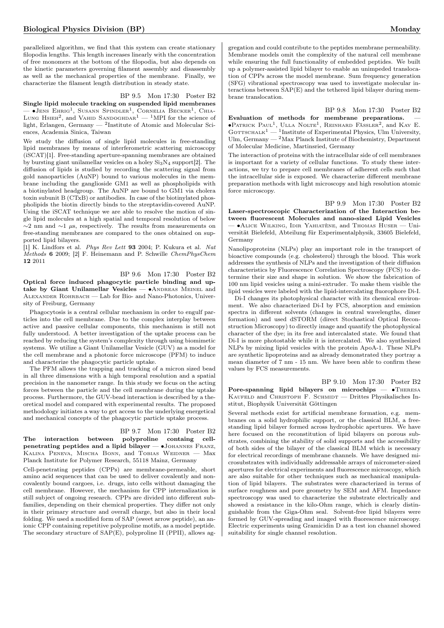parallelized algorithm, we find that this system can create stationary filopodia lengths. This length increases linearly with the concentration of free monomers at the bottom of the filopodia, but also depends on the kinetic parameters governing filament assembly and disassembly as well as the mechanical properties of the membrane. Finally, we characterize the filament length distribution in steady state.

### BP 9.5 Mon 17:30 Poster B2

Single lipid molecule tracking on suspended lipid membranes — ∙Jens Ehrig<sup>1</sup> , Susann Spindler<sup>1</sup> , Cornelia Becker<sup>1</sup> , Chia-Lung Hsi $\text{E}^2$ , and Vahid Sandoghdar<sup>1</sup> — <sup>1</sup>MPI for the science of light, Erlangen, Germany — <sup>2</sup> Institute of Atomic and Molecular Sciences, Academia Sinica, Taiwan

We study the diffusion of single lipid molecules in free-standing lipid membranes by means of interferometric scattering microscopy (iSCAT)[1]. Free-standing aperture-spanning membranes are obtained by bursting giant unilamellar vesicles on a holey  $Si<sub>3</sub>N<sub>4</sub>$  support[2]. The diffusion of lipids is studied by recording the scattering signal from gold nanoparticles (AuNP) bound to various molecules in the membrane including the ganglioside GM1 as well as phospholipids with a biotinylated headgroup. The AuNP are bound to GM1 via cholera toxin subunit B (CTxB) or antibodies. In case of the biotinylated phospholipids the biotin directly binds to the streptavidin-covered AuNP. Using the iSCAT technique we are able to resolve the motion of single lipid molecules at a high spatial and temporal resolution of below  $\sim$ 2 nm and  $\sim$ 1 µs, respectively. The results from measurements on free-standing membranes are compared to the ones obtained on supported lipid bilayers.

[1] K. Lindfors et al. Phys Rev Lett 93 2004; P. Kukura et al. Nat Methods 6 2009; [2] F. Heinemann and P. Schwille ChemPhysChem 12 2011

BP 9.6 Mon 17:30 Poster B2 Optical force induced phagocytic particle binding and uptake by Giant Unilamellar Vesicles — • ANDREAS MEINEL and Alexander Rohrbach — Lab for Bio- and Nano-Photonics, University of Freiburg, Germany

Phagocytosis is a central cellular mechanism in order to engulf particles into the cell membrane. Due to the complex interplay between active and passive cellular components, this mechanism is still not fully understood. A better investigation of the uptake process can be reached by reducing the system's complexity through using biomimetic systems. We utilize a Giant Unilamellar Vesicle (GUV) as a model for the cell membrane and a photonic force microscope (PFM) to induce and characterize the phagocytic particle uptake.

The PFM allows the trapping and tracking of a micron sized bead in all three dimensions with a high temporal resolution and a spatial precision in the nanometer range. In this study we focus on the acting forces between the particle and the cell membrane during the uptake process. Furthermore, the GUV-bead interaction is described by a theoretical model and compared with experimental results. The proposed methodology initiates a way to get access to the underlying energetical and mechanical concepts of the phagocytic particle uptake process.

BP 9.7 Mon 17:30 Poster B2

The interaction between polyproline containg cellpenetrating peptides and a lipid bilayer — •JOHANNES FRANZ, Kalina Peneva, Mischa Bonn, and Tobias Weidner — Max Planck Institute for Polymer Research, 55118 Mainz, Germany

Cell-penetrating peptides (CPPs) are membrane-permeable, short amino acid sequences that can be used to deliver covalently and noncovalently bound cargoes, i.e. drugs, into cells without damaging the cell membrane. However, the mechanism for CPP internalization is still subject of ongoing research. CPPs are divided into different subfamilies, depending on their chemical properties. They differ not only in their primary structure and overall charge, but also in their local folding. We used a modified form of SAP (sweet arrow peptide), an anionic CPP containing repetitive polyproline motifs, as a model peptide. The secondary structure of SAP(E), polyproline II (PPII), allows aggregation and could contribute to the peptides membrane permeability. Membrane models omit the complexity of the natural cell membrane while ensuring the full functionality of embedded peptides. We built up a polymer-assisted lipid bilayer to enable an unimpeded translocation of CPPs across the model membrane. Sum frequency generation (SFG) vibrational spectroscopy was used to investigate molecular interactions between SAP(E) and the tethered lipid bilayer during membrane translocation.

BP 9.8 Mon 17:30 Poster B2

Evaluation of methods for membrane preparations. ∙Patrick Paul<sup>1</sup> , Ulla Nolte<sup>1</sup> , Reinhard Fässler<sup>2</sup> , and Kay E. GOTTSCHALK<sup>1</sup> — <sup>1</sup>Institute of Experimental Physics, Ulm University, Ulm, Germany — <sup>2</sup>Max Planck Institute of Biochemistry, Department of Molecular Medicine, Martinsried, Germany

The interaction of proteins with the intracellular side of cell membranes is important for a variety of cellular functions. To study these interactions, we try to prepare cell membranes of adherent cells such that the intracellular side is exposed. We characterize different membrane preparation methods with light microscopy and high resolution atomic force microscopy.

BP 9.9 Mon 17:30 Poster B2 Laser-spectroscopic Characterization of the Interaction between fluorescent Molecules and nano-sized Lipid Vesicles — ∙Alice Wilking, Idir Yahiatène, and Thomas Huser — Universität Bielefeld, Abteilung für Experimentalphysik, 33605 Bielefeld, Germany

Nanolipoproteins (NLPs) play an important role in the transport of bioactive compounds (e.g. cholesterol) through the blood. This work addresses the synthesis of NLPs and the investigation of their diffusion characteristics by Fluorescence Correlation Spectroscopy (FCS) to determine their size and shape in solution. We show the fabrication of 100 nm lipid vesicles using a mini-extruder. To make them visible the lipid vesicles were labeled with the lipid-intercalating fluorophore Di-I.

Di-I changes its photophysical character with its chemical environment. We also characterized Di-I by FCS, absorption and emission spectra in different solvents (changes in central wavelengths, dimer formation) and used dSTORM (direct Stochastical Optical Reconstruction Microscopy) to directly image and quantify the photophysical character of the dye; in its free and intercalated state. We found that Di-I is more photostable while it is intercalated. We also synthesized NLPs by mixing lipid vesicles with the protein ApoA-1. These NLPs are synthetic lipoproteins and as already demonstrated they portray a mean diameter of 7 nm - 15 nm. We have been able to confirm these values by FCS measurements.

BP 9.10 Mon 17:30 Poster B2 Pore-spanning lipid bilayers on microchips — ∙Theresa KAUFELD and CHRISTOPH F. SCHMIDT — Drittes Physikalisches Institut, Biophysik Universität Göttingen

Several methods exist for artificial membrane formation, e.g. membranes on a solid hydrophilic support, or the classical BLM, a freestanding lipid bilayer formed across hydrophobic apertures. We have here focused on the reconstitution of lipid bilayers on porous substrates, combining the stability of solid supports and the accessibility of both sides of the bilayer of the classical BLM which is necessary for electrical recordings of membrane channels. We have designed microsubstrates with individually addressable arrays of micrometer-sized apertures for electrical experiments and fluorescence microscopy, which are also suitable for other techniques such as mechanical manipulation of lipid bilayers. The substrates were characterized in terms of surface roughness and pore geometry by SEM and AFM. Impedance spectroscopy was used to characterize the substrate electrically and showed a resistance in the kilo-Ohm range, which is clearly distinguishable from the Giga-Ohm seal. Solvent-free lipid bilayers were formed by GUV-spreading and imaged with fluorescence microscopy. Electric experiments using Gramicidin D as a test ion channel showed suitability for single channel resolution.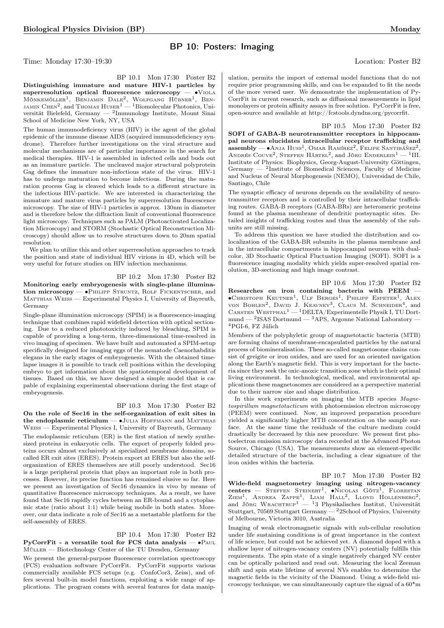# BP 10: Posters: Imaging

Time: Monday 17:30–19:30 Location: Poster B2

BP 10.1 Mon 17:30 Poster B2

Distinguishing immature and mature HIV-1 particles by superresolution optical fluorescence microscopy — •V<sub>IOLA</sub> Mönkemöller<sup>1</sup>, Benjamin Dale<sup>2</sup>, Wolfgang Hübner<sup>1</sup>, Ben-<br>jamin Chen<sup>2</sup>, and Thomas Huser<sup>1</sup> — <sup>1</sup>Biomolecular Photonics, Universität Bielefeld, Germany — <sup>2</sup> Immunology Institute, Mount Sinai School of Medicine New York, NY, USA

The human immunodeficiency virus (HIV) is the agent of the global epidemic of the immune disease AIDS (acquired immunodeficiency syndrome). Therefore further investigations on the viral structure and molecular mechanisms are of particular importance in the search for medical therapies. HIV-1 is assembled in infected cells and buds out as an immature particle. The uncleaved major structural polyprotein Gag defines the immature non-infectious state of the virus. HIV-1 has to undergo maturation to become infectious. During the maturation process Gag is cleaved which leads to a different structure in the infectious HIV-particle. We are interested in characterizing the immature and mature virus particles by superresolution fluorescence microscopy. The size of HIV-1 particles is approx. 130nm in diameter and is therefore below the diffraction limit of conventional fluorescence light microscopy. Techniques such as PALM (Photoactivated Localization Microscopy) and STORM (Stochastic Optical Reconstruction Microscopy) should allow us to resolve structures down to 20nm spatial resolution.

We plan to utilize this and other superresolution approaches to track the position and state of individual HIV virions in 4D, which will be very useful for future studies on HIV infection mechanisms.

### BP 10.2 Mon 17:30 Poster B2

Monitoring early embryogenesis with single-plane illumination microscopy — •PHILIPP STRUNTZ, ROLF FICKENTSCHER, and MATTHIAS WEISS — Experimental Physics I, University of Bayreuth, Germany

Single-plane illumination microscopy (SPIM) is a fluorescence-imaging technique that combines rapid widefield detection with optical sectioning. Due to a reduced phototoxicity induced by bleaching, SPIM is capable of providing a long-term, three-dimensional time-resolved in vivo imaging of specimen. We have built and automated a SPIM-setup specifically designed for imaging eggs of the nematode Caenorhabditis elegans in the early stages of embryogenesis. With the obtained timelapse images it is possible to track cell positions within the developing embryo to get information about the spatiotemporal development of tissues. Based on this, we have designed a simple model that is capable of explaining experimental observations during the first stage of embryogenesis.

### BP 10.3 Mon 17:30 Poster B2

On the role of Sec16 in the self-organization of exit sites in the endoplasmic reticulum — ∙Julia Hoffmann and Matthias Weiss — Experimental Physics I, University of Bayreuth, Germany

The endoplasmic reticulum (ER) is the first station of newly synthesized proteins in eukaryotic cells. The export of properly folded proteins occurs almost exclusively at specialized membrane domains, socalled ER exit sites (ERES). Protein export at ERES but also the selforganization of ERES themselves are still poorly understood. Sec16 is a large peripheral protein that plays an important role in both processes. However, its precise function has remained elusive so far. Here we present an investigation of Sec16 dynamics in vivo by means of quantitative fluorescence microscopy techniques. As a result, we have found that Sec16 rapidly cycles between an ER-bound and a cytoplasmic state (ratio about 1:1) while being mobile in both states. Moreover, our data indicate a role of Sec16 as a metastable platform for the self-assembly of ERES.

### BP 10.4 Mon 17:30 Poster B2 PyCorrFit - a versatile tool for FCS data analysis — •PAUL

Müller — Biotechnology Center of the TU Dresden, Germany

We present the general-purpose fluorescence correlation spectroscopy (FCS) evaluation software PyCorrFit. PyCorrFit supports various commercially available FCS setups (e.g. ConfoCor3, Zeiss), and offers several built-in model functions, exploiting a wide range of applications. The program comes with several features for data manip-

ulation, permits the import of external model functions that do not require prior programming skills, and can be expanded to fit the needs of the more versed user. We demonstrate the implementation of Py-CorrFit in current research, such as diffusional measurements in lipid monolayers or protein affinity assays in free solution. PyCorrFit is free, open-source and available at http://fcstools.dyndns.org/pycorrfit.

BP 10.5 Mon 17:30 Poster B2 SOFI of GABA-B neurotransmitter receptors in hippocampal neurons elucidates intracellular receptor trafficking and  $\textbf{assembly} \longrightarrow \textbf{A} \text{NJA Huss}^1$ , Omar Ramírez<sup>2</sup>, Felipe Santibáñez<sup>2</sup>, ANDRÉS COUVE<sup>2</sup>, STEFFEN HÄRTEL<sup>2</sup>, and JÖRG ENDERLEIN<sup>1</sup> - <sup>1</sup>III. Institute of Physics: Biophysics, Georg-August-University Göttingen, Germany — <sup>2</sup> Institute of Biomedical Sciences, Faculty of Medicine and Nucleus of Neural Morphogenesis (NEMO), Universidad de Chile, Santiago, Chile

The synaptic efficacy of neurons depends on the availability of neurotransmitter receptors and is controlled by their intracellular trafficking routes. GABA-B receptors (GABA-BRs) are heteromeric proteins found at the plasma membrane of dendritic postsynaptic sites. Detailed insights of trafficking routes and thus the assembly of the subunits are still missing.

To address this question we have studied the distribution and colocalization of the GABA-BR subunits in the plasma membrane and in the intracellular compartments in hippocampal neurons with dualcolor, 3D Stochastic Optical Fluctuation Imaging (SOFI). SOFI is a fluorescence imaging modality which yields super-resolved spatial resolution, 3D-sectioning and high image contrast.

BP 10.6 Mon 17:30 Poster B2 Researches on iron containing bacteria with PEEM — ∙Christoph Keutner<sup>1</sup> , Ulf Berges<sup>1</sup> , Philipp Espeter<sup>1</sup> , Alex VON BOHLEN<sup>2</sup>, DAVID J. KEAVNEY<sup>3</sup>, CLAUS M. SCHNEIDER<sup>4</sup>, and CARSTEN WESTPHAL<sup>1</sup> — <sup>1</sup>DELTA/Experimentelle Physik I, TU Dort $mund - 2$ ISAS Dortmund  $- 3$ APS, Argonne National Laboratory  $-$ <sup>4</sup>PGI-6, FZ Jülich

Members of the polyphyletic group of magnetotactic bacteria (MTB) are forming chains of membrane-encapsulated particles by the natural process of biomineralisation. These so-called magnetosome chains consist of greigite or iron oxides, and are used for an oriented navigation along the Earth's magnetic field. This is very important for the bacteria since they seek the oxic-anoxic transition zone which is their optimal living environment. In technological, medical, and environmental applications these magnetosomes are considered as a perspective material due to their narrow size and shape distribution.

In this work experiments on imaging the MTB species Magnetospirillum magnetotacticum with photoemission electron microscopy (PEEM) were continued. Now, an improved preparation procedure yielded a significantly higher MTB concentration on the sample surface. At the same time the residuals of the culture medium could drastically be decreased by this new procedure. We present first photoelectron emission microscopy data recorded at the Advanced Photon Source, Chicago (USA). The measurements show an element-specific detailed structure of the bacteria, including a clear signature of the iron oxides within the bacteria.

BP 10.7 Mon 17:30 Poster B2

Wide-field magnetometry imaging using nitrogen-vacancy centers — STEFFEN STEINERT<sup>1</sup>, ●NICOLAS GÖTZ<sup>1</sup>, FLORESTAN<br>ZIEM<sup>1</sup>, ANDREA ZAPPE<sup>1</sup>, LIAM HALL<sup>2</sup>, LLOYD HOLLENBERG<sup>2</sup>, and Jörg Wrachtrup<sup>1</sup> — <sup>1</sup>3 Physikalisches Institut, Universität Stuttgart, 70569 Stuttgart Germany — <sup>2</sup>2School of Physics, University of Melbourne, Victoria 3010, Australia

Imaging of weak electromagnetic signals with sub-cellular resolution under life sustaining conditions is of great importance in the context of life science, but could not be achieved yet. A diamond doped with a shallow layer of nitrogen-vacancy centers (NV) potentially fulfills this requirements. The spin state of a single negatively charged NV center can be optically polarized and read out. Measuring the local Zeeman shift and spin state lifetime of several NVs enables to determine the magnetic fields in the vicinity of the Diamond. Using a wide-field microscopy technique, we can simultaneously capture the signal of a 60\*m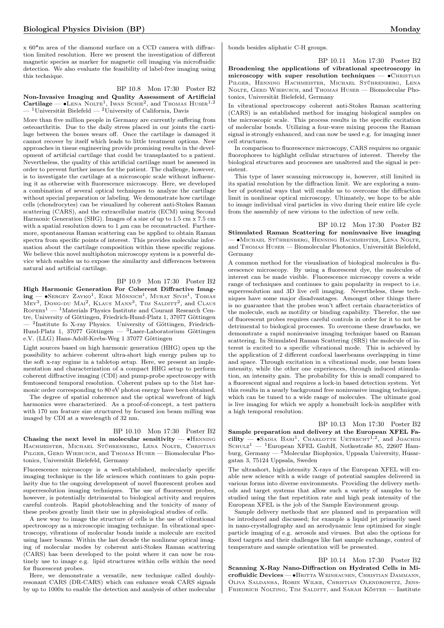x 60\*m area of the diamond surface on a CCD camera with diffraction limited resolution. Here we present the investigation of different magnetic species as marker for magnetic cell imaging via microfluidic detection. We also evaluate the feasibility of label-free imaging using this technique.

### BP 10.8 Mon 17:30 Poster B2

Non-Invasive Imaging and Quality Assessment of Artificial Cartilage —  $\bullet$ Lena Nolte<sup>1</sup>, Iwan Schie<sup>2</sup>, and Thomas Huser<sup>1,2</sup>  $-$ <sup>1</sup>Universität Bielefeld — <sup>2</sup>University of California, Davis

More than five million people in Germany are currently suffering from osteoarthritis. Due to the daily stress placed in our joints the cartilage between the bones wears off. Once the cartilage is damaged it cannot recover by itself which leads to little treatment options. New approaches in tissue engineering provide promising results in the development of artificial cartilage that could be transplanted to a patient. Nevertheless, the quality of this artificial cartilage must be assessed in order to prevent further issues for the patient. The challenge, however, is to investigate the cartilage at a microscopic scale without influencing it as otherwise with fluorescence microscopy. Here, we developed a combination of several optical techniques to analyze the cartilage without special preparation or labeling. We demonstrate how cartilage cells (chondrocytes) can be visualized by coherent anti-Stokes Raman scattering (CARS), and the extracellular matrix (ECM) using Second Harmonic Generation (SHG). Images of a size of up to 1.5 cm x 7.5 cm with a spatial resolution down to 1  $\mu$ m can be reconstructed. Furthermore, spontaneous Raman scattering can be applied to obtain Raman spectra from specific points of interest. This provides molecular information about the cartilage composition within these specific regions. We believe this novel multiphoton microscopy system is a powerful device which enables us to expose the similarity and differences between natural and artificial cartilage.

### BP 10.9 Mon 17:30 Poster B2

High Harmonic Generation For Coherent Diffractive Imag $ing$  → Sergey Zayko<sup>1</sup>, Eike Mönnich<sup>1</sup>, Murat Sivis<sup>1</sup>, Tobias  $\text{Mey}^3$ , Dong-du Mai<sup>2</sup>, Klaus Mann<sup>3</sup>, Tim Salditt<sup>2</sup>, and Claus  $R$ OPERS<sup>1</sup> — <sup>1</sup>Materials Physics Institute and Courant Research Centre, University of Göttingen, Friedrich-Hund-Platz 1, 37077 Göttingen — <sup>2</sup> Institute fo X-ray Physics. University of Göttingen, Friedrich-Hund-Platz 1, 37077 Göttingen — <sup>3</sup>Laser-Laboratorium Göttingen e.V. (LLG) Hans-Adolf-Krebs-Weg 1 37077 Göttingen

Light sources based on high harmonic generation (HHG) open up the possibility to achieve coherent ultra-short high energy pulses up to the soft x-ray regime in a tabletop setup. Here, we present an implementation and characterization of a compact HHG setup to perform coherent diffractive imaging (CDI) and pump-probe spectroscopy with femtosecond temporal resolution. Coherent pulses up to the 51st harmonic order corresponding to 80 eV photon energy have been obtained.

The degree of spatial coherence and the optical wavefront of high harmonics were characterized. As a proof-of-concept, a test pattern with 170 nm feature size structured by focused ion beam milling was imaged by CDI at a wavelength of 32 nm.

BP 10.10 Mon 17:30 Poster B2 Chasing the next level in molecular sensitivity —  $\bullet$ HENNING Hachmeister, Michael Stührenberg, Lena Nolte, Christian PILGER, GERD WIEBUSCH, and THOMAS HUSER — Biomolecular Photonics, Universität Bielefeld, Germany

Fluorescence microscopy is a well-established, molecularly specific imaging technique in the life sciences which continues to gain popularity due to the ongoing development of novel fluorescent probes and superresolution imaging techniques. The use of fluorescent probes, however, is potentially detrimental to biological activity and requires careful controls. Rapid photobleaching and the toxicity of many of these probes greatly limit their use in physiological studies of cells.

A new way to image the structure of cells is the use of vibrational spectroscopy as a microscopic imaging technique. In vibrational spectroscopy, vibrations of molecular bonds inside a molecule are excited using laser beams. Within the last decade the nonlinear optical imaging of molecular modes by coherent anti-Stokes Raman scattering (CARS) has been developed to the point where it can now be routinely use to image e.g. lipid structures within cells within the need for fluorescent probes.

Here, we demonstrate a versatile, new technique called doublyresonant CARS (DR-CARS) which can enhance weak CARS signals by up to 1000x to enable the detection and analysis of other molecular bonds besides aliphatic C-H groups.

BP 10.11 Mon 17:30 Poster B2

Broadening the applications of vibrational spectroscopy in microscopy with super resolution techniques —  $\bullet$ CHRISTIAN Pilger, Henning Hachmeister, Michael Stührenberg, Lena NOLTE, GERD WIEBUSCH, and THOMAS HUSER - Biomolecular Photonics, Universität Bielefeld, Germany

In vibrational spectroscopy coherent anti-Stokes Raman scattering (CARS) is an established method for imaging biological samples on the microscopic scale. This process results in the specific excitation of molecular bonds. Utilizing a four-wave mixing process the Raman signal is strongly enhanced, and can now be used e.g. for imaging inner cell structures.

In comparison to fluorescence microscopy, CARS requires no organic fluorophores to highlight cellular structures of interest. Thereby the biological structures and processes are unaltered and the signal is persistent.

This type of laser scanning microscopy is, however, still limited in its spatial resolution by the diffraction limit. We are exploring a number of potential ways that will enable us to overcome the diffraction limit in nonlinear optical microscopy. Ultimately, we hope to be able to image individual viral particles in vivo during their entire life cycle from the assembly of new virions to the infection of new cells.

BP 10.12 Mon 17:30 Poster B2 Stimulated Raman Scattering for noninvasive live imaging — ∙Michael Stührenberg, Henning Hachmeister, Lena Nolte, and Thomas Huser — Biomolecular Photonics, Universität Bielefeld, Germany

A common method for the visualisation of biological molecules is fluorescence microscopy. By using a fluorescent dye, the molecules of interest can be made visible. Fluorescence microscopy covers a wide range of techniques and continues to gain popularity in respect to i.e. superresolution and 3D live cell imaging. Nevertheless, these techniques have some major disadvantages. Amongst other things there is no guarantee that the probes won't affect certain characteristics of the molecule, such as motility or binding capability. Therefor, the use of fluorescent probes requires careful controls in order for it to not be detrimental to biological processes. To overcome these drawbacks, we demonstrate a rapid noninvasive imaging technique based on Raman scattering. In Stimulated Raman Scattering (SRS) the molecule of interest is excited to a specific vibrational mode. This is achieved by the application of 2 different confocal laserbeams overlapping in time and space. Through excitation in a vibrational mode, one beam loses intensity, while the other one experiences, through induced stimulation, an intensity gain. The probability for this is small compared to a fluorescent signal and requires a lock-in based detection system. Yet this results in a nearly background free noninvasive imaging technique, which can be tuned to a wide range of molecules. The ultimate goal is live imaging for which we apply a homebuilt lock-in amplifier with a high temporal resolution.

BP 10.13 Mon 17:30 Poster B2 Sample preparation and delivery at the European XFEL Fa- $\text{cility}$   $-$  •Sadia Bari<sup>1</sup>, Charlotte Uetrecht<sup>1,2</sup>, and JOACHIM SCHULZ<sup>1</sup> — <sup>1</sup>European XFEL GmbH, Notkestraße 85, 22607 Hamburg, Germany —  $^{2}$ Molecular Biophysics, Uppsala University, Husargatan 3, 75124 Uppsala, Sweden

The ultrashort, high-intensity X-rays of the European XFEL will enable new science with a wide range of potential samples delivered in various forms into diverse environments. Providing the delivery methods and target systems that allow such a variety of samples to be studied using the fast repetition rate and high peak intensity of the European XFEL is the job of the Sample Environment group.

Sample delivery methods that are planned and in preparation will be introduced and discussed; for example a liquid jet primarily used in nano-crystallography and an aerodynamic lens optimised for single particle imaging of e.g. aerosols and viruses. But also the options for fixed targets and their challenges like fast sample exchange, control of temperature and sample orientation will be presented.

BP 10.14 Mon 17:30 Poster B2 Scanning X-Ray Nano-Diffraction on Hydrated Cells in Microfluidic Devices — ∙Britta Weinhausen, Christian Dammann, Oliva Saldanha, Robin Wilke, Christian Olendrowitz, Jens- $\rm F$ RIEDRICH NOLTING, TIM SALDITT, and SARAH KÖSTER — Institute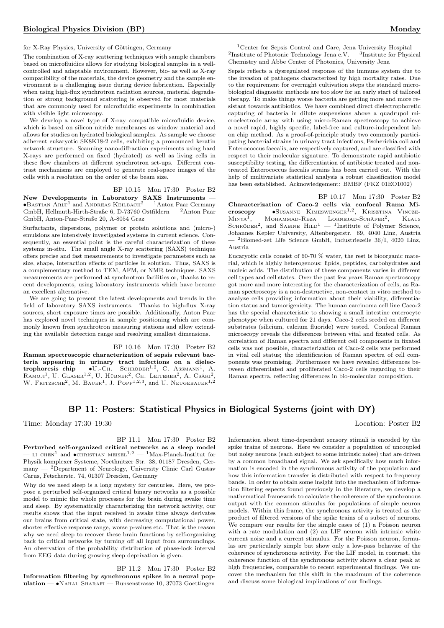for X-Ray Physics, University of Göttingen, Germany

The combination of X-ray scattering techniques with sample chambers based on microfluidics allows for studying biological samples in a wellcontrolled and adaptable environment. However, bio- as well as X-ray compatibility of the materials, the device geometry and the sample environment is a challenging issue during device fabrication. Especially when using high-flux synchrotron radiation sources, material degradation or strong background scattering is observed for most materials that are commonly used for microfluidic experiments in combination with visible light microscopy.

We develop a novel type of X-ray compatible microfluidic device, which is based on silicon nitride membranes as window material and allows for studies on hydrated biological samples. As sample we choose adherent eukaryotic SK8K18-2 cells, exhibiting a pronounced keratin network structure. Scanning nano-diffraction experiments using hard X-rays are performed on fixed (hydrated) as well as living cells in these flow chambers at different synchrotron set-ups. Different contrast mechanisms are employed to generate real-space images of the cells with a resolution on the order of the beam size.

BP 10.15 Mon 17:30 Poster B2

New Developments in Laboratory SAXS Instruments —  $\bullet$ Bastian Arlt<sup>1</sup> and Andreas Keilbach<sup>2</sup> — <sup>1</sup>Anton Paar Germany GmbH, Hellmuth-Hirth-Straße 6, D-73760 Ostfildern — <sup>2</sup>Anton Paar GmbH, Anton-Paar-Straße 20, A-8054 Graz

Surfactants, dispersions, polymer or protein solutions and (micro-) emulsions are intensively investigated systems in current science. Consequently, an essential point is the careful characterization of these systems in-situ. The small angle X-ray scattering (SAXS) technique offers precise and fast measurements to investigate parameters such as size, shape, interaction effects of particles in solution. Thus, SAXS is a complementary method to TEM, AFM, or NMR techniques. SAXS measurements are performed at synchrotron facilities or, thanks to recent developments, using laboratory instruments which have become an excellent alternative.

We are going to present the latest developments and trends in the field of laboratory SAXS instruments. Thanks to high-flux X-ray sources, short exposure times are possible. Additionally, Anton Paar has explored novel techniques in sample positioning which are commonly known from synchrotron measuring stations and allow extending the available detection range and resolving smallest dimensions.

BP 10.16 Mon 17:30 Poster B2 Raman spectroscopic characterization of sepsis relevant bacteria appearing in urinary tract infections on a dielectrophoresis chip —  $\bullet$ U.-Ch. Schröder<sup>1,2</sup>, C. Assmann<sup>1</sup>, A. RAMOJI<sup>1</sup>, U. GLASER<sup>1,2</sup>, U. HÜBNER<sup>2</sup>, CH. LEITERER<sup>2</sup>, A. CSÁKI<sup>2</sup>, W. FRITZSCHE<sup>2</sup>, M. BAUER<sup>1</sup>, J. Popp<sup>1,2,3</sup>, and U. Neugebauer<sup>1,2</sup>

 $-$ <sup>1</sup> Center for Sepsis Control and Care, Jena University Hospital  $\overline{\phantom{a}}$ <sup>2</sup>Institute of Photonic Technology Jena e.V.  $-$  <sup>3</sup>Institute for Physical Chemistry and Abbe Center of Photonics, University Jena

Sepsis reflects a dysregulated response of the immune system due to the invasion of pathogens characterized by high mortality rates. Due to the requirement for overnight cultivation steps the standard microbiological diagnostic methods are too slow for an early start of tailored therapy. To make things worse bacteria are getting more and more resistant towards antibiotics. We have combined direct dielectrophoretic capturing of bacteria in dilute suspensions above a quadrupol microelectrode array with using micro-Raman spectroscopy to achieve a novel rapid, highly specific, label-free and culture-independent lab on chip method. As a proof-of-principle study two commonly participating bacterial strains in urinary tract infections, Escherichia coli and Enterococcus faecalis, are respectively captured, and are classified with respect to their molecular signature. To demonstrate rapid antibiotic susceptibility testing, the differentiation of antibiotic treated and nontreated Enterococcus faecalis strains has been carried out. With the help of multivariate statistical analysis a robust classification model has been established. Acknowledgement: BMBF (FKZ 01EO1002)

BP 10.17 Mon 17:30 Poster B2 Characterization of Caco-2 cells via confocal Rama Mi- $\text{croscopy}$  —  $\bullet$ Susanne Kimeswenger<sup>1,2</sup>, Krisztina Vincze- $M<sub>INYA</sub><sup>1</sup>$ .  $M$ OHAMMAD-REZA LORNEJAD-SCHÄFER<sup>2</sup>, , Klaus SCHRÖDER<sup>2</sup>, and SABINE  $\text{Hilb}^1 - \text{1}$ Institute of Polymer Science, Johannes Kepler University, Altenbergerstr. 69, 4040 Linz, Austria  $-$  <sup>2</sup>Biomed-zet Life Science GmbH, Industriezeile 36/I, 4020 Linz, Austria

Eucaryotic cells consist of 60-70  $\%$  water, the rest is bioorganic material, which is highly heterogenous: lipids, peptides, carbohydrates and nucleic acids. The distribution of these components varies in different cell types and cell states. Over the past few years Raman spectroscopy got more and more interesting for the characterization of cells, as Raman spectroscopy is a non-destructive, non-contact in vitro method to analyze cells providing information about their viability, differentiation status and tumorigenicity. The human carcinoma cell line Caco-2 has the special characteristic to showing a small intestine enterocyte phenotype when cultured for 21 days. Caco-2 cells seeded on different substrates (silicium, calcium fluoride) were tested. Confocal Raman microscopy reveals the differences between vital and fixated cells. As correlation of Raman spectra and different cell components in fixated cells was not possible, characterization of Caco-2 cells was performed in vital cell status; the identification of Raman spectra of cell components was promising. Furthermore we have revealed differences between differentiated and proliferated Caco-2 cells regarding to their Raman spectra, reflecting differences in bio-molecular composition.

# BP 11: Posters: Statistical Physics in Biological Systems (joint with DY)

Time: Monday 17:30–19:30 Location: Poster B2

### BP 11.1 Mon 17:30 Poster B2

Perturbed self-organized critical networks as a sleep model  $-$  LI CHEN<sup>1</sup> and •CHRISTIAN MEISEL<sup>1,2</sup>  $-$  <sup>1</sup>Max-Planck-Institut for Physik komplexer Systeme, Noethnitzer Str. 38, 01187 Dresden, Ger $m$ any  $-$  <sup>2</sup>Department of Neurology, University Clinic Carl Gustav Carus, Fetscherstr. 74, 01307 Dresden, Germany

Why do we need sleep is a long mystery for centuries. Here, we propose a perturbed self-organized critical binary networks as a possible model to mimic the whole processes for the brain during awake time and sleep. By systematically characterizing the network activity, our results shows that the input received in awake time always derivates our brains from critical state, with decreasing computational power, shorter effective response range, worse p-values etc. That is the reason why we need sleep to recover these brain functions by self-organizing back to critical networks by turning off all input from surroundings. An observation of the probability distribution of phase-lock interval from EEG data during growing sleep deprivation is given.

BP 11.2 Mon 17:30 Poster B2 Information filtering by synchronous spikes in a neural population — ∙Nahal Sharafi — Bunsenstrasse 10, 37073 Goettingen

Information about time-dependent sensory stimuli is encoded by the spike trains of neurons. Here we consider a population of uncoupled but noisy neurons (each subject to some intrinsic noise) that are driven by a common broadband signal. We ask specifically how much information is encoded in the synchronous activity of the population and how this information transfer is distributed with respect to frequency bands. In order to obtain some insight into the mechanism of information filtering espects found previously in the literature, we develop a mathematical framework to calculate the coherence of the synchronous output with the common stimulus for populations of simple neuron models. Within this frame, the synchronous activity is treated as the product of filtered versions of the spike trains of a subset of neurons. We compare our results for the simple cases of (1) a Poisson neuron with a rate modulation and (2) an LIF neuron with intrinsic white current noise and a current stimulus. For the Poisson neuron, formulas are particularly simple but show only a low-pass behavior of the coherence of synchronous activity. For the LIF model, in contrast, the coherence function of the synchronous activity shows a clear peak at high frequencies, comparable to recent experimental findings. We uncover the mechanism for this shift in the maximum of the coherence and discuss some biological implications of our findings.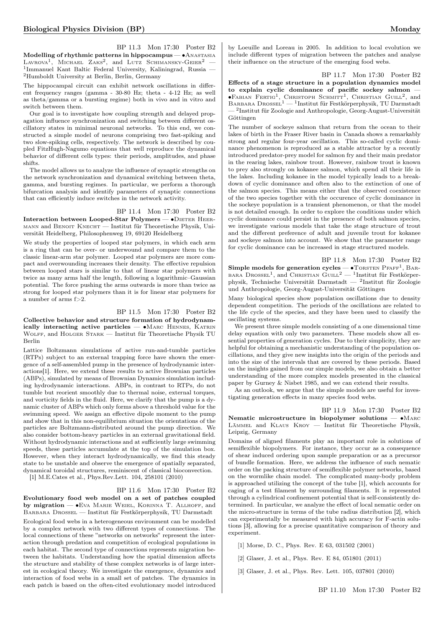BP 11.3 Mon 17:30 Poster B2 Modelling of rhythmic patterns in hippocampus — ∙Anastasia LAVROVA<sup>1</sup>, MICHAEL ZAKS<sup>2</sup>, and LUTZ SCHIMANSKY-GEIER<sup>2</sup> – 1 Immanuel Kant Baltic Federal University, Kaliningrad, Russia — <sup>2</sup>Humboldt University at Berlin, Berlin, Germany

The hippocampal circuit can exhibit network oscillations in different frequency ranges (gamma - 30-80 Hz; theta - 4-12 Hz; as well as theta/gamma or a bursting regime) both in vivo and in vitro and switch between them.

Our goal is to investigate how coupling strength and delayed propagation influence synchronization and switching between different oscillatory states in minimal neuronal networks. To this end, we constructed a simple model of neurons comprising two fast-spiking and two slow-spiking cells, respectively. The network is described by coupled FitzHugh-Nagumo equations that well reproduce the dynamical behavior of different cells types: their periods, amplitudes, and phase shifts.

The model allows us to analyze the influence of synaptic strengths on the network synchronization and dynamical switching between theta, gamma, and bursting regimes. In particular, we perform a thorough bifurcation analysis and identify parameters of synaptic connections that can efficiently induce switches in the network activity.

BP 11.4 Mon 17:30 Poster B2

Interaction between Looped-Star Polymers — • DIETER HEERmann and Benoit Knecht — Institut für Theoretische Physik, Universität Heidelberg, Philosophenweg 19, 69120 Heidelberg

We study the properties of looped star polymers, in which each arm is a ring that can be over- or underwound and compare them to the classic linear-arm star polymer. Looped star polymers are more compact and overwounding increases their density. The effective repulsion between looped stars is similar to that of linear star polymers with twice as many arms half the length, following a logarithmic–Gaussian potential. The force pushing the arms outwards is more than twice as strong for looped star polymers than it is for linear star polymers for a number of arms f>2.

### BP 11.5 Mon 17:30 Poster B2

Collective behavior and structure formation of hydrodynamically interacting active particles —  $\bullet$ MARC HENNES, KATRIN Wolff, and Holger Stark — Institut für Theoretische Physik TU Berlin

Lattice Boltzmann simulations of active run-and-tumble particles (RTPs) subject to an external trapping force have shown the emergence of a self-assembled pump in the presence of hydrodynamic interactions[1]. Here, we extend these results to active Brownian particles (ABPs), simulated by means of Brownian Dynamics simulation including hydrodynamic interactions. ABPs, in contrast to RTPs, do not tumble but reorient smoothly due to thermal noise, external torques, and vorticity fields in the fluid. Here, we clarify that the pump is a dynamic cluster of ABPs which only forms above a threshold value for the swimming speed. We assign an effective dipole moment to the pump and show that in this non-equilibrium situation the orientations of the particles are Boltzmann-distributed around the pump direction. We also consider bottom-heavy particles in an external gravitational field. Without hydrodynamic interactions and at sufficiently large swimming speeds, these particles accumulate at the top of the simulation box. However, when they interact hydrodynamically, we find this steady state to be unstable and observe the emergence of spatially separated, dynamical toroidal structures, reminiscent of classical bioconvection.

[1] M.E.Cates et al., Phys.Rev.Lett. 104, 258101 (2010)

### BP 11.6 Mon 17:30 Poster B2

Evolutionary food web model on a set of patches coupled by migration — ∙Eva Marie Weiel, Korinna T. Allhoff, and Barbara Drossel — Institut für Festkörperphysik, TU Darmstadt

Ecological food webs in a heterogeneous environment can be modelled by a complex network with two different types of connections. The local connections of these "networks on networks" represent the interaction through predation and competition of ecological populations in each habitat. The second type of connections represents migration between the habitats. Understanding how the spatial dimension affects the structure and stability of these complex networks is of large interest in ecological theory. We investigate the emergence, dynamics and interaction of food webs in a small set of patches. The dynamics in each patch is based on the often-cited evolutionary model introduced

by Loeuille and Loreau in 2005. In addition to local evolution we include different types of migration between the patches and analyse their influence on the structure of the emerging food webs.

BP 11.7 Mon 17:30 Poster B2 Effects of a stage structure in a population dynamics model to explain cyclic dominance of pacific sockey salmon — ●FABIAN FERTIG<sup>1</sup>, CHRISTOPH SCHMITT<sup>1</sup>, CHRISTIAN GUILL<sup>2</sup>, and BARBARA DROSSEL<sup>1</sup> — <sup>1</sup>Institut für Festkörperphysik, TU Darmstadt — <sup>2</sup> Institut für Zoologie and Anthropologie, Georg-August-Universität Göttingen

The number of sockeye salmon that return from the ocean to their lakes of birth in the Fraser River basin in Canada shows a remarkably strong and regular four-year oscillation. This so-called cyclic dominance phenomenon is reproduced as a stable attractor by a recently introduced predator-prey model for salmon fry and their main predator in the rearing lakes, rainbow trout. However, rainbow trout is known to prey also strongly on kokanee salmon, which spend all their life in the lakes. Including kokanee in the model typically leads to a breakdown of cyclic dominance and often also to the extinction of one of the salmon species. This means either that the observed coexistence of the two species together with the occurence of cyclic dominance in the sockeye population is a transient phenomenon, or that the model is not detailed enough. In order to explore the conditions under which cyclic dominance could persist in the presence of both salmon species, we investigate various models that take the stage structure of trout and the different preference of adult and juvenile trout for kokanee and sockeye salmon into account. We show that the parameter range for cyclic dominance can be increased in stage structured models.

BP 11.8 Mon 17:30 Poster B2 Simple models for generation cycles  $- \bullet$  TORSTEN PFAFF<sup>1</sup>, BAR-BARA DROSSEL<sup>1</sup>, and CHRISTIAN GUILL<sup>2</sup> - <sup>1</sup>Institut für Festkörperphysik, Technische Universität Darmstadt — <sup>2</sup> Institut für Zoologie und Anthropologie, Georg-August-Universität Göttingen

Many biological species show population oscillations due to density dependent competition. The periods of the oscillations are related to the life cycle of the species, and they have been used to classify the oscillating systems.

We present three simple models consisting of a one dimensional time delay equation with only two parameters. These models show all essential properties of generation cycles. Due to their simplicity, they are helpful for obtaining a mechanistic understanding of the population oscillations, and they give new insights into the origin of the periods and into the size of the intervals that are covered by these periods. Based on the insights gained from our simple models, we also obtain a better understanding of the more complex models presented in the classical paper by Gurney & Nisbet 1985, and we can extend their results.

As an outlook, we argue that the simple models are useful for investigating generation effects in many species food webs.

BP 11.9 Mon 17:30 Poster B2 Nematic microstructure in biopolymer solutions — • MARC Lämmel and Klaus Kroy — Institut für Theoretische Physik, Leipzig, Germany

Domains of aligned filaments play an important role in solutions of semiflexible biopolymers. For instance, they occur as a consequence of shear induced ordering upon sample preparation or as a precursor of bundle formation. Here, we address the influence of such nematic order on the packing structure of semiflexible polymer networks, based on the wormlike chain model. The complicated many-body problem is approached utilizing the concept of the tube [1], which accounts for caging of a test filament by surrounding filaments. It is represented through a cylindrical confinement potential that is self-consistently determined. In particular, we analyze the effect of local nematic order on the micro-structure in terms of the tube radius distribution [2], which can experimentally be measured with high accuracy for F-actin solutions [3], allowing for a precise quantitative comparison of theory and experiment.

[1] Morse, D. C., Phys. Rev. E 63, 031502 (2001)

[2] Glaser, J. et al., Phys. Rev. E 84, 051801 (2011)

[3] Glaser, J. et al., Phys. Rev. Lett. 105, 037801 (2010)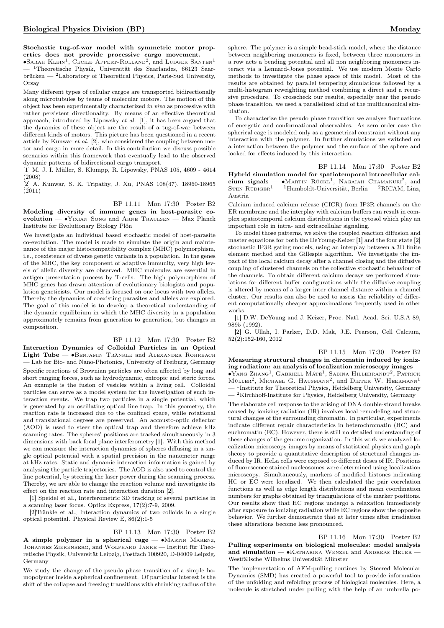Stochastic tug-of-war model with symmetric motor properties does not provide processive cargo movement.

 $\bullet$ Sarah Klein<sup>1</sup>, Cecile Appert-Rolland<sup>2</sup>, and Ludger Santen<sup>1</sup> <sup>1</sup>Theoretische Physik, Universität des Saarlandes, 66123 Saarbrücken — <sup>2</sup>Laboratory of Theoretical Physics, Paris-Sud University, Orsay

Many different types of cellular cargos are transported bidirectionally along microtubules by teams of molecular motors. The motion of this object has been experimentally characterized in vivo as processive with rather persistent directionality. By means of an effective theoretical approach, introduced by Lipowsky et al. [1], it has been argued that the dynamics of these object are the result of a tug-of-war between different kinds of motors. This picture has been questioned in a recent article by Kunwar et al. [2], who considered the coupling between motor and cargo in more detail. In this contribution we discuss possible scenarios within this framework that eventually lead to the observed dynamic patterns of bidirectional cargo transport.

[1] M. J. I. Müller, S. Klumpp, R. Lipowsky, PNAS 105, 4609 - 4614 (2008)

[2] A. Kunwar, S. K. Tripathy, J. Xu, PNAS 108(47), 18960-18965 (2011)

### BP 11.11 Mon 17:30 Poster B2

Modeling diversity of immune genes in host-parasite coevolution — •YIXIAN SONG and ARNE TRAULSEN — Max Planck Institute for Evolutionary Biology Plön

We investigate an individual based stochastic model of host-parasite co-evolution. The model is made to simulate the origin and maintenance of the major histocompatibility complex (MHC) polymorphism, i.e., coexistence of diverse genetic variants in a population. In the genes of the MHC, the key component of adaptive immunity, very high levels of allelic diversity are observed. MHC molecules are essential in antigen presentation process by T-cells. The high polymorphism of MHC genes has drawn attention of evolutionary biologists and population geneticists. Our model is focused on one locus with two alleles. Thereby the dynamics of coexisting parasites and alleles are explored. The goal of this model is to develop a theoretical understanding of the dynamic equilibrium in which the MHC diversity in a population approximately remains from generation to generation, but changes in composition.

### BP 11.12 Mon 17:30 Poster B2

Interaction Dynamics of Colloidal Particles in an Optical Light Tube — • BENJAMIN TRÄNKLE and ALEXANDER ROHRBACH — Lab for Bio- and Nano-Photonics, University of Freiburg, Germany Specific reactions of Brownian particles are often affected by long and short ranging forces, such as hydrodynamic, entropic and steric forces. An example is the fusion of vesicles within a living cell. Colloidal particles can serve as a model system for the investigation of such interaction events. We trap two particles in a single potential, which is generated by an oscillating optical line trap. In this geometry, the reaction rate is increased due to the confined space, while rotational and translational degrees are preserved. An accousto-optic deflector (AOD) is used to steer the optical trap and therefore achieve kHz scanning rates. The spheres' positions are tracked simultaneously in 3 dimensions with back focal plane interferometry [1]. With this method we can measure the interaction dynamics of spheres diffusing in a single optical potential with a spatial precision in the nanometer range at kHz rates. Static and dynamic interaction information is gained by analyzing the particle trajectories. The AOD is also used to control the line potential, by steering the laser power during the scanning process. Thereby, we are able to change the reaction volume and investigate its effect on the reaction rate and interaction duration [2].

[1] Speidel et al., Interferometric 3D tracking of several particles in a scanning laser focus. Optics Express, 17(2):7-9, 2009.

[2]Tränkle et al., Interaction dynamics of two colloids in a single optical potential. Physical Review E, 86(2):1-5

BP 11.13 Mon 17:30 Poster B2

A simple polymer in a spherical cage —  $\bullet$ MARTIN MARENZ, JOHANNES ZIERENBERG, and WOLFHARD JANKE — Institut für Theoretische Physik, Universität Leipzig, Postfach 100920, D-04009 Leipzig, Germany

We study the change of the pseudo phase transition of a simple homopolymer inside a spherical confinement. Of particular interest is the shift of the collapse and freezing transitions with shrinking radius of the

sphere. The polymer is a simple bead-stick model, where the distance between neighboring monomers is fixed, between three monomers in a row acts a bending potential and all non neighboring monomers interact via a Lennard-Jones potential. We use modern Monte Carlo methods to investigate the phase space of this model. Most of the results are obtained by parallel tempering simulations followed by a multi-histogram reweighting method combining a direct and a recursive procedure. To crosscheck our results, especially near the pseudo phase transition, we used a parallelized kind of the multicanonical simulation.

To characterize the pseudo phase transition we analyse fluctuations of energetic and conformational observables. As zero order case the spherical cage is modeled only as a geometrical constraint without any interaction with the polymer. In further simulations we switched on a interaction between the polymer and the surface of the sphere and looked for effects induced by this interaction.

BP 11.14 Mon 17:30 Poster B2 Hybrid simulation model for spatiotemporal intracellular calcium signals —  $\bullet$ Martin RückL<sup>1</sup>, Nagaiah Chamakuri<sup>2</sup>, and STEN RÜDIGER<sup>1</sup> — <sup>1</sup>Humboldt-Universität, Berlin — <sup>2</sup>RICAM, Linz, Austria

Calcium induced calcium release (CICR) from IP3R channels on the ER membrane and the interplay with calcium buffers can result in complex spatiotemporal calcium distributions in the cytosol which play an important role in intra- and extracellular signaling.

To model those patterns, we solve the coupled reaction diffusion and master equations for both the DeYoung-Keizer [1] and the four state [2] stochastic IP3R gating models, using an interplay between a 3D finite element method and the Gillespie algorithm. We investigate the impact of the local calcium decay after a channel closing and the diffusive coupling of clustered channels on the collective stochastic behaviour of the channels. To obtain different calcium decays we performed simulations for different buffer configurations while the diffusive coupling is altered by means of a larger inter channel distance within a channel cluster. Our results can also be used to assess the reliability of different computationally cheaper approximations frequently used in other works.

[1] D.W. DeYoung and J. Keizer, Proc. Natl. Acad. Sci. U.S.A 89, 9895 (1992).

[2] G. Ullah, I. Parker, D.D. Mak, J.E. Pearson, Cell Calcium, 52(2):152-160, 2012

BP 11.15 Mon 17:30 Poster B2 Measuring structural changes in chromatin induced by ionizing radiation: an analysis of localization microscopy images — ∙Yang Zhang<sup>1</sup> , Gabriell Máté<sup>1</sup> , Sabina Hillebrandt<sup>2</sup> , Patrick MÜLLER<sup>2</sup>, MICHAEL G. HAUSMANN<sup>2</sup>, and DIETER W. HEERMANN<sup>1</sup>  $-$ <sup>1</sup>Institute for Theoretical Physics, Heidelberg University, Germany  $\rm ^2$  Kirchhoff-Institute for Physics, Heidelberg University, Germany

The elaborate cell response to the arising of DNA double-strand breaks caused by ionizing radiation (IR) involves local remodeling and structural changes of the surrounding chromatin. In particular, experiments indicate different repair characteristics in heterochromatin (HC) and euchromatin (EC). However, there is still no detailed understanding of these changes of the genome organization. In this work we analyzed localization microscopy images by means of statistical physics and graph theory to provide a quantitative description of structural changes induced by IR. HeLa cells were exposed to different doses of IR. Positions of fluorescence stained nucleosomes were determined using localization microscopy. Simultaneously, markers of modified histones indicating HC or EC were localized. We then calculated the pair correlation functions as well as edge length distributions and mean coordination numbers for graphs obtained by triangulations of the marker positions. Our results show that HC regions undergo a relaxation immediately after exposure to ionizing radiation while EC regions show the opposite behavior. We further demonstrate that at later times after irradiation these alterations become less pronounced.

BP 11.16 Mon 17:30 Poster B2 Pulling experiments on biological molecules: model analysis and simulation — • KATHARINA WENZEL and ANDREAS HEUER -Westfälische Wilhelms Universität Münster

The implementation of AFM-pulling routines by Steered Molecular Dynamics (SMD) has created a powerful tool to provide information of the unfolding and refolding process of biological molecules. Here, a molecule is stretched under pulling with the help of an umbrella po-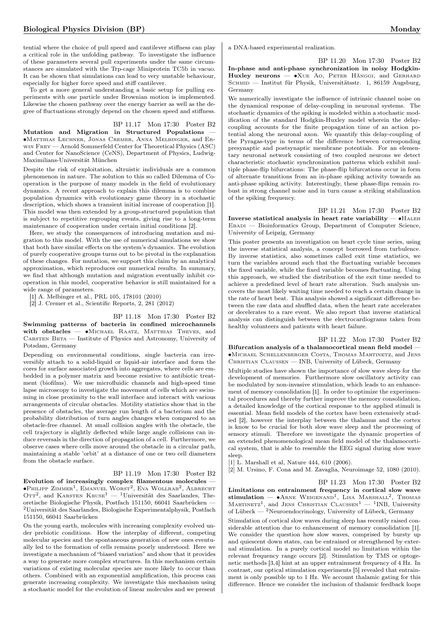tential where the choice of pull speed and cantilever stiffness can play a critical role in the unfolding pathway. To investigate the influence of these parameters several pull experiments under the same circumstances are simulated with the Trp-cage Miniprotein TC5b in vacuo. It can be shown that simulations can lead to very unstable behaviour, especially for higher force speed and stiff cantilever.

To get a more general understanding a basic setup for pulling experiments with one particle under Brownian motion is implemented. Likewise the chosen pathway over the energy barrier as well as the degree of fluctuations strongly depend on the chosen speed and stiffness.

# BP 11.17 Mon 17:30 Poster B2

Mutation and Migration in Structured Populations — ∙Matthias Lechner, Jonas Cremer, Anna Melbinger, and Erwin Frey — Arnold Sommerfeld Center for Theoretical Physics (ASC) and Center for NanoScience (CeNS), Department of Physics, Ludwig-Maximilians-Universität München

Despite the risk of exploitation, altruistic individuals are a common phenomenon in nature. The solution to this so called Dilemma of Cooperation is the purpose of many models in the field of evolutionary dynamics. A recent approach to explain this dilemma is to combine population dynamics with evolutionary game theory in a stochastic description, which shows a transient initial increase of cooperation [1]. This model was then extended by a group-structured population that is subject to repetitive regrouping events, giving rise to a long-term maintenance of cooperation under certain initial conditions [2].

Here, we study the consequences of introducing mutation and migration to this model. With the use of numerical simulations we show that both have similar effects on the system's dynamics. The evolution of purely cooperative groups turns out to be pivotal in the explanation of these changes. For mutation, we support this claim by an analytical approximation, which reproduces our numerical results. In summary, we find that although mutation and migration eventually inhibit cooperation in this model, cooperative behavior is still maintained for a wide range of parameters.

[1] A. Melbinger et al., PRL 105, 178101 (2010)

[2] J. Cremer et al., Scientific Reports, 2, 281 (2012)

### BP 11.18 Mon 17:30 Poster B2

Swimming patterns of bacteria in confined microchannels with obstacles — •MICHAEL RAATZ, MATTHIAS THEVES, and CARSTEN BETA — Institute of Physics and Astronomy, University of Potsdam, Germany

Depending on environmental conditions, single bacteria can irreversibly attach to a solid-liquid or liquid-air interface and form the cores for surface associated growth into aggregates, where cells are embedded in a polymer matrix and become resistive to antibiotic treatment (biofilms). We use microfluidic channels and high-speed time lapse microscopy to investigate the movement of cells which are swimming in close proximity to the wall interface and interact with various arrangements of circular obstacles. Motility statistics show that in the presence of obstacles, the average run length of a bacterium and the probability distribution of turn angles changes when compared to an obstacle-free channel. At small collision angles with the obstacle, the cell trajectory is slightly deflected while large angle collisions can induce reversals in the direction of propagation of a cell. Furthermore, we observe cases where cells move around the obstacle in a circular path, maintaining a stable 'orbit' at a distance of one or two cell diameters from the obstacle surface.

### BP 11.19 Mon 17:30 Poster B2

Evolution of increasingly complex filamentous molecules —  $\bullet$ Philipp Zimmer<sup>1</sup>, Emanuel Worst<sup>2</sup>, Eva Wollrab<sup>2</sup>, Albrecht OTT<sup>2</sup>, and KARSTEN KRUSE<sup>1</sup> — <sup>1</sup>Universität des Saarlandes, Theoretische Biologische Physik, Postfach 151150, 66041 Saarbrücken —  $^2$ Universität des Saarlandes, Biologische Experimentalphysik, Postfach 151150, 66041 Saarbrücken

On the young earth, molecules with increasing complexity evolved under prebiotic conditions. How the interplay of different, competing molecular species and the spontaneous generation of new ones eventually led to the formation of cells remains poorly understood. Here we investigate a mechanism of "biased variation" and show that it provides a way to generate more complex structures. In this mechanism certain variations of existing molecular species are more likely to occur than others. Combined with an exponential amplification, this process can generate increasing complexity. We investigate this mechanism using a stochastic model for the evolution of linear molecules and we present

a DNA-based experimental realization.

BP 11.20 Mon 17:30 Poster B2

In-phase and anti-phase synchronization in noisy Hodgkin-Huxley neurons — •XUE Ao, PETER HÄNGGI, and GERHARD SCHMID — Institut für Physik, Universitätsstr. 1, 86159 Augsburg, Germany

We numerically investigate the influence of intrinsic channel noise on the dynamical response of delay-coupling in neuronal systems. The stochastic dynamics of the spiking is modeled within a stochastic modification of the standard Hodgkin-Huxley model wherein the delaycoupling accounts for the finite propagation time of an action potential along the neuronal axon. We quantify this delay-coupling of the Pyragas-type in terms of the difference between corresponding presynaptic and postsynaptic membrane potentials. For an elementary neuronal network consisting of two coupled neurons we detect characteristic stochastic synchronization patterns which exhibit multiple phase-flip bifurcations: The phase-flip bifurcations occur in form of alternate transitions from an in-phase spiking activity towards an anti-phase spiking activity. Interestingly, these phase-flips remain robust in strong channel noise and in turn cause a striking stabilization of the spiking frequency.

BP 11.21 Mon 17:30 Poster B2 Inverse statistical analysis in heart rate variability —  $\bullet$ HALEH Ebadi — Bioinformatics Group, Department of Computer Science, University of Leipzig, Germany

This poster presents an investigation on heart cycle time series, using the inverse statistical analysis, a concept borrowed from turbulence. By inverse statistics, also sometimes called exit time statistics, we turn the variables around such that the fluctuating variable becomes the fixed variable, while the fixed variable becomes fluctuating. Using this approach, we studied the distribution of the exit time needed to achieve a predefined level of heart rate alteration. Such analysis uncovers the most likely waiting time needed to reach a certain change in the rate of heart beat. This analysis showed a significant difference between the raw data and shuffled data, when the heart rate accelerates or decelerates to a rare event. We also report that inverse statistical analysis can distinguish between the electrocardiograms taken from healthy volunteers and patients with heart failure.

BP 11.22 Mon 17:30 Poster B2 Bifurcation analysis of a thalamocortical mean field model — ∙Michael Schellenberger Costa, Thomas Martinetz, and Jens Christian Claussen — INB, University of Lübeck, Germany

Multiple studies have shown the importance of slow wave sleep for the development of memories. Furthermore slow oscillatory activity can be modulated by non-invasive stimulation, which leads to an enhancement of memory consolidation [1]. In order to optimize the experimental procedures and thereby further improve the memory consolidation, a detailed knowledge of the cortical response to the applied stimuli is essential. Mean field models of the cortex have been extensively studied [2], however the interplay between the thalamus and the cortex is know to be crucial for both slow wave sleep and the processing of sensory stimuli. Therefore we investigate the dynamic properties of an extended phenomenological mean field model of the thalamocortical system, that is able to resemble the EEG signal during slow wave sleep.

[1] L. Marshall et al, Nature 444, 610 (2006).

[2] M. Ursino, F. Cona and M. Zavaglia, Neuroimage 52, 1080 (2010).

BP 11.23 Mon 17:30 Poster B2 Limitations on entrainment frequency in cortical slow wave stimulation —  $\bullet$ Arne Weigenand<sup>1</sup>, Lisa Marshall<sup>2</sup>, Thomas MARTINETZ<sup>1</sup>, and JENS CHRISTIAN CLAUSSEN<sup>1</sup> - <sup>1</sup>INB, University of Lübeck — $\overset{\sim}{-}$  2<br/>Neuroendocrinology, University of Lübeck, Germany

Stimulation of cortical slow waves during sleep has recently raised considerable attention due to enhancement of memory consolidation [1]. We consider the question how slow waves, comprised by bursty up and quiescent down states, can be entrained or strengthened by external stimulation. In a purely cortical model no limitation within the relevant frequency range occurs [2]. Stimulation by TMS or optogenetic methods [3,4] hint at an upper entrainment frequency of 4 Hz. In contrast, our optical stimulation experiments [5] revealed that entrainment is only possible up to 1 Hz. We account thalamic gating for this difference. Hence we consider the inclusion of thalamic feedback loops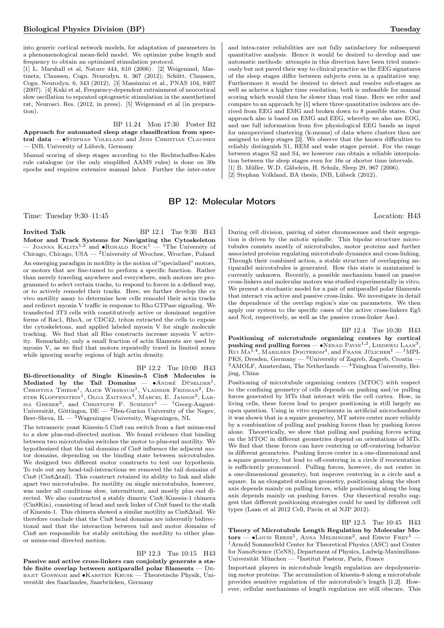into generic cortical network models, for adaptation of parameters in a phenomenological mean-field model. We optimize pulse length and frequency to obtain an optimized stimulation protocol.

[1] L. Marshall et al, Nature 444, 610 (2006). [2] Weigenand, Martinetz, Claussen, Cogn. Neurodyn. 6, 367 (2012); Schütt, Claussen, Cogn. Neurodyn. 6, 343 (2012). [3] Massimini et al., PNAS 104, 8407 (2007). [4] Kuki et al, Frequency-dependent entrainment of neocortical slow oscillation to repeated optogenetic stimulation in the anesthetized rat, Neurosci. Res. (2012, in press). [5] Weigenand et al (in preparation).

BP 11.24 Mon 17:30 Poster B2

Approach for automated sleep stage classification from spectral data — ∙Stephan Volkland and Jens Christian Claussen — INB, University of Lübeck, Germany

Manual scoring of sleep stages according to the Rechtschaffen-Kales rule catalogue (or the only simplified AAMS rules) is done on 30s epochs and requires extensive manual labor. Further the inter-rater

and intra-rater reliabilities are not fully satisfactory for subsequent quantitative analysis. Hence it would be desired to develop and use automatic methods: attempts in this direction have been tried numerously but not paved their way to clinical practice as the EEG signatures of the sleep stages differ between subjects even in a qualitative way. Furthermore it would be desired to detect and resolve sub-stages as well as acheive a higher time resolution; both is unfeasible for manual scoring which would then be slower than real time. Here we refer and compare to an approach by [1] where three quantitative indexes are derived from EEG and EMG and broken down to 8 possible states. Our approach also is based on EMG and EEG, whereby we also use EOG, and use full information from five physiological EEG bands as input for unsupervised clustering (k-means) of data where clusters then are assigned to sleep stages [2]. We observe that the known difficulties to reliably distinguish S1, REM and wake stages persist. For the range between stages S2 and S4, we however can obtain a reliable interpolation between the sleep stages even for 16s or shorter time intervals. [1] B. Müller, W.D. Gäbelein, H. Schulz, Sleep 29, 967 (2006). [2] Stephan Volkland, BA thesis, INB, Lübeck (2012).

# BP 12: Molecular Motors

Time: Tuesday 9:30–11:45 Location: H43

**Invited Talk** BP 12.1 Tue 9:30 H43 Motor and Track Systems for Navigating the Cytoskeleton  $\sim$  JOANNA KALITA<sup>1,2</sup> and •RONALD ROCK<sup>1</sup> — <sup>1</sup>The University of Chicago, Chicago, USA — <sup>2</sup>University of Wrocław, Wrocław, Poland An emerging paradigm in motility is the notion of "specialized" motors, or motors that are fine-tuned to perform a specific function. Rather than merely traveling anywhere and everywhere, such motors are programmed to select certain tracks, to respond to forces in a defined way, or to actively remodel their tracks. Here, we further develop the ex vivo motility assay to determine how cells remodel their actin tracks and redirect myosin V traffic in response to Rho GTPase signaling. We transfected 3T3 cells with constitutively active or dominant negative forms of Rac1, RhoA, or CDC42, triton extracted the cells to expose the cytoskeletons, and applied labeled myosin V for single molecule tracking. We find that all Rho constructs increase myosin V activity. Remarkably, only a small fraction of actin filaments are used by myosin V, as we find that motors repeatedly travel in limited zones while ignoring nearby regions of high actin density.

BP 12.2 Tue 10:00 H43

Bi-directionality of Single Kinesin-5 Cin8 Molecules is Mediated by the Tail Domains — •ANDRÉ DÜSELDER<sup>1</sup>, CHRISTINA THIEDE<sup>1</sup>, ALICE WIESBAUM<sup>1</sup>, VLADIMIR FRIDMAN<sup>2</sup>, DI-<br>ETER KLOPFENSTEIN<sup>1</sup>, OLGA ZAITSAVA<sup>3</sup>, MARCEL E. JANSON<sup>3</sup>, LAR-ISA GHEBER<sup>2</sup>, and CHRISTOPH F. SCHMIDT<sup>1</sup>  $-$  <sup>1</sup>Georg-August-Universität, Göttingen, DE  $-$  <sup>2</sup>Ben-Gurion University of the Negev, Beer-Sheva,  $IL - 3W$ ageningen University, Wageningen, NL

The tetrameric yeast Kinesin-5 Cin8 can switch from a fast minus-end to a slow plus-end-directed motion. We found evidence that binding between two microtubules switches the motor to plus-end motility. We hypothesized that the tail domains of Cin8 influence the adjacent motor domains, depending on the binding state between microtubules. We designed two different motor constructs to test our hypothesis. To rule out any head-tail-interactions we removed the tail domains of Cin8 (Cin8Δtail). This construct retained its ability to link and slide apart two microtubules. Its motility on single microtubules, however, was under all conditions slow, intermittent, and mostly plus end directed. We also constructed a stably dimeric Cin8/Kinesin-1 chimera (Cin8Kin), consisting of head and neck linker of Cin8 fused to the stalk of Kinesin-1. This chimera showed a similar motility as Cin8Δtail. We therefore conclude that the Cin8 head domains are inherently bidirectional and that the interaction between tail and motor domains of Cin8 are responsible for stably switching the motility to either plusor minus-end directed motion.

BP 12.3 Tue 10:15 H43 Passive and active cross-linkers can conjointly generate a stable finite overlap between antiparallel polar filaments — Debajit Goswami and ∙Karsten Kruse — Theoretische Physik, Universität des Saarlandes, Saarbrücken, Germany

During cell division, pairing of sister chromosomes and their segregation is driven by the mitotic spindle. This bipolar structure microtubules consists mostly of microtubules, motor proteins and further associated proteins regulating microtubule dynamics and cross-linking. Through their combined action, a stable structure of overlapping antiparallel microtubules is generated. How this state is maintained is currently unknown. Recently, a possible mechanism based on passive cross-linkers and molecular motors was studied experimentally in vitro. We present a stochastic model for a pair of antiparallel polar filaments that interact via active and passive cross-links. We investigate in detail the dependence of the overlap region's size on parameters. We then apply our system to the specific cases of the active cross-linkers Eg5 and Ncd, respectively, as well as the passive cross-linker Ase1.

### BP 12.4 Tue 10:30 H43

Positioning of microtubule organizing centers by cortical pushing and pulling forces —  $\bullet$ NENAD PAVIN<sup>1,2</sup>, LIEDEWIJ LAAN<sup>3</sup>, Rui Ma<sup>1,4</sup>, Marileen Dogterom<sup>3</sup>, and Frank Jülicher<sup>1</sup> — <sup>1</sup>MPI-PKS, Dresden, Germany — <sup>2</sup>University of Zagreb, Zagreb, Croatia —  $3A MOLF$ , Amsterdam, The Netherlands  $4$ Tsinghua University, Beijing, China

Positioning of microtubule organizing centers (MTOC) with respect to the confining geometry of cells depends on pushing and/or pulling forces generated by MTs that interact with the cell cortex. How, in living cells, these forces lead to proper positioning is still largely an open question. Using in vitro experiments in artificial microchambers it was shown that in a square geometry, MT asters center more reliably by a combination of pulling and pushing forces than by pushing forces alone. Theoretically, we show that pulling and pushing forces acting on the MTOC in different geometries depend on orientations of MTs. We find that these forces can have centering or off-centering behavior in different geometries. Pushing forces center in a one-dimensional and a square geometry, but lead to off-centering in a circle if reorientation is sufficiently pronounced. Pulling forces, however, do not center in a one-dimensional geometry, but improve centering in a circle and a square. In an elongated stadium geometry, positioning along the short axis depends mainly on pulling forces, while positioning along the long axis depends mainly on pushing forces. Our theoretical results suggest that different positioning strategies could be used by different cell types (Laan et al 2012 Cell, Pavin et al NJP 2012).

### BP 12.5 Tue 10:45 H43

Theory of Microtubule Length Regulation by Molecular Mo- $\text{tors}$  — •Louis Reese<sup>1</sup>, Anna Melbinger<sup>2</sup>, and Erwin Frey<sup>1</sup> — <sup>1</sup>Arnold Sommerfeld Center for Theoretical Physics (ASC) and Center for NanoScience (CeNS), Department of Physics, Ludwig-Maximilians-Universität München  $-$  <sup>2</sup>Institut Pasteur, Paris, France

Important players in microtubule length regulation are depolymerizing motor proteins. The accumulation of kinesin-8 along a microtubule provides sensitive regulation of the microtubule's length [1,2]. However, cellular mechanisms of length regulation are still obscure. This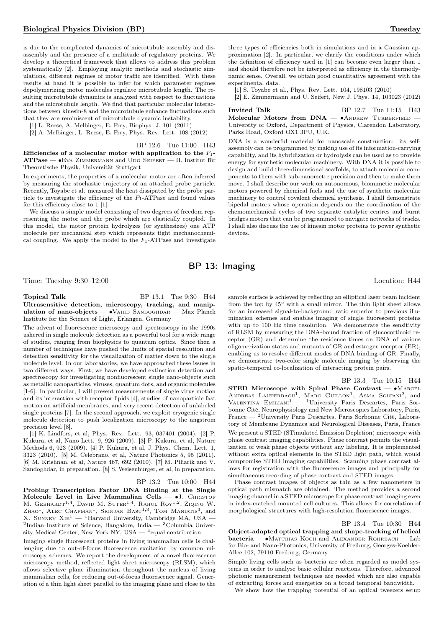is due to the complicated dynamics of microtubule assembly and disassembly and the presence of a multitude of regulatory proteins. We develop a theoretical framework that allows to address this problem systematically [2]. Employing analytic methods and stochastic simulations, different regimes of motor traffic are identified. With these results at hand it is possible to infer for which parameter regimes depolymerizing motor molecules regulate microtubule length. The resulting microtubule dynamics is analyzed with respect to fluctuations and the microtubule length. We find that particular molecular interactions between kinesin-8 and the microtubule enhance fluctuations such that they are reminiscent of microtubule dynamic instability.

[1] L. Reese, A. Melbinger, E. Frey, Biophys. J. 101 (2011)

[2] A. Melbinger, L. Reese, E. Frey, Phys. Rev. Lett. 108 (2012)

BP 12.6 Tue 11:00 H43

Efficiencies of a molecular motor with application to the  $F_1$ -ATPase — • EVA ZIMMERMANN and UDO SEIFERT — II. Institut für Theoretische Physik, Universität Stuttgart

In experiments, the properties of a molecular motor are often inferred by measuring the stochastic trajectory of an attached probe particle. Recently, Toyabe et al. measured the heat dissipated by the probe particle to investigate the efficiency of the  $F_1$ -ATPase and found values for this efficiency close to 1 [1].

We discuss a simple model consisting of two degrees of freedom representing the motor and the probe which are elastically coupled. In this model, the motor protein hydrolyzes (or synthesizes) one ATP molecule per mechanical step which represents tight mechanochemical coupling. We apply the model to the  $F_1$ -ATPase and investigate

three types of efficiencies both in simulations and in a Gaussian approximation [2]. In particular, we clarify the conditions under which the definition of efficiency used in [1] can become even larger than 1 and should therefore not be interpreted as efficiency in the thermodynamic sense. Overall, we obtain good quantitative agreement with the experimental data.

[1] S. Toyabe et al., Phys. Rev. Lett. 104, 198103 (2010)

[2] E. Zimmermann and U. Seifert, New J. Phys. 14, 103023 (2012)

**Invited Talk** BP 12.7 Tue 11:15 H43 Molecular Motors from  $DNA$  — • ANDREW TURBERFIELD – University of Oxford, Department of Physics, Clarendon Laboratory, Parks Road, Oxford OX1 3PU, U.K.

DNA is a wonderful material for nanoscale construction: its selfassembly can be programmed by making use of its information-carrying capability, and its hybridization or hydrolysis can be used as to provide energy for synthetic molecular machinery. With DNA it is possible to design and build three-dimensional scaffolds, to attach molecular components to them with sub-nanometre precision and then to make them move. I shall describe our work on autonomous, biomimetic molecular motors powered by chemical fuels and the use of synthetic molecular machinery to control covalent chemical synthesis. I shall demonstrate bipedal motors whose operation depends on the coordination of the chemomechanical cycles of two separate catalytic centres and burnt bridges motors that can be programmed to navigate networks of tracks. I shall also discuss the use of kinesin motor proteins to power synthetic devices.

# BP 13: Imaging

Time: Tuesday 9:30–12:00 Location: H44

### Topical Talk BP 13.1 Tue 9:30 H44 Ultrasensitive detection, microscopy, tracking, and manipulation of nano-objects —  $\bullet$ VAHID SANDOGHDAR — Max Planck

Institute for the Science of Light, Erlangen, Germany The advent of fluorescence microscopy and spectroscopy in the 1990s

ushered in single molecule detection as a powerful tool for a wide range of studies, ranging from biophysics to quantum optics. Since then a number of techniques have pushed the limits of spatial resolution and detection sensitivity for the visualization of matter down to the single molecule level. In our laboratories, we have approached these issues in two different ways. First, we have developed extinction detection and spectroscopy for investigating nonfluorescent single nano-objects such as metallic nanoparticles, viruses, quantum dots, and organic molecules [1-6]. In particular, I will present measurements of single virus motion and its interaction with receptor lipids [4], studies of nanoparticle fast motion on artificial membranes, and very recent detection of unlabeled single proteins [7]. In the second approach, we exploit cryogenic single molecule detection to push localization microscopy to the angstrom precision level [8].

[1] K. Lindfors, et al, Phys. Rev. Lett. 93, 037401 (2004). [2] P. Kukura, et al, Nano Lett. 9, 926 (2009). [3] P. Kukura, et al, Nature Methods 6, 923 (2009). [4] P. Kukura, et al, J. Phys. Chem. Lett. 1, 3323 (2010). [5] M. Celebrano, et al, Nature Photonics 5, 95 (2011). [6] M. Krishnan, et al, Nature 467, 692 (2010). [7] M. Piliarik and V. Sandoghdar, in preparation. [8] S. Weisenburger, et al, in preparation.

### BP 13.2 Tue 10:00 H44

Probing Transcription Factor DNA Binding at the Single Molecule Level in Live Mammalian Cells — •J. CHRISTOF M. GEBHARDT<sup>1,4</sup>, DAVID M. SUTER<sup>1,4</sup>, RAHUL ROY<sup>1,2</sup>, ZIQING W. ZHAO<sup>1</sup>, ALEC CHAPMAN<sup>1</sup>, SRINJAN BASU<sup>1,3</sup>, TOM MANIATIS<sup>3</sup>, and X. SUNNEY  $XIE^{1}$  — <sup>1</sup>Harvard University, Cambridge MA, USA - ${}^{2}$ Indian Institute of Science, Bangalore, India —  ${}^{3}$ Columbia University Medical Center, New York NY, USA  $-$  <sup>4</sup>equal contribution

Imaging single fluorescent proteins in living mammalian cells is challenging due to out-of-focus fluorescence excitation by common microscopy schemes. We report the development of a novel fluorescence microscopy method, reflected light sheet microscopy (RLSM), which allows selective plane illumination throughout the nucleus of living mammalian cells, for reducing out-of-focus fluorescence signal. Generation of a thin light sheet parallel to the imaging plane and close to the

sample surface is achieved by reflecting an elliptical laser beam incident from the top by 45<sup>∘</sup> with a small mirror. The thin light sheet allows for an increased signal-to-background ratio superior to previous illumination schemes and enables imaging of single fluorescent proteins with up to 100 Hz time resolution. We demonstrate the sensitivity of RLSM by measuring the DNA-bound fraction of glucocorticoid receptor (GR) and determine the residence times on DNA of various oligomerization states and mutants of GR and estrogen receptor (ER), enabling us to resolve different modes of DNA binding of GR. Finally, we demonstrate two-color single molecule imaging by observing the

spatio-temporal co-localization of interacting protein pairs.

BP 13.3 Tue 10:15 H44 STED Microscope with Spiral Phase Contrast — •MARCEL ANDREAS LAUTERBACH<sup>1</sup>, MARC GUILLON<sup>1</sup>, ASMA SOLTANI<sup>2</sup>, and VALENTINA EMILIANI<sup>1</sup> — <sup>1</sup>University Paris Descartes, Paris Sorbonne Cité, Neurophysiology and New Microscopies Laboratory, Paris, France — <sup>2</sup>University Paris Descartes, Paris Sorbonne Cité, Laboratory of Membrane Dynamics and Neurological Diseases, Paris, France We present a STED (STimulated Emission Depletion) microscope with phase contrast imaging capabilities. Phase contrast permits the visualization of weak phase objects without any labeling. It is implemented without extra optical elements in the STED light path, which would compromise STED imaging capabilities. Scanning phase contrast allows for registration with the fluorescence images and principally for simultaneous recording of phase contrast and STED images.

Phase contrast images of objects as thin as a few nanometers in optical path mismatch are obtained. The method provides a second imaging channel in a STED microscope for phase contrast imaging even in index-matched mounted cell cultures. This allows for correlation of morphological structures with high-resolution fluorescence images.

### BP 13.4 Tue 10:30 H44

Object-adapted optical trapping and shape-tracking of helical  $b$ acteria —  $\bullet$ Matthias Koch and Alexander Rohrbach — Lab for Bio- and Nano-Photonics, University of Freiburg, Georges-Koehler-Allee 102, 79110 Freiburg, Germany

Simple living cells such as bacteria are often regarded as model systems in order to analyse basic cellular reactions. Therefore, advanced photonic measurement techniques are needed which are also capable of extracting forces and energetics on a broad temporal bandwidth.

We show how the trapping potential of an optical tweezers setup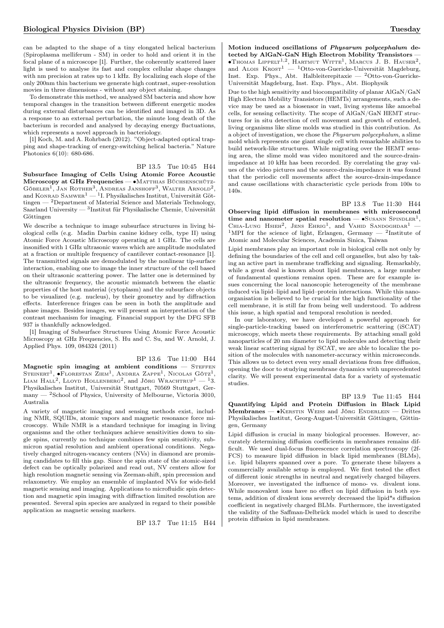can be adapted to the shape of a tiny elongated helical bacterium (Spiroplasma melliferum - SM) in order to hold and orient it in the focal plane of a microscope [1]. Further, the coherently scattered laser light is used to analyse its fast and complex cellular shape changes with nm precision at rates up to 1 kHz. By localizing each slope of the only 200nm thin bacterium we generate high contrast, super-resolution movies in three dimensions - without any object staining.

To demonstrate this method, we analysed SM bacteria and show how temporal changes in the transition between different energetic modes during external disturbances can be identified and imaged in 3D. As a response to an external perturbation, the minute long death of the bacterium is recorded and analysed by decaying energy fluctuations, which represents a novel approach in bacteriology.

[1] Koch, M. and A. Rohrbach (2012). "Object-adapted optical trapping and shape-tracking of energy-switching helical bacteria." Nature Photonics 6(10): 680-686.

BP 13.5 Tue 10:45 H44

Subsurface Imaging of Cells Using Atomic Force Acoustic Microscopy at GHz Frequencies — • MATTHIAS BÜCHSENSCHÜTZ-Göbeler<sup>1</sup>, Jan Rother<sup>3</sup>, Andreas Janshoff<sup>3</sup>, Walter Arnold<sup>2</sup>,<br>and Konrad Samwer<sup>1</sup> — <sup>1</sup>I. Physikalisches Institut, Universität Göttingen — <sup>2</sup>Department of Material Science and Materials Technology, Saarland University —  $3$ Institut für Physikalische Chemie, Universität Göttingen

We describe a technique to image subsurface structures in living biological cells (e.g. Madin Darbin canine kidney cells, type II) using Atomic Force Acoustic Microscopy operating at 1 GHz. The cells are insonified with 1 GHz ultrasonic waves which are amplitude modulated at a fraction or multiple frequency of cantilever contact-resonance [1]. The transmitted signals are demodulated by the nonlinear tip-surface interaction, enabling one to image the inner structure of the cell based on their ultrasonic scattering power. The latter one is determined by the ultrasonic frequency, the acoustic mismatch between the elastic properties of the host material (cytoplasm) and the subsurface objects to be visualized (e.g. nucleus), by their geometry and by diffraction effects. Interference fringes can be seen in both the amplitude and phase images. Besides images, we will present an interpretation of the contrast mechanism for imaging. Financial support by the DFG SFB 937 is thankfully acknowledged.

[1] Imaging of Subsurface Structures Using Atomic Force Acoustic Microscopy at GHz Frequencies, S. Hu and C. Su, and W. Arnold, J. Applied Phys. 109, 084324 (2011)

### BP 13.6 Tue 11:00 H44

Magnetic spin imaging at ambient conditions  $-$  STEFFEN Steinert<sup>1</sup>,  $\bullet$ Florestan Ziem<sup>1</sup>, Andrea Zappe<sup>1</sup>, Nicolas Götz<sup>1</sup>, LIAM HALL<sup>2</sup>, LLOYD HOLLENBERG<sup>2</sup>, and Jörg Wrachtrup<sup>1</sup> — <sup>1</sup>3. Physikalisches Institut, Universität Stuttgart, 70569 Stuttgart, Germany — <sup>2</sup>School of Physics, University of Melbourne, Victoria 3010, Australia

A variety of magnetic imaging and sensing methods exist, including NMR, SQUIDs, atomic vapors and magnetic resonance force microscopy. While NMR is a standard technique for imaging in living organisms and the other techniques achieve sensitivities down to single spins, currently no technique combines few spin sensitivity, submicron spatial resolution and ambient operational conditions. Negatively charged nitrogen-vacancy centers (NVs) in diamond are promising candidates to fill this gap. Since the spin state of the atomic-sized defect can be optically polarized and read out, NV centers allow for high resolution magnetic sensing via Zeeman-shift, spin precession and relaxometry. We employ an ensemble of implanted NVs for wide-field magnetic sensing and imaging. Applications to microfluidic spin detection and magnetic spin imaging with diffraction limited resolution are presented. Several spin species are analyzed in regard to their possible application as magnetic sensing markers.

BP 13.7 Tue 11:15 H44

Motion induced oscillations of Physarum polycephalum detected by AlGaN-GaN High Electron Mobility Transistors ∙Thomas Lippelt1,<sup>2</sup> , Hartmut Witte<sup>1</sup> , Marcus J. B. Hauser<sup>2</sup> , and ALOIS  $K\text{ROST}^1$  — <sup>1</sup>Otto-von-Guericke-Universität Magdeburg, Inst. Exp. Phys., Abt. Halbleiterepitaxie —  ${}^{2}$ Otto-von-Guericke-Universität Magdeburg, Inst. Exp. Phys., Abt. Biophysik

Due to the high sensitivity and biocompatibility of planar AlGaN/GaN High Electron Mobility Transistors (HEMTs) arrangements, such a device may be used as a biosensor in vast, living systems like amoebal cells, for sensing cellactivity. The scope of AlGaN/GaN HEMT structures for in situ detection of cell movement and growth of extended, living organisms like slime molds was studied in this contribution. As a object of investigation, we chose the Physarum polycephalum, a slime mold which represents one giant single cell with remarkable abilities to build network-like structures. While migrating over the HEMT sensing area, the slime mold was video monitored and the source-drainimpedance at 10 kHz has been recorded. By correlating the gray values of the video pictures and the source-drain-impedance it was found that the periodic cell movements affect the source-drain-impedance and cause oscillations with characteristic cycle periods from 100s to 140s.

BP 13.8 Tue 11:30 H44

Observing lipid diffusion in membranes with microsecond time and nanometer spatial resolution —  $\bullet$ SUSANN SPINDLER<sup>1</sup> CHIA-LUNG HSIEH<sup>2</sup>, JENS EHRIG<sup>1</sup>, and VAHID SANDOGHDAR<sup>1</sup> -<sup>1</sup>MPI for the science of light, Erlangen, Germany  $-$  <sup>2</sup>Institute of Atomic and Molecular Sciences, Academia Sinica, Taiwan

Lipid membranes play an important role in biological cells not only by defining the boundaries of the cell and cell organelles, but also by taking an active part in membrane trafficking and signaling. Remarkably, while a great deal is known about lipid membranes, a large number of fundamental questions remains open. These are for example issues concerning the local nanoscopic heterogeneity of the membrane induced via lipid–lipid and lipid–protein interactions. While this nanoorganisation is believed to be crucial for the high functionality of the cell membrane, it is still far from being well understood. To address this issue, a high spatial and temporal resolution is needed.

In our laboratory, we have developed a powerful approach for single-particle-tracking based on interferometric scattering (iSCAT) microscopy, which meets these requirements. By attaching small gold nanoparticles of 20 nm diameter to lipid molecules and detecting their weak linear scattering signal by iSCAT, we are able to localize the position of the molecules with nanometer-accuracy within microseconds. This allows us to detect even very small deviations from free diffusion, opening the door to studying membrane dynamics with unprecedented clarity. We will present experimental data for a variety of systematic studies.

BP 13.9 Tue 11:45 H44 Quantifying Lipid and Protein Diffusion in Black Lipid Membranes — • KERSTIN WEISS and JÖRG ENDERLEIN — Drittes Physikalisches Institut, Georg-August-Universität Göttingen, Göttingen, Germany

Lipid diffusion is crucial in many biological processes. However, accurately determining diffusion coefficients in membranes remains difficult. We used dual-focus fluorescence correlation spectroscopy (2f-FCS) to measure lipid diffusion in black lipid membranes (BLMs), i.e. lipid bilayers spanned over a pore. To generate these bilayers a commercially available setup is employed. We first tested the effect of different ionic strengths in neutral and negatively charged bilayers. Moreover, we investigated the influence of mono- vs. divalent ions. While monovalent ions have no effect on lipid diffusion in both systems, addition of divalent ions severely decreased the lipid\*s diffusion coefficient in negatively charged BLMs. Furthermore, the investigated the validity of the Saffman-Delbrück model which is used to describe protein diffusion in lipid membranes.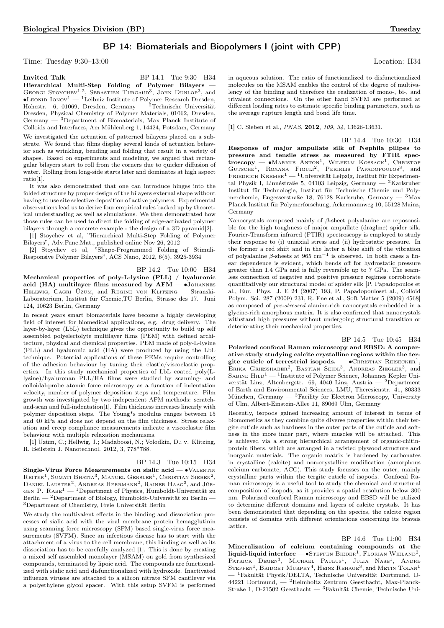# BP 14: Biomaterials and Biopolymers I (joint with CPP)

Time: Tuesday 9:30–13:00 Location: H34

**Invited Talk BP 14.1 Tue 9:30 H34** Hierarchical Multi-Step Folding of Polymer Bilayers — GEORGI STOYCHEV<sup>1,2</sup>, SEBASTIEN TURCAUD<sup>3</sup>, JOHN DUNLOP<sup>3</sup>, and  $\bullet$ Leonid Ionov<sup>1</sup> — <sup>1</sup>Leibniz Institute of Polymer Research Dresden, Hohestr. 6, 01069, Dresden, Germany — <sup>2</sup>Technische Universität Dresden, Physical Chemistry of Polymer Materials, 01062, Dresden, Germany — <sup>3</sup>Department of Biomaterials, Max Planck Institute of Colloids and Interfaces, Am Mühlenberg 1, 14424, Potsdam, Germany We investigated the actuation of patterned bilayers placed on a substrate. We found that films display several kinds of actuation behavior such as wrinkling, bending and folding that result in a variety of shapes. Based on experiments and modeling, we argued that rectangular bilayers start to roll from the corners due to quicker diffusion of water. Rolling from long-side starts later and dominates at high aspect ratio[1].

It was also demonstrated that one can introduce hinges into the folded structure by proper design of the bilayers external shape without having to use site selective deposition of active polymers. Experimental observations lead us to derive four empirical rules backed up by theoretical understanding as well as simulations. We then demonstrated how those rules can be used to direct the folding of edge-activated polymer bilayers through a concrete example - the design of a 3D pyramid[2].

[1] Stoychev et al, "Hierarchical Multi-Step Folding of Polymer Bilayers", Adv.Func.Mat., published online Nov 26, 2012

[2] Stoychev et al, "Shape-Programmed Folding of Stimuli-Responsive Polymer Bilayers", ACS Nano, 2012, 6(5), 3925-3934

BP 14.2 Tue 10:00 H34

Mechanical properties of poly-L-lysine (PLL) / hyaluronic acid (HA) multilayer films measured by  $AFM - \bullet$ JOHANNES HELLWIG, CAGRI ÜZÜM, and REGINE VON KLITZING - Stranski-Laboratorium, Institut für Chemie,TU Berlin, Strasse des 17. Juni 124, 10623 Berlin, Germany

In recent years smart biomaterials have become a highly developing field of interest for biomedical applications, e.g. drug delivery. The layer-by-layer (LbL) technique gives the opportunity to build up self assembled polyelectolyte multilayer films (PEM) with defined architecture, physical and chemical properties. PEM made of poly-L-lysine (PLL) and hyaluronic acid (HA) were produced by using the LbL technique. Potential applications of these PEMs require controlling of the adhesion behaviour by tuning their elastic/viscoelastic properties. In this study mechanical properties of LbL coated poly(Llysine)/hyaluronan PLL/HA films were studied by scanning- and colloidal-probe atomic force microscopy as a function of indentation velocity, number of polymer deposition steps and temperature. Film growth was investigated by two independent AFM methods: scratchand-scan and full-indentation[1]. Film thickness increases linearly with polymer deposition steps. The Young\*s modulus ranges between 15 and 40 kPa and does not depend on the film thickness. Stress relaxation and creep compliance measurements indicate a viscoelastic film behaviour with multiple relaxation mechanisms.

[1] Üzüm, C.; Hellwig, J.; Madaboosi, N.; Volodkin, D.; v. Klitzing, R. Beilstein J. Nanotechnol. 2012, 3, 778\*788.

### BP 14.3 Tue 10:15 H34

Single-Virus Force Measurements on sialic acid —  $\bullet$ VALENTIN  $\rm R$ eiter<sup>1</sup>, Sumati Bhatia<sup>3</sup>, Manuel Gensler<sup>1</sup>, Christian Sieben<sup>2</sup>, DANIEL LAUSTER<sup>2</sup>, ANDREAS HERRMANN<sup>2</sup>, RAINER HAAG<sup>3</sup>, and Jür-GEN P.  $R_{ABE}^{1}$  — 1Department of Physics, Humboldt-Universität zu Berlin —  $^{2}$ Department of Biology, Humboldt-Universität zu Berlin – <sup>3</sup>Department of Chemistry, Freie Universität Berlin

We study the multivalent effects in the binding and dissociation processes of sialic acid with the viral membrane protein hemagglutinin using scanning force microscopy (SFM) based single-virus force measurements (SVFM). Since an infectious disease has to start with the attachment of a virus to the cell membrane, this binding as well as its dissociation has to be carefully analyzed [1]. This is done by creating a mixed self assembled monolayer (MSAM) on gold from synthesized compounds, terminated by lipoic acid. The compounds are functionalized with sialic acid and disfunctionalized with hydroxide. Inactivated influenza viruses are attached to a silicon nitrate SFM cantilever via a polyethylene glycol spacer. With this setup SVFM is performed

in aqueous solution. The ratio of functionalized to disfunctionalized molecules on the MSAM enables the control of the degree of multivalency of the binding and therefore the realization of mono-, bi-, and trivalent connections. On the other hand SVFM are performed at different loading rates to estimate specific binding parameters, such as the average rupture length and bond life time.

[1] C. Sieben et al., *PNAS*, **2012**, 109, 34, 13626-13631.

BP 14.4 Tue 10:30 H34 Response of major ampullate silk of Nephila pilipes to pressure and tensile stress as measured by FTIR spectroscopy — •Markus Anton<sup>1</sup>, Wilhelm Kossack<sup>1</sup>, Christof Gutsche<sup>1</sup>, Roxana Figuli<sup>2</sup>, Periklis Papadopoulos<sup>3</sup>, and FRIEDRICH KREMER<sup>1</sup> — <sup>1</sup>Universität Leipzig, Institut für Experimental Physik I, Linnéstraße 5, 04103 Leipzig, Germany — <sup>2</sup>Karlsruher Institut für Technologie, Institut für Technische Chemie und Polymerchemie, Engesserstraße 18, 76128 Karlsruhe, Germany — <sup>3</sup>Max Planck Institut für Polymerforschung, Ackermannweg 10, 55128 Mainz, Germany

Nanocrystals composed mainly of  $\beta$ -sheet polyalanine are reposonsible for the high toughness of major ampullate (dragline) spider silk. Fourier-Transform infrared (FTIR) spectroscopy is employed to study their response to (i) uniaxial stress and (ii) hydrostatic pressure. In the former a red shift and in the latter a blue shift of the vibration of polyalanine  $\beta$ -sheets at 965 cm<sup>-1</sup> is observed. In both cases a linear dependence is evident, which bends off for hydrostatic pressure greater than 1.4 GPa and is fully reversible up to 7 GPa. The seamless connection of negative and positive pressure regimes corroborate quantitatively our structural model of spider silk [P. Papadopoulos et al., Eur. Phys. J. E 24 (2007) 193, P. Papadopouloset al., Colloid Polym. Sci. 287 (2009) 231, R. Ene et al., Soft Matter 5 (2009) 4568] as composed of pre-stressed alanine-rich nanocrystals embedded in a glycine-rich amorphous matrix. It is also confirmed that nanocrystals withstand high pressures without undergoing structural transition or deteriorating their mechanical properties.

BP 14.5 Tue 10:45 H34 Polarized confocal Raman microscopy and EBSD: A comparative study studying calcite crystalline regions within the tergite cuticle of terrestrial isopods. —  $\bullet$ Christian Reisecker<sup>1</sup>, Erika Griesshaber<sup>2</sup>, Bastian Seidl<sup>3</sup>, Andreas Ziegler<sup>3</sup>, and SABINE  $\text{Hilb}^1$  — <sup>1</sup>Institute of Polymer Science, Johannes Kepler Universtät Linz, Altenbergstr. 69, 4040 Linz, Austria — <sup>2</sup>Department of Earth and Environmental Sciences, LMU, Theresienstr. 41, 80333 München, Germany — <sup>3</sup>Facility for Electron Microscopy, University of Ulm, Albert-Einstein-Allee 11, 89069 Ulm, Germany

Recently, isopods gained increasing amount of interest in terms of biomometics as they combine quite diverse properties within their tergite cuticle such as hardness in the outer parts of the cuticle and softness in the more inner part, where muscles will be attached. This is achieved via a strong hierarchical arrangement of organic-chitinprotein fibers, which are arranged in a twisted plywood structure and inorganic materials. The organic matrix is hardened by carbonates in crystalline (calcite) and non-crystalline modification (amorphous calcium carbonate, ACC). This study focusses on the outer, mainly crystalline parts within the tergite cuticle of isopods. Confocal Raman microscopy is a useful tool to study the chemical and structural composition of isopods, as it provides a spatial resolution below 300 nm. Polarized confocal Raman microscopy and EBSD will be utilized to determine different domains and layers of calcite crystals. It has been demonstrated that depending on the species, the calcite region consists of domains with different orientations concerning its bravais lattice.

BP 14.6 Tue 11:00 H34 Mineralization of calcium containing compounds at the liquid-liquid interface —  $\bullet$ STEFFEN BIEDER<sup>1</sup>, FLORIAN WIELAND<sup>2</sup>, PATRICK DEGEN<sup>3</sup>, MICHAEL PAULUS<sup>1</sup>, JULIA NASE<sup>1</sup>, ANDRE STEFFEN<sup>1</sup>, BRIDGET MURPHY<sup>4</sup>, HEINZ REHAGE<sup>3</sup>, and METIN TOLAN<sup>1</sup> — <sup>1</sup>Fakultät Physik/DELTA, Technische Universität Dortmund, D-44221 Dortmund, — <sup>2</sup>Helmholtz Zentrum Geesthacht, Max-Planck-Straße 1, D-21502 Geesthacht — <sup>3</sup>Fakultät Chemie, Technische Uni-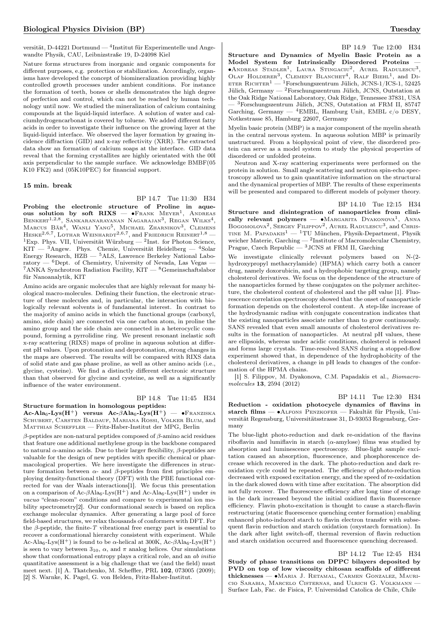versität, D-44221 Dortmund — <sup>4</sup> Institut für Experimentelle und Angewandte Physik, CAU, Leibnizstraße 19, D-24098 Kiel

Nature forms structures from inorganic and organic components for different purposes, e.g. protection or stabilization. Accordingly, organisms have developed the concept of biomineralization providing highly controlled growth processes under ambient conditions. For instance the formation of teeth, bones or shells demonstrates the high degree of perfection and control, which can not be reached by human technology until now. We studied the mineralization of calcium containing compounds at the liquid-liquid interface. A solution of water and calciumhydrogencarbonat is covered by toluene. We added different fatty acids in order to investigate their influence on the growing layer at the liquid-liquid interface. We observed the layer formation by grazing incidence diffraction (GID) and x-ray reflectivity (XRR). The extracted data show an formation of calcium soaps at the interface. GID data reveal that the forming crystallites are highly orientated with the 00l axis perpendicular to the sample surface. We acknowledge BMBF(05 K10 FK2) and (05K10PEC) for financial support.

### 15 min. break

BP 14.7 Tue 11:30 H34 Probing the electronic structure of Proline in aqueous solution by soft  $RIXS$  — • FRANK MEYER<sup>1</sup>, ANDREAS Benkert<sup>1,2,8</sup>, Sankaranarayanan Nagarajan<sup>3</sup>, Regan Wilks<sup>4</sup>, Marcus Bär<sup>4</sup>, Wanli Yang<sup>5</sup>, Michael Zharnikov<sup>3</sup>, Clemens  $\mathrm{Hess}_{\mathrm{EE}}^{2,6,7}, \mathrm{Lot}_{\mathrm{HAR}}$  Weinhardt $^{2,6,7}, \mathrm{and}$  Friedrich Reinert $^{1,8}$  — <sup>1</sup>Exp. Phys. VII, Universität Würzburg — <sup>2</sup>Inst. for Photon Science,  $KIT - 3$ Angew. Phys. Chemie, Universität Heidelberg -  $4$ Solar Energy Research, HZB — <sup>5</sup>ALS, Lawrence Berkeley National Laboratory —  ${}^{6}$ Dept. of Chemistry, University of Nevada, Las Vegas -<sup>7</sup>ANKA Synchrotron Radiation Facility,  $KIT - 8G$ emeinschaftslabor für Nanoanalytik, KIT

Amino acids are organic molecules that are highly relevant for many biological macro-molecules. Defining their function, the electronic structure of these molecules and, in particular, the interaction with biologically relevant solvents is of fundamental interest. In contrast to the majority of amino acids in which the functional groups (carboxyl, amino, side chain) are connected via one carbon atom, in proline the amino group and the side chain are connected in a heterocyclic compound, forming a pyrrolidine ring. We present resonant inelastic soft x-ray scattering (RIXS) maps of proline in aqueous solution at different pH values. Upon protonation and deprotonation, strong changes in the maps are observed. The results will be compared with RIXS data of solid state and gas phase proline, as well as other amino acids (i.e., glycine, cysteine). We find a distinctly different electronic structure than that observed for glycine and cysteine, as well as a significantly influence of the water environment.

BP 14.8 Tue 11:45 H34 Structure formation in homologous peptides:

Ac-Ala<sub>6</sub>-Lys(H<sup>+</sup>) versus Ac- $\beta$ Ala<sub>6</sub>-Lys(H<sup>+</sup>) — •Franziska Schubert, Carsten Baldauf, Mariana Rossi, Volker Blum, and Matthias Scheffler — Fritz-Haber-Institut der MPG, Berlin

 $\beta$  -peptides are non-natural peptides composed of  $\beta$  -amino acid residues that feature one additional methylene group in the backbone compared to natural  $\alpha$ -amino acids. Due to their larger flexibility,  $\beta$ -peptides are valuable for the design of new peptides with specific chemical or pharmacological properties. We here investigate the differences in structure formation between  $\alpha$ - and  $\beta$ -peptides from first principles employing density-functional theory (DFT) with the PBE functional corrected for van der Waals interactions[1]. We focus this presentation on a comparison of Ac- $\beta$ Ala<sub>6</sub>-Lys(H<sup>+</sup>) and Ac-Ala<sub>6</sub>-Lys(H<sup>+</sup>) under *in* vacuo "clean-room" conditions and compare to experimental ion mobility spectrometry[2]. Our conformational search is based on replica exchange molecular dynamics. After generating a large pool of force field-based structures, we relax thousands of conformers with DFT. For the  $\beta$ -peptide, the finite-T vibrational free energy part is essential to recover a conformational hierarchy consistent with experiment. While Ac-Ala<sub>6</sub>-Lys(H<sup>+</sup>) is found to be  $\alpha$ -helical at 300K, Ac- $\beta$ Ala<sub>6</sub>-Lys(H<sup>+</sup>) is seen to vary between  $3_{10}$ ,  $\alpha$ , and  $\pi$  analog helices. Our simulations show that conformational entropy plays a critical role, and an ab initio quantitative assessment is a big challenge that we (and the field) must meet next. [1] A. Tkatchenko, M. Scheffler, PRL 102, 073005 (2009); [2] S. Warnke, K. Pagel, G. von Helden, Fritz-Haber-Institut.

BP 14.9 Tue 12:00 H34 Structure and Dynamics of Myelin Basic Protein as a Model System for Intrinsically Disordered Proteins — ∙Andreas Stadler<sup>1</sup> , Laura Stingaciu<sup>2</sup> , Aurel Radulescu<sup>3</sup> , OLAF HOLDERER<sup>3</sup>, CLEMENT BLANCHET<sup>4</sup>, RALF BIEHL<sup>1</sup>, and DI-ETER RICHTER<sup>1</sup> — <sup>1</sup>Forschungszentrum Jülich, JCNS-1/ICS-1, 52425 Jülich, Germany — <sup>2</sup>Forschungszentrum Jülich, JCNS, Outstation at the Oak Ridge National Laboratory, Oak Ridge, Tennessee 37831, USA — <sup>3</sup>Forschungszentrum Jülich, JCNS, Outstation at FRM II, 85747 Garching, Germany —  ${}^{4}$ EMBL, Hamburg Unit, EMBL c/o DESY, Notkestrasse 85, Hamburg 22607, Germany

Myelin basic protein (MBP) is a major component of the myelin sheath in the central nervous system. In aqueous solution MBP is primarily unstructured. From a biophysical point of view, the disordered protein can serve as a model system to study the physical properties of disordered or unfolded proteins.

Neutron and X-ray scattering experiments were performed on the protein in solution. Small angle scattering and neutron spin-echo spectroscopy allowed us to gain quantitative information on the structural and the dynamical properties of MBP. The results of these experiments will be presented and compared to different models of polymer theory.

BP 14.10 Tue 12:15 H34 Structure and disintegration of nanoparticles from clinically relevant polymers — • MARGARITA DYAKONOVA<sup>1</sup>, ANNA BOGOMOLOVA<sup>2</sup>, SERGEY FILIPPOV<sup>2</sup>, AUREL RADULESCU<sup>3</sup>, and CHRIS-TINE M. PAPADAKIS<sup>1</sup> — <sup>1</sup>TU München, Physik-Department, Physik weicher Materie, Garching — <sup>2</sup>Institute of Macromolecular Chemistry, Prague, Czech Republic — <sup>3</sup>JCNS at FRM II, Garching

We investigate clinically relevant polymers based on N-(2 hydroxypropyl methacrylamide) (HPMA) which carry both a cancer drug, namely doxorubicin, and a hydrophobic targeting group, namely cholesterol derivatives. We focus on the dependence of the structure of the nanoparticles formed by these conjugates on the polymer architecture, the cholesterol content of cholesterol and the pH value [1]. Fluorescence correlation spectroscopy showed that the onset of nanoparticle formation depends on the cholesterol content. A step-like increase of the hydrodynamic radius with conjugate concentration indicates that the existing nanoparticles associate rather than to grow continuously. SANS revealed that even small amounts of cholesterol derivatives results in the formation of nanoparticles. At neutral pH values, these are ellipsoids, whereas under acidic conditions, cholesterol is released and forms large crystals. Time-resolved SANS during a stopped-flow experiment showed that, in dependence of the hydrophobicity of the cholesterol derivatives, a change in pH leads to changes of the conformation of the HPMA chains.

[1] S. Filippov, M. Dyakonova, C.M. Papadakis et al., Biomacromolecules 13, 2594 (2012)

BP 14.11 Tue 12:30 H34

Reduction - oxidation photocycle dynamics of flavins in starch films — ∙Alfons Penzkofer — Fakultät für Physik, Universität Regensburg, Universitätsstrasse 31, D-93053 Regensburg, Germany

The blue-light photo-reduction and dark re-oxidation of the flavins riboflavin and lumiflavin in starch ( $\alpha$ -amylose) films was studied by absorption and luminescence spectroscopy. Blue-light sample excitation caused an absorption, fluorescence, and phosphorescence decrease which recovered in the dark. The photo-reduction and dark reoxidation cycle could be repeated. The efficiency of photo-reduction decreased with exposed excitation energy, and the speed of re-oxidation in the dark slowed down with time after excitation. The absorption did not fully recover. The fluorescence efficiency after long time of storage in the dark increased beyond the initial oxidized flavin fluorescence efficiency. Flavin photo-excitation is thought to cause a starch-flavin restructuring (static fluorescence quenching center formation) enabling enhanced photo-induced starch to flavin electron transfer with subsequent flavin reduction and starch oxidation (oxystarch formation). In the dark after light switch-off, thermal reversion of flavin reduction and starch oxidation occurred and fluorescence quenching decreased.

BP 14.12 Tue 12:45 H34 Study of phase transitions on DPPC bilayers deposited by PVD on top of low viscosity chitosan scaffolds of different thicknesses — ∙Maria J. Retamal, Carmen Gonzalez, Mauricio Sarabia, Marcelo Cisternas, and Ulrich G. Volkmann — Surface Lab, Fac. de Fisica, P. Universidad Catolica de Chile, Chile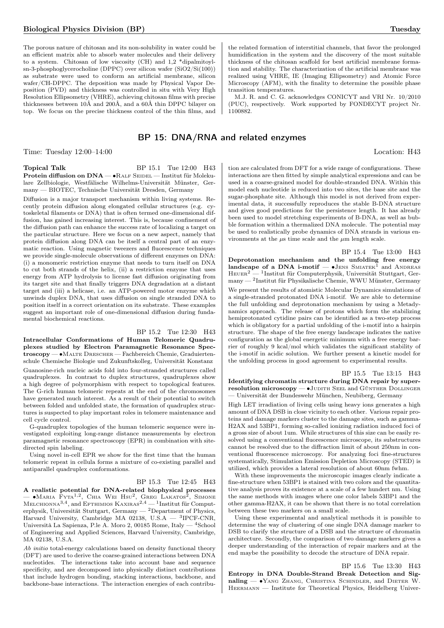The porous nature of chitosan and its non-solubility in water could be an efficient matrix able to absorb water molecules and their delivery to a system. Chitosan of low viscosity (CH) and 1,2 \*dipalmitoylsn-3-phosphoglycerocholine (DPPC) over silicon wafer (SiO2/Si(100)) as substrate were used to conform an artificial membrane, silicon wafer/CH-DPPC. The deposition was made by Physical Vapor Deposition (PVD) and thickness was controlled in situ with Very High Resolution Ellipsometry (VHRE), achieving chitosan films with precise thicknesses between 10Å and 200Å, and a 60Å thin DPPC bilayer on top. We focus on the precise thickness control of the thin films, and

# BP 15: DNA/RNA and related enzymes

Time: Tuesday  $12:00-14:00$  Location: H43

Topical Talk BP 15.1 Tue 12:00 H43 Protein diffusion on DNA — •RALF SEIDEL — Institut für Molekulare Zellbiologie, Westfälische Wilhelms-Universität Münster, Germany — BIOTEC, Technische Universität Dresden, Germany

Diffusion is a major transport mechanism within living systems. Recently protein diffusion along elongated cellular structures (e.g. cytoskeletal filaments or DNA) that is often termed one-dimensional diffusion, has gained increasing interest. This is, because confinement of the diffusion path can enhance the success rate of localizing a target on the particular structure. Here we focus on a new aspect, namely that protein diffusion along DNA can be itself a central part of an enzymatic reaction. Using magnetic tweezers and fluorescence techniques we provide single-molecule observations of different enzymes on DNA: (i) a monomeric restriction enzyme that needs to turn itself on DNA to cut both strands of the helix, (ii) a restriction enzyme that uses energy from ATP hydrolysis to license fast diffusion originating from its target site and that finally triggers DNA degradation at a distant target and (iii) a helicase, i.e. an ATP-powered motor enzyme which unwinds duplex DNA, that uses diffusion on single stranded DNA to position itself in a correct orientation on its substrate. These examples suggest an important role of one-dimensional diffusion during fundamental biochemical reactions.

### BP 15.2 Tue 12:30 H43

Intracellular Conformations of Human Telomeric Quadruplexes studied by Electron Paramagnetic Resonance Spectroscopy — ∙Malte Drescher — Fachbereich Chemie, Graduiertenschule Chemische Biologie und Zukunftskolleg, Universität Konstanz

Guanosine-rich nucleic acids fold into four-stranded structures called quadruplexes. In contrast to duplex structures, quadruplexes show a high degree of polymorphism with respect to topological features. The G-rich human telomeric repeats at the end of the chromosomes have generated much interest. As a result of their potential to switch between folded and unfolded state, the formation of quadruplex structures is suspected to play important roles in telomere maintenance and cell cycle control.

G-quadruplex topologies of the human telomeric sequence were investigated exploiting long-range distance measurements by electron paramagnetic resonance spectroscopy (EPR) in combination with sitedirected spin labeling.

Using novel in-cell EPR we show for the first time that the human telomeric repeat in cellula forms a mixture of co-existing parallel and antiparallel quadruplex conformations.

BP 15.3 Tue 12:45 H43 A realistic potential for DNA-related biophysical processes — • MARIA FYTA<sup>1,2</sup>, CHIA WEI HSU<sup>2</sup>, GREG LAKATOS<sup>2</sup>, SIMONE Меlсніомма $^{3,4}$ , and Еfthimios Kaxiras $^{2,4}$  — <sup>1</sup>Institut für Computerphysik, Universität Stuttgart, Germany — <sup>2</sup>Department of Physics, Harvard University, Cambridge MA 02138, U.S.A — <sup>3</sup> IPCF-CNR, Università La Sapienza, P.le A. Moro 2, 00185 Rome, Italy — <sup>4</sup>School of Engineering and Applied Sciences, Harvard University, Cambridge, MA 02138, U.S.A.

Ab initio total-energy calculations based on density functional theory (DFT) are used to derive the coarse-grained interactions between DNA nucleotides. The interactions take into account base and sequence specificity, and are decomposed into physically distinct contributions that include hydrogen bonding, stacking interactions, backbone, and backbone-base interactions. The interaction energies of each contribu-

the related formation of interstitial channels, that favor the prolonged humidification in the system and the discovery of the most suitable thickness of the chitosan scaffold for best artificial membrane formation and stability. The characterization of the artificial membrane was realized using VHRE, IE (Imaging Ellipsometry) and Atomic Force Microscopy (AFM), with the finality to determine the possible phase transition temperatures.

M.J. R. and C. G. acknowledges CONICYT and VRI Nr. 10/2010 (PUC), respectively. Work supported by FONDECYT project Nr. 1100882.

tion are calculated from DFT for a wide range of configurations. These interactions are then fitted by simple analytical expressions and can be used in a coarse-grained model for double-stranded DNA. Within this model each nucleotide is reduced into two sites, the base site and the sugar-phosphate site. Although this model is not derived from experimental data, it successfully reproduces the stable B-DNA structure and gives good predictions for the persistence length. It has already been used to model stretching experiments of B-DNA, as well as bubble formation within a thermalized DNA molecule. The potential may be used to realistically probe dynamics of DNA strands in various environments at the  $\mu$ s time scale and the  $\mu$ m length scale.

BP 15.4 Tue 13:00 H43 Deprotonation mechanism and the unfolding free energy landscape of a DNA i-motif  $-$  •JENS SMIATEK<sup>1</sup> and ANDREAS Heuer<sup>2</sup> — <sup>1</sup> Institut für Computerphysik, Universität Stuttgart, Germany — <sup>2</sup> Institut für Physikalische Chemie, WWU Münster, Germany We present the results of atomistic Molecular Dynamics simulations of a single-stranded protonated DNA i-motif. We are able to determine the full unfolding and deprotonation mechanism by using a Metadynamics approach. The release of protons which form the stabilizing hemiprotonated cytidine pairs can be identified as a two-step process which is obligatory for a partial unfolding of the i-motif into a hairpin structure. The shape of the free energy landscape indicates the native configuration as the global energetic minimum with a free energy barrier of roughly 9 kcal/mol which validates the significant stability of the i-motif in acidic solution. We further present a kinetic model for the unfolding process in good agreement to experimental results.

BP 15.5 Tue 13:15 H43 Identifying chromatin structure during DNA repair by superresolution microscopy — •JUDITH SEEL and GÜNTHER DOLLINGER — Universität der Bundeswehr München, Neubiberg, Germany

High LET irradiation of living cells using heavy ions generates a high amount of DNA DSB in close vicinity to each other. Various repair proteins and damage markers cluster to the damage sites, such as gamma-H2AX and 53BP1, forming so-called ionizing radiation induced foci of a gross size of about 1um. While structures of this size can be easily resolved using a conventional fluorescence microscope, its substructures cannot be resolved due to the diffraction limit of about 250nm in conventional fluorescence microscopy. For analyzing foci fine-structures systematically, Stimulation Emission Depletion Microscopy (STED) is utilized, which provides a lateral resolution of about 60nm fwhm.

With these improvements the microscopic images clearly indicate a fine-structure when 53BP1 is stained with two colors and the quantitative analysis proves its existence at a scale of a few hundert nm. Using the same methods with images where one color labels 53BP1 and the other gamma-H2AX, it can be shown that there is no total correlation between these two markers on a small scale.

Using these experimental and analytical methods it is possible to determine the way of clustering of one single DNA damage marker to DSB to clarify the structure of a DSB and the structure of chromatin architecture. Secondly, the comparison of two damage markers gives a deeper understanding of the interaction of repair markers and at the end maybe the possibility to decode the structure of DNA repair.

Heermann — Institute for Theoretical Physics, Heidelberg Univer-

### BP 15.6 Tue 13:30 H43 Entropy in DNA Double-Strand Break Detection and Signaling — • YANG ZHANG, CHRISTINA SCHINDLER, and DIETER W.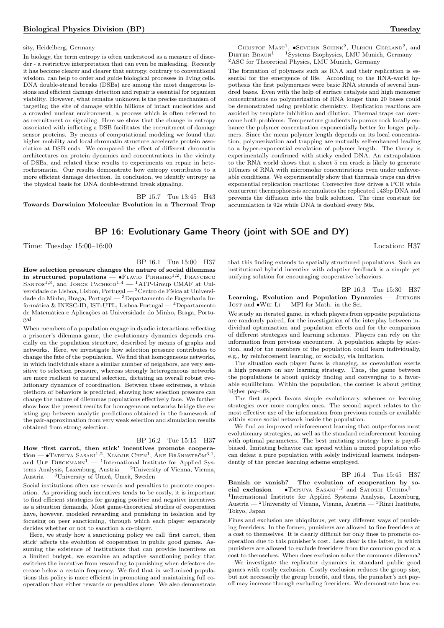### sity, Heidelberg, Germany

In biology, the term entropy is often understood as a measure of disorder - a restrictive interpretation that can even be misleading. Recently it has become clearer and clearer that entropy, contrary to conventional wisdom, can help to order and guide biological processes in living cells. DNA double-strand breaks (DSBs) are among the most dangerous lesions and efficient damage detection and repair is essential for organism viability. However, what remains unknown is the precise mechanism of targeting the site of damage within billions of intact nucleotides and a crowded nuclear environment, a process which is often referred to as recruitment or signaling. Here we show that the change in entropy associated with inflicting a DSB facilitates the recruitment of damage sensor proteins. By means of computational modeling we found that higher mobility and local chromatin structure accelerate protein association at DSB ends. We compared the effect of different chromatin architectures on protein dynamics and concentrations in the vicinity of DSBs, and related these results to experiments on repair in heterochromatin. Our results demonstrate how entropy contributes to a more efficient damage detection. In conclusion, we identify entropy as the physical basis for DNA double-strand break signaling.

BP 15.7 Tue 13:45 H43 Towards Darwinian Molecular Evolution in a Thermal Trap

 $-$  CHRISTOF MAST<sup>1</sup>,  $\bullet$ Severin Schink<sup>2</sup>, Ulrich Gerland<sup>2</sup>, and DIETER BRAUN<sup>1</sup> — <sup>1</sup>Systems Biophysics, LMU Munich, Germany -<sup>2</sup>ASC for Theoretical Physics, LMU Munich, Germany

The formation of polymers such as RNA and their replication is essential for the emergence of life. According to the RNA-world hypothesis the first polymerases were basic RNA strands of several hundred bases. Even with the help of surface catalysis and high monomer concentrations no polymerization of RNA longer than 20 bases could be demonstrated using prebiotic chemistry. Replication reactions are avoided by template inhibition and dilution. Thermal traps can overcome both problems: Temperature gradients in porous rock locally enhance the polymer concentration exponentially better for longer polymers. Since the mean polymer length depends on its local concentration, polymerization and trapping are mutually self-enhanced leading to a hyper-exponential escalation of polymer length. The theory is experimentally confirmed with sticky ended DNA. An extrapolation to the RNA world shows that a short 5 cm crack is likely to generate 100mers of RNA with micromolar concentrations even under unfavorable conditions. We experimentally show that thermals traps can drive exponential replication reactions: Convective flow drives a PCR while concurrent thermophoresis accumulates the replicated 143bp DNA and prevents the diffusion into the bulk solution. The time constant for accumulation is 92s while DNA is doubled every 50s.

# BP 16: Evolutionary Game Theory (joint with SOE and DY)

Time: Tuesday  $15:00-16:00$  Location: H37

BP 16.1 Tue 15:00 H37

How selection pressure changes the nature of social dilemmas in structured populations —  $\bullet$ Flavio Pinheiro<sup>1,2</sup>, Francisco SANTOS<sup>1,3</sup>, and JORGE PACHECO<sup>1,4</sup>  $-$  <sup>1</sup>ATP-Group CMAF at Universidade de Lisboa, Lisbon, Portugal — <sup>2</sup>Centro de Física at Universidade do Minho, Braga, Portugal — <sup>3</sup>Departamento de Engenharia Informática & INESC-ID, IST-UTL, Lisboa Portugal — <sup>4</sup>Departamento de Matemática e Aplicações at Universidade do Minho, Braga, Portugal

When members of a population engage in dyadic interactions reflecting a prisoner's dilemma game, the evolutionary dynamics depends crucially on the population structure, described by means of graphs and networks. Here, we investigate how selection pressure contributes to change the fate of the population. We find that homogeneous networks, in which individuals share a similar number of neighbors, are very sensitive to selection pressure, whereas strongly heterogeneous networks are more resilient to natural selection, dictating an overall robust evolutionary dynamics of coordination. Between these extremes, a whole plethora of behaviors is predicted, showing how selection pressure can change the nature of dilemmas populations effectively face. We further show how the present results for homogeneous networks bridge the existing gap between analytic predictions obtained in the framework of the pair-approximation from very weak selection and simulation results obtained from strong selection.

### BP 16.2 Tue 15:15 H37

How 'first carrot, then stick' incentives promote coopera- $\text{tion} = \bullet \text{Tatsuya } \text{Sasaki}^{1,2}, \text{Xiaoue } \text{Chen}^{1}, \text{Åke Brännstraöm}^{3,1},$ and ULF  $DIECKMANN<sup>1</sup>$  — <sup>1</sup>International Institute for Applied Systems Analysis, Laxenburg, Austria — <sup>2</sup>University of Vienna, Vienna, Austria — <sup>3</sup>University of Umeå, Umeå, Sweden

Social institutions often use rewards and penalties to promote cooperation. As providing such incentives tends to be costly, it is important to find efficient strategies for gauging positive and negative incentives as a situation demands. Most game-theoretical studies of cooperation have, however, modeled rewarding and punishing in isolation and by focusing on peer sanctioning, through which each player separately decides whether or not to sanction a co-player.

Here, we study how a sanctioning policy we call 'first carrot, then stick' affects the evolution of cooperation in public good games. Assuming the existence of institutions that can provide incentives on a limited budget, we examine an adaptive sanctioning policy that switches the incentive from rewarding to punishing when defectors decrease below a certain frequency. We find that in well-mixed populations this policy is more efficient in promoting and maintaining full cooperation than either rewards or penalties alone. We also demonstrate

that this finding extends to spatially structured populations. Such an institutional hybrid incentive with adaptive feedback is a simple yet unifying solution for encouraging cooperative behaviors.

BP 16.3 Tue 15:30 H37 Learning, Evolution and Population Dynamics - JUERGEN Jost and ∙Wei Li — MPI for Math. in the Sci.

We study an iterated game, in which players from opposite populations are randomly paired, for the investigation of the interplay between individual optimization and population effects and for the comparison of different strategies and learning schemes. Players can rely on the information from previous encounters. A population adapts by selection, and/or the members of the population could learn individually, e.g., by reinforcement learning, or socially, via imitation.

The situation each player faces is changing, as coevolution exerts a high pressure on any learning strategy. Thus, the game between the populations is about quickly finding and converging to a favorable equilibrium. Within the population, the contest is about getting higher pay-offs.

The first aspect favors simple evolutionary schemes or learning strategies over more complex ones. The second aspect relates to the most effective use of the information from previous rounds or available within some social network inside the population.

We find an improved reinforcement learning that outperforms most evolutionary strategies, as well as the standard reinforcement learning with optimal parameters. The best imitating strategy here is payoffbiased. Imitating behavior can spread within a mixed population who can defeat a pure population with solely individual learners, independently of the precise learning scheme employed.

BP 16.4 Tue 15:45 H37

Banish or vanish? The evolution of cooperation by social exclusion — •Tatsuya Sasaki<sup>1,2</sup> and Satoshi Uchida<sup>3</sup> — 1 International Institute for Applied Systems Analysis, Laxenburg, Austria — <sup>2</sup>University of Vienna, Vienna, Austria — <sup>3</sup>Rinri Institute, Tokyo, Japan

Fines and exclusion are ubiquitous, yet very different ways of punishing freeriders. In the former, punishers are allowed to fine freeriders at a cost to themselves. It is clearly difficult for only fines to promote cooperation due to this punisher's cost. Less clear is the latter, in which punishers are allowed to exclude freeriders from the common good at a cost to themselves. When does exclusion solve the commons dilemma?

We investigate the replicator dynamics in standard public good games with costly exclusion. Costly exclusion reduces the group size, but not necessarily the group benefit, and thus, the punisher's net payoff may increase through excluding freeriders. We demonstrate how ex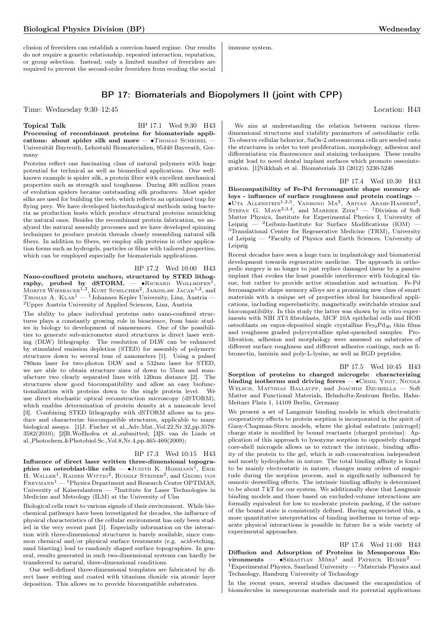Biological Physics Division (BP) Wednesday

clusion of freeriders can establish a coercion-based regime. Our results do not require a genetic relationship, repeated interaction, reputation, or group selection. Instead, only a limited number of freeriders are required to prevent the second-order freeriders from eroding the social immune system.

# BP 17: Biomaterials and Biopolymers II (joint with CPP)

Time: Wednesday 9:30–12:45 Location: H43

Topical Talk BP 17.1 Wed 9:30 H43 Processing of recombinant proteins for biomaterials applications: about spider silk and more — •Thomas SCHEIBEL -Universität Bayreuth, Lehrstuhl Biomaterialien, 95440 Bayreuth, Germany

Proteins reflect one fascinating class of natural polymers with huge potential for technical as well as biomedical applications. One wellknown example is spider silk, a protein fiber with excellent mechanical properties such as strength and toughness. During 400 million years of evolution spiders became outstanding silk producers. Most spider silks are used for building the web, which reflects an optimized trap for flying prey. We have developed biotechnological methods using bacteria as production hosts which produce structural proteins mimicking the natural ones. Besides the recombinant protein fabrication, we analyzed the natural assembly processes and we have developed spinning techniques to produce protein threads closely resembling natural silk fibers. In addition to fibers, we employ silk proteins in other application forms such as hydrogels, particles or films with tailored properties, which can be employed especially for biomaterials applications.

BP 17.2 Wed 10:00 H43 Nano-confined protein anchors, structured by STED lithography, probed by dSTORM.  $-$  • RICHARD WOLLHOFEN<sup>1</sup>, MORITZ WIESBAUER<sup>1,2</sup>, KURT SCHILCHER<sup>2</sup>, JAROSLAW JACAK<sup>1,2</sup>, and THOMAS A. KLAR<sup>1</sup> — <sup>1</sup>Johannes Kepler University, Linz, Austria – <sup>2</sup>Upper Austria University of Applied Sciences, Linz, Austria

The ability to place individual proteins onto nano-confined structures plays a constantly growing role in bioscience, from basic studies in biology to development of nanosensors. One of the possibilities to generate sub-micrometer sized structures is direct laser writing (DLW) lithography. The resolution of DLW can be enhanced by stimulated emission depletion (STED) for assembly of polymeric structures down to several tens of nanometers [1]. Using a pulsed 780nm laser for two-photon DLW and a 532nm laser for STED, we are able to obtain structure sizes of down to 55nm and manufacture two clearly separated lines with 120nm distance [2]. The structures show good biocompatibility and allow an easy biofunctionalization with proteins down to the single protein level. We use direct stochastic optical reconstruction microscopy (dSTORM), which enables determination of protein density at a nanoscale level [3]. Combining STED lithography with dSTORM allows us to produce and characterize biocompatible structures, applicable to many biological assays. [1]J. Fischer et al.,Adv.Mat.,Vol.22,Nr.32,pp.3578- 3582(2010); [2]R.Wollhofen et al.,submitted; [3]S. van de Linde et al.,Photochem.&Photobiol.Sc.,Vol.8,Nr.4,pp.465-469(2009);

### BP 17.3 Wed 10:15 H43

Influence of direct laser written three-dimensional topographies on osteoblast-like cells —  $\bullet$ Judith K. Hohmann<sup>1</sup>, Erik H. WALLER<sup>1</sup>, RAINER WITTIG<sup>2</sup>, RUDOLF STEINER<sup>2</sup>, and GEORG VON  $\rm F$ REYMANN<sup>1</sup> — <sup>1</sup>Physics Department and Research Center OPTIMAS, University of Kaiserslautern  $-$  <sup>2</sup>Institute for Laser Technologies in Medicine and Metrology (ILM) at the University of Ulm

Biological cells react to various signals of their environment. While biochemical pathways have been investigated for decades, the influence of physical characteristics of the cellular environment has only been studied in the very recent past [1]. Especially information on the interaction with three-dimensional structures is barely available, since common chemical and/or physical surface treatments (e.g. acid-etching, sand blasting) lead to randomly shaped surface topographies. In general, results generated in such two-dimensional systems can hardly be transferred to natural, three-dimensional conditions.

Our well-defined three-dimensional templates are fabricated by direct laser writing and coated with titanium dioxide via atomic layer deposition. This allows us to provide biocompatible substrates.

We aim at understanding the relation between various threedimensional structures and viability parameters of osteoblastic cells. To observe cellular behavior, SaOs-2 osteosarcoma cells are seeded onto the structures in order to test proliferation, morphology, adhesion and differentiation via fluorescence and staining techniques. These results might lead to novel dental implant surfaces which promote osseointegration. [1]Nikkhah et al. Biomaterials 33 (2012) 5230-5246

### BP 17.4 Wed 10:30 H43

Biocompatibility of Fe-Pd ferromagnetic shape memory alloys - influence of surface roughness and protein coatings -•Uta Allenstein<sup>1,2,3</sup>, Yanhong Ma<sup>2</sup>, Ariyan Arabi-Hashemi<sup>2</sup>, Stefan G. Mayr<sup>2,3,4</sup>, and Mareike Zink<sup>1</sup> — <sup>1</sup>Division of Soft Matter Physics, Institute for Experimental Physics I, University of Leipzig —  ${}^{2}$ Leibniz-Institute for Surface Modifications (IOM) — <sup>3</sup>Translational Center for Regenerative Medicine (TRM), University of Leipzig — <sup>4</sup>Faculty of Physics and Earth Sciences, University of Leipzig

Recent decades have seen a huge turn in implantology and biomaterial development towards regenerative medicine. The approach in orthopedic surgery is no longer to just replace damaged tissue by a passive implant that evokes the least possible interference with biological tissue, but rather to provide active stimulation and actuation. Fe-Pd ferromagnetic shape memory alloys are a promising new class of smart materials with a unique set of properties ideal for biomedical applications, including superelasticity, magnetically switchable strains and biocompatibility. In this study the latter was shown by in vitro experiments with NIH 3T3 fibroblasts, MCF 10A epithelial cells and HOB osteoblasts on vapor-deposited single crystalline  $Fe_{70}Pd_{30}$  thin films and roughness graded polycrystalline splat-quenched samples. Proliferation, adhesion and morphology were assessed on substrates of different surface roughness and different adhesive coatings, such as fibronectin, laminin and poly-L-lysine, as well as RGD peptides.

### BP 17.5 Wed 10:45 H43

Sorption of proteins to charged microgels: characterizing binding isotherms and driving forces — • CEMIL YIGIT, NICOLE Welsch, Matthias Ballauff, and Joachim Dzubiella — Soft Matter and Functional Materials, Helmholtz-Zentrum Berlin, Hahn-Meitner Platz 1, 14109 Berlin, Germany

We present a set of Langmuir binding models in which electrostatic cooperativity effects to protein sorption is incorporated in the spirit of Guoy-Chapman-Stern models, where the global substrate (microgel) charge state is modified by bound reactants (charged proteins). Application of this approach to lysozyme sorption to oppositely charged core-shell microgels allows us to extract the intrinsic, binding affinity of the protein to the gel, which is salt-concentration independent and mostly hydrophobic in nature. The total binding affinity is found to be mainly electrostatic in nature, changes many orders of magnitude during the sorption process, and is significantly influenced by osmotic deswelling effects. The intrinsic binding affinity is determined to be about 7 kT for our system. We additionally show that Langmuir binding models and those based on excluded-volume interactions are formally equivalent for low to moderate protein packing, if the nature of the bound state is consistently defined. Having appreciated this, a more quantitative interpretation of binding isotherms in terms of separate physical interactions is possible in future for a wide variety of experimental approaches.

BP 17.6 Wed 11:00 H43 Diffusion and Adsorption of Proteins in Mesoporous Environments —  $\bullet$ SEBASTIAN MÖRZ<sup>1</sup> and PATRICK HUBER<sup>2</sup> — <sup>1</sup>Experimental Physics, Saarland University — <sup>2</sup>Materials Physics and Technology, Hamburg University of Technology

In the recent years, several studies discussed the encapsulation of biomolecules in mesopourous materials and its potential applications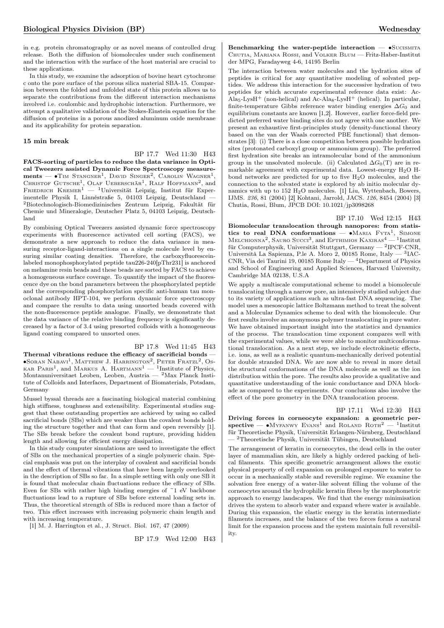in e.g. protein chromatography or as novel means of controlled drug release. Both the diffusion of biomolecules under such confinement and the interaction with the surface of the host material are crucial to these applications.

In this study, we examine the adsorption of bovine heart cytochrome c onto the pore surface of the porous silica material SBA-15. Comparison between the folded and unfolded state of this protein allows us to separate the contributions from the different interaction mechanisms involved i.e. coulombic and hydrophobic interaction. Furthermore, we attempt a qualitative validation of the Stokes-Einstein equation for the diffusion of proteins in a porous anodized aluminum oxide membrane and its applicability for protein separation.

### 15 min break

BP 17.7 Wed 11:30 H43

FACS-sorting of particles to reduce the data variance in Optical Tweezers assisted Dynamic Force Spectroscopy measure $ments$  —  $\bullet$ Tim Stangner<sup>1</sup>, David Singer<sup>2</sup>, Carolin Wagner<sup>1</sup> ments —  $\bullet$ Tim Stangner<sup>1</sup>, David Singer<sup>2</sup>, Carolin Wagner<sup>1</sup>,<br>Christof Gutsche<sup>1</sup>, Olaf Ueberschär<sup>1</sup>, Ralf Hoffmann<sup>2</sup>, and<br>Friedrich Kremer<sup>1</sup> — <sup>1</sup>Universität Leipzig, Institut für Experimentelle Physik I, Linnéstraße 5, 04103 Leipzig, Deutschland —  $^2\rm{Biotechnology}$  -Biomedizinisches Zentrum Leipzig, Fakultät für Chemie und Mineralogie, Deutscher Platz 5, 04103 Leipzig, Deutschland

By combining Optical Tweezers assisted dynamic force spectroscopy experiments with fluorescence activated cell sorting (FACS), we demonstrate a new approach to reduce the data variance in measuring receptor-ligand-interactions on a single molecule level by ensuring similar coating densities. Therefore, the carboxyfluoresceinlabeled monophosphorylated peptide tau226-240[pThr231] is anchored on melamine resin beads and these beads are sorted by FACS to achieve a homogeneous surface coverage. To quantify the impact of the fluorescence dye on the bond parameters between the phosphorylated peptide and the corresponding phosphorylation specific anti-human tau monoclonal antibody HPT-104, we perform dynamic force spectroscopy and compare the results to data using unsorted beads covered with the non-fluorescence peptide analogue. Finally, we demonstrate that the data variance of the relative binding frequency is significantly decreased by a factor of 3.4 using presorted colloids with a homogeneous ligand coating compared to unsorted ones.

### BP 17.8 Wed 11:45 H43

Thermal vibrations reduce the efficacy of sacrificial bonds — ∙Soran Nabavi<sup>1</sup> , Matthew J. Harrington<sup>2</sup> , Peter Fratzl<sup>2</sup> , Os-KAR PARIS<sup>1</sup>, and MARKUS A. HARTMANN<sup>1</sup> — <sup>1</sup>Institute of Physics, Montanuniversitaet Leoben, Leoben, Austria — <sup>2</sup>Max Planck Institute of Colloids and Interfaces, Department of Biomaterials, Potsdam, Germany

Mussel byssal threads are a fascinating biological material combining high stiffness, toughness and extensibility. Experimental studies suggest that these outstanding properties are achieved by using so called sacrificial bonds (SBs) which are weaker than the covalent bonds holding the structure together and that can form and open reversibly [1]. The SBs break before the covalent bond rupture, providing hidden length and allowing for efficient energy dissipation.

In this study computer simulations are used to investigate the effect of SBs on the mechanical properties of a single polymeric chain. Special emphasis was put on the interplay of covalent and sacrificial bonds and the effect of thermal vibrations that have been largely overlooked in the description of SBs so far. In a simple setting with only one SB it is found that molecular chain fluctuations reduce the efficacy of SBs. Even for SBs with rather high binding energies of ~1 eV backbone fluctuations lead to a rupture of SBs before external loading sets in. Thus, the theoretical strength of SBs is reduced more than a factor of two. This effect increases with increasing polymeric chain length and with increasing temperature.

[1] M. J. Harrington et al., J. Struct. Biol. 167, 47 (2009)

BP 17.9 Wed 12:00 H43

Benchmarking the water-peptide interaction — •SUCISMITA Chutia, Mariana Rossi, and Volker Blum — Fritz-Haber-Institut der MPG, Faradayweg 4-6, 14195 Berlin

The interaction between water molecules and the hydration sites of peptides is critical for any quantitative modeling of solvated peptides. We address this interaction for the successive hydration of two peptides for which accurate experimental reference data exist: Ac- $\rm Ala_5\mbox{-}LysH^+$  (non-helical) and  $\rm Ac\mbox{-}Ala_8\mbox{-}LysH^+$  (helical). In particular, finite-temperature Gibbs reference water binding energies  $\Delta G_0$  and equilibrium constants are known [1,2]. However, earlier force-field predicted preferred water binding sites do not agree with one another. We present an exhaustive first-principles study (density-functional theory based on the van der Waals corrected PBE functional) that demonstrates [3]: (i) There is a close competition between possible hydration sites (protonated carboxyl group or ammonium group). The preferred first hydration site breaks an intramolecular bond of the ammonium group in the unsolvated molecule. (ii) Calculated  $\Delta G_0(T)$  are in remarkable agreement with experimental data. Lowest-energy  $H_2O$  Hbond networks are predicted for up to five H2O molecules, and the connection to the solvated state is explored by ab initio molecular dynamics with up to 152 H2O molecules. [1] Liu, Wyttenbach, Bowers, IJMS. 236, 81 (2004) [2] Kohtani, Jarrold, JACS. 126, 8454 (2004) [3] Chutia, Rossi, Blum, JPCB DOI: 10.1021/jp3098268

BP 17.10 Wed 12:15 H43

Biomolecular translocation through nanopores: from statistics to real DNA conformations — • MARIA  $FYTA$ <sup>1</sup>, SIMONE MELCHIONNA<sup>2</sup>, SAURO SUCCI<sup>3</sup>, and EFTHIMIOS KAXIRAS<sup>4</sup> — <sup>1</sup>Institut für Computerphysik, Universität Stuttgart, Germany - <sup>2</sup>IPCF-CNR, Università La Sapienza, P.le A. Moro 2, 00185 Rome, Italy — <sup>3</sup> IAC-CNR, Via dei Taurini 19, 00185 Rome Italy — <sup>4</sup>Department of Physics and School of Engineering and Applied Sciences, Harvard University, Cambridge MA 02138, U.S.A

We apply a multiscale computational scheme to model a biomolecule translocating through a narrow pore, an intensively studied subject due to its variety of applications such as ultra-fast DNA sequencing. The model uses a mesoscopic lattice Boltzmann method to treat the solvent and a Molecular Dynamics scheme to deal with the biomolecule. Our first results involve an anonymous polymer translocating in pure water. We have obtained important insight into the statistics and dynamics of the process. The translocation time exponent compares well with the experimental values, while we were able to monitor multiconformational translocation. As a next step, we include electrokinetic effects, i.e. ions, as well as a realistic quantum-mechanically derived potential for double stranded DNA. We are now able to reveal in more detail the structural conformations of the DNA molecule as well as the ion distribution within the pore. The results also provide a qualitative and quantitative understanding of the ionic conductance and DNA blockade as compared to the experiments. Our conclusions also involve the effect of the pore geometry in the DNA translocation process.

### BP 17.11 Wed 12:30 H43

Driving forces in corneocyte expansion: a geometric perspective — •MYFANWY EVANS<sup>1</sup> and ROLAND ROTH<sup>2</sup> — <sup>1</sup>Institut für Theoretische Physik, Universität Erlangen-Nürnberg, Deutschland — <sup>2</sup>Theoretische Physik, Universität Tübingen, Deutschland

The arrangement of keratin in corneocytes, the dead cells in the outer layer of mammalian skin, are likely a highly ordered packing of helical filaments. This specific geometric arrangement allows the exotic physical property of cell expansion on prolonged exposure to water to occur in a mechanically stable and reversible regime. We examine the solvation free energy of a water-like solvent filling the volume of the corneocytes around the hydrophilic keratin fibres by the morphometric approach to energy landscapes. We find that the energy minimisation drives the system to absorb water and expand where water is available. During this expansion, the elastic energy in the keratin intermediate filaments increases, and the balance of the two forces forms a natural limit for the expansion process and the system maintain full reversibility.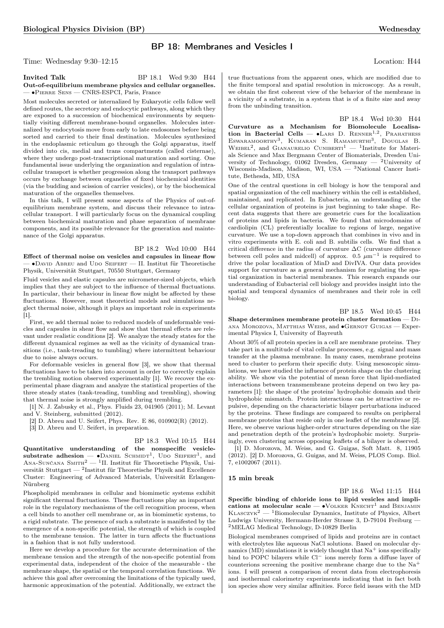# BP 18: Membranes and Vesicles I

Time: Wednesday 9:30–12:15 Location: H44

### Invited Talk BP 18.1 Wed 9:30 H44 Out-of-equilibrium membrane physics and cellular organelles. — ∙Pierre Sens — CNRS-ESPCI, Paris, France

Most molecules secreted or internalized by Eukaryotic cells follow well defined routes, the secretory and endocytic pathways, along which they are exposed to a succession of biochemical environments by sequentially visiting different membrane-bound organelles. Molecules internalized by endocytosis move from early to late endosomes before being sorted and carried to their final destination. Molecules synthesized in the endoplasmic reticulum go through the Golgi apparatus, itself divided into cis, medial and trans compartments (called cisternae), where they undergo post-transcriptional maturation and sorting. One fundamental issue underlying the organization and regulation of intracellular transport is whether progression along the transport pathways occurs by exchange between organelles of fixed biochemical identities (via the budding and scission of carrier vesicles), or by the biochemical maturation of the organelles themselves.

In this talk, I will present some aspects of the Physics of out-ofequilibrium membrane system, and discuss their relevance to intracellular transport. I will particularly focus on the dynamical coupling between biochemical maturation and phase separation of membrane components, and its possible relevance for the generation and maintenance of the Golgi apparatus.

BP 18.2 Wed 10:00 H44 Effect of thermal noise on vesicles and capsules in linear flow — ∙David Abreu and Udo Seifert — II. Institut für Theoretische Physik, Universität Stuttgart, 70550 Stuttgart, Germany

Fluid vesicles and elastic capsules are micrometer-sized objects, which implies that they are subject to the influence of thermal fluctuations. In particular, their behaviour in linear flow might be affected by these fluctuations. However, most theoretical models and simulations neglect thermal noise, although it plays an important role in experiments [1].

First, we add thermal noise to reduced models of undeformable vesicles and capsules in shear flow and show that thermal effects are relevant under realistic conditions [2]. We analyze the steady states for the different dynamical regimes as well as the vicinity of dynamical transitions (i.e., tank-treading to tumbling) where intermittent behaviour due to noise always occurs.

For deformable vesicles in general flow [3], we show that thermal fluctuations have to be taken into account in order to correctly explain the trembling motion observed experimentally [1]. We recover the experimental phase diagram and analyze the statistical properties of the three steady states (tank-treading, tumbling and trembling), showing that thermal noise is strongly amplified during trembling.

[1] N. J. Zabusky et al., Phys. Fluids 23, 041905 (2011); M. Levant and V. Steinberg, submitted (2012).

[2] D. Abreu and U. Seifert, Phys. Rev. E 86, 010902(R) (2012).

[3] D. Abreu and U. Seifert, in preparation.

BP 18.3 Wed 10:15 H44 Quantitative understanding of the nonspecific vesicle-<br>substrate adhesion — •Daniel Schmidt<sup>1</sup>, Udo Seifert<sup>1</sup>, and  $A$ NA-SUNČANA SMITH<sup>2</sup> — <sup>1</sup>II. Institut für Theoretische Physik, Universität Stuttgart — <sup>2</sup>Institut für Theoretische Physik and Excellence Cluster: Engineering of Advanced Materials, Universität Erlangen-Nürnberg

Phospholipid membranes in cellular and biomimetic systems exhibit significant thermal fluctuations. These fluctuations play an important role in the regulatory mechanisms of the cell recognition process, when a cell binds to another cell membrane or, as in biomimetic systems, to a rigid substrate. The presence of such a substrate is manifested by the emergence of a non-specific potential, the strength of which is coupled to the membrane tension. The latter in turn affects the fluctuations in a fashion that is not fully understood.

Here we develop a procedure for the accurate determination of the membrane tension and the strength of the non-specific potential from experimental data, independent of the choice of the measurable - the membrane shape, the spatial or the temporal correlation functions. We achieve this goal after overcoming the limitations of the typically used, harmonic approximation of the potential. Additionally, we extract the

true fluctuations from the apparent ones, which are modified due to the finite temporal and spatial resolution in microscopy. As a result, we obtain the first coherent view of the behavior of the membrane in a vicinity of a substrate, in a system that is of a finite size and away from the unbinding transition.

BP 18.4 Wed 10:30 H44 Curvature as a Mechanism for Biomolecule Localisation in Bacterial Cells —  $\bullet$ LARS D. RENNER<sup>1,2</sup>, PRAHATHESS ESWARAMOORTHY<sup>3</sup>, KUMARAN S. RAMAMURTHI<sup>3</sup>, DOUGLAS B. WEIBEL<sup>2</sup>, and GIANAURELIO CUNIBERTI<sup>1</sup> - <sup>1</sup>Institute for Materials Science and Max Bergmann Center of Biomaterials, Dresden University of Technology, 01062 Dresden, Germany — <sup>2</sup>University of Wisconsin-Madison, Madison, WI, USA — <sup>3</sup>National Cancer Institute, Bethesda, MD, USA

One of the central questions in cell biology is how the temporal and spatial organization of the cell machinery within the cell is established, maintained, and replicated. In Eubacteria, an understanding of the cellular organization of proteins is just beginning to take shape. Recent data suggests that there are geometric cues for the localization of proteins and lipids in bacteria. We found that microdomains of cardiolipin (CL) preferentially localize to regions of large, negative curvature. We use a top-down approach that combines in vivo and in vitro experiments with E. coli and B. subtilis cells. We find that a critical difference in the radius of curvature  $\Delta C$  (curvature difference between cell poles and midcell) of approx. 0.5  $\mu$ m<sup>-1</sup> is required to drive the polar localization of MinD and DivIVA. Our data provides support for curvature as a general mechanism for regulating the spatial organization in bacterial membranes. This research expands our understanding of Eubacterial cell biology and provides insight into the spatial and temporal dynamics of membranes and their role in cell biology.

### BP 18.5 Wed 10:45 H44

Shape determines membrane protein cluster formation — Diana Morozova, Matthias Weiss, and ∙Gernot Guigas — Experimental Physics I, University of Bayreuth

About 30% of all protein species in a cell are membrane proteins. They take part in a multitude of vital cellular processes, e.g. signal and mass transfer at the plasma membrane. In many cases, membrane proteins need to cluster to perform their specific duty. Using mesoscopic simulations, we have studied the influence of protein shape on the clustering ability. We show via the potential of mean force that lipid-mediated interactions between transmembrane proteins depend on two key parameters [1]: the shape of the proteins' hydrophobic domain and their hydrophobic mismatch. Protein interactions can be attractive or repulsive, depending on the characteristic bilayer perturbations induced by the proteins. These findings are compared to results on peripheral membrane proteins that reside only in one leaflet of the membrane [2]. Here, we observe various higher-order structures depending on the size and penetration depth of the protein's hydrophobic moiety. Surprisingly, even clustering across opposing leaflets of a bilayer is observed.

[1] D. Morozova, M. Weiss, and G. Guigas, Soft Matt. 8, 11905 (2012). [2] D. Morozova, G. Guigas, and M. Weiss, PLOS Comp. Biol. 7, e1002067 (2011).

### 15 min break

BP 18.6 Wed 11:15 H44 Specific binding of chloride ions to lipid vesicles and impli-

cations at molecular scale —  $\bullet$  VOLKER KNECHT<sup>1</sup> and BENJAMIN  $KLASCZYK^2$  — <sup>1</sup>Biomolecular Dynamics, Institute of Physics, Albert Ludwigs University, Hermann-Herder Strasse 3, D-79104 Freiburg — <sup>2</sup>MELAG Medical Technology, D-10829 Berlin

Biological membranes comprised of lipids and proteins are in contact with electrolytes like aqueous NaCl solutions. Based on molecular dynamics  $(MD)$  simulations it is widely thought that  $Na<sup>+</sup>$  ions specifically bind to POPC bilayers while Cl<sup>−</sup> ions merely form a diffuse layer of counterions screening the positive membrane charge due to the Na<sup>+</sup> ions. I will present a comparison of recent data from electrophoresis and isothermal calorimetry experiments indicating that in fact both ion species show very similar affinities. Force field issues with the MD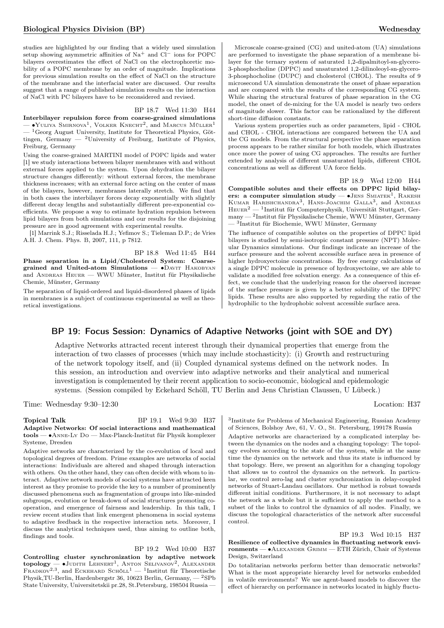studies are highlighted by our finding that a widely used simulation setup showing asymmetric affinities of Na<sup>+</sup> and Cl<sup>−</sup> ions for POPC bilayers overestimates the effect of NaCl on the electrophoretic mobility of a POPC membrane by an order of magnitude. Implications for previous simulation results on the effect of NaCl on the structure of the membrane and the interfacial water are discussed. Our results suggest that a range of published simulation results on the interaction of NaCl with PC bilayers have to be reconsidered and revised.

### BP 18.7 Wed 11:30 H44

Interbilayer repulsion force from coarse-grained simulations — •Yuliya Smirnova<sup>1</sup>, Volker Knecht<sup>2</sup>, and Marcus Müller<sup>1</sup>  $-$ <sup>1</sup>Georg August University, Institute for Theoretical Physics, Göttingen, Germany — <sup>2</sup>University of Freiburg, Institute of Physics, Freiburg, Germany

Using the coarse-grained MARTINI model of POPC lipids and water [1] we study interactions between bilayer membranes with and without external forces applied to the system. Upon dehydration the bilayer structure changes differently: without external forces, the membrane thickness increases; with an external force acting on the center of mass of the bilayers, however, membranes laterally stretch. We find that in both cases the interbilayer forces decay exponentially with slightly different decay lengths and substantially different pre-exponential coefficients. We propose a way to estimate hydration repulsion between lipid bilayers from both simulations and our results for the disjoining pressure are in good agreement with experimental results.

[1] Marrink S.J.; Risselada H.J.; Yefimov S.; Tieleman D.P.; de Vries A.H. J. Chem. Phys. B, 2007, 111, p 7812.

BP 18.8 Wed 11:45 H44 Phase separation in a Lipid/Cholesterol System: Coarsegrained and United-atom Simulations — • DAVIT HAKOBYAN and Andreas Heuer — WWU Münster, Institut für Physikalische Chemie, Münster, Germany

The separation of liquid-ordered and liquid-disordered phases of lipids in membranes is a subject of continuous experimental as well as theoretical investigations.

Microscale coarse-grained (CG) and united-atom (UA) simulations are performed to investigate the phase separation of a membrane bilayer for the ternary system of saturated 1,2-dipalmitoyl-sn-glycero-3-phosphocholine (DPPC) and unsaturated 1,2-dilinoleoyl-sn-glycero-3-phosphocholine (DUPC) and cholesterol (CHOL). The results of 9 microsecond UA simulation demonstrate the onset of phase separation and are compared with the results of the corresponding CG system. While sharing the structural features of phase separation in the CG model, the onset of de-mixing for the UA model is nearly two orders of magnitude slower. This factor can be rationalized by the different short-time diffusion constants.

Various system properties such as order parameters, lipid - CHOL and CHOL - CHOL interactions are compared between the UA and the CG models. From the structural perspective the phase separation process appears to be rather similar for both models, which illustrates once more the power of using CG approaches. The results are further extended by analysis of different unsaturated lipids, different CHOL concentrations as well as different UA force fields.

### BP 18.9 Wed 12:00 H44

Compatible solutes and their effects on DPPC lipid bilayers: a computer simulation study  $-$  •JENS SMIATEK<sup>1</sup>, RAKESH KUMAR HARISHCHANDRA<sup>3</sup>, HANS-JOACHIM GALLA<sup>3</sup>, and ANDREAS Heuer<sup>2</sup> — <sup>1</sup> Institut für Computerphysik, Universität Stuttgart, Germany — <sup>2</sup> Institut für Physikalische Chemie, WWU Münster, Germany — <sup>3</sup> Institut für Biochemie, WWU Münster, Germany

The influence of compatible solutes on the properties of DPPC lipid bilayers is studied by semi-isotropic constant pressure (NPT) Molecular Dynamics simulations. Our findings indicate an increase of the surface pressure and the solvent accessible surface area in presence of higher hydroxyectoine concentrations. By free energy calculations of a single DPPC molecule in presence of hydroxyectoine, we are able to validate a modified free solvation energy. As a consequence of this effect, we conclude that the underlying reason for the observed increase of the surface pressure is given by a better solubility of the DPPC lipids. These results are also supported by regarding the ratio of the hydrophilic to the hydrophobic solvent accessible surface area.

# BP 19: Focus Session: Dynamics of Adaptive Networks (joint with SOE and DY)

Adaptive Networks attracted recent interest through their dynamical properties that emerge from the interaction of two classes of processes (which may include stochasticity): (i) Growth and restructuring of the network topology itself, and (ii) Coupled dynamical systems defined on the network nodes. In this session, an introduction and overview into adaptive networks and their analytical and numerical investigation is complemented by their recent application to socio-economic, biological and epidemologic systems. (Session compiled by Eckehard Schöll, TU Berlin and Jens Christian Claussen, U Lübeck.)

Time: Wednesday 9:30–12:30 Location: H37

Topical Talk BP 19.1 Wed 9:30 H37 Adaptive Networks: Of social interactions and mathematical tools — ∙Anne-Ly Do — Max-Planck-Institut für Physik komplexer Systeme, Dresden

Adaptive networks are characterized by the co-evolution of local and topological degrees of freedom. Prime examples are networks of social interactions: Individuals are altered and shaped through interaction with others. On the other hand, they can often decide with whom to interact. Adaptive network models of social systems have attracted keen interest as they promise to provide the key to a number of prominently discussed phenomena such as fragmentation of groups into like-minded subgroups, evolution or break-down of social structures promoting cooperation, and emergence of fairness and leadership. In this talk, I review recent studies that link emergent phenomena in social systems to adaptive feedback in the respective interaction nets. Moreover, I discuss the analytical techniques used, thus aiming to outline both, findings and tools.

BP 19.2 Wed 10:00 H37 Controlling cluster synchronization by adaptive network  $\text{topology} \longrightarrow \text{Judith Lehner}^1$ , Anton Selivanov<sup>2</sup>, Alexander FRADKOV<sup>2,3</sup>, and ECKEHARD SCHÖLL<sup>1</sup> — <sup>1</sup>Institut für Theoretische Physik,TU-Berlin, Hardenbergstr 36, 10623 Berlin, Germany, — <sup>2</sup>SPb State University, Universitetskii pr.28, St.Petersburg, 198504 Russia —

3 Institute for Problems of Mechanical Engineering, Russian Academy of Sciences, Bolshoy Ave, 61, V. O., St. Petersburg, 199178 Russia

Adaptive networks are characterized by a complicated interplay between the dynamics on the nodes and a changing topology: The topology evolves according to the state of the system, while at the same time the dynamics on the network and thus its state is influenced by that topology. Here, we present an algorithm for a changing topology that allows us to control the dynamics on the network. In particular, we control zero-lag and cluster synchronization in delay-coupled networks of Stuart-Landau oscillators. Our method is robust towards different initial conditions. Furthermore, it is not necessary to adapt the network as a whole but it is sufficient to apply the method to a subset of the links to control the dynamics of all nodes. Finally, we discuss the topological characteristics of the network after successful control.

BP 19.3 Wed 10:15 H37 Resilience of collective dynamics in fluctuating network environments — • ALEXANDER GRIMM — ETH Zürich, Chair of Systems Design, Switzerland

Do totalitarian networks perform better than democratic networks? What is the most appropriate hierarchy level for networks embedded in volatile environments? We use agent-based models to discover the effect of hierarchy on performance in networks located in highly fluctu-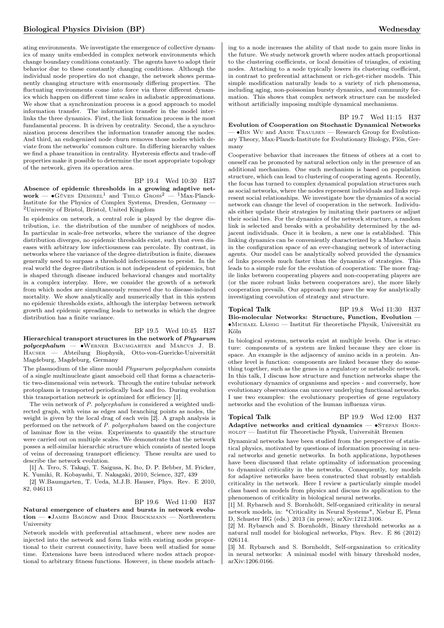ating environments. We investigate the emergence of collective dynamics of many units embedded in complex network environments which change boundary conditions constantly. The agents have to adopt their behavior due to these constantly changing conditions. Although the individual node properties do not change, the network shows permanently changing structure with enormously differing properties. The fluctuating environments come into force via three different dynamics which happen on different time scales in adiabatic approximations. We show that a synchronization process is a good approach to model information transfer. The information transfer in the model interlinks the three dynamics. First, the link formation process is the most fundamental process. It is driven by centrality. Second, the a synchronization process describes the information transfer among the nodes. And third, an endogenized node churn removes those nodes which deviate from the networks' common culture. In differing hierarchy values we find a phase transition in centrality. Hysteresis effects and trade-off properties make it possible to determine the most appropriate topology of the network, given its operation area.

### BP 19.4 Wed 10:30 H37

Absence of epidemic thresholds in a growing adaptive net $work - \bullet$ Güven Demirel<sup>1</sup> and Thilo  $G$ ross<sup>2</sup> — <sup>1</sup>Max-Planck-Institute for the Physics of Complex Systems, Dresden, Germany — <sup>2</sup>University of Bristol, Bristol, United Kingdom

In epidemics on network, a central role is played by the degree distribution, i.e. the distribution of the number of neighbors of nodes. In particular in scale-free networks, where the variance of the degree distribution diverges, no epidemic thresholds exist, such that even diseases with arbitrary low infectiousness can percolate. By contrast, in networks where the variance of the degree distribution is finite, diseases generally need to surpass a threshold infectiousness to persist. In the real world the degree distribution is not independent of epidemics, but is shaped through disease induced behavioral changes and mortality in a complex interplay. Here, we consider the growth of a network from which nodes are simultaneously removed due to disease-induced mortality. We show analytically and numerically that in this system no epidemic thresholds exists, although the interplay between network growth and epidemic spreading leads to networks in which the degree distribution has a finite variance.

### BP 19.5 Wed 10:45 H37

Hierarchical transport structures in the network of Physarum  $polycephalum$   $\longrightarrow$  •WERNER BAUMGARTEN and MARCUS J. B. Hauser — Abteilung Biophysik, Otto-von-Guericke-Universität Magdeburg, Magdeburg, Germany

The plasmodium of the slime mould Physarum polycephalum consists of a single multinucleate giant amoeboid cell that forms a characteristic two-dimensional vein network. Through the entire tubular network protoplasm is transported periodically back and fro. During evolution this transportation network is optimized for efficiency [1].

The vein network of P. polycephalum is considered a weighted undirected graph, with veins as edges and branching points as nodes, the weight is given by the local drag of each vein [2]. A graph analysis is performed on the network of P. polycephalum based on the conjecture of laminar flow in the veins. Experiments to quantify the structure were carried out on multiple scales. We demonstrate that the network posses a self-similar hierarchic structure which consists of nested loops of veins of decreasing transport efficiency. These results are used to describe the network evolution.

[1] A. Tero, S. Takagi, T. Saigusa, K. Ito, D. P. Bebber, M. Fricker, K. Yumiki, R. Kobayashi, T. Nakagaki, 2010, Science, 327, 439

[2] W.Baumgarten, T. Ueda, M.J.B. Hauser, Phys. Rev. E 2010, 82, 046113

### BP 19.6 Wed 11:00 H37

Natural emergence of clusters and bursts in network evolution — ∙James Bagrow and Dirk Brockmann — Northwestern University

Network models with preferential attachment, where new nodes are injected into the network and form links with existing nodes proportional to their current connectivity, have been well studied for some time. Extensions have been introduced where nodes attach proportional to arbitrary fitness functions. However, in these models attach-

ing to a node increases the ability of that node to gain more links in the future. We study network growth where nodes attach proportional to the clustering coefficients, or local densities of triangles, of existing nodes. Attaching to a node typically lowers its clustering coefficient, in contrast to preferential attachment or rich-get-richer models. This simple modification naturally leads to a variety of rich phenomena, including aging, non-poissonian bursty dynamics, and community formation. This shows that complex network structure can be modeled without artificially imposing multiple dynamical mechanisms.

### BP 19.7 Wed 11:15 H37

Evolution of Cooperation on Stochastic Dynamical Networks — ∙Bin Wu and Arne Traulsen — Research Group for Evolutionary Theory, Max-Planck-Institute for Evolutionary Biology, Plön, Germany

Cooperative behavior that increases the fitness of others at a cost to oneself can be promoted by natural selection only in the presence of an additional mechanism. One such mechanism is based on population structure, which can lead to clustering of cooperating agents. Recently, the focus has turned to complex dynamical population structures such as social networks, where the nodes represent individuals and links represent social relationships. We investigate how the dynamics of a social network can change the level of cooperation in the network. Individuals either update their strategies by imitating their partners or adjust their social ties. For the dynamics of the network structure, a random link is selected and breaks with a probability determined by the adjacent individuals. Once it is broken, a new one is established. This linking dynamics can be conveniently characterized by a Markov chain in the configuration space of an ever-changing network of interacting agents. Our model can be analytically solved provided the dynamics of links proceeds much faster than the dynamics of strategies. This leads to a simple rule for the evolution of cooperation: The more fragile links between cooperating players and non-cooperating players are (or the more robust links between cooperators are), the more likely cooperation prevails. Our approach may pave the way for analytically investigating coevolution of strategy and structure.

### Topical Talk BP 19.8 Wed 11:30 H37 Bio-molecular Networks: Structure, Function, Evolution — ∙Michael Lässig — Institut für theoretische Physik, Universität zu Köln

In biological systems, networks exist at multiple levels. One is structure: components of a system are linked because they are close in space. An example is the adjacency of amino acids in a protein. Another level is function: components are linked because they do something together, such as the genes in a regulatory or metabolic network. In this talk, I discuss how structure and function networks shape the evolutionary dynamics of organisms and species - and conversely, how evolutionary observations can uncover underlying functional networks. I use two examples: the evolutionary properties of gene regulatory networks and the evolution of the human influenza virus.

Topical Talk BP 19.9 Wed 12:00 H37

Adaptive networks and critical dynamics —  $\bullet$ STEFAN BORNholdt — Institut für Theoretische Physik, Universität Bremen

Dynamical networks have been studied from the perspective of statistical physics, motivated by questions of information processing in neural networks and genetic networks. In both applications, hypotheses have been discussed that relate optimality of information processing to dynamical criticality in the networks. Consequently, toy models for adaptive networks have been constructed that robustly establish criticality in the network. Here I review a particularly simple model class based on models from physics and discuss its application to the phenomenon of criticality in biological neural networks.

[1] M. Rybarsch and S. Bornholdt, Self-organized criticality in neural network models, in: "Criticality in Neural Systems", Niebur E, Plenz D, Schuster HG (eds.) 2013 (in press); arXiv:1212.3106.

[2] M. Rybarsch and S. Bornholdt, Binary threshold networks as a natural null model for biological networks, Phys. Rev. E 86 (2012) 026114.

[3] M. Rybarsch and S. Bornholdt, Self-organization to criticality in neural networks: A minimal model with binary threshold nodes, arXiv:1206.0166.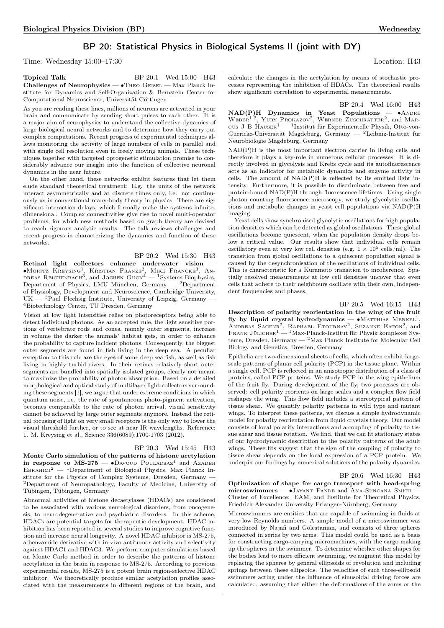# BP 20: Statistical Physics in Biological Systems II (joint with DY)

Time: Wednesday 15:00–17:30 Location: H43

| Topical Talk                                                       | BP 20.1 Wed 15:00 H43 |  |
|--------------------------------------------------------------------|-----------------------|--|
| <b>Challenges of Neurophysics — •</b> Theo Geisel — Max Planck In- |                       |  |
| stitute for Dynamics and Self-Organization & Bernstein Center for  |                       |  |
| Computational Neuroscience, Universität Göttingen                  |                       |  |

As you are reading these lines, millions of neurons are activated in your brain and communicate by sending short pulses to each other. It is a major aim of neurophysics to understand the collective dynamics of large biological neural networks and to determine how they carry out complex computations. Recent progress of experimental techniques allows monitoring the activity of large numbers of cells in parallel and with single cell resolution even in freely moving animals. These techniques together with targeted optogenetic stimulation promise to considerably advance our insight into the function of collective neuronal dynamics in the near future.

On the other hand, these networks exhibit features that let them elude standard theoretical treatment: E.g. the units of the network interact asymmetrically and at discrete times only, i.e. not continuously as in conventional many-body theory in physics. There are significant interaction delays, which formally make the systems infinitedimensional. Complex connectivities give rise to novel multi-operator problems, for which new methods based on graph theory are devised to reach rigorous analytic results. The talk reviews challenges and recent progress in characterizing the dynamics and function of these networks.

### BP 20.2 Wed 15:30 H43

Retinal light collectors enhance underwater vision — ∙Moritz Kreysing<sup>1</sup> , Kristian Franze<sup>2</sup> , Mike Francke<sup>3</sup> , An-dreas Reichenbach3 , and Jochen Guck<sup>4</sup> — <sup>1</sup>Systems Biophysics, Department of Physics, LMU München, Germany  $-$  2Department of Physiology, Development and Neuroscience, Cambridge University, UK — <sup>3</sup>Paul Flechsig Institute, University of Leipzig, Germany <sup>4</sup>Biotechnology Center, TU Dresden, Germany

Vision at low light intensities relies on photoreceptors being able to detect individual photons. As an accepted rule, the light sensitive portions of vertebrate rods and cones, namely outer segments, increase in volume the darker the animals' habitat gets, in order to enhance the probability to capture incident photons. Consequently, the biggest outer segments are found in fish living in the deep sea. A peculiar exception to this rule are the eyes of some deep sea fish, as well as fish living in highly turbid rivers. In their retinas relatively short outer segments are bundled into spatially isolated groups, clearly not meant to maximize the probability of photon absorption. Based on a detailed morphological and optical study of multilayer light-collectors surrounding these segments [1], we argue that under extreme conditions in which quantum noise, i.e. the rate of spontaneous photo-pigment activation, becomes comparable to the rate of photon arrival, visual sensitivity cannot be achieved by large outer segments anymore. Instead the retinal focusing of light on very small receptors is the only way to lower the visual threshold further, or to see at near IR wavelengths. Reference: 1. M. Kreysing et al., Science 336(6089):1700-1703 (2012).

### BP 20.3 Wed 15:45 H43

Monte Carlo simulation of the patterns of histone acetylation in response to MS-275 —  $\bullet$ Davoud Pouladsaz<sup>1</sup> and Azadeh EBRAHIMI<sup>2</sup> — <sup>1</sup>Department of Biological Physics, Max Planck Institute for the Physics of Complex Systems, Dresden, Germany — <sup>2</sup>Department of Neuropathology, Faculty of Medicine, University of Tübingen, Tübingen, Germany

Abnormal activities of histone decaetylases (HDACs) are considered to be associated with various neurological disorders, from oncogenesis, to neurodegenerative and psychiatric disorders. In this scheme, HDACs are potential targets for therapeutic development. HDAC inhibition has been reported in several studies to improve cognitive function and increase neural longevity. A novel HDAC inhibitor is MS-275, a benzamide derivative with in vivo antitumor activity and selectivity against HDAC1 and HDAC3. We perform computer simulations based on Monte Carlo method in order to describe the patterns of histone acetylation in the brain in response to MS-275. According to previous experimental results, MS-275 is a potent brain region-selective HDAC inhibitor. We theoretically produce similar acetylation profiles associated with the measurements in different regions of the brain, and calculate the changes in the acetylation by means of stochastic processes representing the inhibition of HDACs. The theoretical results show significant correlation to experimental measurements.

BP 20.4 Wed 16:00 H43

NAD(P)H Dynamics in Yeast Populations — • ANDRÉ WEBER<sup>1,2</sup>, YURY PROKAZOV<sup>2</sup>, WERNER ZUSCHRATTER<sup>2</sup>, and MARcus J B  $H$ Auser $^1$  — <sup>1</sup>Institut für Experimentelle Physik, Otto-von-Guericke-Universität Magdeburg, Germany — <sup>2</sup>Leibniz-Institut für Neurobiologie Magdeburg, Germany

NAD(P)H is the most important electron carrier in living cells and therefore it plays a key-role in numerous cellular processes. It is directly involved in glycolysis and Krebs cycle and its autofluorescence acts as an indicator for metabolic dynamics and enzyme activity in cells. The amount of NAD(P)H is reflected by its emitted light intensity. Furthermore, it is possible to discriminate between free and protein-bound NAD(P)H through fluorescence lifetimes. Using single photon counting fluorescence microscopy, we study glycolytic oscillations and metabolic changes in yeast cell populations via NAD(P)H imaging.

Yeast cells show synchronised glycolytic oscillations for high population densities which can be detected as global oscillations. These global oscillations become quiescent, when the population density drops below a critical value. Our results show that individual cells remain oscillatory even at very low cell densities (e.g.  $1 \times 10^5$  cells/ml). The transition from global oscillations to a quiescent population signal is caused by the desynchronisation of the oscillations of individual cells. This is characteristic for a Kuramoto transition to incoherence. Spatially resolved measurements at low cell densities uncover that even cells that adhere to their neighbours oscillate with their own, independent frequencies and phases.

### BP 20.5 Wed 16:15 H43

Description of polarity reorientation in the wing of the fruit fly by liquid crystal hydrodynamics —  $\bullet$ MATTHIAS MERKEL<sup>1</sup>, ANDREAS SAGENR<sup>2</sup>, RAPHAEL ETOURNAY<sup>2</sup>, SUZANNE EATON<sup>2</sup>, and FRANK JÜLICHER<sup>1</sup> — <sup>1</sup>Max-Planck-Institut für Physik komplexer Systeme, Dresden, Germany — <sup>2</sup>Max Planck Institute for Molecular Cell Biology and Genetics, Dresden, Germany

Epithelia are two-dimensional sheets of cells, which often exhibit largescale patterns of planar cell polarity (PCP) in the tissue plane. Within a single cell, PCP is reflected in an anisotropic distribution of a class of proteins, called PCP proteins. We study PCP in the wing epithelium of the fruit fly. During development of the fly, two processes are observed: cell polarity reorients on large scales and a complex flow field reshapes the wing. This flow field includes a stereotypical pattern of tissue shear. We quantify polarity patterns in wild type and mutant wings. To interpret these patterns, we discuss a simple hydrodynamic model for polarity reorientation from liquid crystals theory. Our model consists of local polarity interactions and a coupling of polarity to tissue shear and tissue rotation. We find, that we can fit stationary states of our hydrodynamic description to the polarity patterns of the adult wings. These fits suggest that the sign of the coupling of polarity to tissue shear depends on the local expression of a PCP protein. We underpin our findings by numerical solutions of the polarity dynamics.

### BP 20.6 Wed 16:30 H43

Optimization of shape for cargo transport with bead-spring microswimmers — •Jayant Pande and Ana-Sunčana Smith — Cluster of Excellence: EAM, and Institute for Theoretical Physics, Friedrich Alexander University Erlangen-Nürnberg, Germany

Microswimmers are entities that are capable of swimming in fluids at very low Reynolds numbers. A simple model of a microswimmer was introduced by Najafi and Golestanian, and consists of three spheres connected in series by two arms. This model could be used as a basis for constructing cargo-carrying micromachines, with the cargo making up the spheres in the swimmer. To determine whether other shapes for the bodies lead to more efficient swimming, we augment this model by replacing the spheres by general ellipsoids of revolution and including springs between these ellipsoids. The velocities of such three-ellipsoid swimmers acting under the influence of sinusoidal driving forces are calculated, assuming that either the deformations of the arms or the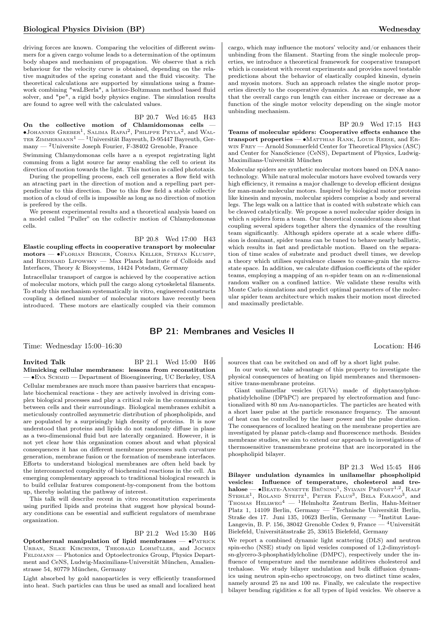driving forces are known. Comparing the velocities of different swimmers for a given cargo volume leads to a determination of the optimum body shapes and mechanism of propagation. We observe that a rich behaviour for the velocity curve is obtained, depending on the relative magnitudes of the spring constant and the fluid viscosity. The theoretical calculations are supported by simulations using a framework combining "waLBerla", a lattice-Boltzmann method based fluid solver, and "pe", a rigid body physics engine. The simulation results are found to agree well with the calculated values.

# BP 20.7 Wed 16:45 H43

On the collective motion of Chlamidomonas cells  $\bullet$ Johannes Greber<sup>1</sup>, Salima Rafai<sup>2</sup>, Philippe Peyla<sup>2</sup>, and Wal-TER ZIMMERMANN $^1-$  Universität Bayreuth, D-95447 Bayreuth, Germany — <sup>2</sup>Universite Joseph Fourier, F-38402 Grenoble, France

Swimming Chlamydomonas cells have a n eyespot registrating light comming from a light source far away enabling the cell to orient its direction of motion towards the light. This motion is called phototaxis.

During the propelling process, each cell generates a flow field with an atracting part in the direction of motion and a repelling part perpendicular to this direction. Due to this flow field a stable collectiv motion of a cloud of cells is impossible as long as no direction of motion is prefered by the cells.

We present experimental results and a theoretical analysis based on a model called "Puller" on the collectiv motion of Chlamydomonas cells.

### BP 20.8 Wed 17:00 H43

Elastic coupling effects in cooperative transport by molecular motors — ∙Florian Berger, Corina Keller, Stefan Klumpp, and Reinhard Lipowsky — Max Planck Institute of Colloids and Interfaces, Theory & Biosystems, 14424 Potsdam, Germany

Intracellular transport of cargos is achieved by the cooperative action of molecular motors, which pull the cargo along cytoskeletal filaments. To study this mechanism systematically in vitro, engineered constructs coupling a defined number of molecular motors have recently been introduced. These motors are elastically coupled via their common cargo, which may influence the motors' velocity and/or enhances their unbinding from the filament. Starting from the single molecule properties, we introduce a theoretical framework for cooperative transport which is consistent with recent experiments and provides novel testable predictions about the behavior of elastically coupled kinesin, dynein and myosin motors. Such an approach relates the single motor properties directly to the cooperative dynamics. As an example, we show that the overall cargo run length can either increase or decrease as a function of the single motor velocity depending on the single motor unbinding mechanism.

### BP 20.9 Wed 17:15 H43

Teams of molecular spiders: Cooperative effects enhance the transport properties — ∙Matthias Rank, Louis Reese, and Erwin Frey — Arnold Sommerfeld Center for Theoretical Physics (ASC) and Center for NanoScience (CeNS), Department of Physics, Ludwig-Maximilians-Universität München

Molecular spiders are synthetic molecular motors based on DNA nanotechnology. While natural molecular motors have evolved towards very high efficiency, it remains a major challenge to develop efficient designs for man-made molecular motors. Inspired by biological motor proteins like kinesin and myosin, molecular spiders comprise a body and several legs. The legs walk on a lattice that is coated with substrate which can be cleaved catalytically. We propose a novel molecular spider design in which  $n$  spiders form a team. Our theoretical considerations show that coupling several spiders together alters the dynamics of the resulting team significantly. Although spiders operate at a scale where diffusion is dominant, spider teams can be tuned to behave nearly ballistic, which results in fast and predictable motion. Based on the separation of time scales of substrate and product dwell times, we develop a theory which utilises equivalence classes to coarse-grain the microstate space. In addition, we calculate diffusion coefficients of the spider teams, employing a mapping of an  $n$ -spider team on an  $n$ -dimensional random walker on a confined lattice. We validate these results with Monte Carlo simulations and predict optimal parameters of the molecular spider team architecture which makes their motion most directed and maximally predictable.

# BP 21: Membranes and Vesicles II

Time: Wednesday 15:00–16:30 Location: H46

**Invited Talk** BP 21.1 Wed 15:00 H46 Mimicking cellular membranes: lessons from reconstitution — ∙Eva Schmid — Department of Bioengineering, UC Berkeley, USA

Cellular membranes are much more than passive barriers that encapsulate biochemical reactions - they are actively involved in driving complex biological processes and play a critical role in the communication between cells and their surroundings. Biological membranes exhibit a meticulously controlled asymmetric distribution of phospholipids, and are populated by a surprisingly high density of proteins. It is now understood that proteins and lipids do not randomly diffuse in plane as a two-dimensional fluid but are laterally organized. However, it is not yet clear how this organization comes about and what physical consequences it has on different membrane processes such curvature generation, membrane fusion or the formation of membrane interfaces. Efforts to understand biological membranes are often held back by the interconnected complexity of biochemical reactions in the cell. An emerging complementary approach to traditional biological research is to build cellular features component-by-component from the bottom up, thereby isolating the pathway of interest.

This talk will describe recent in vitro reconstitution experiments using purified lipids and proteins that suggest how physical boundary conditions can be essential and sufficient regulators of membrane organization.

### BP 21.2 Wed 15:30 H46

Optothermal manipulation of lipid membranes — ∙Patrick Urban, Silke Kirchner, Theobald Lohmüller, and Jochen FELDMANN — Photonics and Optoelectronics Group, Physics Department and CeNS, Ludwig-Maximilians-Universität München, Amalienstrasse 54, 80779 München, Germany

Light absorbed by gold nanoparticles is very efficiently transformed into heat. Such particles can thus be used as small and localized heat

sources that can be switched on and off by a short light pulse.

In our work, we take advantage of this property to investigate the physical consequences of heating on lipid membranes and thermosensitive trans-membrane proteins.

Giant unilamellar vesicles (GUVs) made of diphytanoylphosphatidylcholine (DPhPC) are prepared by electroformation and functionalized with 80 nm Au-nanoparticles. The particles are heated with a short laser pulse at the particle resonance frequency. The amount of heat can be controlled by the laser power and the pulse duration. The consequences of localized heating on the membrane properties are investigated by planar patch-clamp and fluorescence methods. Besides membrane studies, we aim to extend our approach to investigations of thermosensitive transmembrane proteins that are incorporated in the phospholipid bilayer.

### BP 21.3 Wed 15:45 H46

Bilayer undulation dynamics in unilamellar phospholipid vesicles: Influence of temperature, cholesterol and trehalose — • BEATE-ANNETTE BRÜNING<sup>1</sup>, SYLVAIN PRÉVOST<sup>1,2</sup> , Ralf STEHLE<sup>1</sup>, ROLAND STEITZ<sup>1</sup>, PETER FALUS<sup>3</sup>, BELA FARAGO<sup>3</sup>, and THOMAS  $HELWEG<sup>4</sup>$  — <sup>1</sup>Helmholtz Zentrum Berlin, Hahn-Meitner Platz 1, 14109 Berlin, Germany — <sup>2</sup>Technische Universität Berlin, Straße des 17. Juni 135, 10623 Berlin, Germany — <sup>3</sup> Institut Laue-Langevin, B. P. 156, 38042 Grenoble Cedex 9, France — <sup>4</sup>Universität Bielefeld, Universitätsstraße 25, 33615 Bielefeld, Germany

We report a combined dynamic light scattering (DLS) and neutron spin-echo (NSE) study on lipid vesicles composed of 1,2-dimyristoylsn-glycero-3-phosphatidylcholine (DMPC), respectively under the influence of temperature and the membrane additives cholesterol and trehalose. We study bilayer undulation and bulk diffusion dynamics using neutron spin-echo spectroscopy, on two distinct time scales, namely around 25 ns and 100 ns. Finally, we calculate the respective bilayer bending rigidities  $\kappa$  for all types of lipid vesicles. We observe a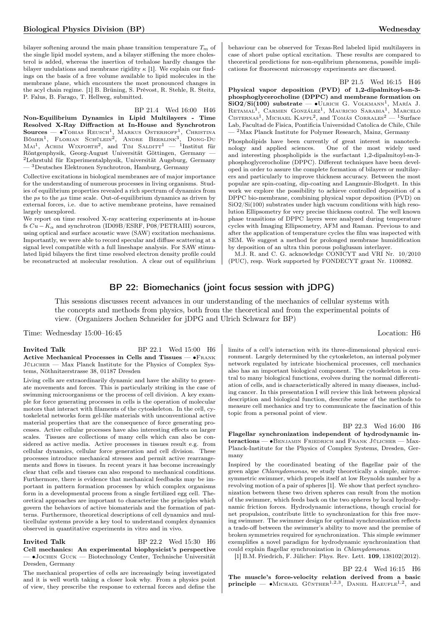bilayer softening around the main phase transition temperature  $T_m$  of the single lipid model system, and a bilayer stiffening the more cholesterol is added, whereas the insertion of trehalose hardly changes the bilayer undulations and membrane rigidity  $\kappa$  [1]. We explain our findings on the basis of a free volume available to lipid molecules in the membrane plane, which encounters the most pronounced changes in the acyl chain regime. [1] B. Brüning, S. Prévost, R. Stehle, R. Steitz, P. Falus, B. Farago, T. Hellweg, submitted.

### BP 21.4 Wed 16:00 H46

Non-Equilibrium Dynamics in Lipid Multilayers - Time Resolved X-Ray Diffraction at In-House and Synchrotron  $\textbf{Source} = \bullet \text{Tobias} \ \text{Reusch}^1, \ \text{Markus} \ \text{Osternoff}^1, \ \text{Christina}$ Bömer<sup>1</sup>, Florian Schülein<sup>2</sup>, Andre Beerlink<sup>3</sup> , Dong-Du  $\text{Mai}^1$ , Achim Wixforth<sup>2</sup>, and Tim Salditt<sup>1</sup> — <sup>1</sup>Institut für Röntgenphysik, Georg-August Universität Göttingen, Germany — <sup>2</sup>Lehrstuhl für Experimentalphysik, Universität Augsburg, Germany — <sup>3</sup>Deutsches Elektronen Synchrotron, Hamburg, Germany

Collective excitations in biological membranes are of major importance for the understanding of numerous processes in living organisms. Studies of equilibrium properties revealed a rich spectrum of dynamics from the  $ps$  to the  $\mu s$  time scale. Out-of-equilibrium dynamics as driven by external forces, i.e. due to active membrane proteins, have remained largely unexplored.

We report on time resolved X-ray scattering experiments at in-house fs  $Cu - K_{\alpha}$  and synchrotron (ID09B/ESRF, P08/PETRAIII) sources, using optical and surface acoustic wave (SAW) excitation mechanisms. Importantly, we were able to record specular and diffuse scattering at a signal level compatible with a full lineshape analysis. For SAW stimulated lipid bilayers the first time resolved electron density profile could be reconstructed at molecular resolution. A clear out of equilibrium

behaviour can be observed for Texas-Red labeled lipid multilayers in case of short pulse optical excitation. These results are compared to theoretical predictions for non-equlibrium phenomena, possible implications for fluorescent microscopy experiments are discussed.

BP 21.5 Wed 16:15 H46 Physical vapor deposition (PVD) of 1,2-dipalmitoyl-sn-3 phosphoglycerocholine (DPPC) and membrane formation on SiO2/Si(100) substrate —  $\bullet$ ULRICH G. VOLKMANN<sup>1</sup>, MARÍA J. RETAMAL<sup>1</sup>, CARMEN GONZÁLEZ<sup>1</sup>, MAURICIO SARABIA<sup>1</sup>, MARCELO CISTERNAS<sup>1</sup>, MICHAEL KAPPL<sup>2</sup>, and TOMÁS CORRALES<sup>2</sup> — <sup>1</sup>Surface Lab, Facultad de Fisica, Pontificia Universidad Catolica de Chile, Chile - <sup>2</sup>Max Planck Institute for Polymer Research, Mainz, Germany

Phospholipids have been currently of great interest in nanotechnology and applied sciences. One of the most widely used and interesting phospholipids is the surfactant 1,2-dipalmitoyl-sn-3 phosphoglycerocholine (DPPC). Different techniques have been developed in order to assure the complete formation of bilayers or multilayers and particularly to improve thickness accuracy. Between the most popular are spin-coating, dip-coating and Langmuir-Blodgett. In this work we explore the possibility to achieve controlled deposition of a DPPC bio-membrane, combining physical vapor deposition (PVD) on SiO2/Si(100) substrates under high vacuum conditions with high resolution Ellipsometry for very precise thickness control. The well known phase transitions of DPPC layers were analyzed during temperature cycles with Imaging Ellipsometry, AFM and Raman. Previous to and after the application of temperature cycles the film was inspected with SEM. We suggest a method for prolonged membrane humidification by deposition of an ultra thin porous poliglusam interlayer.

M.J. R. and C. G. acknowledge CONICYT and VRI Nr. 10/2010 (PUC), resp. Work supported by FONDECYT grant Nr. 1100882.

# BP 22: Biomechanics (joint focus session with jDPG)

This sessions discusses recent advances in our understanding of the mechanics of cellular systems with the concepts and methods from physics, both from the theoretical and from the experimental points of view. (Organizers Jochen Schneider for jDPG and Ulrich Schwarz for BP)

Time: Wednesday 15:00–16:45 Location: H6

Invited Talk BP 22.1 Wed 15:00 H6 Active Mechanical Processes in Cells and Tissues — •FRANK Jülicher — Max Planck Institute for the Physics of Complex Systems, Nöthnitzerstrasse 38, 01187 Dresden

Living cells are extraordinarily dynamic and have the ability to generate movements and forces. This is particularly striking in the case of swimming microorganisms or the process of cell division. A key example for force generating processes in cells is the operation of molecular motors that interact with filaments of the cytoskeleton. In the cell, cytoskeletal networks form gel-like materials with unconventional active material properties that are the consequence of force generating processes. Active cellular processes have also interesting effects on larger scales. Tissues are collections of many cells which can also be considered as active media. Active processes in tissues result e.g. from cellular dynamics, cellular force generation and cell division. These processes introduce mechanical stresses and permit active rearrangements and flows in tissues. In recent years it has become increasingly clear that cells and tissues can also respond to mechanical conditions. Furthermore, there is evidence that mechanical feedbacks may be important in pattern formation processes by which complex organisms form in a developmental process from a single fertilized egg cell. Theoretical approaches are important to characterize the principles which govern the behaviors of active biomaterials and the formation of patterns. Furthermore, theoretical descriptions of cell dynamics and multicellular systems provide a key tool to understand complex dynamics observed in quantitative experiments in vitro and in vivo.

Invited Talk BP 22.2 Wed 15:30 H6 Cell mechanics: An experimental biophysicist's perspective — ∙Jochen Guck — Biotechnology Center, Technische Universität Dresden, Germany

The mechanical properties of cells are increasingly being investigated and it is well worth taking a closer look why. From a physics point of view, they prescribe the response to external forces and define the

limits of a cell's interaction with its three-dimensional physical environment. Largely determined by the cytoskeleton, an internal polymer network regulated by intricate biochemical processes, cell mechanics also has an important biological component. The cytoskeleton is central to many biological functions, evolves during the normal differentiation of cells, and is characteristically altered in many diseases, including cancer. In this presentation I will review this link between physical description and biological function, describe some of the methods to measure cell mechanics and try to communicate the fascination of this topic from a personal point of view.

BP 22.3 Wed 16:00 H6

Flagellar synchronization independent of hydrodynamic interactions — •BENJAMIN FRIEDRICH and FRANK JÜLICHER — Max-Planck-Institute for the Physics of Complex Systems, Dresden, Germany

Inspired by the coordinated beating of the flagellar pair of the green algae Chlamydomonas, we study theoretically a simple, mirrorsymmetric swimmer, which propels itself at low Reynolds number by a revolving motion of a pair of spheres [1]. We show that perfect synchronization between these two driven spheres can result from the motion of the swimmer, which feeds back on the two spheres by local hydrodynamic friction forces. Hydrodynamic interactions, though crucial for net propulsion, contribute little to synchronization for this free moving swimmer. The swimmer design for optimal synchronization reflects a trade-off between the swimmer's ability to move and the premise of broken symmetries required for synchronization. This simple swimmer exemplifies a novel paradigm for hydrodynamic synchronization that could explain flagellar synchronization in Chlamydomonas.

[1] B.M. Friedrich, F. Jülicher: Phys. Rev. Lett. 109, 138102(2012).

BP 22.4 Wed 16:15 H6 The muscle's force-velocity relation derived from a basic principle —  $\bullet$ MICHAEL GÜNTHER<sup>1,2,3</sup>, DANIEL HAEUFLE<sup>1,2</sup>, and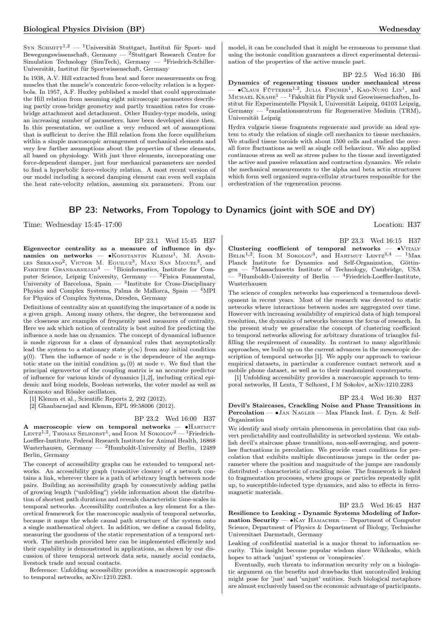SYN SCHMITT<sup>1,2</sup> — <sup>1</sup>Universität Stuttgart, Institut für Sport- und Bewegungswissenschaft, Germany —  ${}^{2}$ Stuttgart Research Centre for Simulation Technology (SimTech), Germany — <sup>3</sup>Friedrich-Schiller-Universität, Institut für Sportwissenschaft, Germany

In 1938, A.V. Hill extracted from heat and force measurements on frog muscles that the muscle's concentric force-velocity relation is a hyperbola. In 1957, A.F. Huxley published a model that could approximate the Hill relation from assuming eight microscopic parameters describing partly cross-bridge geometry and partly transition rates for crossbridge attachment and detachment. Other Huxley-type models, using an increasing number of parameters, have been developed since then. In this presentation, we outline a very reduced set of assumptions that is sufficient to derive the Hill relation from the force equilibrium within a simple macroscopic arrangement of mechanical elements and very few further assumptions about the properties of these elements, all based on physiology. With just three elements, incorporating one force-dependent damper, just four mechanical parameters are needed to find a hyperbolic force-velocity relation. A most recent version of our model including a second damping element can even well explain the heat rate-velocity relation, assuming six parameters. From our

model, it can be concluded that it might be erroneous to presume that using the isotonic condition guarantees a direct experimental determination of the properties of the active muscle part.

BP 22.5 Wed 16:30 H6

Dynamics of regenerating tissues under mechanical stress  $-$  •Claus Fütterer<sup>1,2</sup>, Julia Fischer<sup>1</sup>, Kao-Nung Lin<sup>1</sup>, and MICHAEL  $K_{RAHE}^1$  — <sup>1</sup>Fakultät für Physik und Geowissenschaften, Institut für Experimentelle Physik I, Universität Leipzig, 04103 Leipzig, Germany — <sup>2</sup>ranslationszentrum für Regenerative Medizin (TRM), Universität Leipzig

Hydra vulgaris tissue fragments regenerate and provide an ideal system to study the relation of single cell mechanics to tissue mechanics. We studied tissue toroids with about 1500 cells and studied the overall force fluctuations as well as single cell behaviour. We also applied continuous stress as well as stress pulses to the tissue and investigated the active and passive relaxation and contraction dynamics. We relate the mechanical measurements to the alpha and beta actin structures which form well organized supra-cellular structures responsible for the orchestration of the regeneration process.

# BP 23: Networks, From Topology to Dynamics (joint with SOE and DY)

Time: Wednesday 15:45–17:00 Location: H37

BP 23.1 Wed 15:45 H37

Eigenvector centrality as a measure of influence in dynamics on networks —  $\bullet$ Konstantin Klemm<sup>1</sup>, M. Ange-LES SERRANO<sup>2</sup>, VICTOR M. EGUILUZ<sup>3</sup>, MAXI SAN MIGUEL<sup>3</sup>, and FAKHTEH GHANBARNEJAD<sup>4</sup>  $-$  <sup>1</sup>Bioinformatics, Institute for Computer Science, Leipzig University, Germany  $-$  <sup>2</sup>Fisica Fonamental, University of Barcelona, Spain  $-$  <sup>3</sup>Institute for Cross-Disciplinary Physics and Complex Systems, Palma de Mallorca, Spain — <sup>4</sup>MPI for Physics of Complex Systems, Dresden, Germany

Definitions of centrality aim at quantifying the importance of a node in a given graph. Among many others, the degree, the betweenness and the closeness are examples of frequently used measures of centrality. Here we ask which notion of centrality is best suited for predicting the influence a node has on dynamics. The concept of dynamical influence is made rigorous for a class of dynamical rules that asymptotically lead the system to a stationary state  $y(\infty)$  from any initial condition  $y(0)$ . Then the influence of node v is the dependence of the asymptotic state on the initial condition  $y_v(0)$  at node v. We find that the principal eigenvector of the coupling matrix is an accurate predictor of influence for various kinds of dynamics [1,2], including critical epidemic and Ising models, Boolean networks, the voter model as well as Kuramoto and Rössler oscillators.

[1] Klemm et al., Scientific Reports 2, 292 (2012).

[2] Ghanbarnejad and Klemm, EPL 99:58006 (2012).

### BP 23.2 Wed 16:00 H37

A macroscopic view on temporal networks - • HARTMUT LENTZ<sup>1,2</sup>, THOMAS SELHORST<sup>1</sup>, and IGOR M SOKOLOV<sup>2</sup> — <sup>1</sup>Friedrich-Loeffler-Institute, Federal Research Institute for Animal Health, 16868 Wusterhausen, Germany —  $^{2}$ Humboldt-University of Berlin, 12489 Berlin, Germany

The concept of accessibility graphs can be extended to temporal networks. An accessibility graph (transitive closure) of a network contains a link, wherever there is a path of arbitrary length between node pairs. Building an accessibility graph by consecutively adding paths of growing length ("unfolding") yields information about the distribution of shortest path durations and reveals characteristic time-scales in temporal networks. Accessibility contributes a key element for a theoretical framework for the macroscopic analysis of temporal networks, because it maps the whole causal path structure of the system onto a single mathematical object. In addition, we define a causal fidelity, measuring the goodness of the static representation of a temporal network. The methods provided here can be implemented efficiently and their capability is demonstrated in applications, as shown by our discussion of three temporal network data sets, namely social contacts, livestock trade and sexual contacts.

Reference: Unfolding accessibility provides a macroscopic approach to temporal networks, arXiv:1210.2283.

BP 23.3 Wed 16:15 H37 Clustering coefficient of temporal networks —  $\bullet$ VITALY BELIK<sup>1,2</sup>, IGOR M SOKOLOV<sup>3</sup>, and HARTMUT LENTZ<sup>3,4</sup> - <sup>1</sup>Max Planck Institute for Dynamics and Self-Organization, Göttingen — <sup>2</sup>Massachusetts Institute of Technology, Cambridge, USA  $^{3}$ Humboldt-University of Berlin —  $^{4}$ Friedrich-Loeffler-Institute, Wusterhausen

The science of complex networks has experienced a tremendous development in recent years. Most of the research was devoted to static networks where interactions between nodes are aggregated over time. However with increasing availability of empirical data of high temporal resolution, the dynamics of networks becomes the focus of research. In the present study we generalize the concept of clustering coefficient to temporal networks allowing for arbitrary durations of triangles fulfilling the requirement of causality. In contrast to many algorithmic approaches, we build up on the current advances in the mesoscopic description of temporal networks [1]. We apply our approach to various empirical datasets, in particular a conference contact network and a mobile phone dataset, as well as to their randomized counterparts.

[1] Unfolding accessibility provides a macroscopic approach to temporal networks, H Lentz, T Selhorst, I M Sokolov, arXiv:1210.2283

### BP 23.4 Wed 16:30 H37

### Devil's Staircases, Crackling Noise and Phase Transitions in Percolation — ∙Jan Nagler — Max Planck Inst. f. Dyn. & Self-Organization

We identify and study certain phenomena in percolation that can subvert predictability and controllability in networked systems. We establish devil's staircase phase transitions, non-self-averaging, and powerlaw fluctuations in percolation. We provide exact conditions for percolation that exhibits multiple discontinuous jumps in the order parameter where the position and magnitude of the jumps are randomly distributed - characteristic of crackling noise. The framework is linked to fragmentation processes, where groups or particles repeatedly split up, to susceptible-infected type dynamics, and also to effects in ferromagnetic materials.

BP 23.5 Wed 16:45 H37

Resilience to Leaking - Dynamic Systems Modeling of Information Security — ∙Kay Hamacher — Department of Computer Science, Department of Physics & Department of Biology, Technische Universitaet Darmstadt, Germany

Leaking of confidential material is a major threat to information security. This insight become popular wisdom since Wikileaks, which hopes to attack 'unjust' systems or 'conspiracies'.

Eventually, such threats to information security rely on a biologistic argument on the benefits and drawbacks that uncontrolled leaking might pose for 'just' and 'unjust' entities. Such biological metaphors are almost exclusively based on the economic advantage of participants.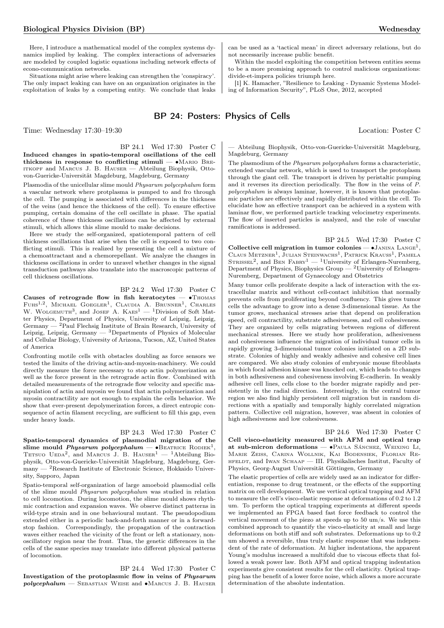Here, I introduce a mathematical model of the complex systems dynamics implied by leaking. The complex interactions of adversaries are modeled by coupled logistic equations including network effects of econo-communication networks.

Situations might arise where leaking can strengthen the 'conspiracy'. The only impact leaking can have on an organization originates in the exploitation of leaks by a competing entity. We conclude that leaks

# BP 24: Posters: Physics of Cells

BP 24.1 Wed 17:30 Poster C Induced changes in spatio-temporal oscillations of the cell thickness in response to conflicting stimuli — ∙Mario Breitkopf and Marcus J. B. Hauser — Abteilung Biophysik, Ottovon-Guericke-Universität Magdeburg, Magdeburg, Germany

Plasmodia of the unicellular slime mould Physarum polycephalum form a vascular network where protplasma is pumped to and fro through the cell. The pumping is associated with differences in the thickness of the veins (and hence the thickness of the cell). To ensure effective pumping, certain domains of the cell oscillate in phase. The spatial coherence of these thickness oscillations can be affected by external stimuli, which allows this slime mould to make decisions.

Here we study the self-organized, spatiotemporal pattern of cell thickness oscillations that arise when the cell is exposed to two conflicting stimuli. This is realized by presenting the cell a mixture of a chemoattractant and a chemorepellant. We analyze the changes in thickness oscillations in order to unravel whether changes in the signal transduction pathways also translate into the macroscopic patterns of cell thickness oscillations.

## BP 24.2 Wed 17:30 Poster C

Causes of retrograde flow in fish keratocytes — ∙Thomas FUHS<sup>1,2</sup>, MICHAEL GOEGLER<sup>1</sup>, CLAUDIA A. BRUNNER<sup>1</sup>, CHARLES W. WOLGEMUTH<sup>3</sup>, and JOSEF A.  $K$ AES<sup>1</sup> — <sup>1</sup>Division of Soft Matter Physics, Department of Physics, University of Leipzig, Leipzig, Germany — <sup>2</sup>Paul Flechsig Institute of Brain Research, University of Leipzig, Leipzig, Germany  $-$  3Departments of Physics of Molecular and Cellular Biology, University of Arizona, Tucson, AZ, United States of America

Confronting motile cells with obstacles doubling as force sensors we tested the limits of the driving actin-and-myosin-machinery. We could directly measure the force necessary to stop actin polymerization as well as the force present in the retrograde actin flow. Combined with detailed measurements of the retrograde flow velocity and specific manipulation of actin and myosin we found that actin polymerization and myosin contractility are not enough to explain the cells behavior. We show that ever-present depolymerization forces, a direct entropic consequence of actin filament recycling, are sufficient to fill this gap, even under heavy loads.

# BP 24.3 Wed 17:30 Poster C

Spatio-temporal dynamics of plasmodial migration of the slime mould *Physarum polycephalum* — • BEATRICE RODIEK<sup>1</sup>, TETSUO UEDA<sup>2</sup>, and MARCUS J. B. HAUSER<sup>1</sup> - <sup>1</sup>Abteilung Biophysik, Otto-von-Guericke-Universität Magdeburg, Magdeburg, Germany — <sup>2</sup>Research Institute of Electronic Science, Hokkaido University, Sapporo, Japan

Spatio-temporal self-organization of large amoeboid plasmodial cells of the slime mould Physarum polycephalum was studied in relation to cell locomotion. During locomotion, the slime mould shows rhythmic contraction and expansion waves. We observe distinct patterns in wild-type strain and in one behavioural mutant. The pseudopodium extended either in a periodic back-and-forth manner or in a forwardstop fashion. Correspondingly, the propagation of the contraction waves either reached the vicinity of the front or left a stationary, nonoscillatory region near the front. Thus, the genetic differences in the cells of the same species may translate into different physical patterns of locomotion.

BP 24.4 Wed 17:30 Poster C Investigation of the protoplasmic flow in veins of Physarum polycephalum — Sebastian Weise and ∙Marcus J. B. Hauser can be used as a 'tactical mean' in direct adversary relations, but do not necessarily increase public benefit. Within the model exploiting the competition between entities seems

to be a more promising approach to control malicious organizations: divide-et-impera policies triumph here.

[1] K. Hamacher, "Resilience to Leaking - Dynamic Systems Modeling of Information Security", PLoS One, 2012, accepted

# Time: Wednesday 17:30–19:30 Location: Poster C

— Abteilung Biophysik, Otto-von-Guericke-Universität Magdeburg, Magdeburg, Germany

The plasmodium of the Physarum polycephalum forms a characteristic, extended vascular network, which is used to transport the protoplasm through the giant cell. The transport is driven by peristaltic pumping and it reverses its direction periodically. The flow in the veins of P. polycephalum is always laminar, however, it is known that protoplasmic particles are effectively and rapidly distributed within the cell. To elucidate how an effective transport can be achieved in a system with laminar flow, we performed particle tracking velocimetry experiments. The flow of inserted particles is analyzed, and the role of vascular ramifications is addressed.

BP 24.5 Wed 17:30 Poster C Collective cell migration in tumor colonies —  $\bullet$ Janina Lange<sup>1</sup>, CLAUS METZNER<sup>1</sup>, JULIAN STEINWACHS<sup>1</sup>, PATRICK KRAUSS<sup>1</sup>, PAMELA STRISSEL<sup>2</sup>, and BEN FABRY<sup>1</sup> — <sup>1</sup>University of Erlangen-Nuremberg, Department of Physics, Biophysics Group — <sup>2</sup>University of Erlangen-Nuremberg, Department of Gynaecology and Obstetrics

Many tumor cells proliferate despite a lack of interaction with the extracellular matrix and without cell-contact inhibition that normally prevents cells from proliferating beyond confluency. This gives tumor cells the advantage to grow into a dense 3-dimensional tissue. As the tumor grows, mechanical stresses arise that depend on proliferation speed, cell contractility, substrate adhesiveness, and cell cohesiveness. They are organized by cells migrating between regions of different mechanical stresses. Here we study how proliferation, adhesiveness and cohesiveness influence the migration of individual tumor cells in rapidly growing 3-dimensional tumor colonies initiated on a 2D substrate. Colonies of highly and weakly adhesive and cohesive cell lines are compared. We also study colonies of embryonic mouse fibroblasts in which focal adhesion kinase was knocked out, which leads to changes in both adhesiveness and cohesiveness involving E-cadherin. In weakly adhesive cell lines, cells close to the border migrate rapidly and persistently in the radial direction. Interestingly, in the central tumor region we also find highly persistent cell migration but in random directions with a spatially and temporally highly correlated migration pattern. Collective cell migration, however, was absent in colonies of high adhesiveness and low cohesiveness.

BP 24.6 Wed 17:30 Poster C Cell visco-elasticity measured with AFM and optical trap at sub-micron deformations — ∙Paula Sánchez, Weixing Li, Marie Zeiss, Carina Wollnik, Kai Bodensiek, Florian Rehfeldt, and Iwan Schaap — III. Physikalisches Institut, Faculty of Physics, Georg-August Universität Göttingen, Germany

The elastic properties of cells are widely used as an indicator for differentiation, response to drug treatment, or the effects of the supporting matrix on cell development. We use vertical optical trapping and AFM to measure the cell's visco-elastic response at deformations of 0.2 to 1.2 um. To perform the optical trapping experiments at different speeds we implemented an FPGA based fast force feedback to control the vertical movement of the piezo at speeds up to 50 um/s. We use this combined approach to quantify the visco-elasticity at small and large deformations on both stiff and soft substrates. Deformations up to 0.2 um showed a reversible, thus truly elastic response that was independent of the rate of deformation. At higher indentations, the apparent Young's modulus increased a multifold due to viscous effects that followed a weak power law. Both AFM and optical trapping indentation experiments give consistent results for the cell elasticity. Optical trapping has the benefit of a lower force noise, which allows a more accurate determination of the absolute indentation.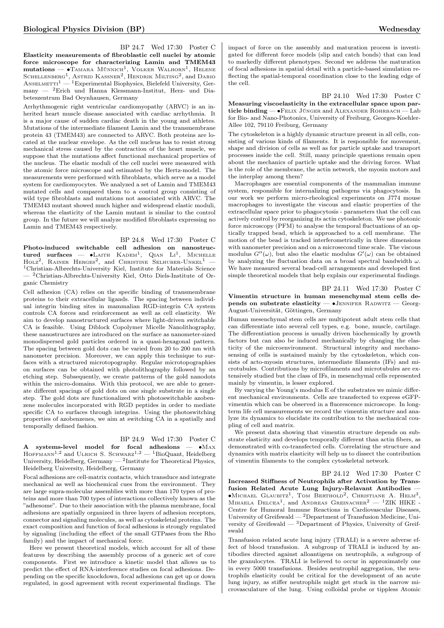BP 24.7 Wed 17:30 Poster C Elasticity measurements of fibroblastic cell nuclei by atomic force microscope for characterizing Lamin and TMEM43  $mutations$  —  $\bullet$ Tamara Münnich<sup>1</sup>, Volker Walhorn<sup>1</sup>, Helene SCHELLENBERG<sup>1</sup>, ASTRID KASSNER<sup>2</sup>, HENDRIK MILTING<sup>2</sup>, and DARIO  $A$ NSELMETTI<sup>1</sup> — <sup>1</sup>Experimental Biophysics, Bielefeld University, Germany — <sup>2</sup>Erich und Hanna Klessmann-Institut, Herz- und Diabeteszentrum Bad Oeynhausen, Germany

Arrhythmogenic right ventricular cardiomyopathy (ARVC) is an inherited heart muscle disease associated with cardiac arrhythmia. It is a major cause of sudden cardiac death in the young and athletes. Mutations of the intermediate filament Lamin and the transmembrane protein 43 (TMEM43) are connected to ARVC. Both proteins are located at the nuclear envelope. As the cell nucleus has to resist strong mechanical stress caused by the contraction of the heart muscle, we suppose that the mutations affect functional mechanical properties of the nucleus. The elastic moduli of the cell nuclei were measured with the atomic force microscope and estimated by the Hertz-model. The measurements were performed with fibroblasts, which serve as a model system for cardiomyocytes. We analyzed a set of Lamin and TMEM43 mutated cells and compared them to a control group consisting of wild type fibroblasts and mutations not associated with ARVC. The TMEM43 mutant showed much higher and widespread elastic moduli, whereas the elasticity of the Lamin mutant is similar to the control group. In the future we will analyze modified fibroblasts expressing no Lamin and TMEM43 respectively.

BP 24.8 Wed 17:30 Poster C

Photo-induced switchable cell adhesion on nanostructured surfaces — •LAITH  $K_{\text{ADEM}}^1$ , QIAN  $\text{Li}^1$ , MICHELLE HOLZ<sup>2</sup>, RAINER HERGES<sup>2</sup>, and CHRISTINE SELHUBER-UNKEL<sup>1</sup> – <sup>1</sup>Christian-Albrechts-University Kiel, Institute for Materials Science — <sup>2</sup>Christian-Albrechts-University Kiel, Otto Diels-Institute of Organic Chemistry

Cell adhesion (CA) relies on the specific binding of transmembrane proteins to their extracellular ligands. The spacing between individual integrin binding sites in mammalian RGD-integrin CA system controls CA forces and reinforcement as well as cell elasticity. We aim to develop nanostructured surfaces where light-driven switchable CA is feasible. Using Diblock Copolymer Micelle Nanolithography, these nanostructures are introduced on the surface as nanometer-sized monodispersed gold particles ordered in a quasi-hexagonal pattern. The spacing between gold dots can be varied from 20 to 200 nm with nanometer precision. Moreover, we can apply this technique to surfaces with a structured microtopography. Regular microtopographies on surfaces can be obtained with photolithography followed by an etching step. Subsequently, we create patterns of the gold nanodots within the micro-domains. With this protocol, we are able to generate different spacings of gold dots on one single substrate in a single step. The gold dots are functionalized with photoswitchable azobenzene molecules incorporated with RGD peptides in order to mediate specific CA to surfaces through integrins. Using the photoswitching properties of azobenzenes, we aim at switching CA in a spatially and temporally defined fashion.

### BP 24.9 Wed 17:30 Poster C

A systems-level model for focal adhesions — ∙Max HOFFMANN<sup>1,2</sup> and ULRICH S. SCHWARZ<sup>1,2</sup> - <sup>1</sup>BioQuant, Heidelberg University, Heidelberg, Germany  $^{2}$ Institute for Theoretical Physics, Heidelberg University, Heidelberg, Germany

Focal adhesions are cell-matrix contacts, which transduce and integrate mechanical as well as biochemical cues from the environment. They are large supra-molecular assemblies with more than 170 types of proteins and more than 700 types of interactions collectively known as the "adhesome". Due to their association with the plasma membrane, focal adhesions are spatially organized in three layers of adhesion receptors, connector and signaling molecules, as well as cytoskeletal proteins. The exact composition and function of focal adhesions is strongly regulated by signaling (including the effect of the small GTPases from the Rho family) and the impact of mechanical force.

Here we present theoretical models, which account for all of these features by describing the assembly process of a generic set of core components. First we introduce a kinetic model that allows us to predict the effect of RNA-interference studies on focal adhesions. Depending on the specific knockdown, focal adhesions can get up or down regulated, in good agreement with recent experimental findings. The

impact of force on the assembly and maturation process is investigated for different force models (slip and catch bonds) that can lead to markedly different phenotypes. Second we address the maturation of focal adhesions in spatial detail with a particle-based simulation reflecting the spatial-temporal coordination close to the leading edge of the cell.

BP 24.10 Wed 17:30 Poster C

Measuring viscoelasticity in the extracellular space upon particle binding — ∙Felix Jünger and Alexander Rohrbach — Lab for Bio- and Nano-Photonics, University of Freiburg, Georges-Koehler-Allee 102, 79110 Freiburg, Germany

The cytoskeleton is a highly dynamic structure present in all cells, consisting of various kinds of filaments. It is responsible for movement, shape and division of cells as well as for particle uptake and transport processes inside the cell. Still, many principle questions remain open about the mechanics of particle uptake and the driving forces. What is the role of the membrane, the actin network, the myosin motors and the interplay among them?

Macrophages are essential components of the mammalian immune system, responsible for internalizing pathogens via phagocytosis. In our work we perform micro-rheological experiments on J774 mouse macrophages to investigate the viscous and elastic properties of the extracellular space prior to phagocytosis - parameters that the cell can actively control by reorganizing its actin cytoskeleton. We use photonic force microscopy (PFM) to analyse the temporal fluctuations of an optically trapped bead, which is approached to a cell membrane. The motion of the bead is tracked interferometrically in three dimensions with nanometer precision and on a microsecond time scale. The viscous modulus  $G''(\omega)$ , but also the elastic modulus  $G'(\omega)$  can be obtained by analyzing the fluctuation data on a broad spectral bandwidth  $\omega$ . We have measured several bead-cell arrangements and developed first simple theoretical models that help explain our experimental findings.

BP 24.11 Wed 17:30 Poster C Vimentin structure in human mesenchymal stem cells depends on substrate elasticity — •JENNIFER RADWITZ — Georg-August-Universität, Göttingen, Germany

Human mesenchymal stem cells are multipotent adult stem cells that can differentiate into several cell types, e.g. bone, muscle, cartilage. The differentiation process is usually driven biochemically by growth factors but can also be induced mechanically by changing the elasticity of the microenvironment. Structural integrity and mechanosensing of cells is sustained mainly by the cytoskeleton, which consists of acto-myosin structures, intermediate filaments (IFs) and microtubules. Contributions by microfilaments and microtubules are extensively studied but the class of IFs, in mesenchymal cells represented mainly by vimentin, is lesser explored.

By varying the Young's modulus E of the substrates we mimic different mechanical environments. Cells are transfected to express eGFPvimentin which can be observed in a fluorescence microscope. In longterm life cell measurements we record the vimentin structure and analyze its dynamics to elucidate its contribution to the mechanical coupling of cell and matrix.

We present data showing that vimentin structure depends on substrate elasticity and develops temporally different than actin fibers, as demonstrated with co-transfected cells. Correlating the structure and dynamics with matrix elasticity will help us to dissect the contribution of vimentin filaments to the complex cytoskeletal network.

BP 24.12 Wed 17:30 Poster C Increased Stiffness of Neutrophils after Activation by Transfusion Related Acute Lung Injury-Relavant Antibodies — ∙Michael Glaubitz<sup>1</sup> , Tom Berthold<sup>2</sup> , Christiane A. Helm<sup>3</sup> , MIHAELA  $DeLCEA<sup>1</sup>$ , and ANDREAS GREINACHER<sup>2</sup> - <sup>1</sup>ZIK HIKE -Centre for Humoral Immune Reactions in Cardiovascular Diseases, University of Greifswald — <sup>2</sup>Department of Transfusion Medicine, University of Greifswald — <sup>3</sup>Department of Physics, University of Greifswald

Transfusion related acute lung injury (TRALI) is a severe adverse effect of blood transfusion. A subgroup of TRALI is induced by antibodies directed against alloantigens on neutrophils, a subgroup of the granulocytes. TRALI is believed to occur in approximately one in every 5000 transfusions. Besides neutrophil aggregation, the neutrophils elasticity could be critical for the development of an acute lung injury, as stiffer neutrophils might get stuck in the narrow microvasculature of the lung. Using colloidal probe or tippless Atomic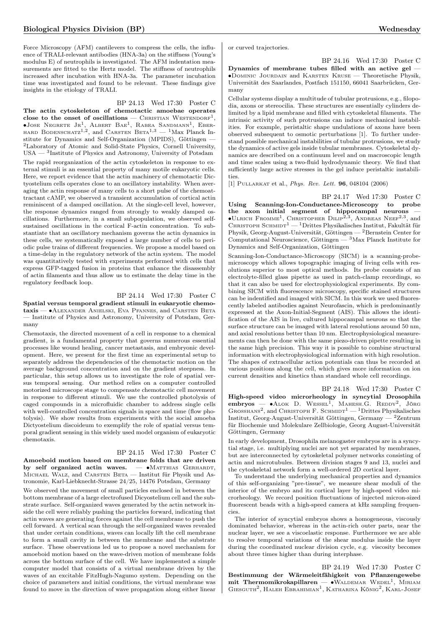Force Microscopy (AFM) cantilevers to compress the cells, the influence of TRALI-relevant antibodies (HNA-3a) on the stiffness (Young's modulus E) of neutrophils is investigated. The AFM indentation measurements are fitted to the Hertz model. The stiffness of neutrophils increased after incubation with HNA-3a. The parameter incubation time was investigated and found to be relevant. These findings give insights in the etiology of TRALI.

### BP 24.13 Wed 17:30 Poster C

The actin cytoskeleton of chemotactic amoebae operates close to the onset of oscillations — Christian Westendorf<sup>1</sup>, ∙Jose Negrete Jr<sup>1</sup> , Albert Bae<sup>1</sup> , Rabea Sandmann<sup>1</sup> , Eber-hard Bodenschatz1,2 , and Carsten Beta1,<sup>3</sup> — <sup>1</sup>Max Planck Institute for Dynamics and Self-Organization (MPIDS), Göttingen — <sup>2</sup>Laboratory of Atomic and Solid-State Physics, Cornell University, USA — <sup>3</sup> Institute of Physics and Astronomy, University of Potsdam

The rapid reorganization of the actin cytoskeleton in response to external stimuli is an essential property of many motile eukaryotic cells. Here, we report evidence that the actin machinery of chemotactic Dictyostelium cells operates close to an oscillatory instability. When averaging the actin response of many cells to a short pulse of the chemoattractant cAMP, we observed a transient accumulation of cortical actin reminiscent of a damped oscillation. At the single-cell level, however, the response dynamics ranged from strongly to weakly damped oscillations. Furthermore, in a small subpopulation, we observed selfsustained oscillations in the cortical F-actin concentration. To substantiate that an oscillatory mechanism governs the actin dynamics in these cells, we systematically exposed a large number of cells to periodic pulse trains of different frequencies. We propose a model based on a time-delay in the regulatory network of the actin system. The model was quantitatively tested with experiments performed with cells that express GFP-tagged fusion in proteins that enhance the disassembly of actin filaments and thus allow us to estimate the delay time in the regulatory feedback loop.

### BP 24.14 Wed 17:30 Poster C

Spatial versus temporal gradient stimuli in eukaryotic chemotaxis — ∙Alexander Anielski, Eva Pfannes, and Carsten Beta — Institute of Physics and Astronomy, University of Potsdam, Germany

Chemotaxis, the directed movement of a cell in response to a chemical gradient, is a fundamental property that governs numerous essential processes like wound healing, cancer metastasis, and embryonic development. Here, we present for the first time an experimental setup to separately address the dependencies of the chemotactic motion on the average background concentration and on the gradient steepness. In particular, this setup allows us to investigate the role of spatial versus temporal sensing. Our method relies on a computer controlled motorized microscope stage to compensate chemotactic cell movement in response to different stimuli. We use the controlled photolysis of caged compounds in a microfluidic chamber to address single cells with well-controlled concentration signals in space and time (flow photolysis). We show results from experiments with the social amoeba Dictyostelium discoideum to exemplify the role of spatial versus temporal gradient sensing in this widely used model organism of eukaryotic chemotaxis.

### BP 24.15 Wed 17:30 Poster C

Amoeboid motion based on membrane folds that are driven by self organized actin waves. — •MATTHIAS GERHARDT, MICHAEL WALZ, and CARSTEN BETA - Institut für Physik und Astronomie, Karl-Liebknecht-Strasse 24/25, 14476 Potsdam, Germany

We observed the movement of small particles enclosed in between the bottom membrane of a large electrofused Dicyostelium cell and the substrate surface. Self-organized waves generated by the actin network inside the cell were reliably pushing the particles forward, indicating that actin waves are generating forces against the cell membrane to push the cell forward. A vertical scan through the self-organized waves revealed that under certain conditions, waves can locally lift the cell membrane to form a small cavity in between the membrane and the substrate surface. These observations led us to propose a novel mechanism for amoeboid motion based on the wave-driven motion of membrane folds across the bottom surface of the cell. We have implemented a simple computer model that consists of a virtual membrane driven by the waves of an excitable FitzHugh-Nagumo system. Depending on the choice of parameters and initial conditions, the virtual membrane was found to move in the direction of wave propagation along either linear or curved trajectories.

BP 24.16 Wed 17:30 Poster C

Dynamics of membrane tubes filled with an active gel — ∙Dominic Jourdain and Karsten Kruse — Theoretische Physik, Universität des Saarlandes, Postfach 151150, 66041 Saarbrücken, Germany

Cellular systems display a multitude of tubular protrusions, e.g., filopodia, axons or stereocilia. These structures are essentially cylinders delimited by a lipid membrane and filled with cytoskeletal filaments. The intrinsic activity of such protrusions can induce mechanical instabilities. For example, peristaltic shape undulations of axons have been observed subsequent to osmotic perturbations [1]. To further understand possible mechanical instabilities of tubular protrusions, we study the dynamics of active gels inside tubular membranes. Cytoskeletal dynamics are described on a continuum level and on macroscopic length and time scales using a two-fluid hydrodynamic theory. We find that sufficiently large active stresses in the gel induce peristaltic instabilities.

[1] PULLARKAT et al., *Phys. Rev. Lett.* **96**, 048104 (2006)

BP 24.17 Wed 17:30 Poster C Using Scanning-Ion-Conductance-Microscopy to probe the axon initial segment of hippocampal neurons — ∙Ulrich Fromme<sup>1</sup> , Christopher Dilip2,<sup>3</sup> , Andreas Neef2,<sup>3</sup> , and CHRISTOPH SCHMIDT<sup>1</sup> — <sup>1</sup>Drittes Physikalisches Institut, Fakultät für Physik, Georg-August-Universität, Göttingen — <sup>2</sup>Bernstein Center for Computational Neuroscience, Göttingen — <sup>3</sup>Max Planck Institute for Dynamics and Self-Organization, Göttingen

Scanning-Ion-Conductance-Microscopy (SICM) is a scanning-probemicroscopy which allows topographic imaging of living cells with resolutions superior to most optical methods. Its probe consists of an electrolyte-filled glass pipette as used in patch-clamp recordings, so that it can also be used for electrophysiological experiments. By combining SICM with fluorescence microscopy, specific stained structures can be indentified and imaged with SICM. In this work we used fluorescently labeled antibodies against Neurofascin, which is predominantly expressed at the Axon-Initial-Segment (AIS). This allows the identification of the AIS in live, cultured hippocampal neurons so that the surface structure can be imaged with lateral resolutions around 50 nm, and axial resolutions better than 10 nm. Electrophysiological measurements can then be done with the same piezo-driven pipette resulting in the same high precision. This way it is possible to combine structural information with electrophysiological information with high resolution. The shapes of extracellular action potentials can thus be recorded at various positions along the cell, which gives more information on ion current densities and kinetics than standard whole cell recordings.

BP 24.18 Wed 17:30 Poster C High-speed video microrheology in syncytial Drosophila embryos — • ALOK D. WESSEL<sup>1</sup>, MAHESH.G. REDDY<sup>2</sup>, JÖRG GROSSHANS<sup>2</sup>, and CHRISTOPH F. SCHMIDT<sup>1</sup> - <sup>1</sup>Drittes Physikalisches Institut, Georg-August-Universität Göttingen, Germany — <sup>2</sup>Zentrum für Biochemie und Molekulare Zellbiologie, Georg August-Universität Göttingen, Germany

In early development, Drosophila melanogaster embryos are in a syncytial stage, i.e. multiplying nuclei are not yet separated by membranes, but are interconnected by cytoskeletal polymer networks consisting of actin and microtubules. Between division stages 9 and 13, nuclei and the cytoskeletal network form a well-ordered 2D cortical layer.

To understand the underlying mechanical properties and dynamics of this self-organizing "pre-tissue", we measure shear moduli of the interior of the embryo and its cortical layer by high-speed video microrheology. We record position fluctuations of injected micron-sized fluorescent beads with a high-speed camera at kHz sampling frequencies.

The interior of syncytial embryos shows a homogeneous, viscously dominated behavior, whereas in the actin-rich outer parts, near the nuclear layer, we see a viscoelastic response. Furthermore we are able to resolve temporal variations of the shear modulus inside the layer during the coordinated nuclear division cycle, e.g. viscosity becomes about three times higher than during interphase.

BP 24.19 Wed 17:30 Poster C Bestimmung der Wärmeleitfähigkeit von Pflanzengewebe mit Thermomikrokapillaren — •WALDEMAR WEDEL<sup>1</sup>, MIRIAM GIESGUTH<sup>2</sup>, HALEH EBRAHIMIAN<sup>1</sup>, KATHARINA KÖNIG<sup>2</sup>, KARL-JOSEF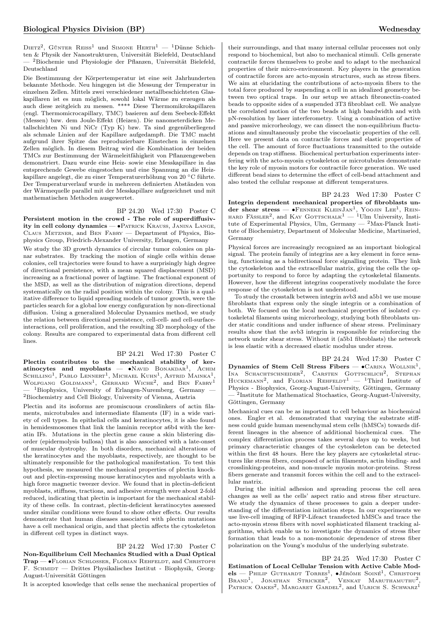DIETZ<sup>2</sup>, Günter Reiss<sup>1</sup> und Simone Herth<sup>1</sup> — <sup>1</sup>Dünne Schichten & Physik der Nanostrukturen, Universität Bielefeld, Deutschland — <sup>2</sup>Biochemie und Physiologie der Pflanzen, Universität Bielefeld, Deutschland

Die Bestimmung der Körpertemperatur ist eine seit Jahrhunderten bekannte Methode. Neu hingegen ist die Messung der Temperatur in einzelnen Zellen. Mittels zwei verschiedener metallbeschichteten Glaskapillaren ist es nun möglich, sowohl lokal Wärme zu erzeugen als auch diese zeitgleich zu messen. \*\*\*\* Diese Thermomikrokapillaren (engl. Thermomicrocapillary, TMC) basieren auf dem Seebeck-Effekt (Messen) bzw. dem Joule-Effekt (Heizen). Die nanometerdicken Metallschichten Ni und NiCr (Typ K) bzw. Ta sind gegenüberliegend als schmale Linien auf der Kapillare aufgedampft. Die TMC macht aufgrund ihrer Spitze das reproduzierbare Einstechen in einzelnen Zellen möglich. In diesem Beitrag wird die Kombination der beiden TMCs zur Bestimmung der Wärmeleitfähigkeit von Pflanzengeweben demonstriert. Dazu wurde eine Heiz- sowie eine Messkapillare in das entsprechende Gewebe eingestochen und eine Spannung an die Heizkapillare angelegt, die zu einer Temperaturerhöhung von 20 <sup>∘</sup>C führte. Der Temperaturverlauf wurde in mehreren definierten Abständen von der Wärmequelle parallel mit der Messkapillare aufgezeichnet und mit mathematischen Methoden ausgewertet.

### BP 24.20 Wed 17:30 Poster C

Persistent motion in the crowd - The role of superdiffusivity in cell colony dynamics — ∙Patrick Krauss, Janina Lange, Claus Metzner, and Ben Fabry — Department of Physics, Biophysics Group, Friedrich-Alexander University, Erlangen, Germany

We study the 3D growth dynamics of circular tumor colonies on planar substrates. By tracking the motion of single cells within dense colonies, cell trajectories were found to have a surprisingly high degree of directional persistence, with a mean squared displacement (MSD) increasing as a fractional power of lagtime. The fractional exponent of the MSD, as well as the distribution of migration directions, depend systematically on the radial position within the colony. This is a qualitative difference to liquid spreading models of tumor growth, were the particles search for a global low energy configuration by non-directional diffusion. Using a generalized Molecular Dynamics method, we study the relation between directional persistence, cell-cell- and cell-surfaceinteractions, cell proliferation, and the resulting 3D morphology of the colony. Results are compared to experimental data from different cell lines.

# BP 24.21 Wed 17:30 Poster C

Plectin contributes to the mechanical stability of ker- $\text{atinocytes}$  and myoblasts — •Navid Bonakdar<sup>1</sup>, Achim Schilling<sup>1</sup>, Pablo Lennert<sup>1</sup>, Michael Kuhn<sup>1</sup>, Astrid Mainka<sup>1</sup> Schilling<sup>1</sup>, Pablo Lennert<sup>1</sup>, Michael Kuhn<sup>1</sup>, Astrid Mainka<sup>1</sup>,<br>Wolfgang Goldmann<sup>1</sup>, Gerhard Wiche<sup>2</sup>, and Ben Fabry<sup>1</sup> <sup>1</sup>Biophysics, University of Erlangen-Nuremberg, Germany -<sup>2</sup>Biochemistry and Cell Biology, University of Vienna, Austria

Plectin and its isoforms are promiscuous crosslinkers of actin filaments, microtubules and intermediate filaments (IF) in a wide variety of cell types. In epithelial cells and keratinocytes, it is also found in hemidesmosomes that link the laminin receptor a6b4 with the keratin IFs. Mutations in the plectin gene cause a skin blistering disorder (epidermolysis bullosa) that is also associated with a late-onset of muscular dystrophy. In both disorders, mechanical alterations of the keratinocytes and the myoblasts, respectively, are thought to be ultimately responsible for the pathological manifestation. To test this hypothesis, we measured the mechanical properties of plectin knockout and plectin-expressing mouse keratinocytes and myoblasts with a high force magnetic tweezer device. We found that in plectin-deficient myoblasts, stiffness, tractions, and adhesive strength were about 2-fold reduced, indicating that plectin is important for the mechanical stability of these cells. In contrast, plectin-deficient keratinocytes assessed under similar conditions were found to show other effects. Our results demonstrate that human diseases associated with plectin mutations have a cell mechanical origin, and that plectin affects the cytoskeleton in different cell types in distinct ways.

BP 24.22 Wed 17:30 Poster C Non-Equilibrium Cell Mechanics Studied with a Dual Optical Trap — •FLORIAN SCHLOSSER, FLORIAN REHFELDT, and CHRISTOPH F. SCHMIDT — Drittes Physikalisches Institut - Biophysik, Georg-August-Universität Göttingen

It is accepted knowledge that cells sense the mechanical properties of

their surroundings, and that many internal cellular processes not only respond to biochemical, but also to mechanical stimuli. Cells generate contractile forces themselves to probe and to adapt to the mechanical properties of their micro-environment. Key players in the generation of contractile forces are acto-myosin structures, such as stress fibers. We aim at elucidating the contributions of acto-myosin fibers to the total force produced by suspending a cell in an idealized geometry between two optical traps. In our setup we attach fibronectin-coated beads to opposite sides of a suspended 3T3 fibroblast cell. We analyze the correlated motion of the two beads at high bandwidth and with pN-resolution by laser interferometry. Using a combination of active and passive microrheology, we can dissect the non-equilibrium fluctuations and simultaneously probe the viscoelastic properties of the cell. Here we present data on contractile forces and elastic properties of the cell. The amount of force fluctuations transmitted to the outside depends on trap stiffness. Biochemical perturbation experiments interfering with the acto-myosin cytoskeleton or microtubules demonstrate the key role of myosin motors for contractile force generation. We used different bead sizes to determine the effect of cell-bead attachment and also tested the cellular response at different temperatures.

BP 24.23 Wed 17:30 Poster C Integrin dependent mechanical properties of fibroblasts under shear stress —  $\bullet$ Fenneke KleinJan<sup>1</sup>, Yoojin Lee<sup>1</sup>, Rein-HARD FÄSSLER<sup>2</sup>, and KAY GOTTSCHALK<sup>1</sup> — <sup>1</sup>Ulm University, Institute of Experimental Physics, Ulm, Germany — <sup>2</sup>Max-Planck Institute of Biochemistry, Department of Molecular Medicine, Martinsried, Germany

Physical forces are increasingly recognized as an important biological signal. The protein family of integrins are a key element in force sensing, functioning as a bidirectional force signalling protein. They link the cytoskeleton and the extracellular matrix, giving the cells the opportunity to respond to force by adapting the cytoskeletal filaments. However, how the different integrins cooperatively modulate the force response of the cytoskeleton is not understood.

To study the crosstalk between integrin avb3 and a5b1 we use mouse fibroblasts that express only the single integrin or a combination of both. We focused on the local mechanical properties of isolated cytoskeletal filaments using microrheology, studying both fibroblasts under static conditions and under influence of shear stress. Preliminary results show that the avb3 integrin is responsible for reinforcing the network under shear stress. Without it (a5b1 fibroblasts) the network is less elastic with a decreased elastic modulus under stress.

BP 24.24 Wed 17:30 Poster C Dynamics of Stem Cell Stress Fibers —  $\bullet$  CARINA WOLLNIK<sup>1</sup>, INA SCHACHTSCHNEIDER<sup>2</sup>, CARSTEN GOTTSCHLICH<sup>2</sup>, STEPHAN HUCKEMANN<sup>2</sup>, and FLORIAN REHFELDT<sup>1</sup> - <sup>1</sup>Third Institute of Physics - Biophysics, Georg-August-University, Göttingen, Germany — <sup>2</sup> Institute for Mathematical Stochastics, Georg-August-University, Göttingen, Germany

Mechanical cues can be as important to cell behaviour as biochemical ones. Engler et al. demonstrated that varying the substrate stiffness could guide human mesenchymal stem cells (hMSCs) towards different lineages in the absence of additional biochemical cues. The complex differentiation process takes several days up to weeks, but primary characteristic changes of the cytoskeleton can be detected within the first 48 hours. Here the key players are cytoskeletal structures like stress fibers, composed of actin filaments, actin binding- and crosslinking-proteins, and non-muscle myosin motor-proteins. Stress fibers generate and transmit forces within the cell and to the extracellular matrix.

During the initial adhesion and spreading process the cell area changes as well as the cells' aspect ratio and stress fiber structure. We study the dynamics of these processes to gain a deeper understanding of the differentiation initiation steps. In our experiments we use live-cell imaging of RFP-Lifeact transfected hMSCs and trace the acto-myosin stress fibers with novel sophisticated filament tracking algorithms, which enable us to investigate the dynamics of stress fiber formation that leads to a non-monotonic dependence of stress fiber polarization on the Young's modulus of the underlying substrate.

BP 24.25 Wed 17:30 Poster C Estimation of Local Cellular Tension with Active Cable Models — Philip Guthardt Torres<sup>1</sup>, •Jérôme Soiné<sup>1</sup>, Christoph<br>Brand<sup>1</sup>, Jonathan Stricker<sup>2</sup>, Venkat Maruthamuthu<sup>2</sup>, PATRICK OAKES<sup>2</sup>, MARGARET GARDEL<sup>2</sup>, and ULRICH S. SCHWARZ<sup>1</sup>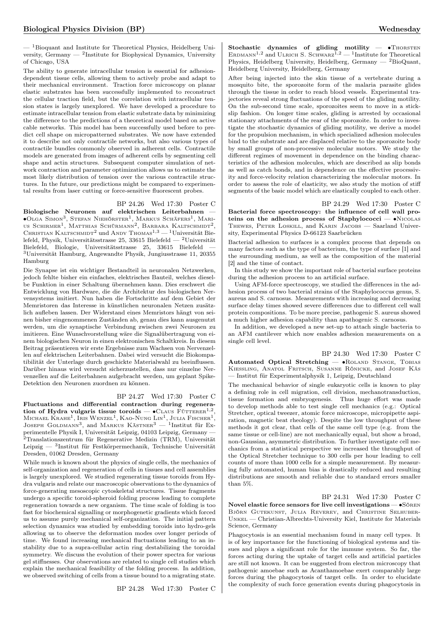$-$ <sup>1</sup>Bioquant and Institute for Theoretical Physics, Heidelberg University, Germany — <sup>2</sup> Institute for Biophysical Dynamics, University of Chicago, USA

The ability to generate intracellular tension is essential for adhesiondependent tissue cells, allowing them to actively probe and adapt to their mechanical environment. Traction force microscopy on planar elastic substrates has been successfully implemented to reconstruct the cellular traction field, but the correlation with intracellular tension states is largely unexplored. We have developed a procedure to estimate intracellular tension from elastic substrate data by minimizing the difference to the predictions of a theoretical model based on active cable networks. This model has been successfully used before to predict cell shape on micropatterned substrates. We now have extended it to describe not only contractile networks, but also various types of contractile bundles commonly observed in adherent cells. Contractile models are generated from images of adherent cells by segmenting cell shape and actin structures. Subsequent computer simulation of network contraction and parameter optimization allows us to estimate the most likely distribution of tension over the various contractile structures. In the future, our predictions might be compared to experimental results from laser cutting or force-sensitive fluorescent probes.

### BP 24.26 Wed 17:30 Poster C

Biologische Neuronen auf elektrischen Leiterbahnen — ∙Olga Simon<sup>3</sup> , Stefan Niehörster<sup>1</sup> , Markus Schäfers<sup>1</sup> , Marius Schirmer<sup>1</sup>, Matthias Schürmann<sup>2</sup>, Barbara Kaltschmidt<sup>2</sup>, CHRISTIAN KALTSCHMIDT<sup>2</sup> und ANDY THOMAS<sup>1,3</sup> — <sup>1</sup>Universität Bielefeld, Physik, Universitätsstrasse 25, 33615 Bielefeld — <sup>2</sup>Universität Bielefeld, Biologie, Universitätsstrasse 25, 33615 Bielefeld — <sup>3</sup>Universität Hamburg, Angewandte Physik, Jungiusstrasse 11, 20355 Hamburg

Die Synapse ist ein wichtiger Bestandteil in neuronalen Netzwerken, jedoch fehlte bisher ein einfaches, elektrisches Bauteil, welches dieselbe Funktion in einer Schaltung übernehmen kann. Dies erschwert die Entwicklung von Hardware, die die Architektur des biologischen Nervensystems imitiert. Nun haben die Fortschritte auf dem Gebiet der Memristoren das Interesse in künstlichen neuronalen Netzen zusätzlich aufleben lassen. Der Widerstand eines Memristors hängt von seinen bisher eingenommenen Zuständen ab, genau dies kann ausgenutzt werden, um die synaptische Verbindung zwischen zwei Neuronen zu imitieren. Eine Wunschvorstellung wäre die Signalübertragung von einem biologischen Neuron in einen elektronischen Schaltkreis. In diesem Beitrag präsentieren wir erste Ergebnisse zum Wachsen von Nervenzellen auf elektrischen Leiterbahnen. Dabei wird versucht die Biokompatibilität der Unterlage durch geschickte Materialwahl zu beeinflussen. Darüber hinaus wird versucht sicherzustellen, dass nur einzelne Nervenzellen auf die Leiterbahnen aufgebracht werden, um geplant Spike-Detektion den Neuronen zuordnen zu können.

### BP 24.27 Wed 17:30 Poster C

Fluctuations and differential contraction during regeneration of Hydra vulgaris tissue toroids —  $\bullet$ CLAUS FÜTTERER<sup>1,2</sup>, Міснаеl Krahe<sup>1</sup>, Iris Wenzel<sup>1</sup>, Kao-Nung Lin<sup>1</sup>, Julia Fischer<sup>1</sup>,<br>Јоѕерн Goldmann<sup>3</sup>, and Markus Kästner<sup>3</sup> — <sup>1</sup>Institut für Experimentelle Physik I, Universität Leipzig, 04103 Leipzig, Germany — <sup>2</sup>Translationszentrum für Regenerative Medizin (TRM), Universität Leipzig — <sup>3</sup> Institut für Festkörpermechanik, Technische Universität Dresden, 01062 Dresden, Germany

While much is known about the physics of single cells, the mechanics of self-organization and regeneration of cells in tissues and cell assemblies is largely unexplored. We studied regenerating tissue toroids from Hydra vulgaris and relate our macroscopic observations to the dynamics of force-generating mesoscopic cytoskeletal structures. Tissue fragments undergo a specific toroid-spheroid folding process leading to complete regeneration towards a new organism. The time scale of folding is too fast for biochemical signalling or morphogenetic gradients which forced us to assume purely mechanical self-organization. The initial pattern selection dynamics was studied by embedding toroids into hydro-gels allowing us to observe the deformation modes over longer periods of time. We found increasing mechanical fluctuations leading to an instability due to a supra-cellular actin ring destabilizing the toroidal symmetry. We discuss the evolution of their power spectra for various gel stiffnesses. Our observations are related to single cell studies which explain the mechanical feasibility of the folding process. In addition, we observed switching of cells from a tissue bound to a migrating state.

BP 24.28 Wed 17:30 Poster C

Stochastic dynamics of gliding motility  $-$  •Thorsten ERDMANN<sup>1,2</sup> and ULRICH S. SCHWARZ<sup>1,2</sup> - <sup>1</sup>Institute for Theoretical Physics, Heidelberg University, Heidelberg, Germany —  $^2\mathrm{BioQuant},$ Heidelberg University, Heidelberg, Germany

After being injected into the skin tissue of a vertebrate during a mosquito bite, the sporozoite form of the malaria parasite glides through the tissue in order to reach blood vessels. Experimental trajectories reveal strong fluctuations of the speed of the gliding motility. On the sub-second time scale, sporozoites seem to move in a stickslip fashion. On longer time scales, gliding is arrested by occasional stationary attachments of the rear of the sporozoite. In order to investigate the stochastic dynamics of gliding motility, we derive a model for the propulsion mechanism, in which specialized adhesion molecules bind to the substrate and are displaced relative to the sporozoite body by small groups of non-processive molecular motors. We study the different regimes of movement in dependence on the binding characteristics of the adhesion molecules, which are described as slip bonds as well as catch bonds, and in dependence on the effective processivity and force-velocity relation characterizing the molecular motors. In order to assess the role of elasticity, we also study the motion of stiff segments of the basic model which are elastically coupled to each other.

BP 24.29 Wed 17:30 Poster C Bacterial force spectroscopy: the influence of cell wall proteins on the adhesion process of Staphylococci — ∙Nicolas Thewes, Peter Loskill, and Karin Jacobs — Saarland University, Experimental Physics D-66123 Saarbrücken

Bacterial adhesion to surfaces is a complex process that depends on many factors such as the type of bacterium, the type of surface [1] and the surrounding medium, as well as the composition of the material [2] and the time of contact.

In this study we show the important role of bacterial surface proteins during the adhesion process to an artificial surface.

Using AFM-force spectroscopy, we studied the differences in the adhesion process of two bacterial strains of the Staphylococcus genus, S. aureus and S. carnosus. Measurements with increasing and decreasing surface delay times showed severe differences due to different cell wall protein compositions. To be more precise, pathogenic S. aureus showed a much higher adhesion capability than apathogenic S. carnosus.

In addition, we developed a new set-up to attach single bacteria to an AFM cantilever which now enables adhesion measurements on a single cell level.

BP 24.30 Wed 17:30 Poster C Automated Optical Stretching — • ROLAND STANGE, TOBIAS KIESSLING, ANATOL FRITSCH, SUSANNE RÖNICKE, and JOSEF KÄS — Institut für Experimentalphysik 1, Leipzig, Deutschland

The mechanical behavior of single eukaryotic cells is known to play a defining role in cell migration, cell division, mechanotransduction, tissue formation and embryogenesis. Thus huge effort was made to develop methods able to test single cell mechanics (e.g.: Optical Stretcher, optical tweezer, atomic force microscope, micropipette aspiration, magnetic beat rheology). Despite the low throughput of these methods it got clear, that cells of the same cell type (e.g. from the same tissue or cell-line) are not mechanically equal, but show a broad, non-Gaussian, asymmetric distribution. To further investigate cell mechanics from a statistical perspective we increased the throughput of the Optical Stretcher technique to 300 cells per hour leading to cell counts of more than 1000 cells for a simple measurement. By measuring fully automated, human bias is drastically reduced and resulting distributions are smooth and reliable due to standard errors smaller than 5%.

BP 24.31 Wed 17:30 Poster C Novel elastic force sensors for live cell investigations — •Sören Björn Gutekunst, Julia Reverey, and Christine Selhuber-Unkel — Christian-Albrechts-University Kiel, Institute for Materials Science, Germany

Phagocytosis is an essential mechanism found in many cell types. It is of key importance for the functioning of biological systems and tissues and plays a significant role for the immune system. So far, the forces acting during the uptake of target cells and artificial particles are still not known. It can be suggested from electron microscopy that pathogenic amoebae such as Acanthamoebae exert comparably large forces during the phagocytosis of target cells. In order to elucidate the complexity of such force generation events during phagocytosis in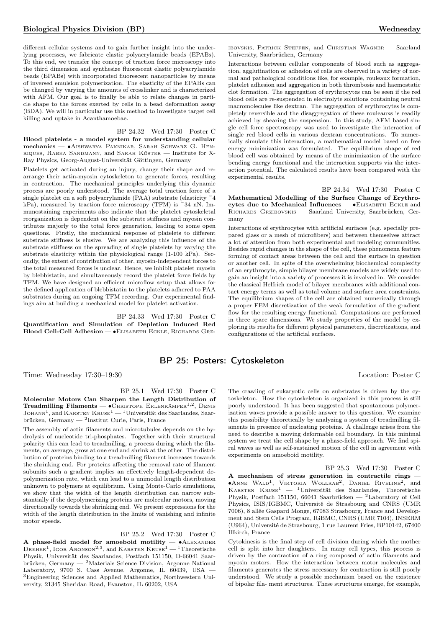different cellular systems and to gain further insight into the underlying processes, we fabricate elastic polyacrylamide beads (EPABs). To this end, we transfer the concept of traction force microscopy into the third dimension and synthesize fluorescent elastic polyacrylamide beads (EPABs) with incorporated fluorescent nanoparticles by means of inversed emulsion polymerization. The elasticity of the EPABs can be changed by varying the amounts of crosslinker and is characterized with AFM. Our goal is to finally be able to relate changes in particle shape to the forces exerted by cells in a bead deformation assay (BDA). We will in particular use this method to investigate target cell killing and uptake in Acanthamoebae.

BP 24.32 Wed 17:30 Poster C Blood platelets - a model system for understanding cellular mechanics — ∙Aishwarya Paknikar, Sarah Schwarz G. Henriques, Rabea Sandmann, and Sarah Köster — Institute for X-Ray Physics, Georg-August-Universität Göttingen, Germany

Platelets get activated during an injury, change their shape and rearrange their actin-myosin cytoskeleton to generate forces, resulting in contraction. The mechanical principles underlying this dynamic process are poorly understood. The average total traction force of a single platelet on a soft polyacrylamide (PAA) substrate (elasticity  $\tilde{=}4$ kPa), measured by traction force microscopy (TFM) is ~34 nN. Immunostaining experiments also indicate that the platelet cytoskeletal reorganization is dependent on the substrate stiffness and myosin contributes majorly to the total force generation, leading to some open questions. Firstly, the mechanical response of platelets to different substrate stiffness is elusive. We are analyzing this influence of the substrate stiffness on the spreading of single platelets by varying the substrate elasticity within the physiological range (1-100 kPa). Secondly, the extent of contribution of other, myosin-independent forces to the total measured forces is unclear. Hence, we inhibit platelet myosin by blebbistatin, and simultaneously record the platelet force fields by TFM. We have designed an efficient microflow setup that allows for the defined application of blebbistatin to the platelets adhered to PAA substrates during an ongoing TFM recording. Our experimental findings aim at building a mechanical model for platelet activation.

BP 24.33 Wed 17:30 Poster C Quantification and Simulation of Depletion Induced Red Blood Cell-Cell Adhesion — ∙Elisabeth Eckle, Richards Grz-

# BP 25: Posters: Cytoskeleton

Time: Wednesday 17:30–19:30 Location: Poster C

BP 25.1 Wed 17:30 Poster C

Molecular Motors Can Sharpen the Length Distribution of Treadmilling Filaments —  $\bullet$ Christoph Erlenkämper<sup>1,2</sup>, Denis JOHANN<sup>1</sup>, and KARSTEN KRUSE<sup>1</sup> — <sup>1</sup>Universität des Saarlandes, Saarbrücken, Germany — <sup>2</sup> Institut Curie, Paris, France

The assembly of actin filaments and microtubules depends on the hydrolysis of nucleotide tri-phosphates. Together with their structural polarity this can lead to treadmilling, a process during which the filaments, on average, grow at one end and shrink at the other. The distribution of proteins binding to a treadmilling filament increases towards the shrinking end. For proteins affecting the removal rate of filament subunits such a gradient implies an effectively length-dependent depolymerization rate, which can lead to a unimodal length distribution unknown to polymers at equilibrium. Using Monte-Carlo simulations, we show that the width of the length distribution can narrow substantially if the depolymerizing proteins are molecular motors, moving directionally towards the shrinking end. We present expressions for the width of the length distribution in the limits of vanishing and infinite motor speeds.

### BP 25.2 Wed 17:30 Poster C

A phase-field model for amoeboid motility  $- \cdot$  ALEXANDER DREHER<sup>1</sup>, IGOR ARONSON<sup>2,3</sup>, and KARSTEN  $\text{Kruse}^{1}$  — <sup>1</sup>Theoretische Physik, Universität des Saarlandes, Postfach 151150, D-66041 Saarbrücken, Germany —  $^2$ Materials Science Division, Argonne National Laboratory, 9700 S. Cass Avenue, Argonne, IL 60439, USA — <sup>3</sup>Engineering Sciences and Applied Mathematics, Northwestern University, 21345 Sheridan Road, Evanston, IL 60202, USA

ibovskis, Patrick Steffen, and Christian Wagner — Saarland University, Saarbrücken, Germany

Interactions between cellular components of blood such as aggregation, agglutination or adhesion of cells are observed in a variety of normal and pathological conditions like, for example, rouleaux formation, platelet adhesion and aggregation in both thrombosis and haemostatic clot formation. The aggregation of erythrocytes can be seen if the red blood cells are re-suspended in electrolyte solutions containing neutral macromolecules like dextran. The aggregation of erythrocytes is completely reversible and the disaggregation of these rouleauxs is readily achieved by shearing the suspension. In this study, AFM based single cell force spectroscopy was used to investigate the interaction of single red blood cells in various dextran concentrations. To numerically simulate this interaction, a mathematical model based on free energy minimization was formulated. The equilibrium shape of red blood cell was obtained by means of the minimization of the surface bending energy functional and the interaction supports via the interaction potential. The calculated results have been compared with the experimental results.

BP 24.34 Wed 17:30 Poster C Mathematical Modelling of the Surface Change of Erythrocytes due to Mechanical Influences — • ELISABETH ECKLE and Richards Grzibovskis — Saarland University, Saarbrücken, Germany

Interactions of erythrocytes with artificial surfaces (e.g. specially prepared glass or a mesh of microfibers) and between themselves attract a lot of attention from both experimental and modeling communities. Besides rapid changes in the shape of the cell, these phenomena feature forming of contact areas between the cell and the surface in question or another cell. In spite of the overwhelming biochemical complexity of an erythrocyte, simple bilayer membrane models are widely used to gain an insight into a variety of processes it is involved in. We consider the classical Helfrich model of bilayer membranes with additional contact energy terms as well as total volume and surface area constraints. The equilibrium shapes of the cell are obtained numerically through a proper FEM discretization of the weak formulation of the gradient flow for the resulting energy functional. Computations are performed in three space dimensions. We study properties of the model by exploring its results for different physical parameters, discretizations, and configurations of the artificial surfaces.

The crawling of eukaryotic cells on substrates is driven by the cytoskeleton. How the cytoskeleton is organized in this process is still poorly understood. It has been suggested that spontaneous polymerization waves provide a possible answer to this question. We examine this possibility theoretically by analyzing a system of treadmilling filaments in presence of nucleating proteins. A challenge arises from the need to describe a moving deformable cell boundary. In this minimal system we treat the cell shape by a phase-field approach. We find spiral waves as well as self-sustained motion of the cell in agreement with experiments on amoeboid motility.

BP 25.3 Wed 17:30 Poster C A mechanism of stress generation in contractile rings — ∙Anne Wald<sup>1</sup> , Viktoria Wollrab<sup>2</sup> , Daniel Riveline<sup>2</sup> , and KARSTEN  $K$ RUSE<sup>1</sup> — <sup>1</sup>Universität des Saarlandes, Theoretische Physik, Postfach 151150, 66041 Saarbrücken — <sup>2</sup>Laboratory of Cell Physics, ISIS/IGBMC, Université de Strasbourg and CNRS (UMR 7006), 8 allée Gaspard Monge, 67083 Strasbourg, France and Development and Stem Cells Program, IGBMC, CNRS (UMR 7104), INSERM (U964), Université de Strasbourg, 1 rue Laurent Fries, BP10142, 67400 Illkirch, France

Cytokinesis is the final step of cell division during which the mother cell is split into her daughters. In many cell types, this process is driven by the contraction of a ring composed of actin filaments and myosin motors. How the interaction between motor molecules and filaments generates the stress necessary for contraction is still poorly understood. We study a possible mechanism based on the existence of bipolar fila- ment structures. These structures emerge, for example,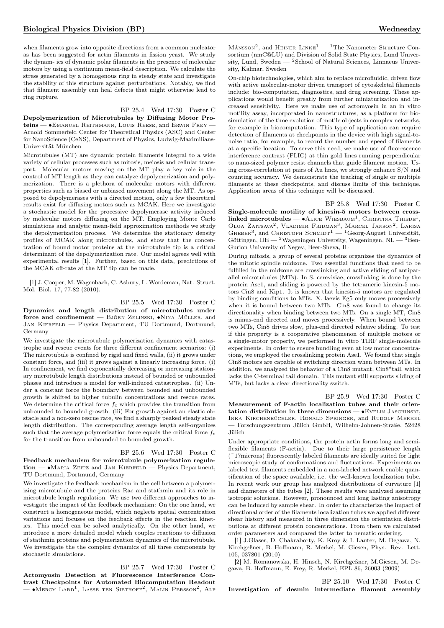when filaments grow into opposite directions from a common nucleator as has been suggested for actin filaments in fission yeast. We study the dynam- ics of dynamic polar filaments in the presence of molecular motors by using a continuum mean-field description. We calculate the stress generated by a homogenous ring in steady state and investigate the stability of this structure against perturbations. Notably, we find that filament assembly can heal defects that might otherwise lead to ring rupture.

### BP 25.4 Wed 17:30 Poster C

Depolymerization of Microtubules by Diffusing Motor Proteins — • EMANUEL REITHMANN, LOUIS REESE, and ERWIN FREY – Arnold Sommerfeld Center for Theoretical Physics (ASC) and Center for NanoScience (CeNS), Department of Physics, Ludwig-Maximilians-Universität München

Microtubules (MT) are dynamic protein filaments integral to a wide variety of cellular processes such as mitosis, meiosis and cellular transport. Molecular motors moving on the MT play a key role in the control of MT length as they can catalyze depolymerization and polymerization. There is a plethora of molecular motors with different properties such as biased or unbiased movement along the MT. As opposed to depolymerases with a directed motion, only a few theoretical results exist for diffusing motors such as MCAK. Here we investigate a stochastic model for the processive depolymerase activity induced by molecular motors diffusing on the MT. Employing Monte Carlo simulations and analytic mean-field approximation methods we study the depolymerization process. We determine the stationary density profiles of MCAK along microtubules, and show that the concentration of bound motor proteins at the microtubule tip is a critical determinant of the depolymerization rate. Our model agrees well with experimental results [1]. Further, based on this data, predictions of the MCAK off-rate at the MT tip can be made.

[1] J. Cooper, M. Wagenbach, C. Asbury, L. Wordeman, Nat. Struct. Mol. Biol. 17, 77-82 (2010).

BP 25.5 Wed 17:30 Poster C Dynamics and length distribution of microtubules under force and confinement — Björn Zelinski, ∙Nina Müller, and JAN KIERFELD — Physics Department, TU Dortmund, Dortmund, Germany

We investigate the microtubule polymerization dynamics with catastrophe and rescue events for three different confinement scenarios: (i) The microtubule is confined by rigid and fixed walls, (ii) it grows under constant force, and (iii) it grows against a linearly increasing force. (i) In confinement, we find exponentially decreasing or increasing stationary microtubule length distributions instead of bounded or unbounded phases and introduce a model for wall-induced catastrophes. (ii) Under a constant force the boundary between bounded and unbounded growth is shifted to higher tubulin concentrations and rescue rates. We determine the critical force  $f_c$  which provides the transition from unbounded to bounded growth. (iii) For growth against an elastic obstacle and a non-zero rescue rate, we find a sharply peaked steady state length distribution. The corresponding average length self-organizes such that the average polymerization force equals the critical force  $f_c$ for the transition from unbounded to bounded growth.

### BP 25.6 Wed 17:30 Poster C

Feedback mechanism for microtubule polymerization regulation — ∙Maria Zeitz and Jan Kierfeld — Physics Department, TU Dortmund, Dortmund, Germany

We investigate the feedback mechanism in the cell between a polymerizing microtubule and the proteins Rac and stathmin and its role in microtubule length regulation. We use two different approaches to investigate the impact of the feedback mechanism: On the one hand, we construct a homogeneous model, which neglects spatial concentration variations and focuses on the feedback effects in the reaction kinetics. This model can be solved analytically. On the other hand, we introduce a more detailed model which couples reactions to diffusion of stathmin proteins and polymerization dynamics of the microtubule. We investigate the the complex dynamics of all three components by stochastic simulations.

# BP 25.7 Wed 17:30 Poster C

Actomyosin Detection at Fluorescence Interference Contrast Checkpoints for Automated Biocomputation Readout — ∙Mercy Lard<sup>1</sup> , Lasse ten Siethoff<sup>2</sup> , Malin Persson<sup>2</sup> , Alf

 $M$ ÅNSSON<sup>2</sup>, and HEINER LINKE<sup>1</sup> — <sup>1</sup>The Nanometer Structure Consortium (nmC@LU) and Division of Solid State Physics, Lund University, Lund, Sweden —  ${}^{2}$ School of Natural Sciences, Linnaeus University, Kalmar, Sweden

On-chip biotechnologies, which aim to replace microfluidic, driven flow with active molecular-motor driven transport of cytoskeletal filaments include: bio-computation, diagnostics, and drug screening. These applications would benefit greatly from further miniaturization and increased sensitivity. Here we make use of actomyosin in an in vitro motility assay, incorporated in nanostructures, as a platform for biosimulation of the time evolution of motile objects in complex networks, for example in biocomputation. This type of application can require detection of filaments at checkpoints in the device with high signal-tonoise ratio, for example, to record the number and speed of filaments at a specific location. To serve this need, we make use of fluorescence interference contrast (FLIC) at thin gold lines running perpendicular to nano-sized polymer resist channels that guide filament motion. Using cross-correlation at pairs of Au lines, we strongly enhance S/N and counting accuracy. We demonstrate the tracking of single or multiple filaments at these checkpoints, and discuss limits of this technique. Application areas of this technique will be discussed.

BP 25.8 Wed 17:30 Poster C Single-molecule motility of kinesin-5 motors between crosslinked microtubules —  $\bullet$ ALICE WIESBAUM<sup>1</sup>, CHRISTINA THIEDE<sup>1</sup>, OLGA ZAITSAVA<sup>2</sup>, VLADIMIR FRIDMAN<sup>3</sup>, MARCEL JANSON<sup>2</sup>, LARISA<br>GHEBER<sup>3</sup>, and CHRISTOPH SCHMIDT<sup>1</sup> — <sup>1</sup>Georg-August Universität, Göttingen, DE —  $^2$  Wageningen University, Wageningen, NL —  $^3$  Ben-Gurion University of Negev, Beer-Sheva, IL

During mitosis, a group of several proteins organizes the dynamics of the mitotic spindle midzone. Two essential functions that need to be fulfilled in the midzone are crosslinking and active sliding of antiparallel microtubules (MTs). In S. cerevisiae, crosslinking is done by the protein Ase1, and sliding is powered by the tetrameric kinesin-5 motors Cin8 and Kip1. It is known that kinesin-5 motors are regulated by binding conditions to MTs. X. laevis Eg5 only moves processively when it is bound between two MTs. Cin8 was found to change its directionality when binding between two MTs. On a single MT, Cin8 is minus-end directed and moves processively. When bound between two MTs, Cin8 drives slow, plus-end directed relative sliding. To test if this property is a cooperative phenomenon of multiple motors or a single-motor property, we performed in vitro TIRF single-molecule experiments. In order to ensure bundling even at low motor concentrations, we employed the crosslinking protein Ase1. We found that single Cin8 motors are capable of switching direction when between MTs. In addition, we analyzed the behavior of a Cin8 mutant, Cin8\*tail, which lacks the C-terminal tail domain. This mutant still supports sliding of MTs, but lacks a clear directionality switch.

BP 25.9 Wed 17:30 Poster C Measurement of F-actin localization tubes and their orientation distribution in three dimensions  $-$  •Evelin JASCHINSKI, Inka Kirchenbüchler, Ronald Springer, and Rudolf Merkel — Forschungszentrum Jülich GmbH, Wilhelm-Johnen-Straße, 52428 Jülich

Under appropriate conditions, the protein actin forms long and semiflexible filaments (F-actin). Due to their large persistence length (~17microns) fluorescently labeled filaments are ideally suited for light microscopic study of conformations and fluctuations. Experiments on labeled test filaments embedded in a non-labeled network enable quantification of the space available, i.e. the well-known localization tube. In recent work our group has analyzed distributions of curvature [1] and diameters of the tubes [2]. These results were analyzed assuming isotropic solutions. However, pronounced and long lasting anisotropy can be induced by sample shear. In order to characterize the impact of directional order of the filaments localization tubes we applied different shear history and measured in three dimension the orientation distributions at different protein concentrations. From them we calculated order parameters and compared the latter to nematic ordering.

[1] J.Glaser, D. Chakraborty, K. Kroy & I. Lauter, M. Degawa, N. Kirchgeßner, B. Hoffmann, R. Merkel, M. Giesen, Phys. Rev. Lett. 105, 037801 (2010)

[2] M. Romanowska, H. Hinsch, N. Kirchgeßner, M.Giesen, M. Degawa, B. Hoffmann, E. Frey, R. Merkel, EPL 86, 26003 (2009)

BP 25.10 Wed 17:30 Poster C Investigation of desmin intermediate filament assembly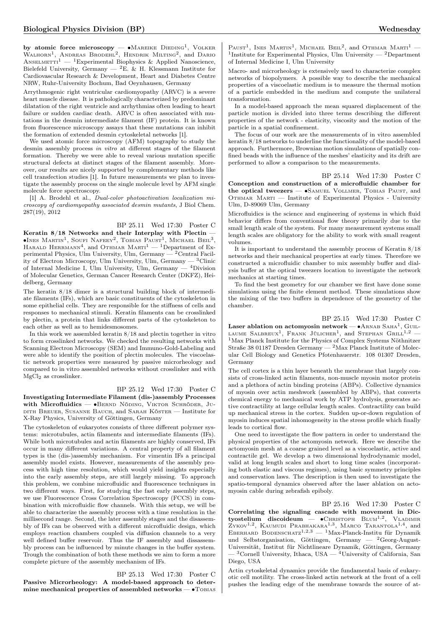by atomic force microscopy — •Макеике Dieding<sup>1</sup>, Volker Walhorn<sup>1</sup>, Andreas Brodehl<sup>2</sup>, Hendrik Milting<sup>2</sup>, and Dario ANSELMETTI<sup>1</sup> — <sup>1</sup>Experimental Biophysics & Applied Nanoscience, Bielefeld University, Germany —  ${}^{2}E.$  & H. Klessmann Institute for Cardiovascular Research & Development, Heart and Diabetes Centre NRW, Ruhr-University Bochum, Bad Oeynhausen, Germany

Arrythmogenic right ventricular cardiomyopathy (ARVC) is a severe heart muscle disease. It is pathologically characterized by predominant dilatation of the right ventricle and arrhythmias often leading to heart failure or sudden cardiac death. ARVC is often associated with mutations in the desmin intermediate filament (IF) protein. It is known from fluorescence microscopy assays that these mutations can inhibit the formation of extended desmin cytoskeletal networks [1].

We used atomic force microscopy (AFM) topography to study the desmin assembly process in vitro at different stages of the filament formation. Thereby we were able to reveal various mutation specific structural defects at distinct stages of the filament assembly. Moreover, our results are nicely supported by complementary methods like cell transfection studies [1]. In future measurements we plan to investigate the assembly process on the single molecule level by AFM single molecule force spectroscopy.

[1] A. Brodehl et al., *Dual-color photoactivation localization mi*croscopy of cardiomyopathy associated desmin mutants, J Biol Chem. 287(19), 2012

BP 25.11 Wed 17:30 Poster C

Keratin  $8/18$  Networks and their Interplay with Plectin  $\bullet$ Ines Martin<sup>1</sup>, Soufi Nafeey<sup>2</sup>, Tobias Paust<sup>1</sup>, Michael Beil<sup>3</sup>, HARALD HERRMANN<sup>4</sup>, and OTHMAR MARTI<sup>1</sup> — <sup>1</sup>Department of Experimental Physics, Ulm University, Ulm, Germany — <sup>2</sup>Central Facility of Electron Microscopy, Ulm University, Ulm, Germany  $-$  <sup>3</sup>Clinic of Internal Medicine I, Ulm University, Ulm, Germany — <sup>4</sup>Division of Molecular Genetics, German Cancer Research Center (DKFZ), Heidelberg, Germany

The keratin 8/18 dimer is a structural building block of intermediate filaments (IFs), which are basic constituents of the cytoskeleton in some epithelial cells. They are responsible for the stiffness of cells and responses to mechanical stimuli. Keratin filaments can be crosslinked by plectin, a protein that links different parts of the cytoskeleton to each other as well as to hemidesmosomes.

In this work we assembled keratin 8/18 and plectin together in vitro to form crosslinked networks. We checked the resulting networks with Scanning Electron Microscopy (SEM) and Immuno-Gold-Labeling and were able to identify the position of plectin molecules. The viscoelastic network properties were measured by passive microrheology and compared to in vitro assembled networks without crosslinker and with MgCl<sup>2</sup> as crosslinker.

### BP 25.12 Wed 17:30 Poster C

Investigating Intermediate Filament (dis-)assembly Processes with Microfluidics — • BERND NÖDING, VIKTOR SCHRÖDER, JUdith Breuer, Susanne Bauch, and Sarah Köster — Institute for X-Ray Physics, University of Göttingen, Germany

The cytoskeleton of eukaryotes consists of three different polymer systems: microtubules, actin filaments and intermediate filaments (IFs). While both microtubules and actin filaments are highly conserved, IFs occur in many different variations. A central property of all filament types is the (dis-)assembly mechanism. For vimentin IFs a principal assembly model exists. However, measurements of the assembly process with high time resolution, which would yield insights especially into the early assembly steps, are still largely missing. To approach this problem, we combine microfluidic and fluorescence techniques in two different ways. First, for studying the fast early assembly steps, we use Fluorescence Cross Correlation Spectroscopy (FCCS) in combination with microfluidic flow channels. With this setup, we will be able to characterize the assembly process with a time resolution in the millisecond range. Second, the later assembly stages and the disassembly of IFs can be observed with a different microfluidic design, which employs reaction chambers coupled via diffusion channels to a very well defined buffer reservoir. Thus the IF assembly and dissassembly process can be influenced by minute changes in the buffer system. Trough the combination of both these methods we aim to form a more complete picture of the assembly mechanism of IFs.

# BP 25.13 Wed 17:30 Poster C

Passive Microrheology: A model-based approach to determine mechanical properties of assembled networks —  $\bullet$ Tobias

PAUST<sup>1</sup>, INES MARTIN<sup>1</sup>, MICHAEL BEIL<sup>2</sup>, and OTHMAR MARTI<sup>1</sup> -<sup>1</sup>Institute for Experimental Physics, Ulm University — <sup>2</sup>Department of Internal Medicine I, Ulm University

Macro- and microrheology is extensively used to characterize complex networks of biopolymers. A possible way to describe the mechanical properties of a viscoelastic medium is to measure the thermal motion of a particle embedded in the medium and compute the unilateral transformation.

In a model-based approach the mean squared displacement of the particle motion is divided into three terms describing the different properties of the network - elasticity, viscosity and the motion of the particle in a spatial confinement.

The focus of our work are the measurements of in vitro assembled keratin 8/18 networks to underline the functionality of the model-based approach. Furthermore, Brownian motion simulations of spatially confined beads with the influence of the meshes' elasticity and its drift are performed to allow a comparison to the measurements.

BP 25.14 Wed 17:30 Poster C

Conception and construction of a microfluidic chamber for the optical tweezers — ∙Samuel Vollmer, Tobias Paust, and OTHMAR MARTI — Institute of Experimental Physics - University Ulm, D-89069 Ulm, Germany

Microfluidics is the science and engineering of systems in which fluid behavior differs from conventional flow theory primarily due to the small length scale of the system. For many measurement systems small length scales are obligatory for the ability to work with small reagent volumes.

It is important to understand the assembly process of Keratin 8/18 networks and their mechanical properties at early times. Therefore we constructed a microfluidic chamber to mix assembly buffer and dialysis buffer at the optical tweezers location to investigate the network mechanics at starting times.

To find the best geometry for our chamber we first have done some simulations using the finite element method. These simulations show the mixing of the two buffers in dependence of the geometry of the chamber.

BP 25.15 Wed 17:30 Poster C Laser ablation on actomyosin network —  $\bullet$ ARNAB SAHA<sup>1</sup>, GUIL-LAUME SALBREUX<sup>1</sup>, FRANK JÜLICHER<sup>1</sup>, and STEPHAN GRILL<sup>1,2</sup> -<sup>1</sup>Max Planck Institute for the Physics of Complex Systems Nöthnitzer Straße 38 01187 Dresden Germany — <sup>2</sup>Max Planck Institute of Molecular Cell Biology and Genetics Pfotenhauerstr. 108 01307 Dresden, Germany

The cell cortex is a thin layer beneath the membrane that largely consists of cross-linked actin filaments, non-muscle myosin motor protein and a plethora of actin binding proteins (ABPs). Collective dynamics of myosin over actin meshwork (assembled by ABPs), that converts chemical energy to mechanical work by ATP hydrolysis, generates active contractility at large cellular length scales. Contractility can build up mechanical stress in the cortex. Sudden up-or-down regulation of myosin induces spatial inhomogeneity in the stress profile which finally leads to cortical flow.

One need to investigate the flow pattern in order to understand the physical properties of the actomyosin network. Here we describe the actomyosin mesh at a coarse grained level as a viscoelastic, active and contractile gel. We develop a two dimensional hydrodynamic model, valid at long length scales and short to long time scales (incorporating both elastic and viscous regimes), using basic symmetry principles and conservation laws. The description is then used to investigate the spatio-temporal dynamics observed after the laser ablation on actomyosin cable during zebrafish epiboly.

BP 25.16 Wed 17:30 Poster C

Correlating the signaling cascade with movement in Dictyostelium discoideum —  $\bullet$ CHRISTOPH BLUM<sup>1,2</sup>, VLADIMIR ZYKOV<sup>1,2</sup>, KAUMUDI PRABHAKARA<sup>1,3</sup>, MARCO TARANTOLA<sup>1,4</sup>, and EBERHARD BODENSCHATZ<sup>1,2,3</sup> — <sup>1</sup>Max-Planck-Institu für Dynamik und Selbstorganisation, Göttingen, Germany —  ${}^{2}$ Georg-August-Universität, Institut für Nichtlineare Dynamik, Göttingen, Germany  $-$ <sup>3</sup>Cornell University, Ithaca, USA — <sup>4</sup>University of California, San Diego, USA

Actin cytoskeletal dynamics provide the fundamental basis of eukaryotic cell motility. The cross-linked actin network at the front of a cell pushes the leading edge of the membrane towards the source of at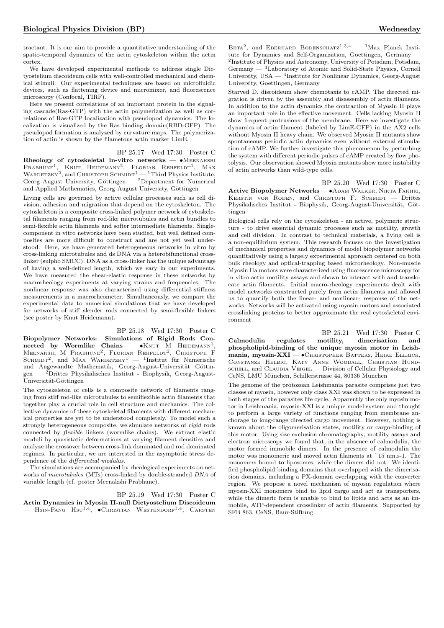tractant. It is our aim to provide a quantitative understanding of the spatio-temporal dynamics of the actin cytoskeleton within the actin cortex.

We have developed experimental methods to address single Dictyostelium discoideum cells with well-controlled mechanical and chemical stimuli. Our experimental techniques are based on microfluidic devices, such as flattening device and micromixer, and fluorescence microscopy (Confocal, TIRF).

Here we present correlations of an important protein in the signaling cascade(Ras-GTP) with the actin polymerization as well as correlations of Ras-GTP localization with pseudopod dynamics. The localization is visualized by the Ras binding domain(RBD-GFP). The pseudopod formation is analyzed by curvature maps. The polymerization of actin is shown by the filametous actin marker LimE.

BP 25.17 Wed 17:30 Poster C Rheology of cytoskeletal in-vitro networks — •MEENAKSHI PRABHUNE<sup>1</sup>, KNUT HEIDEMANN<sup>2</sup>, FLORIAN REHFELDT<sup>1</sup>, MAX WARDETZKY<sup>2</sup>, and CHRISTOPH SCHMIDT<sup>1</sup> — <sup>1</sup>Third Physics Institute, Georg August University, Göttingen — <sup>2</sup>Department for Numerical and Applied Mathematics, Georg August University, Göttingen

Living cells are governed by active cellular processes such as cell division, adhesion and migration that depend on the cytoskeleton. The cytoskeleton is a composite cross-linked polymer network of cytoskeletal filaments ranging from rod-like microtubules and actin bundles to semi-flexible actin filaments and softer intermediate filaments. Singlecomponent in vitro networks have been studied, but well defined composites are more difficult to construct and are not yet well understood. Here, we have generated heterogeneous networks in vitro by cross-linking microtubules and ds DNA via a heterobifunctional crosslinker (sulpho SMCC). DNA as a cross-linker has the unique advantage of having a well-defined length, which we vary in our experiments. We have measured the shear-elastic response in these networks by macrorheology experiments at varying strains and frequencies. The nonlinear response was also characterized using differential stiffness measurements in a macrorheometer. Simultaneously, we compare the experimental data to numerical simulations that we have developed for networks of stiff slender rods connected by semi-flexible linkers (see poster by Knut Heidemann).

BP 25.18 Wed 17:30 Poster C Biopolymer Networks: Simulations of Rigid Rods Connected by Wormlike Chains —  $\bullet$ KNUT M HEIDEMANN<sup>1</sup>, Meenakshi M Prabhune<sup>2</sup>, Florian Rehfeldt<sup>2</sup>, Christoph F SCHMIDT<sup>2</sup>, and MAX WARDETZKY<sup>1</sup> — <sup>1</sup>Institut für Numerische und Angewandte Mathematik, Georg-August-Universität Göttingen — <sup>2</sup>Drittes Physikalisches Institut - Biophysik, Georg-August-Universität-Göttingen

The cytoskeleton of cells is a composite network of filaments ranging from stiff rod-like microtubules to semiflexible actin filaments that together play a crucial role in cell structure and mechanics. The collective dynamics of these cytoskeletal filaments with different mechanical properties are yet to be understood completely. To model such a strongly heterogeneous composite, we simulate networks of rigid rods connected by flexible linkers (wormlike chains). We extract elastic moduli by quasistatic deformations at varying filament densities and analyze the crossover between cross-link dominated and rod dominated regimes. In particular, we are interested in the asymptotic stress dependence of the differential modulus.

The simulations are accompanied by rheological experiments on networks of microtubules (MTs) cross-linked by double-stranded DNA of variable length (cf. poster Meenakshi Prabhune).

BP 25.19 Wed 17:30 Poster C

Actin Dynamics in Myosin II-null Dictyostelium Discoideum  $-$  Hsin-Fang Hsu<sup>1,4</sup>,  $\bullet$ Christian Westendorf<sup>1,4</sup>, Carsten

BETA<sup>2</sup>, and EBERHARD BODENSCHATZ<sup>1,3,4</sup> - <sup>1</sup>Max Planck Institute for Dynamics and Self-Organization, Goettingen, Germany — 2 Institute of Physics and Astronomy, University of Potsdam, Potsdam, Germany — <sup>3</sup>Laboratory of Atomic and Solid-State Physics, Cornell University, USA — <sup>4</sup>Institute for Nonlinear Dynamics, Georg-August University, Goettingen, Germany

Starved D. discoideum show chemotaxis to cAMP. The directed migration is driven by the assembly and disassembly of actin filaments. In addition to the actin dynamics the contraction of Myosin II plays an important role in the effective movement. Cells lacking Myosin II show frequent protrusions of the membrane. Here we investigate the dynamics of actin filament (labeled by LimE-GFP) in the AX2 cells without Myosin II heavy chain. We observed Myosin II mutants show spontaneous periodic actin dynamics even without external stimulation of cAMP. We further investigate this phenomenon by perturbing the system with different periodic pulses of cAMP created by flow photolysis. Our observation showed Myosin mutants show more instability of actin networks than wild-type cells.

BP 25.20 Wed 17:30 Poster C Active Biopolymer Networks — • ADAM WALKER, NIKTA FAKHRI, Kerstin von Roden, and Christoph F. Schmidt — Drittes Physikalisches Institut - Biophysik, Georg-August-Universität, Göttingen

Biological cells rely on the cytoskeleton - an active, polymeric structure - to drive essential dynamic processes such as motility, growth and cell division. In contrast to technical materials, a living cell is a non-equilibrium system. This research focuses on the investigation of mechanical properties and dynamics of model biopolymer networks quantitatively using a largely experimental approach centered on both bulk rheology and optical-trapping based microrheology. Non-muscle Myosin IIa motors were characterized using fluorescence microscopy for in vitro actin motility assays and shown to interact with and translocate actin filaments. Initial macro-rheology experiments dealt with model networks constructed purely from actin filaments and allowed us to quantify both the linear- and nonlinear- response of the networks. Networks will be activated using myosin motors and associated crosslinking proteins to better approximate the real cytoskeletal environment.

BP 25.21 Wed 17:30 Poster C Calmodulin regulates motility, dimerisation and phospholipid-binding of the unique myosin motor in Leishmania, myosin-XXI —  $\bullet$ Christopher Batters, Heike Ellrich, Constanze Helbig, Katy Anne Woodall, Christian Hundschell, and Claudia Veigel — Division of Cellular Physiology and CeNS, LMU München, Schillerstrasse 44, 80336 München

The genome of the protozoan Leishmania parasite comprises just two classes of myosin, however only class XXI was shown to be expressed in both stages of the parasites life cycle. Apparently the only myosin motor in Leishmania, myosin-XXI is a unique model system and thought to perform a large variety of functions ranging from membrane anchorage to long-range directed cargo movement. However, nothing is known about the oligomerisation states, motility or cargo-binding of this motor. Using size exclusion chromatography, motility assays and electron microscopy we found that, in the absence of calmodulin, the motor formed immobile dimers. In the presence of calmodulin the motor was monomeric and moved actin filaments at ~15 nm.s-1. The monomers bound to liposomes, while the dimers did not. We identified phospholipid binding domains that overlapped with the dimerisation domains, including a PX-domain overlapping with the converter region. We propose a novel mechanism of myosin regulation where myosin-XXI monomers bind to lipid cargo and act as transporters, while the dimeric form is unable to bind to lipids and acts as an immobile, ATP-dependent crosslinker of actin filaments. Supported by SFB 863, CeNS, Baur-Stiftung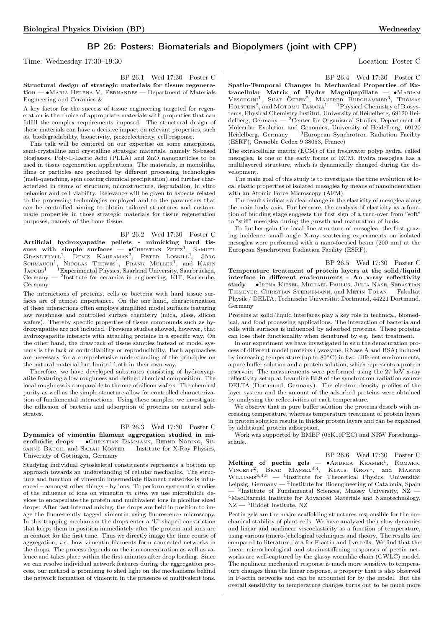# BP 26: Posters: Biomaterials and Biopolymers (joint with CPP)

Time: Wednesday 17:30–19:30 Location: Poster C

BP 26.1 Wed 17:30 Poster C

Structural design of strategic materials for tissue regeneration — ∙Maria Helena V. Fernandes — Department of Materials Engineering and Ceramics &

A key factor for the success of tissue engineering targeted for regeneration is the choice of appropriate materials with properties that can fulfill the complex requirements imposed. The structural design of those materials can have a decisive impact on relevant properties, such as, biodegradability, bioactivity, piezoelectricity, cell response.

This talk will be centered on our expertise on some amorphous, semi-crystalline and crystalline strategic materials, namely Si-based bioglasses, Poly-L-Lactic Acid (PLLA) and ZnO nanoparticles to be used in tissue regeneration applications. The materials, in monoliths, films or particles are produced by different processing technologies (melt-quenching, spin coating chemical precipitation) and further characterized in terms of structure, microstructure, degradation, in vitro behavior and cell viability. Relevance will be given to aspects related to the processing technologies employed and to the parameters that can be controlled aiming to obtain tailored structures and custommade properties in those strategic materials for tissue regeneration purposes, namely of the bone tissue.

BP 26.2 Wed 17:30 Poster C Artificial hydroxyapatite pellets - mimicking hard tissues with simple surfaces —  $\bullet$ Christian Zeitz<sup>1</sup>, Samuel GRANDTHYLL<sup>1</sup>, DENIZ KAHRAMAN<sup>2</sup>, PETER LOSKILL<sup>1</sup> , Jörg SCHMAUCH<sup>1</sup>, NICOLAS THEWES<sup>1</sup>, FRANK MÜLLER<sup>1</sup>, and KARIN Jacobs<sup>1</sup> — <sup>1</sup>Experimental Physics, Saarland University, Saarbrücken, Germany — <sup>2</sup> Institute for ceramics in engineering, KIT, Karlsruhe, Germany

The interactions of proteins, cells or bacteria with hard tissue surfaces are of utmost importance. On the one hand, characterization of these interactions often employs simplified model surfaces featuring low roughness and controlled surface chemistry (mica, glass, silicon wafers). Thereby specific properties of tissue compounds such as hydroxyapatite are not included. Previous studies showed, however, that hydroxyapatite interacts with attaching proteins in a specific way. On the other hand, the drawback of tissue samples instead of model systems is the lack of controllability or reproducibility. Both approaches are necessary for a comprehensive understanding of the principles on the natural material but limited both in their own way.

Therefore, we have developed substrates consisting of hydroxyapatite featuring a low roughness and defined chemical composition. The local roughness is comparable to the one of silicon wafers. The chemical purity as well as the simple structure allow for controlled characterization of fundamental interactions. Using these samples, we investigate the adhesion of bacteria and adsorption of proteins on natural substrates.

### BP 26.3 Wed 17:30 Poster C

Dynamics of vimentin filament aggregation studied in microfluidic drops — ∙Christian Dammann, Bernd Nöding, Susanne Bauch, and Sarah Köster — Institute for X-Ray Physics, University of Göttingen, Germany

Studying individual cytoskeletal constituents represents a bottom up approach towards an understanding of cellular mechanics. The structure and function of vimentin intermediate filament networks is influenced – amongst other things – by ions. To perform systematic studies of the influence of ions on vimentin in vitro, we use microfluidic devices to encapsulate the protein and multivalent ions in picoliter sized drops. After fast internal mixing, the drops are held in position to image the fluorescently tagged vimentin using fluorescence microscopy. In this trapping mechanism the drops enter a 'U'-shaped constriction that keeps them in position immediately after the protein and ions are in contact for the first time. Thus we directly image the time course of aggregation, i.e. how vimentin filaments form connected networks in the drops. The process depends on the ion concentration as well as valence and takes place within the first minutes after drop loading. Since we can resolve individual network features during the aggregation process, our method is promising to shed light on the mechanisms behind the network formation of vimentin in the presence of multivalent ions.

BP 26.4 Wed 17:30 Poster C

Spatio-Temporal Changes in Mechanical Properties of Extracellular Matrix of Hydra Magnipapillata — ∙Mariam VESCHGINI<sup>1</sup>, SUAT ÖZBEK<sup>2</sup>, MANFRED BURGHAMMER<sup>3</sup>, THOMAS HOLSTEIN<sup>2</sup>, and MOTOMU TANAKA<sup>1</sup> — <sup>1</sup>Physical Chemistry of Biosystems, Physical Chemistry Institut, University of Heidelberg, 69120 Heidelberg, Germany — <sup>2</sup>Center for Organismal Studies, Department of Molecular Evolution and Genomics, University of Heidelberg, 69120 Heidelberg, Germany — <sup>3</sup>European Synchrotron Radiation Facility (ESRF), Grenoble Cedex 9 38053, France)

The extracellular matrix (ECM) of the freshwater polyp hydra, called mesoglea, is one of the early forms of ECM. Hydra mesoglea has a multilayered structure, which is dynamically changed during the development.

The main goal of this study is to investigate the time evolution of local elastic properties of isolated mesoglea by means of nanoindentation with an Atomic Force Microscopy (AFM).

The results indicate a clear change in the elasticity of mesoglea along the main body axis. Furthermore, the analysis of elasticity as a function of budding stage suggests the first sign of a turn-over from "soft" to "stiff" mesoglea during the growth and maturation of buds.

To further gain the local fine structure of mesoglea, the first grazing incidence small angle X-ray scattering experiments on isolated mesoglea were performed with a nano-focused beam (200 nm) at the European Synchrotron Radiation Facility (ESRF).

BP 26.5 Wed 17:30 Poster C

Temperature treatment of protein layers at the solid/liquid interface in different environments - An x-ray reflectivity study — ∙Irena Kiesel, Michael Paulus, Julia Nase, Sebastian Tiemeyer, Christian Sternemann, and Metin Tolan — Fakultät Physik / DELTA, Technische Universität Dortmund, 44221 Dortmund, Germany

Proteins at solid/liquid interfaces play a key role in technical, biomedical, and food processing applications. The interaction of bacteria and cells with surfaces is influenced by adsorbed proteins. These proteins can lose their functionality when denatured by e.g. heat treatment.

In our experiment we have investigated in situ the denaturation process of different model proteins (lysozyme, RNase A and BSA) induced by increasing temperature (up to 80∘C) in two different environments, a pure buffer solution and a protein solution, which represents a protein reservoir. The measurements were performed using the 27 keV x-ray reflectivity setup at beamline BL9 of the synchrotron radiation source DELTA (Dortmund, Germany). The electron density profiles of the layer system and the amount of the adsorbed proteins were obtained by analysing the reflectivities at each temperature.

We observe that in pure buffer solution the proteins desorb with increasing temperature, whereas temperature treatment of protein layers in protein solution results in thicker protein layers and can be explained by additional protein adsorption.

Work was supported by BMBF (05K10PEC) and NRW Forschungsschule.

BP 26.6 Wed 17:30 Poster C Melting of pectin gels  $-$ -  $\bullet$ Andrea Kramer<sup>1</sup>, Romaric VINCENT<sup>2</sup>, BRAD MANSEL<sup>3,4</sup>, KLAUS KROY<sup>1</sup>, and MARTIN Williams3,4,<sup>5</sup> — <sup>1</sup> Institute for Theoretical Physics, Universität Leipzig, Germany  $-$  <sup>2</sup>Institute for Bioengineering of Catalonia, Spain  $-$ <sup>3</sup>Institute of Fundamental Sciences, Massey University, NZ  $-$ <sup>4</sup>MacDiarmid Institute for Advanced Materials and Nanotechnology, NZ — <sup>5</sup>Riddet Institute, NZ

Pectin gels are the major scaffolding structures responsible for the mechanical stability of plant cells. We have analyzed their slow dynamics and linear and nonlinear viscoelasticity as a function of temperature, using various (micro-)rhelogical techniques and theory. The results are compared to literature data for F-actin and live cells. We find that the linear microrheological and strain-stiffening responses of pectin networks are well-captured by the glassy wormlike chain (GWLC) model. The nonlinear mechanical response is much more sensitive to temperature changes than the linear response, a property that is also observed in F-actin networks and can be accounted for by the model. But the overall sensitivity to temperature changes turns out to be much more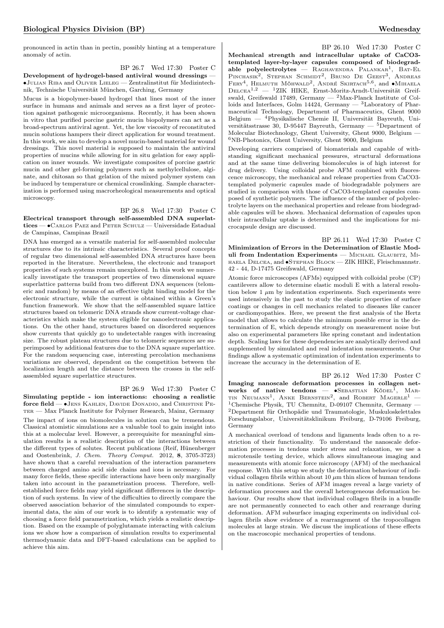pronounced in actin than in pectin, possibly hinting at a temperature anomaly of actin.

BP 26.7 Wed 17:30 Poster C Development of hydrogel-based antiviral wound dressings -∙Julian Riba and Oliver Lieleg — Zentralinstitut für Medizintechnik, Technische Universität München, Garching, Germany

Mucus is a biopolymer-based hydrogel that lines most of the inner surface in humans and animals and serves as a first layer of protection against pathogenic microorganisms. Recently, it has been shown in vitro that purified porcine gastric mucin biopolymers can act as a broad-spectrum antiviral agent. Yet, the low viscosity of reconstituted mucin solutions hampers their direct application for wound treatment. In this work, we aim to develop a novel mucin-based material for wound dressings. This novel material is supposed to maintain the antiviral properties of mucins while allowing for in situ gelation for easy application on inner wounds. We investigate composites of porcine gastric mucin and other gel-forming polymers such as methylcellulose, alginate, and chitosan so that gelation of the mixed polymer system can be induced by temperature or chemical crosslinking. Sample characterization is performed using macrorheological measurements and optical microscopy.

BP 26.8 Wed 17:30 Poster C

Electrical transport through self-assembled DNA superlattices — ∙Carlos Paez and Peter Schulz — Universidade Estadual de Campinas, Campinas Brazil

DNA has emerged as a versatile material for self-assembled molecular structures due to its intrinsic characteristics. Several proof concepts of regular two dimensional self-assembled DNA structures have been reported in the literature. Nevertheless, the electronic and transport properties of such systems remain unexplored. In this work we numerically investigate the transport properties of two dimensional square superlattice patterns build from two different DNA sequences (telomeric and random) by means of an effective tight binding model for the electronic structure, while the current is obtained within a Green's function framework. We show that the self-assembled square lattice structures based on telomeric DNA strands show current-voltage characteristics which make the system eligible for nanoelectronic applications. On the other hand, structures based on disordered sequences show currents that quickly go to undetectable ranges with increasing size. The robust plateau structures due to telomeric sequences are superimposed by additional features due to the DNA square superlattice. For the random sequencing case, interesting percolation mechanisms variations are observed, dependent on the competition between the localization length and the distance between the crosses in the selfassembled square superlattice structures.

### BP 26.9 Wed 17:30 Poster C

Simulating peptide - ion interactions: choosing a realistic force field — ∙Jens Kahlen, Davide Donadio, and Christine Pe-TER — Max Planck Institute for Polymer Research, Mainz, Germany The impact of ions on biomolecules in solution can be tremendous. Classical atomistic simulations are a valuable tool to gain insight into this at a molecular level. However, a prerequisite for meaningful simulation results is a realistic description of the interactions between the different types of solutes. Recent publications (Reif, Hünenberger and Oostenbrink, J. Chem. Theory Comput. 2012, 8, 3705-3723) have shown that a careful reevaluation of the interaction parameters between charged amino acid side chains and ions is necessary. For many force fields, these specific interactions have been only marginally taken into account in the parametrization process. Therefore, wellestablished force fields may yield significant differences in the description of such systems. In view of the difficulties to directly compare the observed association behavior of the simulated compounds to experimental data, the aim of our work is to identify a systematic way of choosing a force field parametrization, which yields a realistic description. Based on the example of polyglutamate interacting with calcium ions we show how a comparison of simulation results to experimental thermodynamic data and DFT-based calculations can be applied to achieve this aim.

BP 26.10 Wed 17:30 Poster C Mechanical strength and intracellular uptake of CaCO3 templated layer-by-layer capsules composed of biodegradable polyelectrolytes - RAGHAVENDRA PALANKAR<sup>1</sup>, BAT-EL PINCHASIK<sup>2</sup>, STEPHAN SCHMIDT<sup>2</sup>, BRUNO DE GEEST<sup>3</sup>, ANDREAS FERY<sup>4</sup>, HELMUTH MÖHWALD<sup>2</sup>, ANDRÉ SKIRTACH<sup>5,6</sup>, and •MIHAELA Delcea1,<sup>2</sup> — <sup>1</sup>ZIK HIKE, Ernst-Moritz-Arndt-Universität Greifswald, Greifswald 17489, Germany — <sup>2</sup>Max-Planck Institute of Colloids and Interfaces, Golm 14424, Germany  $-$  <sup>3</sup>Laboratory of Pharmaceutical Technology, Department of Pharmaceutics, Ghent 9000 Belgium — <sup>4</sup>Physikalische Chemie II, Universität Bayreuth, Universitätsstrasse 30, D-95447 Bayreuth, Germany  $-$  <sup>5</sup>Department of Molecular Biotechnology, Ghent University, Ghent 9000, Belgium — <sup>6</sup>NB-Photonics, Ghent University, Ghent 9000, Belgium

Developing carriers comprised of biomaterials and capable of withstanding significant mechanical pressures, structural deformations and at the same time delivering biomolecules is of high interest for drug delivery. Using colloidal probe AFM combined with fluorescence microscopy, the mechanical and release properties from CaCO3 templated polymeric capsules made of biodegradable polymers are studied in comparison with those of CaCO3-templated capsules composed of synthetic polymers. The influence of the number of polyelectrolyte layers on the mechanical properties and release from biodegradable capsules will be shown. Mechanical deformation of capsules upon their intracellular uptake is determined and the implications for microcapsule design are discussed.

BP 26.11 Wed 17:30 Poster C Minimization of Errors in the Determination of Elastic Moduli from Indentation Experiments - MICHAEL GLAUBITZ, MIhaela Delcea, and ∙Stephan Block — ZIK HIKE, Fleischmannstr. 42 - 44, D-17475 Greifswald, Germany

Atomic force microscopes (AFMs) equipped with colloidal probe (CP) cantilevers allow to determine elastic moduli E with a lateral resolution below 1  $\mu$ m by indentation experiments. Such experiments were used intensively in the past to study the elastic properties of surface coatings or changes in cell mechanics related to diseases like cancer or cardiomyopathies. Here, we present the first analysis of the Hertz model that allows to calculate the minimum possible error in the determination of E, which depends strongly on measurement noise but also on experimental parameters like spring constant and indentation depth. Scaling laws for these dependencies are analytically derived and supplemented by simulated and real indentation measurements. Our findings allow a systematic optimization of indentation experiments to increase the accuracy in the determination of E.

BP 26.12 Wed 17:30 Poster C Imaging nanoscale deformation processes in collagen net**works of native tendons — •**SEBASTIAN KÖDEL<sup>I</sup>, MARTIN NEUMANN<sup>1</sup>, ANKE BERNSTEIN<sup>2</sup>, and ROBERT MAGERLE<sup>1</sup> — <sup>1</sup>Chemische Physik, TU Chemnitz, D-09107 Chemnitz, Germany — <sup>2</sup>Department für Orthopädie und Traumatologie, Muskuloskelettales Forschungslabor, Universitätsklinikum Freiburg, D-79106 Freiburg, Germany

A mechanical overload of tendons and ligaments leads often to a restriction of their functionality. To understand the nanoscale deformation processes in tendons under stress and relaxation, we use a microtensile testing device, which allows simultaneous imaging and measurements with atomic force microscopy (AFM) of the mechanical response. With this setup we study the deformation behaviour of individual collagen fibrils within about 10  $\mu$ m thin slices of human tendons in native conditions. Series of AFM images reveal a large variety of deformation processes and the overall heterogeneous deformation behaviour. Our results show that individual collagen fibrils in a bundle are not permanently connected to each other and rearrange during deformation. AFM subsurface imaging experiments on individual collagen fibrils show evidence of a rearrangement of the tropocollagen molecules at large strain. We discuss the implications of these effects on the macroscopic mechanical properties of tendons.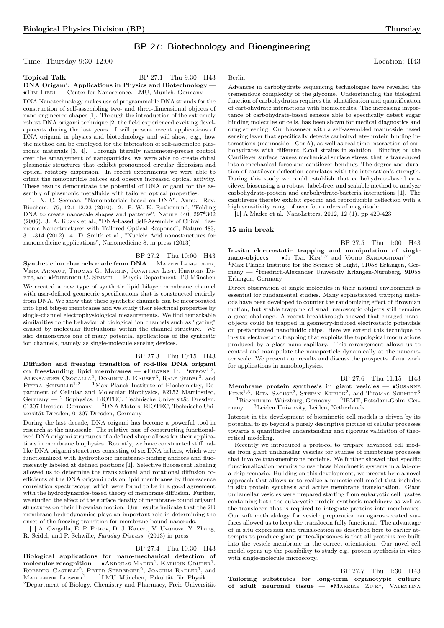# BP 27: Biotechnology and Bioengineering

Time: Thursday  $9:30-12:00$  Location: H43

| Topical Talk                                                                   | BP 27.1 Thu 9:30 H43 |  |
|--------------------------------------------------------------------------------|----------------------|--|
| $DNA$ Origami: Applications in Physics and Biotechnology $-$                   |                      |  |
| $\bullet$ T <sub>IM</sub> LIEDL — Center for Nanoscience, LMU, Munich, Germany |                      |  |

DNA Nanotechnology makes use of programmable DNA strands for the construction of self-assembling two- and three-dimensional objects of nano-engineered shapes [1]. Through the introduction of the extremely robust DNA origami technique [2] the field experienced exciting developments during the last years. I will present recent applications of DNA origami in physics and biotechnology and will show, e.g., how the method can be employed for the fabrication of self-assembled plasmonic materials [3, 4]. Through literally nanometer-precise control over the arrangement of nanoparticles, we were able to create chiral plasmonic structures that exhibit pronounced circular dichroism and optical rotatory dispersion. In recent experiments we were able to orient the nanoparticle helices and observe increased optical activity. These results demonstrate the potential of DNA origami for the assembly of plasmonic metafluids with tailored optical properties.

1. N. C. Seeman, "Nanomaterials based on DNA", Annu. Rev. Biochem. 79, 12.1-12.23 (2010). 2. P. W. K. Rothemund, "Folding DNA to create nanoscale shapes and patterns", Nature 440, 297\*302 (2006). 3. A. Kuzyk et al., "DNA-based Self-Assembly of Chiral Plasmonic Nanostructures with Tailored Optical Response", Nature 483, 311-314 (2012). 4. D. Smith et al., "Nucleic Acid nanostructures for nanomedicine applications", Nanomedicine 8, in press (2013)

BP 27.2 Thu 10:00 H43 Synthetic ion channels made from  $DNA$  - MARTIN LANGECKER, Vera Arnaut, Thomas G. Martin, Jonathan List, Hendrik Dietz, and ∙Friedrich C. Simmel — Physik Department, TU München We created a new type of synthetic lipid bilayer membrane channel with user-defined geometric specifications that is constructed entirely from DNA. We show that these synthetic channels can be incorporated into lipid bilayer membranes and we study their electrical properties by single-channel electrophysiological measurements. We find remarkable similarities to the behavior of biological ion channels such as "gating" caused by molecular fluctuations within the channel structure. We also demonstrate one of many potential applications of the synthetic ion channels, namely as single-molecule sensing devices.

# BP 27.3 Thu 10:15 H43

Diffusion and freezing transition of rod-like DNA origami on freestanding lipid membranes —  $\bullet$ EUGENE P. PETROV<sup>1,2</sup>, ALEKSANDER CZOGALLA<sup>2</sup>, DOMINIK J. KAUERT<sup>3</sup>, RALF SEIDEL<sup>3</sup>, and PETRA SCHWILLE<sup>1,2</sup> — <sup>1</sup>Max Planck Institute of Biochemistry, Department of Cellular and Molecular Biophysics, 82152 Martinsried, Germany — <sup>2</sup>Biophysics, BIOTEC, Technische Universität Dresden, 01307 Dresden, Germany — <sup>3</sup>DNA Motors, BIOTEC, Technische Universität Dresden, 01307 Dresden, Germany

During the last decade, DNA origami has become a powerful tool in research at the nanoscale. The relative ease of constructing functionalized DNA origami structures of a defined shape allows for their applications in membrane biophysics. Recently, we have constructed stiff rodlike DNA origami structures consisting of six DNA helixes, which were functionalized with hydrophobic membrane-binding anchors and fluorescently labeled at defined positions [1]. Selective fluorescent labeling allowed us to determine the translational and rotational diffusion coefficients of the DNA origami rods on lipid membranes by fluorescence correlation spectroscopy, which were found to be in a good agreement with the hydrodynamics-based theory of membrane diffusion. Further, we studied the effect of the surface density of membrane-bound origami structures on their Brownian motion. Our results indicate that the 2D membrane hydrodynamics plays an important role in determining the onset of the freezing transition for membrane-bound nanorods.

[1] A. Czogalla, E. P. Petrov, D. J. Kauert, V. Uzunova, Y. Zhang, R. Seidel, and P. Schwille, Faraday Discuss. (2013) in press

### BP 27.4 Thu 10:30 H43

Biological applications for nano-mechanical detection of  ${\rm \bf molecule} {\rm \bf true} {\rm \bf column} = {\rm \bullet} {\rm \bf AnDREAS\,\,}{\rm \bf MADER}^1, {\rm \bf KATHRIN\,\,GRUBER}^1,$ ROBERTO CASTELLI<sup>2</sup>, PETER SEEBERGER<sup>2</sup>, JOACHIM RÄDLER<sup>1</sup>, and MADELEINE LEISNER $^{1}$  — <sup>1</sup>LMU München, Fakultät für Physik <sup>2</sup>Department of Biology, Chemistry and Pharmacy, Freie Universität

## Berlin

Advances in carbohydrate sequencing technologies have revealed the tremendous complexity of the glycome. Understanding the biological function of carbohydrates requires the identification and quantification of carbohydrate interactions with biomolecules. The increasing importance of carbohydrate-based sensors able to specifically detect sugar binding molecules or cells, has been shown for medical diagnostics and drug screening. Our biosensor with a self-assembled mannoside based sensing layer that specifically detects carbohydrate-protein binding interactions (mannoside - ConA), as well as real time interaction of carbohydrates with different E.coli strains in solution. Binding on the Cantilever surface causes mechanical surface stress, that is transduced into a mechanical force and cantilever bending. The degree and duration of cantilever deflection correlates with the interaction's strength. During this study we could establish that carbohydrate-based cantilever biosensing is a robust, label-free, and scalable method to analyze carbohydrate-protein and carbohydrate-bacteria interactions [1]. The cantilevers thereby exhibit specific and reproducible deflection with a high sensitivity range of over four orders of magnitude.

[1] A.Mader et al. NanoLetters, 2012, 12 (1), pp 420-423

### 15 min break

BP 27.5 Thu 11:00 H43 In-situ electrostatic trapping and manipulation of single nano-objects —  $\bullet$  J<sub>I</sub> T<sub>AE</sub> K<sub>IM</sub><sup>1,2</sup> and V<sub>AHID</sub> SANDOGHDAR<sup>1,2</sup> <sup>1</sup>Max Planck Institute for the Science of Light, 91058 Erlangen, Germany — <sup>2</sup>Friedrich-Alexander University Erlangen-Nürnberg, 91058 Erlangen, Germany

Direct observation of single molecules in their natural environment is essential for fundamental studies. Many sophisticated trapping methods have been developed to counter the randomizing effect of Brownian motion, but stable trapping of small nanoscopic objects still remains a great challenge. A recent breakthrough showed that charged nanoobjects could be trapped in geometry-induced electrostatic potentials on prefabricated nanofluidic chips. Here we extend this technique to in-situ electrostatic trapping that exploits the topological modulations produced by a glass nano-capillary. This arrangement allows us to control and manipulate the nanoparticle dynamically at the nanometer scale. We present our results and discuss the prospects of our work for applications in nanobiophysics.

BP 27.6 Thu 11:15 H43 Membrane protein synthesis in giant vesicles — ∙Susanne  $FENZ^{1,3}$ , RITA SACHSE<sup>2</sup>, STEFAN KUBICK<sup>2</sup>, and THOMAS SCHMIDT<sup>3</sup>  $-$ <sup>1</sup>Biozentrum, Würzburg, Germany  $-$ <sup>2</sup>IBMT, Potsdam-Golm, Ger $m$ any  $-$ <sup>3</sup>Leiden University, Leiden, Netherlands

Interest in the development of biomimetic cell models is driven by its potential to go beyond a purely descriptive picture of cellular processes towards a quantitative understanding and rigorous validation of theoretical modeling.

Recently we introduced a protocol to prepare advanced cell models from giant unilamellar vesicles for studies of membrane processes that involve transmembrane proteins. We further showed that specific functionalization permits to use those biomimetic systems in a lab-ona-chip scenario. Building on this development, we present here a novel approach that allows us to realize a mimetic cell model that includes in situ protein synthesis and active membrane translocation. Giant unilamellar vesicles were prepared starting from eukaryotic cell lysates containing both the eukaryotic protein synthesis machinery as well as the translocon that is required to integrate proteins into membranes. Our soft methodology for vesicle preparation on agarose-coated surfaces allowed us to keep the translocon fully functional. The advantage of in situ expression and translocation as described here to earlier attempts to produce giant proteo-liposomes is that all proteins are built into the vesicle membrane in the correct orientation. Our novel cell model opens up the possibility to study e.g. protein synthesis in vitro with single-molecule microscopy.

### BP 27.7 Thu 11:30 H43 Tailoring substrates for long-term organotypic culture of adult neuronal tissue — • MAREIKE ZINK<sup>1</sup>, VALENTINA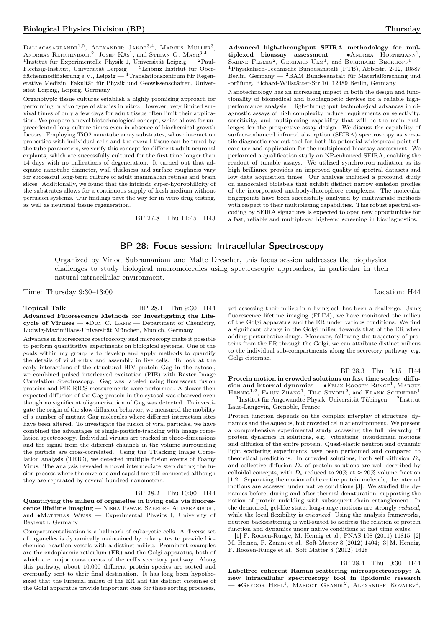Dallacasagrande<sup>1,2</sup>, Alexander Jakob<sup>3,4</sup>, Marcus Müller<sup>3</sup>, ANDREAS REICHENBACH<sup>2</sup>, JOSEF KÄS<sup>1</sup>, and STEFAN G. MAYR<sup>3,4</sup> —<sup>1</sup>Institut für Experimentelle Physik 1, Universität Leipzig — <sup>2</sup>Paul-Flechsig-Institut, Universität Leipzig — <sup>3</sup>Leibniz Institut für Oberflächenmodifizierung e.V., Leipzig — <sup>4</sup>Translationszentrum für Regenerative Medizin, Fakultät für Physik und Geowissenschaften, Universität Leipzig, Leipzig, Germany

Organotypic tissue cultures establish a highly promising approach for performing in vivo type of studies in vitro. However, very limited survival times of only a few days for adult tissue often limit their application. We propose a novel biotechnological concept, which allows for unprecedented long culture times even in absence of biochemical growth factors. Employing TiO2 nanotube array substrates, whose interaction properties with individual cells and the overall tissue can be tuned by the tube parameters, we verify this concept for different adult neuronal explants, which are successfully cultured for the first time longer than 14 days with no indications of degeneration. It turned out that adequate nanotube diameter, wall thickness and surface roughness vary for successful long-term culture of adult mammalian retinae and brain slices. Additionally, we found that the intrinsic super-hydrophilicity of the substrates allows for a continuous supply of fresh medium without perfusion systems. Our findings pave the way for in vitro drug testing, as well as neuronal tissue regeneration.

BP 27.8 Thu 11:45 H43

Advanced high-throughput SEIRA methodology for multiplexed bioassay assessment —  $\bullet$ ANDREA HORNEMANN<sup>1</sup>, SABINE FLEMIG<sup>2</sup>, GERHARD ULM<sup>1</sup>, and BURKHARD BECKHOFF<sup>1</sup> – <sup>1</sup>Physikalisch-Technische Bundesanstalt (PTB), Abbestr. 2-12, 10587 Berlin, Germany —  ${}^{2}$ BAM Bundesanstalt für Materialforschung und -prüfung, Richard-Willstätter-Str.10, 12489 Berlin, Germany

Nanotechnology has an increasing impact in both the design and functionality of biomedical and biodiagnostic devices for a reliable highperformance analysis. High-throughput technological advances in diagnostic assays of high complexity induce requirements on selectivity, sensitivity, and multiplexing capability that will be the main challenges for the prospective assay design. We discuss the capability of surface-enhanced infrared absorption (SEIRA) spectroscopy as versatile diagnostic readout tool for both its potential widespread point-ofcare use and application for the multiplexed bioassay assessment. We performed a qualification study on NP-enhanced SEIRA, enabling the readout of tunable assays. We utilized synchrotron radiation as its high brilliance provides an improved quality of spectral datasets and low data acquisition times. Our analysis included a profound study on nanoscaled biolabels that exhibit distinct narrow emission profiles of the incorporated antibody-fluorophore complexes. The molecular fingerprints have been successfully analyzed by multivariate methods with respect to their multiplexing capabilities. This robust spectral encoding by SEIRA signatures is expected to open new opportunities for a fast, reliable and multiplexed high-end screening in biodiagnostics.

# BP 28: Focus session: Intracellular Spectroscopy

Organized by Vinod Subramaniam and Malte Drescher, this focus session addresses the biophysical challenges to study biological macromolecules using spectroscopic approaches, in particular in their natural intracellular environment.

Time: Thursday 9:30–13:00 Location: H44

Topical Talk BP 28.1 Thu 9:30 H44 Advanced Fluorescence Methods for Investigating the Lifecycle of Viruses — ∙Don C. Lamb — Department of Chemistry, Ludwig-Maximilians-Universität München, Munich, Germany

Advances in fluorescence spectroscopy and microscopy make it possible to perform quantitative experiments on biological systems. One of the goals within my group is to develop and apply methods to quantify the details of viral entry and assembly in live cells. To look at the early interactions of the structural HIV protein Gag in the cytosol, we combined pulsed interleaved excitation (PIE) with Raster Image Correlation Spectroscopy. Gag was labeled using fluorescent fusion proteins and PIE-RICS measurements were performed. A slower then expected diffusion of the Gag protein in the cytosol was observed even though no significant oligomerization of Gag was detected. To investigate the origin of the slow diffusion behavior, we measured the mobility of a number of mutant Gag molecules where different interaction sites have been altered. To investigate the fusion of viral particles, we have combined the advantages of single-particle-tracking with image correlation spectroscopy. Individual viruses are tracked in three-dimensions and the signal from the different channels in the volume surrounding the particle are cross-correlated. Using the TRacking Image Correlation analysis (TRIC), we detected multiple fusion events of Foamy Virus. The analysis revealed a novel intermediate step during the fusion process where the envelope and capsid are still connected although they are separated by several hundred nanometers.

### BP 28.2 Thu 10:00 H44

Quantifying the milieu of organelles in living cells via fluorescence lifetime imaging - NISHA PAWAR, SAEEDEH ALIASKARISOHI, and ∙Matthias Weiss — Experimental Physics I, University of Bayreuth, Germany

Compartmentalization is a hallmark of eukaryotic cells. A diverse set of organelles is dynamically maintained by eukaryotes to provide biochemical reaction vessels with a distinct milieu. Prominent examples are the endoplasmic reticulum (ER) and the Golgi apparatus, both of which are major constituents of the cell's secretory pathway. Along this pathway, about 10,000 different protein species are sorted and eventually sent to their final destination. It has long been hypothesized that the lumenal milieu of the ER and the distinct cisternae of the Golgi apparatus provide important cues for these sorting processes,

yet assessing their milieu in a living cell has been a challenge. Using fluorescence lifetime imaging (FLIM), we have monitored the milieu of the Golgi apparatus and the ER under various conditions. We find a significant change in the Golgi milieu towards that of the ER when adding perturbative drugs. Moreover, following the trajectory of proteins from the ER through the Golgi, we can attribute distinct milieus to the individual sub-compartments along the secretory pathway, e.g. Golgi cisternae.

BP 28.3 Thu 10:15 H44 Protein motion in crowded solutions on fast time scales: diffusion and internal dynamics  $-$  • Felix Roosen-Runge<sup>1</sup>, Marcus HENNIG<sup>1,2</sup>, FAJUN ZHANG<sup>1</sup>, TILO SEYDEL<sup>2</sup>, and FRANK SCHREIBER<sup>1</sup>  $-$  <sup>1</sup>Institut für Angewandte Physik, Universität Tübingen  $-$  <sup>2</sup>Institut Laue-Langevin, Grenoble, France

Protein function depends on the complex interplay of structure, dynamics and the aqueous, but crowded cellular environment. We present a comprehensive experimental study accessing the full hierarchy of protein dynamics in solutions, e.g. vibrations, interdomain motions and diffusion of the entire protein. Quasi-elastic neutron and dynamic light scattering experiments have been performed and compared to theoretical predictions. In crowded solutions, both self diffusion  $D_s$ and collective diffusion  $D_c$  of protein solutions are well described by colloidal concepts, with  $D_s$  reduced to 20% at  $\approx 20\%$  volume fraction [1,2]. Separating the motion of the entire protein molecule, the internal motions are accessed under native conditions [3]. We studied the dynamics before, during and after thermal denaturation, supporting the notion of protein unfolding with subsequent chain entanglement. In the denatured, gel-like state, long-range motions are strongly reduced, while the local flexibility is *enhanced*. Using the analysis frameworks, neutron backscattering is well-suited to address the relation of protein function and dynamics under native conditions at fast time scales.

[1] F. Roosen-Runge, M. Hennig et al., PNAS 108 (2011) 11815; [2] M. Heinen, F. Zanini et al., Soft Matter 8 (2012) 1404; [3] M. Hennig, F. Roosen-Runge et al., Soft Matter 8 (2012) 1628

### BP 28.4 Thu 10:30 H44

Labelfree coherent Raman scattering microspectroscopy: A new intracellular spectroscopy tool in lipidomic research  $-$  •Gregor Hehl<sup>1</sup>, Margot Grandl<sup>2</sup>, Alexander Kovalev<sup>1</sup>,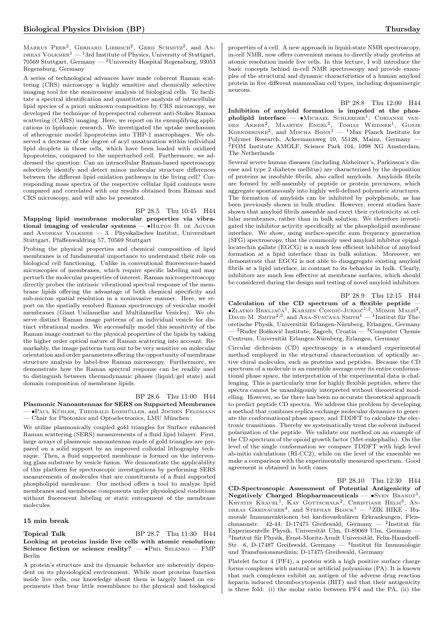MARKUS PEER<sup>2</sup>, GERHARD LIEBISCH<sup>2</sup>, GERD SCHMITZ<sup>2</sup>, and AN-DREAS VOLKMER<sup>1</sup> — <sup>1</sup>3rd Institute of Physics, University of Stuttgart, 70569 Stuttgart, Germany — <sup>2</sup>University Hospital Regensburg, 93053 Regensburg, Germany

A series of technological advances have made coherent Raman scattering (CRS) microscopy a highly sensitive and chemically selective imaging tool for the noninvasive analysis of biological cells. To facilitate a spectral identification and quantitative analysis of intracellular lipid species of a priori unknown composition by CRS microscopy, we developed the technique of hyperspectral coherent anti-Stokes Raman scattering (CARS) imaging. Here, we report on its exemplifying applications in lipidomic research. We investigated the uptake mechanism of atherogenic model lipoproteins into THP-1 macrophages. We observed a decrease of the degree of acyl unsaturation within individual lipid droplets in those cells, which have been loaded with oxidized lipoproteins, compared to the unperturbed cell. Furthermore, we addressed the question: Can an intracellular Raman-based spectroscopy selectively identify and detect minor molecular structure differences between the different lipid oxidation pathways in the living cell? Corresponding mass spectra of the respective cellular lipid contents were compared and correlated with our results obtained from Raman and CRS microscopy, and will also be presented.

### BP 28.5 Thu 10:45 H44

Mapping lipid membrane molecular properties via vibrational imaging of vesicular systems —  $\bullet$ HILTON B. DE AGUIAR and ANDREAS VOLKMER — 3. Physikalisches Institut, Universitaet Stuttgart, Pfaffenwaldring 57, 70569 Stuttgart

Probing the physical properties and chemical composition of lipid membranes is of fundamental importance to understand their role on biological cell functioning. Unlike in conventional fluorescence-based microscopies of membranes, which require specific labeling and may perturb the molecular properties of interest, Raman microspectroscopy directly probes the intrinsic vibrational spectral response of the membrane lipids offering the advantage of both chemical specificity and sub-micron spatial resolution in a noninvasive manner. Here, we report on the spatially resolved Raman spectroscopy of vesicular model membranes (Giant Unilamellar and Multilamellar Vesicles). We observe distinct Raman image patterns of an individual vesicle for distinct vibrational modes. We successfully model this sensitivity of the Raman image contrast to the physical properties of the lipids by taking the higher order optical nature of Raman scattering into account. Remarkably, the image patterns turn out to be very sensitive on molecular orientation and order parameters offering the opportunity of membrane structure analysis by label-free Raman microscopy. Furthermore, we demonstrate how the Raman spectral response can be readily used to distinguish between thermodynamic phases (liquid/gel state) and domain composition of membrane lipids.

### BP 28.6 Thu 11:00 H44

Plasmonic Nanoantennas for SERS on Supported Membranes — ∙Paul Kühler, Theobald Lohmüller, and Jochen Feldmann — Chair for Photonics and Optoelectronics, LMU München

We utilize plasmonically coupled gold triangles for Surface enhanced Raman scattering (SERS) measurements of a fluid lipid bilayer. First, large arrays of plasmonic nanoantennas made of gold triangles are prepared on a solid support by an improved colloidal lithography technique. Then, a fluid supported membrane is formed on the intervening glass substrate by vesicle fusion. We demonstrate the applicability of this platform for spectroscopic investigations by performing SERS measurements of molecules that are constituents of a fluid supported phospholipid membrane. Our method offers a tool to analyze lipid membranes and membrane components under physiological conditions without fluorescent labeling or static entrapment of the membrane molecules.

### 15 min break

### **Topical Talk** BP 28.7 Thu 11:30 H44 Looking at proteins inside live cells with atomic resolution: Science fiction or science reality? — •PHIL SELENKO — FMP Berlin

A protein's structure and its dynamic behavior are inherently dependent on its physiological environment. While most proteins function inside live cells, our knowledge about them is largely based on experiments that bear little resemblance to the physical and biological properties of a cell. A new approach in liquid-state NMR spectroscopy, in-cell NMR, now offers convenient means to directly study proteins at atomic resolution inside live cells. In this lecture, I will introduce the basic concepts behind in-cell NMR spectroscopy and provide examples of the structural and dynamic characteristics of a human amyloid protein in five different mammalian cell types, including dopaminergic neurons.

### BP 28.8 Thu 12:00 H44

Inhibition of amyloid formation is impeded at the phos**pholipid interface** — •MICHAEL SCHLEEGER<sup>1</sup>, CORIANNE VAN-<br>DEN AKKER<sup>2</sup>, MAARTEN ENGEL<sup>2</sup>, TOBIAS WEIDNER<sup>1</sup>, GIJSJE<br>KOENDERINKE<sup>2</sup>, and MISCHA BONN<sup>1</sup> — <sup>1</sup>Max Planck Institute for Polymer Research, Ackermannweg 10, 55128, Mainz, Germany — <sup>2</sup>FOM Institute AMOLF, Science Park 104, 1098 XG Amsterdam, The Netherlands

Several severe human diseases (including Alzheimer's, Parkinson's disease and type 2 diabetes mellitus) are characterized by the deposition of proteins as insoluble fibrils, also called amyloids. Amyloids fibrils are formed by self-assembly of peptide or protein precursors, which aggregate spontaneously into highly well-defined polymeric structures. The formation of amyloids can be inhibited by polyphenols, as has been previously shown in bulk studies. However, recent studies have shown that amyloid fibrils assemble and exert their cytotoxicity at cellular membranes, rather than in bulk solution. We therefore investigated the inhibitor activity specifically at the phospholipid membrane interface. We show, using surface-specific sum frequency generation (SFG) spectroscopy, that the commonly used amyloid inhibitor epigallocatechin gallate (EGCG) is a much less efficient inhibitor of amyloid formation at a lipid interface than in bulk solution. Moreover, we demonstrate that EGCG is not able to disaggregate existing amyloid fibrils at a lipid interface, in contrast to its behavior in bulk. Clearly, inhibitors are much less effective at membrane surfaces, which should be considered during the design and testing of novel amyloid inhibitors.

### BP 28.9 Thu 12:15 H44

Calculation of the CD spectrum of a flexible peptide — •ZLATKO BRKLJAČA<sup>1</sup>, KARMEN ČONDIĆ-JURKIĆ<sup>1,2</sup>, MOMIR MALIŠ<sup>2</sup>, DAVID M. SMITH<sup>2,3</sup>, and Ana-Sunčana Smith<sup>1</sup> — <sup>1</sup>Institut für Theoretische Physik, Universität Erlangen-Nürnberg, Erlangen, Germany  ${}^{2}$ Ruđer Bošković Institute, Zagreb, Croatia —  ${}^{3}$ Computer Chemie Centrum, Universität Erlangen-Nürnberg, Erlangen, Germany

Circular dichroism (CD) spectroscopy is a standard experimental method employed in the structural characterization of optically active chiral molecules, such as proteins and peptides. Because the CD spectrum of a molecule is an ensemble average over its entire conformational phase space, the interpretation of the experimental data is challenging. This is particularly true for highly flexible peptides, where the spectra cannot be unambigously interpreted without theoretical modelling. However, so far there has been no accurate theoretical approach to predict peptide CD spectra. We address this problem by developing a method that combines replica exchange molecular dynamics to generate the conformational phase space, and TDDFT to calculate the electronic transitions. Thereby we systematically treat the solvent induced polarization of the peptide. We validate our method on an example of the CD spectrum of the opioid growth factor (Met-enkephalin). On the level of the single conformation we compare TDDFT with high level ab-initio calculations (RI-CC2), while on the level of the ensemble we make a comparison with the experimentally measured spectrum. Good agreement is obtained in both cases.

BP 28.10 Thu 12:30 H44 CD-Spectroscopic Assessment of Potential Antigenicity of Negatively Charged Biopharmaceuticals —  $\bullet$ SvEN BRANDT<sup>1</sup>, KRYSTIN KRAUEL<sup>1</sup>, KAY GOTTSCHALK<sup>2</sup>, CHRISTIANE HELM<sup>3</sup>, AN-DREAS GREINACHER<sup>4</sup>, and STEPHAN BLOCK<sup>1</sup> - <sup>1</sup>ZIK HIKE - Humorale Immunreaktionen bei kardiovaskulären Erkrankungen, Fleischmannstr. 42-44, D-17475 Greifswald, Germany —  $^2$ Institut für Experimentelle Physik, Universität Ulm, D-89069 Ulm, Germany — 3 Institut für Physik, Ernst-Moritz-Arndt Universität, Felix-Hausdorff-Str. 6, D-17487 Greifswald, Germany — <sup>4</sup>Institut für Immunologie und Transfusionsmedizin; D-17475 Greifswald, Germany

Platelet factor 4 (PF4), a protein with a high positive surface charge forms complexes with natural or artificial polyanions (PA). It is known that such complexes exhibit an antigen of the adverse drug reaction heparin induced thrombocytopenia (HIT) and that their antigenicity is three fold: (i) the molar ratio between PF4 and the PA, (ii) the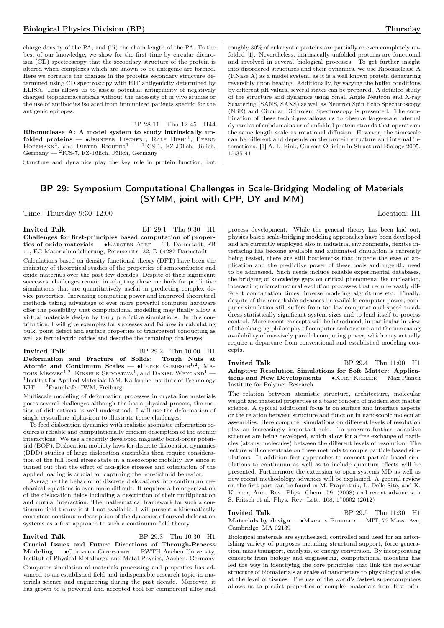charge density of the PA, and (iii) the chain length of the PA. To the best of our knowledge, we show for the first time by circular dichroism (CD) spectroscopy that the secondary structure of the protein is altered when complexes which are known to be antigenic are formed. Here we correlate the changes in the proteins secondary structure determined using CD spectroscopy with HIT antigenicity determined by ELISA. This allows us to assess potential antigenicity of negatively charged biopharmaceuticals without the necessity of in vivo studies or the use of antibodies isolated from immunized patients specific for the antigenic epitopes.

BP 28.11 Thu 12:45 H44 Ribonuclease A: A model system to study intrinsically unfolded proteins —  $\bullet$ Jennifer Fischer<sup>1</sup>, Ralf Biehl<sup>1</sup>, Bernd HOFFMANN<sup>2</sup>, and DIETER RICHTER<sup>1</sup> - <sup>1</sup>ICS-1, FZ-Jülich, Jülich, Germany — <sup>2</sup> ICS-7, FZ-Jülich, Jülich, Germany

Structure and dynamics play the key role in protein function, but

# BP 29: Symposium Computational Challenges in Scale-Bridging Modeling of Materials (SYMM, joint with CPP, DY and MM)

Time: Thursday 9:30–12:00 Location: H1

### Invited Talk BP 29.1 Thu 9:30 H1

Challenges for first-principles based computation of properties of oxide materials — ∙Karsten Albe — TU Darmstadt, FB 11, FG Materialmodellierung, Petersenstr. 32, D-64287 Darmstadt

Calculations based on density functional theory (DFT) have been the mainstay of theoretical studies of the properties of semiconductor and oxide materials over the past few decades. Despite of their significant successes, challenges remain in adapting these methods for predictive simulations that are quantitatively useful in predicting complex device properties. Increasing computing power and improved theoretical methods taking advantage of ever more powerful computer hardware offer the possibility that computational modelling may finally allow a virtual materials design by truly predictive simulations. In this contribution, I will give examples for successes and failures in calculating bulk, point defect and surface properties of transparent conducting as well as ferroelectric oxides and describe the remaining challenges.

Invited Talk BP 29.2 Thu 10:00 H1 Deformation and Fracture of Solids: Tough Nuts at Atomic and Continuum Scales —  $\bullet$ PETER GUMBSCH<sup>1,2</sup>, MA-TOUS  $M_{\rm ROVEC}$ <sup>1,2</sup>, Kinshuk Srivastava<sup>1</sup>, and Daniel Weygand<sup>1</sup> — <sup>1</sup>Institut for Applied Materials IAM, Karlsruhe Institute of Technology  $KIT - 2$ Fraunhofer IWM, Freiburg

Multiscale modeling of deformation processes in crystalline materials poses several challenges although the basic physical process, the motion of dislocations, is well understood. I will use the deformation of single crystalline alpha-iron to illustrate these challenges.

To feed dislocation dynamics with realistic atomistic information requires a reliable and computationally efficient description of the atomic interactions. We use a recently developed magnetic bond-order potential (BOP). Dislocation mobility laws for discrete dislocation dynamics (DDD) studies of large dislocation ensembles then require consideration of the full local stress state in a mesoscopic mobility law since it turned out that the effect of non-glide stresses and orientation of the applied loading is crucial for capturing the non-Schmid behavior.

Averaging the behavior of discrete dislocations into continuum mechanical equations is even more difficult. It requires a homogenization of the dislocation fields including a description of their multiplication and mutual interaction. The mathematical framework for such a continuum field theory is still not available. I will present a kinematically consistent continuum description of the dynamics of curved dislocation systems as a first approach to such a continuum field theory.

Invited Talk BP 29.3 Thu 10:30 H1 Crucial Issues and Future Directions of Through-Process Modeling —  $\bullet$ GUENTER GOTTSTEIN — RWTH Aachen University, Institut of Physical Metallurgy and Metal Physics, Aachen, Germany Computer simulation of materials processing and properties has advanced to an established field and indispensible research topic in materials science and engineering during the past decade. Moreover, it

has grown to a powerful and accepted tool for commercial alloy and

roughly 30% of eukaryotic proteins are partially or even completely unfolded [1]. Nevertheless, intrinsically unfolded proteins are functional and involved in several biological processes. To get further insight into disordered structures and their dynamics, we use Ribonuclease A (RNase A) as a model system, as it is a well known protein denaturing reversibly upon heating. Additionally, by varying the buffer conditions by different pH values, several states can be prepared. A detailed study of the structure and dynamics using Small Angle Neutron and X-ray Scattering (SANS, SAXS) as well as Neutron Spin Echo Spechtroscopy (NSE) and Circular Dichroism Spectroscopy is presented. The combination of these techniques allows us to observe large-scale internal dynamics of subdomains or of unfolded protein strands that operate on the same length scale as rotational diffusion. However, the timescale can be different and depends on the protein structure and internal interactions. [1] A. L. Fink, Current Opinion in Structural Biology 2005, 15:35-41

process development. While the general theory has been laid out, physics based scale-bridging modeling approaches have been developed and are currently employed also in industrial environments, flexible interfacing has become available and automated simulation is currently being tested, there are still bottlenecks that impede the ease of application and the predictive power of these tools and urgently need to be addressed. Such needs include reliable experimental databases, the bridging of knowledge gaps on critical phenomena like nucleation, interacting microstructural evolution processes that require vastly different computation times, inverse modeling algorithms etc. Finally, despite of the remarkable advances in available computer power, computer simulation still suffers from too low computational speed to address statistically significant system sizes and to lend itself to process control. More recent concepts will be introduced, in particular in view of the changing philosophy of computer architecture and the increasing availability of massively parallel computing power, which may actually require a departure from conventional and established modeling concepts.

Invited Talk BP 29.4 Thu 11:00 H1 Adaptive Resolution Simulations for Soft Matter: Applications and New Developments — ∙Kurt Kremer — Max Planck Institute for Polymer Research

The relation between atomistic structure, architecture, molecular weight and material properties is a basic concern of modern soft matter science. A typical additional focus is on surface and interface aspects or the relation between structure and function in nanoscopic molecular assemblies. Here computer simulations on different levels of resolution play an increasingly important role. To progress further, adaptive schemes are being developed, which allow for a free exchange of particles (atoms, molecules) between the different levels of resolution. The lecture will concentrate on these methods to couple particle based simulations. In addition first approaches to connect particle based simulations to continuum as well as to include quantum effects will be presented. Furthermore the extension to open systems MD as well as new recent methodology advances will be explained. A general review on the first part can be found in M. Praprotnik, L. Delle Site, and K. Kremer, Ann. Rev. Phys. Chem. 59, (2008) and recent advances in S. Fritsch et al. Phys. Rev. Lett. 108, 170602 (2012)

Invited Talk BP 29.5 Thu 11:30 H1 Materials by design —  $\bullet$ MARKUS BUEHLER — MIT, 77 Mass. Ave, Cambridge, MA 02139

Biological materials are synthesized, controlled and used for an astonishing variety of purposes including structural support, force generation, mass transport, catalysis, or energy conversion. By incorporating concepts from biology and engineering, computational modeling has led the way in identifying the core principles that link the molecular structure of biomaterials at scales of nanometers to physiological scales at the level of tissues. The use of the world's fastest supercomputers allows us to predict properties of complex materials from first prin-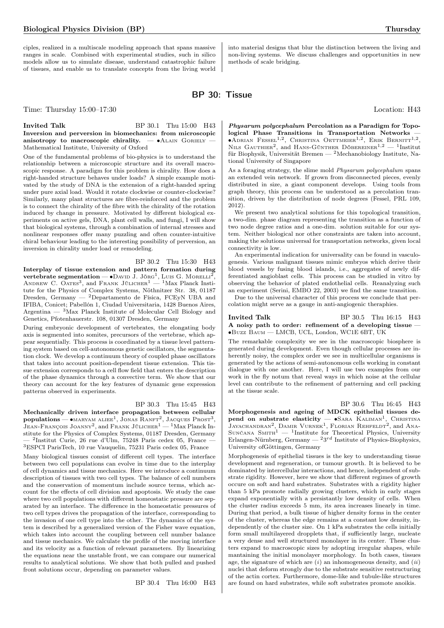ciples, realized in a multiscale modeling approach that spans massive ranges in scale. Combined with experimental studies, such in silico models allow us to simulate disease, understand catastrophic failure of tissues, and enable us to translate concepts from the living world into material designs that blur the distinction between the living and non-living systems. We discuss challenges and opportunities in new methods of scale bridging.

BP 30: Tissue

**Invited Talk** BP 30.1 Thu 15:00 H43 Inversion and perversion in biomechanics: from microscopic anisotropy to macroscopic chirality.  $- \bullet$ ALAIN GORIELY Mathematical Institute, University of Oxford

One of the fundamental problems of bio-physics is to understand the relationship between a microscopic structure and its overall macroscopic response. A paradigm for this problem is chirality. How does a right-handed structure behaves under loads? A simple example motivated by the study of DNA is the extension of a right-handed spring under pure axial load. Would it rotate clockwise or counter-clockwise? Similarly, many plant structures are fibre-reinforced and the problem is to connect the chirality of the fibre with the chirality of the rotation induced by change in pressure. Motivated by different biological experiments on active gels, DNA, plant cell walls, and fungi, I will show that biological systems, through a combination of internal stresses and nonlinear responses offer many puzzling and often counter-intuitive chiral behaviour leading to the interesting possibility of perversion, an inversion in chirality under load or remodeling.

BP 30.2 Thu 15:30 H43 Interplay of tissue extension and pattern formation during **vertebrate segmentation** — •David J. Jörg<sup>1</sup>, Luis G. Morelli<sup>2</sup>, Andrew C. Oates<sup>3</sup>, and Frank Jülicher<sup>1</sup> — <sup>1</sup>Max Planck Institute for the Physics of Complex Systems, Nöthnitzer Str. 38, 01187 Dresden, Germany — <sup>2</sup>Departamento de Física, FCEyN UBA and IFIBA, Conicet; Pabellón 1, Ciudad Universitaria, 1428 Buenos Aires, Argentina  $-$  <sup>3</sup>Max Planck Institute of Molecular Cell Biology and Genetics, Pfotenhauerstr. 108, 01307 Dresden, Germany

During embryonic development of vertebrates, the elongating body axis is segmented into somites, precursors of the vertebrae, which appear sequentially. This process is coordinated by a tissue level patterning system based on cell-autonomous genetic oscillators, the segmentation clock. We develop a continuum theory of coupled phase oscillators that takes into account position-dependent tissue extension. This tissue extension corresponds to a cell flow field that enters the description of the phase dynamics through a convective term. We show that our theory can account for the key features of dynamic gene expression patterns observed in experiments.

### BP 30.3 Thu 15:45 H43

Mechanically driven interface propagation between cellular  $\mathbf{populations} \longrightarrow \bullet$ MARYAM ALIEE<sup>1</sup>, JONAS RANFT<sup>2</sup>, JACQUES PROST<sup>3</sup>, Jean-François Joanny<sup>2</sup>, and Frank Jülicher<sup>1</sup> — <sup>1</sup>Max Planck Institute for the Physics of Complex Systems, 01187 Dresden, Germany  $-$  <sup>2</sup>Institut Curie, 26 rue d'Ulm, 75248 Paris cedex 05, France  ${\rm ^3ESPCI}$  Paris<br/>Tech, 10 rue Vauquelin, 75231<br> Paris cedex 05, France Many biological tissues consist of different cell types. The interface between two cell populations can evolve in time due to the interplay of cell dynamics and tissue mechanics. Here we introduce a continuum description of tissues with two cell types. The balance of cell numbers and the conservation of momentum include source terms, which account for the effects of cell division and apoptosis. We study the case where two cell populations with different homeostatic pressure are separated by an interface. The difference in the homeostatic pressures of two cell types drives the propagation of the interface, corresponding to the invasion of one cell type into the other. The dynamics of the system is described by a generalized version of the Fisher wave equation, which takes into account the coupling between cell number balance and tissue mechanics. We calculate the profile of the moving interface and its velocity as a function of relevant parameters. By linearizing the equations near the unstable front, we can compare our numerical results to analytical solutions. We show that both pulled and pushed front solutions occur, depending on parameter values.

BP 30.4 Thu 16:00 H43

Time: Thursday  $15:00-17:30$  Location: H43

Physarum polycephalum Percolation as a Paradigm for Topological Phase Transitions in Transportation Networks —  $\bullet$ Adrian Fessel<sup>1,2</sup>, Christina Oettmeier<sup>1,2</sup>, Erik Bernitt<sup>1,2</sup>, NILS GAUTHIER<sup>2</sup>, and HANS-GÜNTHER DÖBEREINER<sup>1,2</sup> - <sup>1</sup>Institut für Biophysik, Universität Bremen — <sup>2</sup>Mechanobiology Institute, National University of Singapore

As a foraging strategy, the slime mold *Physarum polycephalum* spans an extended vein network. If grown from disconnected pieces, evenly distributed in size, a giant component develops. Using tools from graph theory, this process can be understood as a percolation transition, driven by the distribution of node degrees (Fessel, PRL 109, 2012).

We present two analytical solutions for this topological transition, a two-dim. phase diagram representing the transition as a function of two node degree ratios and a one-dim. solution suitable for our system. Neither biological nor other constraints are taken into account, making the solutions universal for transportation networks, given local connectivity is low.

An experimental indication for universality can be found in vasculogenesis. Various malignant tissues mimic embryos which derive their blood vessels by fusing blood islands, i.e., aggregates of newly differentiated angioblast cells. This process can be studied in vitro by observing the behavior of plated endothelial cells. Reanalyzing such an experiment (Serini, EMBO 22, 2003) we find the same transition.

Due to the universal character of this process we conclude that percolation might serve as a gauge in anti-angiogenic theraphies.

**Invited Talk** BP 30.5 Thu 16:15 H43 A noisy path to order: refinement of a developing tissue — ∙Buzz Baum — LMCB, UCL, London, WC1E 6BT, UK

The remarkable complexity we see in the macroscopic biosphere is generated during development. Even though cellular processes are inherently noisy, the complex order we see in multicellular organisms is generated by the actions of semi-autonomous cells working in constant dialogue with one another. Here, I will use two examples from our work in the fly notum that reveal ways in which noise at the cellular level can contribute to the refinement of patterning and cell packing at the tissue scale.

BP 30.6 Thu 16:45 H43

Morphogenesis and ageing of MDCK epithelial tissues depend on substrate elasticity - •SARA KALIMAN<sup>1</sup>, CHRISTINA  $J$ ayachandran<sup>2</sup>, Damir Vurnek<sup>1</sup>, Florian Rehfeldt<sup>2</sup> , and Ana-SUNČANA SMITH<sup>1</sup> — <sup>1</sup>Institute for Theoretical Physics, University Erlangen-Nürnberg, Germany —  $23^{rd}$  Institute of Physics-Biophysics, University ofGöttingen, Germany

Morphogenesis of epithelial tissues is the key to understanding tissue development and regeneration, or tumour growth. It is believed to be dominated by intercellular interactions, and hence, independent of substrate rigidity. However, here we show that different regimes of growth occure on soft and hard substrates. Substrates with a rigidity higher than 5 kPa promote radially growing clusters, which in early stages expand exponentially with a persistantly low density of cells. When the cluster radius exceeds 5 mm, its area increases linearly in time. During that period, a bulk tissue of higher density forms in the center of the cluster, whereas the edge remains at a constant low density, independently of the cluster size. On 1 kPa substrates the cells initially form small multilayered dropplets that, if sufficiently large, nucleate a very dense and well structured monolayer in its center. These clusters expand to macroscopic sizes by adopting irregular shapes, while mantaining the initial monolayer morphology. In both cases, tissues age, the signature of which are  $(i)$  an inhomogeneous density, and  $(ii)$ nuclei that deform strongly due to the substrate sensitive restructuring of the actin cortex. Furthermore, dome-like and tubule-like structures are found on hard substrates, while soft substrates promote anoikis.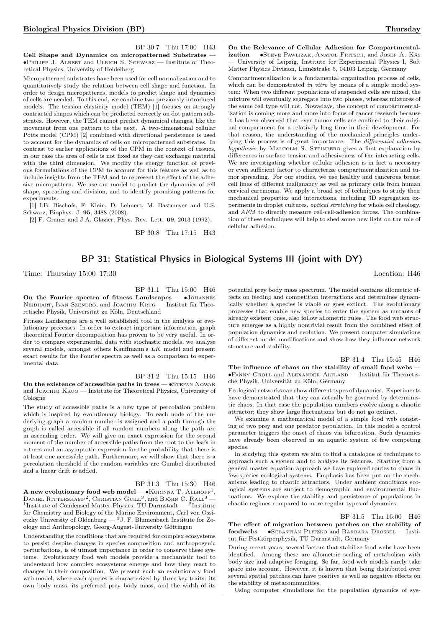BP 30.7 Thu 17:00 H43 Cell Shape and Dynamics on micropatterned Substrates — ∙Philipp J. Albert and Ulrich S. Schwarz — Institute of Theoretical Physics, University of Heidelberg

Micropatterned substrates have been used for cell normalization and to quantitatively study the relation between cell shape and function. In order to design micropatterns, models to predict shape and dynamics of cells are needed. To this end, we combine two previously introduced models. The tension elasticity model (TEM) [1] focuses on strongly contracted shapes which can be predicted correctly on dot pattern substrates. However, the TEM cannot predict dynamical changes, like the movement from one pattern to the next. A two-dimensional cellular Potts model (CPM) [2] combined with directional persistence is used to account for the dynamics of cells on micropatterned substrates. In contrast to earlier applications of the CPM in the context of tissues, in our case the area of cells is not fixed as they can exchange material with the third dimension. We modify the energy function of previous formulations of the CPM to account for this feature as well as to include insights from the TEM and to represent the effect of the adhesive micropattern. We use our model to predict the dynamics of cell shape, spreading and division, and to identify promising patterns for experiments.

[1] I.B. Bischofs, F. Klein, D. Lehnert, M. Bastmeyer and U.S. Schwarz, Biophys. J. 95, 3488 (2008).

[2] F. Graner and J.A. Glazier, Phys. Rev. Lett. 69, 2013 (1992).

BP 30.8 Thu 17:15 H43

### On the Relevance of Cellular Adhesion for Compartmentalization — •STEVE PAWLIZAK, ANATOL FRITSCH, and JOSEF A. KÄS — University of Leipzig, Institute for Experimental Physics I, Soft Matter Physics Division, Linnéstraße 5, 04103 Leipzig, Germany

Compartmentalization is a fundamental organization process of cells, which can be demonstrated in vitro by means of a simple model system: When two different populations of suspended cells are mixed, the mixture will eventually segregate into two phases, whereas mixtures of the same cell type will not. Nowadays, the concept of compartmentalization is coming more and more into focus of cancer research because it has been observed that even tumor cells are confined to their original compartment for a relatively long time in their development. For that reason, the understanding of the mechanical principles underlying this process is of great importance. The differential adhesion hypothesis by MALCOLM S. STEINBERG gives a first explanation by differences in surface tension and adhesiveness of the interacting cells. We are investigating whether cellular adhesion is in fact a necessary or even sufficient factor to characterize compartmentalization and tumor spreading. For our studies, we use healthy and cancerous breast cell lines of different malignancy as well as primary cells from human cervical carcinoma. We apply a broad set of techniques to study their mechanical properties and interactions, including 3D segregation experiments in droplet cultures, optical stretching for whole cell rheology, and AFM to directly measure cell-cell-adhesion forces. The combination of these techniques will help to shed some new light on the role of cellular adhesion.

# BP 31: Statistical Physics in Biological Systems III (joint with DY)

Time: Thursday  $15:00-17:30$  Location: H46

BP 31.1 Thu 15:00 H46

On the Fourier spectra of fitness Landscapes — ∙Johannes NEIDHART, IVAN SZENDRO, and JOACHIM KRUG — Institut für Theoretische Physik, Universität zu Köln, Deutschland

Fitness Landscapes are a well established tool in the analysis of evolutionary precesses. In order to extract important information, graph theoretical Fourier decomposition has proven to be very useful. In order to compare experimental data with stochastic models, we analyse several models, amongst others Kauffmann's  $LK$  model and present exact results for the Fourier spectra as well as a comparison to experimental data.

BP 31.2 Thu 15:15 H46 On the existence of accessible paths in trees — •STEFAN NOWAK and JOACHIM KRUG — Institute for Theoretical Physics, University of Cologne

The study of accessible paths is a new type of percolation problem which is inspired by evolutionary biology. To each node of the underlying graph a random number is assigned and a path through the graph is called accessible if all random numbers along the path are in ascending order. We will give an exact expression for the second moment of the number of accessible paths from the root to the leafs in n-trees and an asymptotic expression for the probability that there is at least one accessible path. Furthermore, we will show that there is a percolation threshold if the random variables are Gumbel distributed and a linear drift is added.

### BP 31.3 Thu 15:30 H46

A new evolutionary food web model —  $\bullet$  Korinna T. Allhoff! DANIEL RITTERSKAMP<sup>2</sup>, CHRISTIAN GUILL<sup>3</sup>, and Björn C. Rall<sup>3</sup> — <sup>1</sup>Institute of Condensed Matter Physics, TU Darmstadt — <sup>2</sup>Institute for Chemistry and Biology of the Marine Environment, Carl von Ossietzky University of Oldenburg —  $3J$ . F. Blumenbach Institute for Zoology and Anthropology, Georg-August-University Göttingen

Understanding the conditions that are required for complex ecosystems to persist despite changes in species composition and anthropogenic perturbations, is of utmost importance in order to conserve these systems. Evolutionary food web models provide a mechanistic tool to understand how complex ecosystems emerge and how they react to changes in their composition. We present such an evolutionary food web model, where each species is characterized by three key traits: its own body mass, its preferred prey body mass, and the width of its

potential prey body mass spectrum. The model contains allometric effects on feeding and competition interactions and determines dynamically whether a species is viable or goes extinct. The evolutionary processes that enable new species to enter the system as mutants of already existent ones, also follow allometric rules. The food web structure emerges as a highly nontrivial result from the combined effect of population dynamics and evolution. We present computer simulations of different model modifications and show how they influence network structure and stability.

BP 31.4 Thu 15:45 H46 The influence of chaos on the stability of small food webs -∙Fanny Groll and Alexander Altland — Institut für Theoretische Physik, Universität zu Köln, Germany

Ecological networks can show different types of dynamics. Experiments have demonstrated that they can actually be governed by deterministic chaos. In that case the population numbers evolve along a chaotic attractor; they show large fluctuations but do not go extinct.

We examine a mathematical model of a simple food web consisting of two prey and one predator population. In this model a control parameter triggers the onset of chaos via bifurcation. Such dynamics have already been observed in an aquatic system of few competing species.

In studying this system we aim to find a catalogue of techniques to approach such a system and to analyze its features. Starting from a general master equation approach we have explored routes to chaos in few-species ecological systems. Emphasis has been put on the mechanisms leading to chaotic attractors. Under ambient conditions ecological systems are subject to demographic and environmental fluctuations. We explore the stability and persistence of populations in chaotic regimes compared to more regular types of dynamics.

# BP 31.5 Thu 16:00 H46

The effect of migration between patches on the stability of foodwebs — ∙Sebastian Plitzko and Barbara Drossel — Institut für Festkörperphysik, TU Darmstadt, Germany

During recent years, several factors that stabilize food webs have been identified. Among these are allometric scaling of metabolism with body size and adaptive foraging. So far, food web models rarely take space into account. However, it is known that being distributed over several spatial patches can have positive as well as negative effects on the stability of metacommunities.

Using computer simulations for the population dynamics of sys-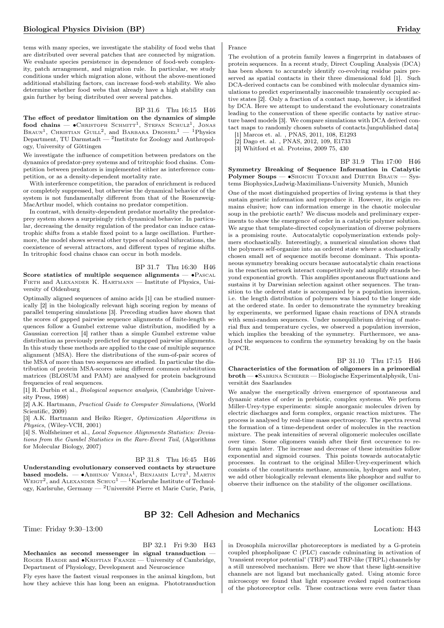tems with many species, we investigate the stability of food webs that are distributed over several patches that are connected by migration. We evaluate species persistence in dependence of food-web complexity, patch arrangement, and migration rule. In particular, we study conditions under which migration alone, without the above-mentioned additional stabilizing factors, can increase food-web stability. We also determine whether food webs that already have a high stability can gain further by being distributed over several patches.

### BP 31.6 Thu 16:15 H46

The effect of predator limitation on the dynamics of simple  $\mathbf{food}$  chains —  $\bullet$  Christoph Schmitt<sup>1</sup>, Stefan Schulz<sup>1</sup>, Jonas BRAUN<sup>1</sup>, CHRISTIAN GUILL<sup>2</sup>, and BARBARA DROSSEL<sup>1</sup> - <sup>1</sup>Physics Department, TU Darmstadt —  $^2$ Institute for Zoology and Anthropology, University of Göttingen

We investigate the influence of competition between predators on the dynamics of predator-prey systems and of tritrophic food chains. Competition between predators is implemented either as interference competition, or as a density-dependent mortality rate.

With interference competition, the paradox of enrichment is reduced or completely suppressed, but otherwise the dynamical behavior of the system is not fundamentally different from that of the Rosenzweig-MacArthur model, which contains no predator competition.

In contrast, with density-dependent predator mortality the predatorprey system shows a surprisingly rich dynamical behavior. In particular, decreasing the density regulation of the predator can induce catastrophic shifts from a stable fixed point to a large oscillation. Furthermore, the model shows several other types of nonlocal bifurcations, the coexistence of several attractors, and different types of regime shifts. In tritrophic food chains chaos can occur in both models.

BP 31.7 Thu 16:30 H46 Score statistics of multiple sequence alignments —  $\bullet$ Pascal FIETH and ALEXANDER K. HARTMANN - Institute of Physics, University of Oldenburg

Optimally aligned sequences of amino acids [1] can be studied numerically [2] in the biologically relevant high scoring region by means of parallel tempering simulations [3]. Preceding studies have shown that the scores of gapped pairwise sequence alignments of finite-length sequences follow a Gumbel extreme value distribution, modified by a Gaussian correction [4] rather than a simple Gumbel extreme value distribution as previously predicted for ungapped pairwise alignments. In this study these methods are applied to the case of multiple sequence alignment (MSA). Here the distributions of the sum-of-pair scores of the MSA of more than two sequences are studied. In particular the distribution of protein MSA-scores using different common substitution matrices (BLOSUM and PAM) are analysed for protein background frequencies of real sequences.

[1] R. Durbin et al., Biological sequence analysis, (Cambridge University Press, 1998)

[2] A.K. Hartmann, Practical Guide to Computer Simulations, (World Scientific, 2009)

[3] A.K. Hartmann and Heiko Rieger, Optimization Algorithms in Physics, (Wiley-VCH, 2001)

[4] S. Wolfsheimer et al., Local Sequence Alignments Statistics: Deviations from the Gumbel Statistics in the Rare-Event Tail, (Algorithms for Molecular Biology, 2007)

BP 31.8 Thu 16:45 H46

Understanding evolutionary conserved contacts by structure based models. —  $\bullet$ Abhinav Verma<sup>1</sup>, Benjamin Lutz<sup>1</sup>, Martin  $\text{WEIGT}^2$ , and ALEXANDER  $\text{ScHUG}^1$  — <sup>1</sup>Karlsruhe Institute of Technology, Karlsruhe, Germany — <sup>2</sup>Université Pierre et Marie Curie, Paris,

### France

The evolution of a protein family leaves a fingerprint in databases of protein sequences. In a recent study, Direct Coupling Analysis (DCA) has been shown to accurately identify co-evolving residue pairs preserved as spatial contacts in their three dimensional fold [1]. Such DCA-derived contacts can be combined with molecular dynamics simulations to predict experimentally inaccessible transiently occupied active states [2]. Only a fraction of a contact map, however, is identified by DCA. Here we attempt to understand the evolutionary constraints leading to the conservation of these specific contacts by native structure based models [3]. We compare simulations with DCA derived contact maps to randomly chosen subsets of contacts.[unpublished data]

[1] Marcos et. al. , PNAS, 2011, 108, E1293

[2] Dago et. al. , PNAS, 2012, 109, E1733

[3] Whitford et al. Proteins, 2009 75, 430

BP 31.9 Thu 17:00 H46

Symmetry Breaking of Sequence Information in Catalytic Polymer Soups —  $\bullet$ Shoichi Toyabe and Dieter Braun — Systems Biophysics,Ludwig-Maximilians-University Munich, Munich

One of the most distinguished properties of living systems is that they sustain genetic information and reproduce it. However, its origin remains elusive; how can information emerge in the chaotic molecular soup in the prebiotic earth? We discuss models and preliminary experiments to show the emergence of order in a catalytic polymer solution. We argue that template-directed copolymerization of diverse polymers is a promising route. Autocatalytic copolymerization extends polymers stochastically. Interestingly, a numerical simulation shows that the polymers self-organize into an ordered state where a stochastically chosen small set of sequence motifs become dominant. This spontaneous symmetry breaking occurs because autocatalytic chain reactions in the reaction network interact competitively and amplify strands beyond exponential growth. This amplifies spontaneous fluctuations and sustains it by Darwinian selection against other sequences. The transition to the ordered state is accompanied by a population inversion, i.e. the length distribution of polymers was biased to the longer side at the ordered state. In order to demonstrate the symmetry breaking by experiments, we performed ligase chain reactions of DNA strands with semi-random sequences. Under nonequilibrium driving of material flux and temperature cycles, we observed a population inversion, which implies the breaking of the symmetry. Furthermore, we analyzed the sequences to confirm the symmetry breaking by on the basis of PCR.

BP 31.10 Thu 17:15 H46 Characteristics of the formation of oligomers in a primordial broth — ∙Sabrina Scherer — Biologische Experimentalphysik, Universität des Saarlandes

We analyse the energetically driven emergence of spontaneous and dynamic states of order in prebiotic, complex systems. We perform Miller-Urey-type experiments: simple anorganic molecules driven by electric discharges and form complex, organic reaction mixtures. The process is analysed by real-time mass spectroscopy. The spectra reveal the formation of a time-dependent order of molecules in the reaction mixture. The peak intensities of several oligomeric molecules oscillate over time. Some oligomers vanish after their first occurence to reform again later. The increase and decrease of these intensities follow exponential and sigmoid courses. This points towards autocatalytic processes. In contrast to the original Miller-Urey-experiment which consists of the constituents methane, ammonia, hydrogen and water, we add other biologically relevant elements like phosphor and sulfur to observe their influence on the stability of the oligomer oscillations.

# BP 32: Cell Adhesion and Mechanics

Time: Friday 9:30–13:00 Location: H43

BP 32.1 Fri 9:30 H43

Mechanics as second messenger in signal transduction — ROGER HARDIE and •KRISTIAN FRANZE — University of Cambridge, Department of Physiology, Development and Neuroscience

Fly eyes have the fastest visual responses in the animal kingdom, but how they achieve this has long been an enigma. Phototransduction

in Drosophila microvillar photoreceptors is mediated by a G-protein coupled phospholipase C (PLC) cascade culminating in activation of 'transient receptor potential' (TRP) and TRP-like (TRPL) channels by a still unresolved mechanism. Here we show that these light-sensitive channels are not ligand but mechanically gated. Using atomic force microscopy we found that light exposure evoked rapid contractions of the photoreceptor cells. These contractions were even faster than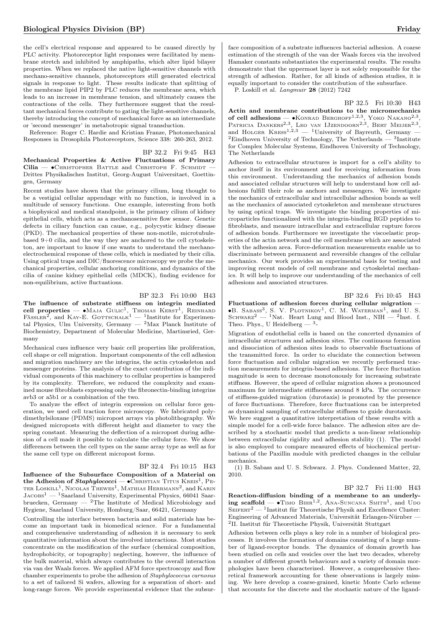the cell's electrical response and appeared to be caused directly by PLC activity. Photoreceptor light responses were facilitated by membrane stretch and inhibited by amphipaths, which alter lipid bilayer properties. When we replaced the native light-sensitive channels with mechano-sensitive channels, photoreceptors still generated electrical signals in response to light. These results indicate that splitting of the membrane lipid PIP2 by PLC reduces the membrane area, which leads to an increase in membrane tension, and ultimately causes the contractions of the cells. They furthermore suggest that the resultant mechanical forces contribute to gating the light-sensitive channels, thereby introducing the concept of mechanical force as an intermediate or 'second messenger' in metabotropic signal transduction.

Reference: Roger C. Hardie and Kristian Franze, Photomechanical Responses in Drosophila Photoreceptors, Science 338: 260-263, 2012.

BP 32.2 Fri 9:45 H43 Mechanical Properties & Active Fluctuations of Primary Cilia — • CHRISTOPHER BATTLE and CHRISTOPH F. SCHMIDT Drittes Physikalisches Institut, Georg-August Universitaet, Goettingen, Germany

Recent studies have shown that the primary cilium, long thought to be a vestigial cellular appendage with no function, is involved in a multitude of sensory functions. One example, interesting from both a biophysical and medical standpoint, is the primary cilium of kidney epithelial cells, which acts as a mechanosensitive flow sensor. Genetic defects in ciliary function can cause, e.g., polycystic kidney disease (PKD). The mechanical properties of these non-motile, microtubulebased 9+0 cilia, and the way they are anchored to the cell cytoskeleton, are important to know if one wants to understand the mechanoelectrochemical response of these cells, which is mediated by their cilia. Using optical traps and DIC/fluorescence microscopy we probe the mechanical properties, cellular anchoring conditions, and dynamics of the cilia of canine kidney epithelial cells (MDCK), finding evidence for non-equilibrium, active fluctuations.

### BP 32.3 Fri 10:00 H43

The influence of substrate stiffness on integrin mediated cell properties — •Maja Gulic<sup>1</sup>, Thomas Kerst<sup>1</sup>, Reinhard<br>Fässler<sup>2</sup>, and Kay-E. Gottschalk<sup>1</sup> — <sup>1</sup>Institute for Experimental Physics, Ulm University, Germany  $^{2}$ Max Planck Institute of Biochemistry, Department of Molecular Medicine, Martinsried, Germany

Mechanical cues influence very basic cell properties like proliferation, cell shape or cell migration. Important components of the cell adhesion and migration machinery are the integrins, the actin cytoskeleton and messenger proteins. The analysis of the exact contribution of the individual components of this machinery to cellular properties is hampered by its complexity. Therefore, we reduced the complexity and examined mouse fibroblasts expressing only the fibronectin-binding integrins avb3 or a5b1 or a combination of the two.

To analyze the effect of integrin expression on cellular force generation, we used cell traction force microscopy. We fabricated polydimethylsiloxane (PDMS) micropost arrays via photolithography. We designed microposts with different height and diameter to vary the spring constant. Measuring the deflection of a micropost during adhesion of a cell made it possible to calculate the cellular force. We show differences between the cell types on the same array type as well as for the same cell type on different micropost forms.

### BP 32.4 Fri 10:15 H43

Influence of the Subsurface Composition of a Material on the Adhesion of  $Staphylococci$  —  $\bullet$  Christian Titus Kreis<sup>1</sup>, Peter Loskill<sup>1</sup>, Nicolas Thewes<sup>1</sup>, Mathias Herrmann<sup>2</sup>, and Karin  $JACOBs<sup>1</sup>$  — <sup>1</sup>Saarland University, Experimental Physics, 66041 Saarbruecken, Germany  $-$  <sup>2</sup>The Institute of Medical Microbiology and Hygiene, Saarland University, Homburg/Saar, 66421, Germany

Controlling the interface between bacteria and solid materials has become an important task in biomedical science. For a fundamental and comprehensive understanding of adhesion it is necessary to seek quantitative information about the involved interactions. Most studies concentrate on the modification of the surface (chemical composition, hydrophobicity, or topography) neglecting, however, the influence of the bulk material, which always contributes to the overall interaction via van der Waals forces. We applied AFM force spectroscopy and flow chamber experiments to probe the adhesion of Staphylococcus carnosus to a set of tailored Si wafers, allowing for a separation of short- and long-range forces. We provide experimental evidence that the subsur-

face composition of a substrate influences bacterial adhesion. A coarse estimation of the strength of the van der Waals forces via the involved Hamaker constants substantiates the experimental results. The results demonstrate that the uppermost layer is not solely responsible for the strength of adhesion. Rather, for all kinds of adhesion studies, it is equally important to consider the contribution of the subsurface.

P. Loskill et al. Langmuir 28 (2012) 7242

### BP 32.5 Fri 10:30 H43

Actin and membrane contributions to the micromechanics of cell adhesions — •Konrad Berghoff<sup>1,2,3</sup>, Yoko Nakano<sup>2,3</sup>, Patricia Dankers<sup>2,3</sup>, Leo van IJzendoorn<sup>2,3</sup>, Bert Meijer<sup>2,3</sup>, and HOLGER  $K \times S^{2.25}$  — <sup>1</sup>University of Bayreuth, Germany — <sup>2</sup>Eindhoven University of Technology, The Netherlands —  $3$ Institute for Complex Molecular Systems, Eindhoven University of Technology, The Netherlands

Adhesion to extracellular structures is import for a cell's ability to anchor itself in its environment and for receiving information from this environment. Understanding the mechanics of adhesion bonds and associated cellular structures will help to understand how cell adhesions fulfill their role as anchors and messengers. We investigate the mechanics of extracellular and intracellular adhesion bonds as well as the mechanics of associated cytoskeleton and membrane structures by using optical traps. We investigate the binding properties of microparticles functionalized with the integrin-binding RGD peptides to fibroblasts, and measure intracellular and extracellular rupture forces of adhesion bonds. Furthermore we investigate the viscoelastic properties of the actin network and the cell membrane which are associated with the adhesion area. Force-deformation measurements enable us to discriminate between permanent and reversible changes of the cellular mechanics. Our work provides an experimental basis for testing and improving recent models of cell membrane and cytoskeletal mechanics. It will help to improve our understanding of the mechanics of cell adhesions and associated structures.

### BP 32.6 Fri 10:45 H43

Fluctuations of adhesion forces during cellular migration — ∙B. Sabass<sup>3</sup> , S. V. Plotnikov<sup>1</sup> , C. M. Waterman<sup>1</sup> , and U. S. SCHWARZ<sup>2</sup> — <sup>1</sup>Nat. Heart Lung and Blood Inst., NIH — <sup>2</sup>Inst. f. Theo. Phys., U Heidelberg  $-3$ -

Migration of endothelial cells is based on the concerted dynamics of intracellular structures and adhesion sites. The continuous formation and dissociation of adhesion sites leads to observable fluctuations of the transmitted force. In order to elucidate the connection between force fluctuation and cellular migration we recently performed traction measurements for integrin-based adhesions. The force fluctuation magnitude is seen to decrease monotonously for increasing substrate stiffness. However, the speed of cellular migration shows a pronounced maximum for intermediate stiffnesses around 8 kPa. The occurrence of stiffness-guided migration (durotaxis) is promoted by the presence of force fluctuations. Therefore, force fluctuations can be interpreted as dynamical sampling of extracellular stiffness to guide durotaxis.

We here suggest a quantitative interpretation of these results with a simple model for a cell-wide force balance. The adhesion sites are described by a stochastic model that predicts a non-linear relationship between extracellular rigidity and adhesion stability (1). The model is also employed to compare measured effects of biochemical perturbations of the Paxillin module with predicted changes in the cellular mechanics.

(1) B. Sabass and U. S. Schwarz. J. Phys. Condensed Matter, 22, 2010.

### BP 32.7 Fri 11:00 H43

Reaction-diffusion binding of a membrane to an underlying scaffold —  $\bullet$ Timo BiHR<sup>1,2</sup>, ANA-SUNCANA SMITH<sup>1</sup>, and UDO  $\text{SEIFERT}^2$  — <sup>1</sup>Institut für Theoretische Physik and Excellence Cluster: Engineering of Advanced Materials, Universität Erlangen-Nürnber — 2 II. Institut für Theoretische Physik, Universität Stuttgart

Adhesion between cells plays a key role in a number of biological processes. It involves the formation of domains consisting of a large number of ligand-receptor bonds. The dynamics of domain growth has been studied on cells and vesicles over the last two decades, whereby a number of different growth behaviours and a variety of domain morphologies have been characterized. However, a comprehensive theoretical framework accounting for these observations is largely missing. We here develop a coarse-grained, kinetic Monte Carlo scheme that accounts for the discrete and the stochastic nature of the ligand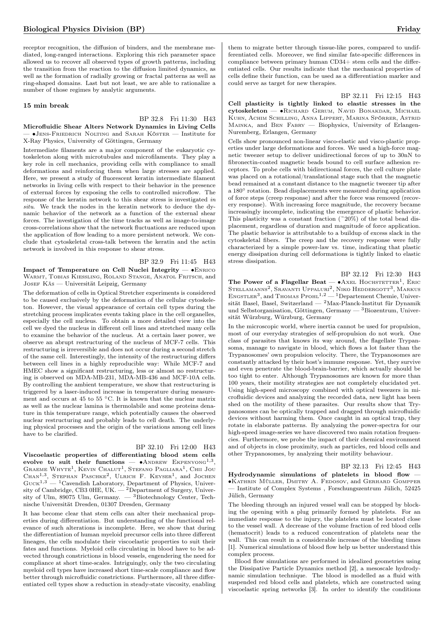receptor recognition, the diffusion of binders, and the membrane mediated, long-ranged interactions. Exploring this rich parameter space allowed us to recover all observed types of growth patterns, including the transition from the reaction to the diffusion limited dynamics, as well as the formation of radially growing or fractal patterns as well as ring-shaped domains. Last but not least, we are able to rationalize a number of those regimes by analytic arguments.

### 15 min break

### BP 32.8 Fri 11:30 H43 Microfluidic Shear Alters Network Dynamics in Living Cells — ∙Jens-Friedrich Nolting and Sarah Köster — Institute for X-Ray Physics, University of Göttingen, Germany

Intermediate filaments are a major component of the eukaryotic cytoskeleton along with microtubules and microfilaments. They play a key role in cell mechanics, providing cells with compliance to small deformations and reinforcing them when large stresses are applied. Here, we present a study of fluorescent keratin intermediate filament networks in living cells with respect to their behavior in the presence of external forces by exposing the cells to controlled microflow. The response of the keratin network to this shear stress is investigated in situ. We track the nodes in the keratin network to deduce the dynamic behavior of the network as a function of the external shear forces. The investigation of the time tracks as well as image-to-image cross-correlations show that the network fluctuations are reduced upon the application of flow leading to a more persistent network. We conclude that cytoskeletal cross-talk between the keratin and the actin network is involved in this response to shear stress.

BP 32.9 Fri 11:45 H43

Impact of Temperature on Cell Nuclei Integrity — ∙Enrico WARMT, TOBIAS KIESSLING, ROLAND STANGE, ANATOL FRITSCH, and JOSEF KÄS — Universität Leipzig, Germany

The deformation of cells in Optical Stretcher experiments is considered to be caused exclusively by the deformation of the cellular cytoskeleton. However, the visual appearance of certain cell types during the stretching process implicates events taking place in the cell organelles, especially the cell nucleus. To obtain a more detailed view into the cell we dyed the nucleus in different cell lines and stretched many cells to examine the behavior of the nucleus. At a certain laser power, we observe an abrupt restructuring of the nucleus of MCF-7 cells. This restructuring is irreversible and does not occur during a second stretch of the same cell. Interestingly, the intensity of the restructuring differs between cell lines in a highly reproducible way: While MCF-7 and HMEC show a significant restructuring, less or almost no restructuring is observed on MDA-MB-231, MDA-MB-436 and MCF-10A cells. By controlling the ambient temperature, we show that restructuring is triggered by a laser-induced increase in temperature during measurement and occurs at 45 to 55 <sup>∘</sup>C. It is known that the nuclear matrix as well as the nuclear lamina is thermolabile and some proteins denature in this temperature range, which potentially causes the observed nuclear restructuring and probably leads to cell death. The underlying physical processes and the origin of the variations among cell lines have to be clarified.

## BP 32.10 Fri 12:00 H43

Viscoelastic properties of differentiating blood stem cells evolve to suit their functions —  $\bullet$ ANDREW EKPENYONG<sup>1,3</sup>, GRAEME WHYTE<sup>1</sup>, KEVIN CHALUT<sup>1</sup>, STEFANO PAGLIARA<sup>1</sup>, CHII JOU CHAN<sup>1,3</sup>, STEPHAN PASCHKE<sup>2</sup>, ULRICH F. KEYSER<sup>1</sup>, and JOCHEN  $Guck<sup>1,3</sup>$  — <sup>1</sup>Cavendish Laboratory, Department of Physics, University of Cambridge, CB3 0HE, UK.  $-$  <sup>2</sup>Department of Surgery, University of Ulm, 89075 Ulm, Germany.  $-$ <sup>3</sup>Biotechnology Center, Technische Universität Dresden, 01307 Dresden, Germany

It has become clear that stem cells can alter their mechanical properties during differentiation. But understanding of the functional relevance of such alterations is incomplete. Here, we show that during the differentiation of human myeloid precursor cells into three different lineages, the cells modulate their viscoelastic properties to suit their fates and functions. Myeloid cells circulating in blood have to be advected through constrictions in blood vessels, engendering the need for compliance at short time-scales. Intriguingly, only the two circulating myeloid cell types have increased short time-scale compliance and flow better through microfluidic constrictions. Furthermore, all three differentiated cell types show a reduction in steady-state viscosity, enabling

them to migrate better through tissue-like pores, compared to undifferentiated cells. Moreover, we find similar fate-specific differences in compliance between primary human CD34+ stem cells and the differentiated cells. Our results indicate that the mechanical properties of cells define their function, can be used as a differentiation marker and could serve as target for new therapies.

BP 32.11 Fri 12:15 H43

Cell plasticity is tightly linked to elastic stresses in the cytoskeleton — ∙Richard Gerum, Navid Bonakdar, Michael Kuhn, Achim Schilling, Anna Lippert, Marina Spörrer, Astrid Mainka, and Ben Fabry — Biophysics, University of Erlangen-Nuremberg, Erlangen, Germany

Cells show pronounced non-linear visco-elastic and visco-plastic properties under large deformations and forces. We used a high-force magnetic tweezer setup to deliver unidirectional forces of up to 30nN to fibronectin-coated magnetic beads bound to cell surface adhesion receptors. To probe cells with bidirectional forces, the cell culture plate was placed on a rotational/translational stage such that the magnetic bead remained at a constant distance to the magnetic tweezer tip after a 180<sup>∘</sup> rotation. Bead displacements were measured during application of force steps (creep response) and after the force was removed (recovery response). With increasing force magnitude, the recovery became increasingly incomplete, indicating the emergence of plastic behavior. This plasticity was a constant fraction  $(20\%)$  of the total bead displacement, regardless of duration and magnitude of force application. The plastic behavior is attributable to a buildup of excess slack in the cytoskeletal fibers. The creep and the recovery response were fully characterized by a simple power-law vs. time, indicating that plastic energy dissipation during cell deformations is tightly linked to elastic stress dissipation.

BP 32.12 Fri 12:30 H43 The Power of a Flagellar Beat —  $\bullet$ AXEL HOCHSTETTER<sup>1</sup>, ERIC STELLAMANNS<sup>2</sup>, SRAVANTI UPPALURI<sup>2</sup>, NIKO HEDDERGOTT<sup>3</sup>, MARKUS<br>ENGSTLER<sup>3</sup>, and THOMAS PFOHL<sup>1,2</sup> — <sup>1</sup>Departement Chemie, Universität Basel, Basel, Switzerland — <sup>2</sup>Max-Planck-Institut für Dynamik und Selbstorganisation, Göttingen, Germany — <sup>3</sup>Biozentrum, Universität Würzburg, Würzburg, Germany

In the microscopic world, where inertia cannot be used for propulsion, most of our everyday strategies of self-propulsion do not work. One class of parasites that knows its way around, the flagellate Trypansoma, manage to navigate in blood, which flows a lot faster than the Trypanosomes' own propulsion velocity. There, the Trypanosomes are constantly attacked by their host's immune response. Yet, they survive and even penetrate the blood-brain-barrier, which actually should be too tight to enter. Although Trypanosomes are known for more than 100 years, their motility strategies are not completely elucidated yet. Using high-speed microscopy combined with optical tweezers in microfluidic devices and analyzing the recorded data, new light has been shed on the motility of these parasites. Our results show that Trypanosomes can be optically trapped and dragged through microfluidic devices without harming them. Once caught in an optical trap, they rotate in elaborate patterns. By analyzing the power-spectra for our high-speed image-series we have discovered two main rotation frequencies. Furthermore, we probe the impact of their chemical environment and of objects in close proximity, such as particles, red blood cells and other Trypanosomes, by analyzing their motility behaviour.

### BP 32.13 Fri 12:45 H43

Hydrodynamic simulations of platelets in blood flow — ∙Kathrin Müller, Dmitry A. Fedosov, and Gerhard Gompper — Institute of Complex Systems , Forschungszentrum Jülich, 52425 Jülich, Germany

The bleeding through an injured vessel wall can be stopped by blocking the opening with a plug primarily formed by platelets. For an immediate response to the injury, the platelets must be located close to the vessel wall. A decrease of the volume fraction of red blood cells (hematocrit) leads to a reduced concentration of platelets near the wall. This can result in a considerable increase of the bleeding times [1]. Numerical simulations of blood flow help us better understand this complex process.

Blood flow simulations are performed in idealized geometries using the Dissipative Particle Dynamics method [2], a mesoscale hydrodynamic simulation technique. The blood is modelled as a fluid with suspended red blood cells and platelets, which are constructed using viscoelastic spring networks [3]. In order to identify the conditions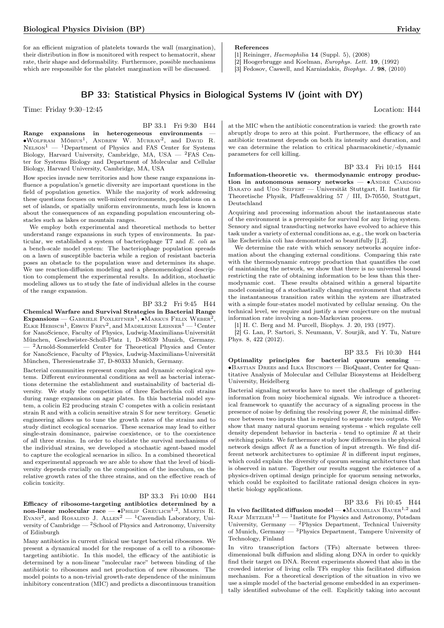for an efficient migration of platelets towards the wall (margination), their distribution in flow is monitored with respect to hematocrit, shear rate, their shape and deformability. Furthermore, possible mechanisms which are responsible for the platelet margination will be discussed.

# BP 33: Statistical Physics in Biological Systems IV (joint with DY)

Time: Friday 9:30–12:45 Location: H44

BP 33.1 Fri 9:30 H44 Range expansions in heterogeneous environments ∙Wolfram Möbius<sup>1</sup> , Andrew W. Murray<sup>2</sup> , and David R.  $N_{\text{ELSON}}^1$  — <sup>1</sup>Department of Physics and FAS Center for Systems Biology, Harvard University, Cambridge, MA, USA — <sup>2</sup>FAS Center for Systems Biology and Department of Molecular and Cellular Biology, Harvard University, Cambridge, MA, USA

How species invade new territories and how these range expansions influence a population's genetic diversity are important questions in the field of population genetics. While the majority of work addressing these questions focuses on well-mixed environments, populations on a set of islands, or spatially uniform environments, much less is known about the consequences of an expanding population encountering obstacles such as lakes or mountain ranges.

We employ both experimental and theoretical methods to better understand range expansions in such types of environments. In particular, we established a system of bacteriophage T7 and E. coli as a bench-scale model system: The bacteriophage population spreads on a lawn of susceptible bacteria while a region of resistant bacteria poses an obstacle to the population wave and determines its shape. We use reaction-diffusion modeling and a phenomenological description to complement the experimental results. In addition, stochastic modeling allows us to study the fate of individual alleles in the course of the range expansion.

### BP 33.2 Fri 9:45 H44

Chemical Warfare and Survival Strategies in Bacterial Range  $\text{Expansions} - \text{Gappale}$  Poxleitner<sup>1</sup>, • Markus Felix Weber<sup>2</sup>, ELKE  $\text{H}_2$  Hebisch<sup>1</sup>, Erwin Frey<sup>2</sup>, and Madeleine Leisner<sup>1</sup> — <sup>1</sup> Center for NanoScience, Faculty of Physics, Ludwig-Maximilians-Universität München, Geschwister-Scholl-Platz 1, D-80539 Munich, Germany. — <sup>2</sup>Arnold-Sommerfeld Center for Theoretical Physics and Center for NanoScience, Faculty of Physics, Ludwig-Maximilians-Universität München, Theresienstraße 37, D-80333 Munich, Germany.

Bacterial communities represent complex and dynamic ecological systems. Different environmental conditions as well as bacterial interactions determine the establishment and sustainability of bacterial diversity. We study the competition of three Escherichia coli strains during range expansions on agar plates. In this bacterial model system, a colicin E2 producing strain C competes with a colicin resistant strain R and with a colicin sensitive strain S for new territory. Genetic engineering allows us to tune the growth rates of the strains and to study distinct ecological scenarios. These scenarios may lead to either single-strain dominance, pairwise coexistence, or to the coexistence of all three strains. In order to elucidate the survival mechanisms of the individual strains, we developed a stochastic agent-based model to capture the ecological scenarios in silico. In a combined theoretical and experimental approach we are able to show that the level of biodiversity depends crucially on the composition of the inoculum, on the relative growth rates of the three strains, and on the effective reach of colicin toxicity.

### BP 33.3 Fri 10:00 H44

Efficacy of ribosome-targeting antibiotics determined by a  $non-linear$  molecular race — •PHILIP GREULICH<sup>1,2</sup>, MARTIN R. EVANS<sup>2</sup>, and ROSALIND J.  $ALLEN^2 - {}^{1}Cavendish Laboratory, Uni$ versity of Cambridge —  ${}^{2}$ School of Physics and Astronomy, University of Edinburgh

Many antibiotics in current clinical use target bacterial ribosomes. We present a dynamical model for the response of a cell to a ribosometargeting antibiotic. In this model, the efficacy of the antibiotic is determined by a non-linear "molecular race" between binding of the antibiotic to ribosomes and net production of new ribosomes. The model points to a non-trivial growth-rate dependence of the minimum inhibitory concentration (MIC) and predicts a discontinuous transition

at the MIC when the antibiotic concentration is varied: the growth rate abruptly drops to zero at this point. Furthermore, the efficacy of an antibiotic treatment depends on both its intensity and duration, and we can determine the relation to critical pharmacokinetic/-dynamic parameters for cell killing.

BP 33.4 Fri 10:15 H44

Information-theoretic vs. thermodynamic entropy production in autonomous sensory networks —  $•$ ANDRE CARDOSO BARATO and UDO SEIFERT — Universität Stuttgart, II. Institut für Theoretische Physik, Pfaffenwaldring 57 / III, D-70550, Stuttgart, Deutschland

Acquiring and processing information about the instantaneous state of the environment is a prerequisite for survival for any living system. Sensory and signal transducting networks have evolved to achieve this task under a variety of external conditions as, e.g., the work on bacteria like Escherichia coli has demonstrated so beautifully [1,2].

We determine the rate with which sensory networks acquire information about the changing external conditions. Comparing this rate with the thermodynamic entropy production that quantifies the cost of maintaining the network, we show that there is no universal bound restricting the rate of obtaining information to be less than this thermodynamic cost. These results obtained within a general bipartite model consisting of a stochastically changing environment that affects the instantaneous transition rates within the system are illustrated with a simple four-states model motivated by cellular sensing. On the technical level, we require and justify a new conjecture on the mutual information rate involving a non-Markovian process.

[1] H. C. Berg and M. Purcell, Biophys. J. 20, 193 (1977).

[2] G. Lan, P. Sartori, S. Neumann, V. Sourjik, and Y. Tu, Nature Phys. 8, 422 (2012).

BP 33.5 Fri 10:30 H44

Optimality principles for bacterial quorum sensing — ∙Bastian Drees and Ilka Bischofs — BioQuant, Center for Quantitative Analysis of Molecular and Cellular Biosystems at Heidelberg University, Heidelberg

Bacterial signaling networks have to meet the challenge of gathering information from noisy biochemical signals. We introduce a theoretical framework to quantify the accuracy of a signaling process in the presence of noise by defining the resolving power  $R$ , the minimal difference between two inputs that is required to separate two outputs. We show that many natural quorum sensing systems - which regulate cell density dependent behavior in bacteria - tend to optimize  $R$  at their switching points. We furthermore study how differences in the physical network design affect  $R$  as a function of input strength. We find different network architectures to optimize  $R$  in different input regimes, which could explain the diversity of quorum sensing architectures that is observed in nature. Together our results suggest the existence of a physics-driven optimal design principle for quorum sensing networks, which could be exploited to facilitate rational design choices in synthetic biology applications.

BP 33.6 Fri 10:45 H44

In vivo facilitated diffusion model —  $\bullet$ Maximilian Bauer<sup>1,2</sup> and RALF  $METZLER^{1,3}$  — <sup>1</sup>Institute for Physics and Astronomy, Potsdam University, Germany — <sup>2</sup>Physics Department, Technical University of Munich, Germany — <sup>3</sup>Physics Department, Tampere University of Technology, Finland

In vitro transcription factors (TFs) alternate between threedimensional bulk diffusion and sliding along DNA in order to quickly find their target on DNA. Recent experiments showed that also in the crowded interior of living cells TFs employ this facilitated diffusion mechanism. For a theoretical description of the situation in vivo we use a simple model of the bacterial genome embedded in an experimentally identified subvolume of the cell. Explicitly taking into account

[1] Reininger, Haemophilia 14 (Suppl. 5), (2008)

References

[2] Hoogerbrugge and Koelman, Europhys. Lett. 19, (1992)

[3] Fedosov, Caswell, and Karniadakis, Biophys. J. 98, (2010)